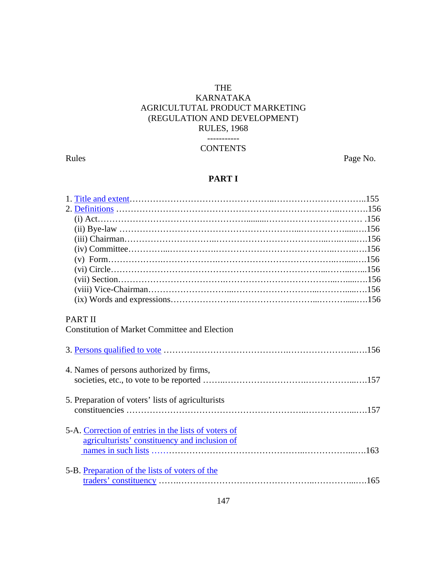### THE KARNATAKA AGRICULTUTAL PRODUCT MARKETING (REGULATION AND DEVELOPMENT) RULES, 1968 -----------

### **CONTENTS**

Rules Page No.

## **PART I**

| <b>PART II</b><br><b>Constitution of Market Committee and Election</b> |  |
|------------------------------------------------------------------------|--|
|                                                                        |  |
|                                                                        |  |
| 4. Names of persons authorized by firms,                               |  |
|                                                                        |  |
|                                                                        |  |
| 5. Preparation of voters' lists of agriculturists                      |  |
|                                                                        |  |
| 5-A. Correction of entries in the lists of voters of                   |  |
| agriculturists' constituency and inclusion of                          |  |
|                                                                        |  |
| 5-B. Preparation of the lists of voters of the                         |  |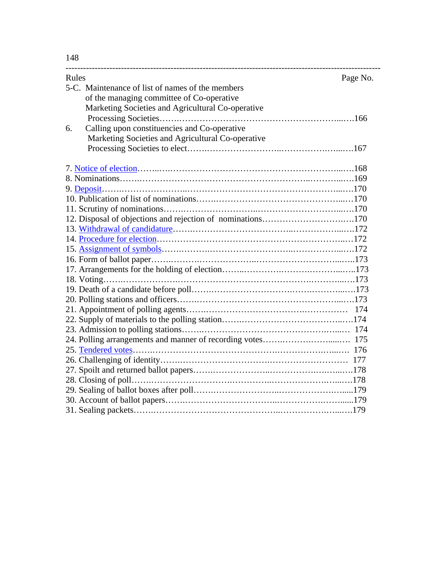148

| Rules<br>Page No.                                          |  |
|------------------------------------------------------------|--|
| 5-C. Maintenance of list of names of the members           |  |
| of the managing committee of Co-operative                  |  |
| Marketing Societies and Agricultural Co-operative          |  |
|                                                            |  |
| Calling upon constituencies and Co-operative<br>6.         |  |
| Marketing Societies and Agricultural Co-operative          |  |
|                                                            |  |
|                                                            |  |
|                                                            |  |
|                                                            |  |
|                                                            |  |
|                                                            |  |
| 12. Disposal of objections and rejection of nominations170 |  |
|                                                            |  |
|                                                            |  |
|                                                            |  |
|                                                            |  |
|                                                            |  |
|                                                            |  |
|                                                            |  |
|                                                            |  |
|                                                            |  |
|                                                            |  |
|                                                            |  |
|                                                            |  |
|                                                            |  |
|                                                            |  |
|                                                            |  |
|                                                            |  |
|                                                            |  |
|                                                            |  |
|                                                            |  |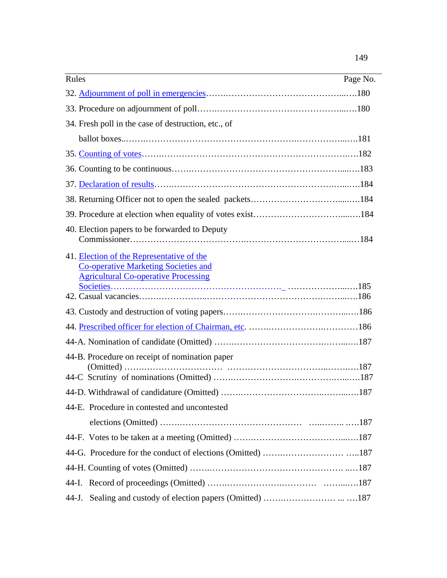| Rules<br>Page No.                                                                                                                       |
|-----------------------------------------------------------------------------------------------------------------------------------------|
|                                                                                                                                         |
|                                                                                                                                         |
| 34. Fresh poll in the case of destruction, etc., of                                                                                     |
|                                                                                                                                         |
|                                                                                                                                         |
|                                                                                                                                         |
|                                                                                                                                         |
|                                                                                                                                         |
|                                                                                                                                         |
| 40. Election papers to be forwarded to Deputy                                                                                           |
| 41. Election of the Representative of the<br><b>Co-operative Marketing Societies and</b><br><b>Agricultural Co-operative Processing</b> |
|                                                                                                                                         |
|                                                                                                                                         |
|                                                                                                                                         |
| 44-B. Procedure on receipt of nomination paper                                                                                          |
|                                                                                                                                         |
| 44-E. Procedure in contested and uncontested                                                                                            |
|                                                                                                                                         |
|                                                                                                                                         |
|                                                                                                                                         |
|                                                                                                                                         |
|                                                                                                                                         |
| 44-J.                                                                                                                                   |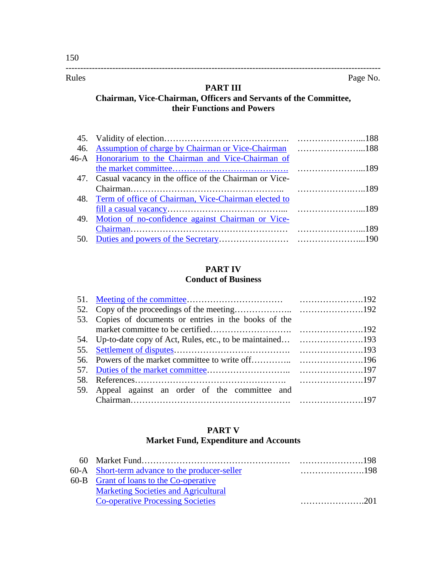#### **PART III**

------------------------------------------------------------------------------------------------------------

## **Chairman, Vice-Chairman, Officers and Servants of the Committee, their Functions and Powers**

| 46. Assumption of charge by Chairman or Vice-Chairman 188 |  |
|-----------------------------------------------------------|--|
| 46-A Honorarium to the Chairman and Vice-Chairman of      |  |
|                                                           |  |
| 47. Casual vacancy in the office of the Chairman or Vice- |  |
|                                                           |  |
| 48. Term of office of Chairman, Vice-Chairman elected to  |  |
|                                                           |  |
| 49. Motion of no-confidence against Chairman or Vice-     |  |
|                                                           |  |
|                                                           |  |

### **PART IV Conduct of Business**

| 53. Copies of documents or entries in the books of the |  |
|--------------------------------------------------------|--|
|                                                        |  |
|                                                        |  |
|                                                        |  |
|                                                        |  |
|                                                        |  |
|                                                        |  |
| 59. Appeal against an order of the committee and       |  |
|                                                        |  |

### **PART V Market Fund, Expenditure and Accounts**

| 60-A Short-term advance to the producer-seller |  |
|------------------------------------------------|--|
| 60-B Grant of loans to the Co-operative        |  |
| <b>Marketing Societies and Agricultural</b>    |  |
| <b>Co-operative Processing Societies</b>       |  |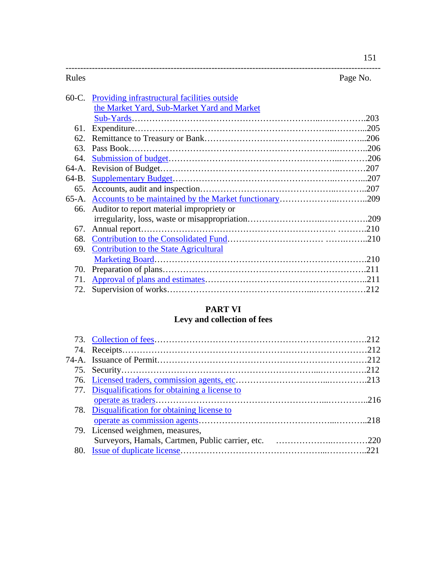|                                                    | Page No. |
|----------------------------------------------------|----------|
| 60-C. Providing infrastructural facilities outside |          |
| the Market Yard, Sub-Market Yard and Market        |          |
|                                                    |          |
|                                                    |          |
|                                                    |          |
| Pass Book.                                         |          |
|                                                    |          |
|                                                    |          |
|                                                    |          |
|                                                    |          |
|                                                    |          |
| Auditor to report material impropriety or          |          |
|                                                    |          |
|                                                    |          |
|                                                    |          |
| Contribution to the State Agricultural             |          |
|                                                    |          |
|                                                    |          |
|                                                    |          |
|                                                    |          |
|                                                    |          |

# **PART VI**

# **Levy and collection of fees**

| 77. Disqualifications for obtaining a license to |  |
|--------------------------------------------------|--|
|                                                  |  |
| 78. Disqualification for obtaining license to    |  |
|                                                  |  |
| 79. Licensed weighmen, measures,                 |  |
|                                                  |  |
|                                                  |  |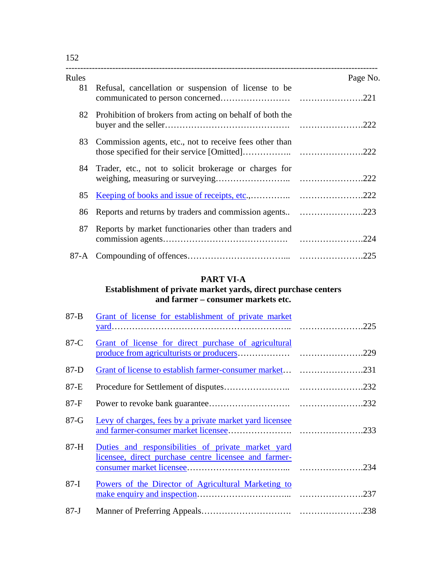| Rules |                                                             | Page No. |
|-------|-------------------------------------------------------------|----------|
| 81    | Refusal, cancellation or suspension of license to be        |          |
|       | 82 Prohibition of brokers from acting on behalf of both the |          |
| 83    | Commission agents, etc., not to receive fees other than     |          |
| 84 -  | Trader, etc., not to solicit brokerage or charges for       |          |
| 85    |                                                             |          |
| 86    | Reports and returns by traders and commission agents223     |          |
| 87    | Reports by market functionaries other than traders and      |          |
|       |                                                             |          |

## **PART VI-A**

### **Establishment of private market yards, direct purchase centers and farmer – consumer markets etc.**

| $87 - B$ | Grant of license for establishment of private market                                                        |  |
|----------|-------------------------------------------------------------------------------------------------------------|--|
| $87-C$   | Grant of license for direct purchase of agricultural                                                        |  |
| $87-D$   |                                                                                                             |  |
| 87-E     |                                                                                                             |  |
| $87-F$   |                                                                                                             |  |
| $87-G$   | Levy of charges, fees by a private market yard licensee                                                     |  |
| $87-H$   | Duties and responsibilities of private market yard<br>licensee, direct purchase centre licensee and farmer- |  |
| $87-I$   | Powers of the Director of Agricultural Marketing to                                                         |  |
| $87 - J$ |                                                                                                             |  |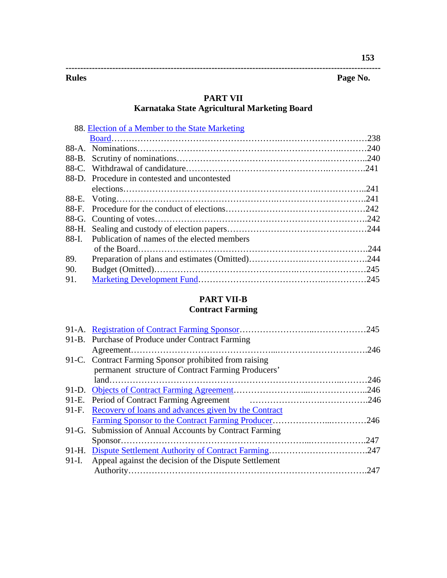| <b>Rules</b> | Page<br>e No. |
|--------------|---------------|

# **PART VII**

## **Karnataka State Agricultural Marketing Board**

|     | 88. Election of a Member to the State Marketing   |  |
|-----|---------------------------------------------------|--|
|     |                                                   |  |
|     |                                                   |  |
|     |                                                   |  |
|     |                                                   |  |
|     | 88-D. Procedure in contested and uncontested      |  |
|     |                                                   |  |
|     |                                                   |  |
|     |                                                   |  |
|     |                                                   |  |
|     |                                                   |  |
|     | 88-I. Publication of names of the elected members |  |
|     |                                                   |  |
| 89. |                                                   |  |
| 90. |                                                   |  |
| 91. |                                                   |  |

## **PART VII-B**

# **Contract Farming**

| 91-B. Purchase of Produce under Contract Farming            |  |
|-------------------------------------------------------------|--|
|                                                             |  |
| 91-C. Contract Farming Sponsor prohibited from raising      |  |
| permanent structure of Contract Farming Producers'          |  |
|                                                             |  |
|                                                             |  |
|                                                             |  |
| 91-F. Recovery of loans and advances given by the Contract  |  |
|                                                             |  |
| 91-G. Submission of Annual Accounts by Contract Farming     |  |
|                                                             |  |
|                                                             |  |
| 91-I. Appeal against the decision of the Dispute Settlement |  |
|                                                             |  |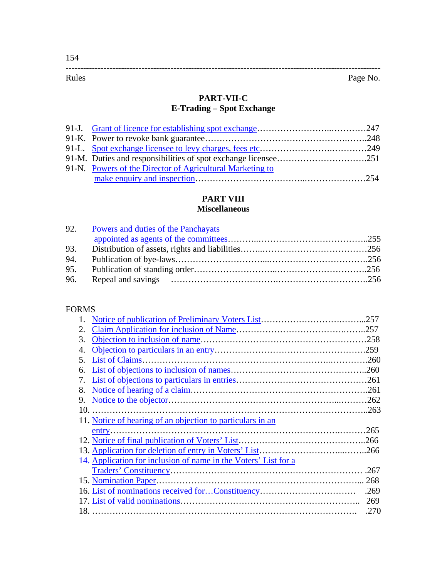# **PART-VII-C**

## **E-Trading – Spot Exchange**

| 91-N. Powers of the Director of Agricultural Marketing to |  |
|-----------------------------------------------------------|--|
|                                                           |  |

# **PART VIII**

## **Miscellaneous**

| 92. Powers and duties of the Panchayats |  |
|-----------------------------------------|--|
|                                         |  |
|                                         |  |
|                                         |  |
|                                         |  |
|                                         |  |

### FORMS

| 2.                                                              |      |
|-----------------------------------------------------------------|------|
| 3.                                                              |      |
| 4.                                                              |      |
| .5.                                                             |      |
| 6.                                                              |      |
| 7.                                                              |      |
| 8.                                                              |      |
| 9.                                                              |      |
|                                                                 |      |
| 11. Notice of hearing of an objection to particulars in an      |      |
|                                                                 |      |
|                                                                 |      |
|                                                                 |      |
| 14. Application for inclusion of name in the Voters' List for a |      |
|                                                                 | .267 |
|                                                                 |      |
|                                                                 | .269 |
|                                                                 | 269  |
|                                                                 | .270 |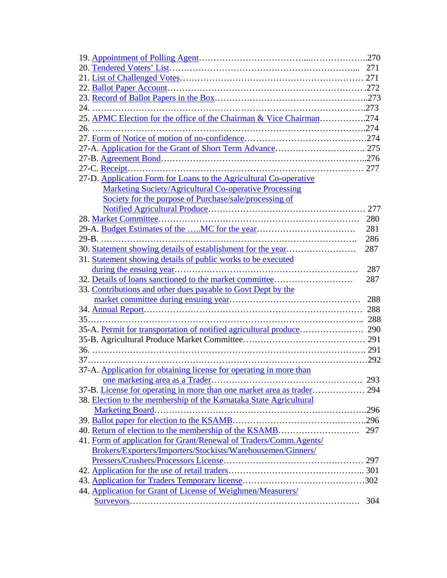| 25. APMC Election for the office of the Chairman & Vice Chairman274 |       |
|---------------------------------------------------------------------|-------|
|                                                                     |       |
|                                                                     |       |
|                                                                     |       |
|                                                                     |       |
|                                                                     |       |
| 27-D. Application Form for Loans to the Agricultural Co-operative   |       |
| <b>Marketing Society/Agricultural Co-operative Processing</b>       |       |
| Society for the purpose of Purchase/sale/processing of              |       |
|                                                                     | . 277 |
|                                                                     | 280   |
|                                                                     | 281   |
|                                                                     | 286   |
| 30. Statement showing details of establishment for the year         | 287   |
| 31. Statement showing details of public works to be executed        |       |
|                                                                     | 287   |
| 32. Details of loans sanctioned to the market committee             | 287   |
| 33. Contributions and other dues payable to Govt Dept by the        |       |
|                                                                     | 288   |
|                                                                     |       |
|                                                                     |       |
|                                                                     |       |
|                                                                     |       |
|                                                                     |       |
|                                                                     |       |
| 37-A. Application for obtaining license for operating in more than  |       |
|                                                                     | 293   |
|                                                                     |       |
| 38. Election to the membership of the Karnataka State Agricultural  |       |
| Marketing Board.                                                    |       |
|                                                                     |       |
|                                                                     |       |
| 41. Form of application for Grant/Renewal of Traders/Comm.Agents/   |       |
| Brokers/Exporters/Importers/Stockists/Warehousemen/Ginners/         |       |
|                                                                     |       |
|                                                                     |       |
|                                                                     |       |
|                                                                     |       |
| 44. Application for Grant of License of Weighmen/Measurers/         |       |
|                                                                     | 304   |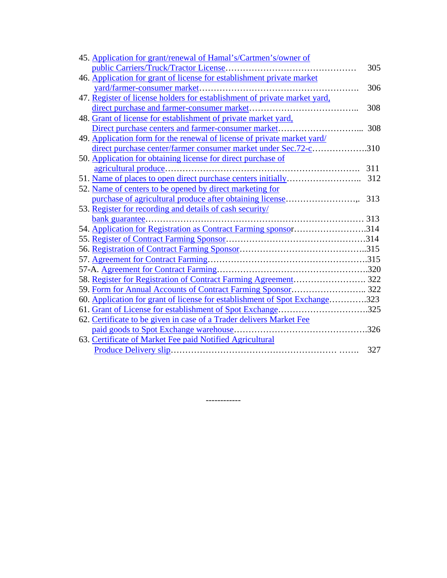| 45. Application for grant/renewal of Hamal's/Cartmen's/owner of            |     |
|----------------------------------------------------------------------------|-----|
|                                                                            | 305 |
| 46. Application for grant of license for establishment private market      |     |
| yard/farmer-consumer market                                                | 306 |
| 47. Register of license holders for establishment of private market yard,  |     |
|                                                                            | 308 |
| 48. Grant of license for establishment of private market yard,             |     |
|                                                                            | 308 |
| 49. Application form for the renewal of license of private market yard/    |     |
| direct purchase center/farmer consumer market under Sec.72-c310            |     |
| 50. Application for obtaining license for direct purchase of               |     |
|                                                                            | 311 |
|                                                                            | 312 |
| 52. Name of centers to be opened by direct marketing for                   |     |
| purchase of agricultural produce after obtaining license                   | 313 |
| 53. Register for recording and details of cash security/                   |     |
|                                                                            |     |
| 54. Application for Registration as Contract Farming sponsor314            |     |
|                                                                            |     |
|                                                                            |     |
|                                                                            |     |
|                                                                            |     |
|                                                                            |     |
|                                                                            |     |
| 60. Application for grant of license for establishment of Spot Exchange323 |     |
| 61. Grant of License for establishment of Spot Exchange325                 |     |
| 62. Certificate to be given in case of a Trader delivers Market Fee        |     |
|                                                                            |     |
| 63. Certificate of Market Fee paid Notified Agricultural                   |     |
|                                                                            | 327 |

------------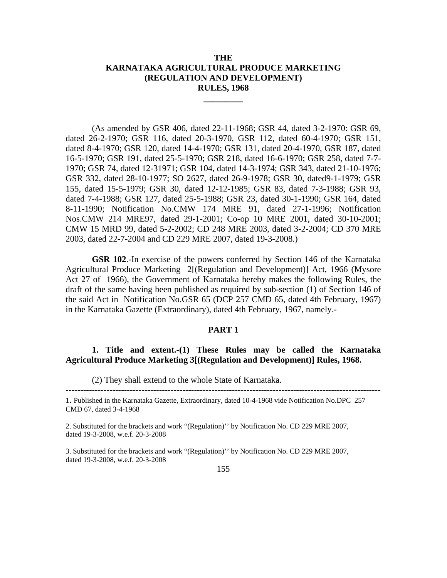### **THE KARNATAKA AGRICULTURAL PRODUCE MARKETING (REGULATION AND DEVELOPMENT) RULES, 1968**

**\_\_\_\_\_\_\_\_\_** 

(As amended by GSR 406, dated 22-11-1968; GSR 44, dated 3-2-1970: GSR 69, dated 26-2-1970; GSR 116, dated 20-3-1970, GSR 112, dated 60-4-1970; GSR 151, dated 8-4-1970; GSR 120, dated 14-4-1970; GSR 131, dated 20-4-1970, GSR 187, dated 16-5-1970; GSR 191, dated 25-5-1970; GSR 218, dated 16-6-1970; GSR 258, dated 7-7- 1970; GSR 74, dated 12-31971; GSR 104, dated 14-3-1974; GSR 343, dated 21-10-1976; GSR 332, dated 28-10-1977; SO 2627, dated 26-9-1978; GSR 30, dated9-1-1979; GSR 155, dated 15-5-1979; GSR 30, dated 12-12-1985; GSR 83, dated 7-3-1988; GSR 93, dated 7-4-1988; GSR 127, dated 25-5-1988; GSR 23, dated 30-1-1990; GSR 164, dated 8-11-1990; Notification No.CMW 174 MRE 91, dated 27-1-1996; Notification Nos.CMW 214 MRE97, dated 29-1-2001; Co-op 10 MRE 2001, dated 30-10-2001; CMW 15 MRD 99, dated 5-2-2002; CD 248 MRE 2003, dated 3-2-2004; CD 370 MRE 2003, dated 22-7-2004 and CD 229 MRE 2007, dated 19-3-2008.)

**GSR 102**.-In exercise of the powers conferred by Section 146 of the Karnataka Agricultural Produce Marketing 2[(Regulation and Development)] Act, 1966 (Mysore Act 27 of 1966), the Government of Karnataka hereby makes the following Rules, the draft of the same having been published as required by sub-section (1) of Section 146 of the said Act in Notification No.GSR 65 (DCP 257 CMD 65, dated 4th February, 1967) in the Karnataka Gazette (Extraordinary), dated 4th February, 1967, namely.-

#### **PART 1**

**1. Title and extent.-(1) These Rules may be called the Karnataka Agricultural Produce Marketing 3[(Regulation and Development)] Rules, 1968.** 

------------------------------------------------------------------------------------------------------------

(2) They shall extend to the whole State of Karnataka.

2. Substituted for the brackets and work "(Regulation)'' by Notification No. CD 229 MRE 2007, dated 19-3-2008, w.e.f. 20-3-2008

3. Substituted for the brackets and work "(Regulation)'' by Notification No. CD 229 MRE 2007, dated 19-3-2008, w.e.f. 20-3-2008

<sup>1.</sup> Published in the Karnataka Gazette, Extraordinary, dated 10-4-1968 vide Notification No.DPC 257 CMD 67, dated 3-4-1968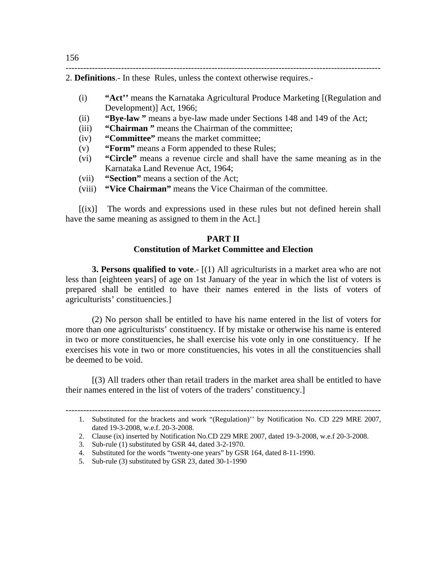------------------------------------------------------------------------------------------------------------ 2. **Definitions**.- In these Rules, unless the context otherwise requires.-

- (i) **"Act''** means the Karnataka Agricultural Produce Marketing [(Regulation and Development)] Act, 1966;
- (ii) **"Bye-law "** means a bye-law made under Sections 148 and 149 of the Act;
- (iii) **"Chairman "** means the Chairman of the committee;
- (iv) **"Committee"** means the market committee;
- (v) **"Form"** means a Form appended to these Rules;
- (vi) **"Circle"** means a revenue circle and shall have the same meaning as in the Karnataka Land Revenue Act, 1964;
- (vii) **"Section"** means a section of the Act;
- (viii) **"Vice Chairman"** means the Vice Chairman of the committee.

[(ix)] The words and expressions used in these rules but not defined herein shall have the same meaning as assigned to them in the Act.]

### **PART II Constitution of Market Committee and Election**

**3. Persons qualified to vote.**- [(1) All agriculturists in a market area who are not less than [eighteen years] of age on 1st January of the year in which the list of voters is prepared shall be entitled to have their names entered in the lists of voters of agriculturists' constituencies.]

 (2) No person shall be entitled to have his name entered in the list of voters for more than one agriculturists' constituency. If by mistake or otherwise his name is entered in two or more constituencies, he shall exercise his vote only in one constituency. If he exercises his vote in two or more constituencies, his votes in all the constituencies shall be deemed to be void.

 [(3) All traders other than retail traders in the market area shall be entitled to have their names entered in the list of voters of the traders' constituency.]

3. Sub-rule (1) substituted by GSR 44, dated 3-2-1970.

<sup>1.</sup> Substituted for the brackets and work "(Regulation)" by Notification No. CD 229 MRE 2007, dated 19-3-2008, w.e.f. 20-3-2008.

<sup>2.</sup> Clause (ix) inserted by Notification No.CD 229 MRE 2007, dated 19-3-2008, w.e.f 20-3-2008.

<sup>4.</sup> Substituted for the words "twenty-one years" by GSR 164, dated 8-11-1990.

<sup>5.</sup> Sub-rule (3) substituted by GSR 23, dated 30-1-1990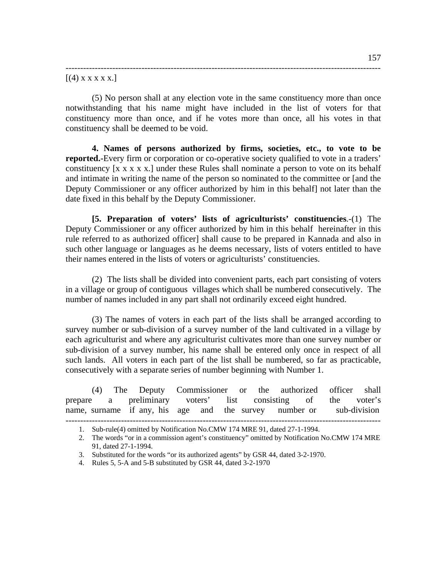#### $[(4)$  x x x x x.]

(5) No person shall at any election vote in the same constituency more than once notwithstanding that his name might have included in the list of voters for that constituency more than once, and if he votes more than once, all his votes in that constituency shall be deemed to be void.

------------------------------------------------------------------------------------------------------------

**4. Names of persons authorized by firms, societies, etc., to vote to be reported.**-Every firm or corporation or co-operative society qualified to vote in a traders' constituency [x x x x x.] under these Rules shall nominate a person to vote on its behalf and intimate in writing the name of the person so nominated to the committee or [and the Deputy Commissioner or any officer authorized by him in this behalf] not later than the date fixed in this behalf by the Deputy Commissioner.

**[5. Preparation of voters' lists of agriculturists' constituencies**.-(1) The Deputy Commissioner or any officer authorized by him in this behalf hereinafter in this rule referred to as authorized officer] shall cause to be prepared in Kannada and also in such other language or languages as he deems necessary, lists of voters entitled to have their names entered in the lists of voters or agriculturists' constituencies.

(2) The lists shall be divided into convenient parts, each part consisting of voters in a village or group of contiguous villages which shall be numbered consecutively. The number of names included in any part shall not ordinarily exceed eight hundred.

(3) The names of voters in each part of the lists shall be arranged according to survey number or sub-division of a survey number of the land cultivated in a village by each agriculturist and where any agriculturist cultivates more than one survey number or sub-division of a survey number, his name shall be entered only once in respect of all such lands. All voters in each part of the list shall be numbered, so far as practicable, consecutively with a separate series of number beginning with Number 1.

|  | (4) The Deputy Commissioner or the authorized officer shall         |  |  |  |  |  |
|--|---------------------------------------------------------------------|--|--|--|--|--|
|  | prepare a preliminary voters' list consisting of the voter's        |  |  |  |  |  |
|  | name, surname if any, his age and the survey number or sub-division |  |  |  |  |  |

<sup>1.</sup> Sub-rule(4) omitted by Notification No.CMW 174 MRE 91, dated 27-1-1994.

<sup>2.</sup> The words "or in a commission agent's constituency" omitted by Notification No.CMW 174 MRE 91, dated 27-1-1994.

<sup>3.</sup> Substituted for the words "or its authorized agents" by GSR 44, dated 3-2-1970.

<sup>4.</sup> Rules 5, 5-A and 5-B substituted by GSR 44, dated 3-2-1970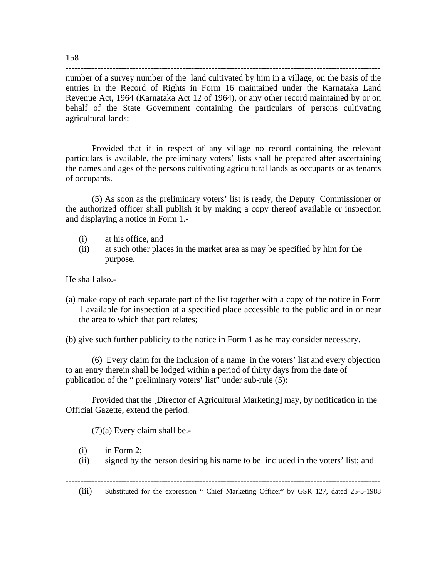----------------------------------------------------------------------------------------------------------- number of a survey number of the land cultivated by him in a village, on the basis of the entries in the Record of Rights in Form 16 maintained under the Karnataka Land Revenue Act, 1964 (Karnataka Act 12 of 1964), or any other record maintained by or on behalf of the State Government containing the particulars of persons cultivating agricultural lands:

 Provided that if in respect of any village no record containing the relevant particulars is available, the preliminary voters' lists shall be prepared after ascertaining the names and ages of the persons cultivating agricultural lands as occupants or as tenants of occupants.

 (5) As soon as the preliminary voters' list is ready, the Deputy Commissioner or the authorized officer shall publish it by making a copy thereof available or inspection and displaying a notice in Form 1.-

- (i) at his office, and
- (ii) at such other places in the market area as may be specified by him for the purpose.

He shall also.-

(a) make copy of each separate part of the list together with a copy of the notice in Form 1 available for inspection at a specified place accessible to the public and in or near the area to which that part relates;

(b) give such further publicity to the notice in Form 1 as he may consider necessary.

(6) Every claim for the inclusion of a name in the voters' list and every objection to an entry therein shall be lodged within a period of thirty days from the date of publication of the " preliminary voters' list" under sub-rule (5):

 Provided that the [Director of Agricultural Marketing] may, by notification in the Official Gazette, extend the period.

(7)(a) Every claim shall be.-

- (i) in Form 2;
- (ii) signed by the person desiring his name to be included in the voters' list; and

------------------------------------------------------------------------------------------------------------

(iii) Substituted for the expression " Chief Marketing Officer" by GSR 127, dated 25-5-1988

158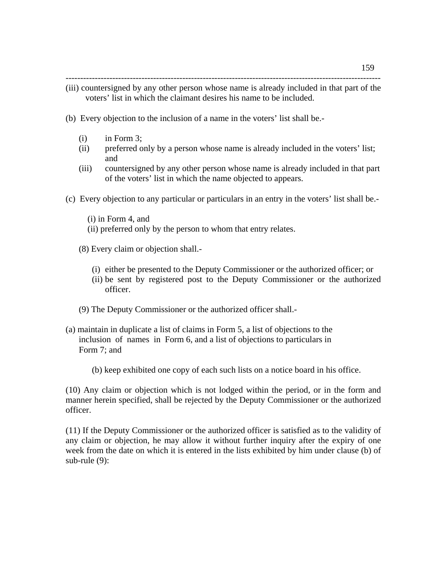------------------------------------------------------------------------------------------------------------

- (iii) countersigned by any other person whose name is already included in that part of the voters' list in which the claimant desires his name to be included.
- (b) Every objection to the inclusion of a name in the voters' list shall be.-
	- (i) in Form 3;
	- (ii) preferred only by a person whose name is already included in the voters' list; and
	- (iii) countersigned by any other person whose name is already included in that part of the voters' list in which the name objected to appears.
- (c) Every objection to any particular or particulars in an entry in the voters' list shall be.-
	- (i) in Form 4, and
	- (ii) preferred only by the person to whom that entry relates.
	- (8) Every claim or objection shall.-
		- (i) either be presented to the Deputy Commissioner or the authorized officer; or
		- (ii) be sent by registered post to the Deputy Commissioner or the authorized officer.
	- (9) The Deputy Commissioner or the authorized officer shall.-
- (a) maintain in duplicate a list of claims in Form 5, a list of objections to the inclusion of names in Form 6, and a list of objections to particulars in Form 7; and
	- (b) keep exhibited one copy of each such lists on a notice board in his office.

(10) Any claim or objection which is not lodged within the period, or in the form and manner herein specified, shall be rejected by the Deputy Commissioner or the authorized officer.

(11) If the Deputy Commissioner or the authorized officer is satisfied as to the validity of any claim or objection, he may allow it without further inquiry after the expiry of one week from the date on which it is entered in the lists exhibited by him under clause (b) of sub-rule (9):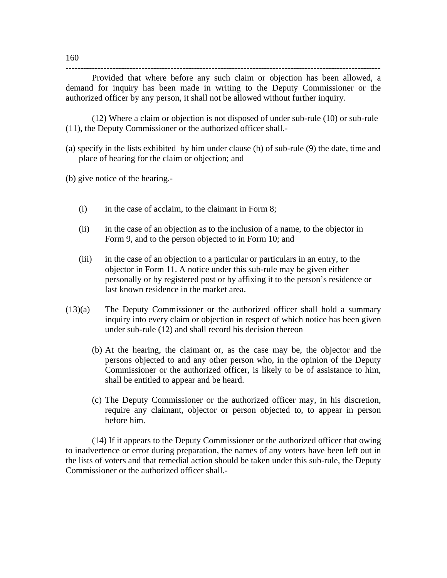Provided that where before any such claim or objection has been allowed, a demand for inquiry has been made in writing to the Deputy Commissioner or the authorized officer by any person, it shall not be allowed without further inquiry.

------------------------------------------------------------------------------------------------------------

 (12) Where a claim or objection is not disposed of under sub-rule (10) or sub-rule (11), the Deputy Commissioner or the authorized officer shall.-

(a) specify in the lists exhibited by him under clause (b) of sub-rule (9) the date, time and place of hearing for the claim or objection; and

(b) give notice of the hearing.-

- (i) in the case of acclaim, to the claimant in Form 8;
- (ii) in the case of an objection as to the inclusion of a name, to the objector in Form 9, and to the person objected to in Form 10; and
- (iii) in the case of an objection to a particular or particulars in an entry, to the objector in Form 11. A notice under this sub-rule may be given either personally or by registered post or by affixing it to the person's residence or last known residence in the market area.
- (13)(a) The Deputy Commissioner or the authorized officer shall hold a summary inquiry into every claim or objection in respect of which notice has been given under sub-rule (12) and shall record his decision thereon
	- (b) At the hearing, the claimant or, as the case may be, the objector and the persons objected to and any other person who, in the opinion of the Deputy Commissioner or the authorized officer, is likely to be of assistance to him, shall be entitled to appear and be heard.
	- (c) The Deputy Commissioner or the authorized officer may, in his discretion, require any claimant, objector or person objected to, to appear in person before him.

(14) If it appears to the Deputy Commissioner or the authorized officer that owing to inadvertence or error during preparation, the names of any voters have been left out in the lists of voters and that remedial action should be taken under this sub-rule, the Deputy Commissioner or the authorized officer shall.-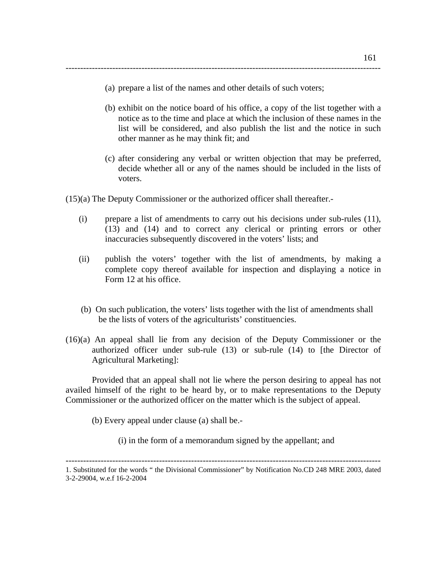(a) prepare a list of the names and other details of such voters;

------------------------------------------------------------------------------------------------------------

- (b) exhibit on the notice board of his office, a copy of the list together with a notice as to the time and place at which the inclusion of these names in the list will be considered, and also publish the list and the notice in such other manner as he may think fit; and
- (c) after considering any verbal or written objection that may be preferred, decide whether all or any of the names should be included in the lists of voters.

(15)(a) The Deputy Commissioner or the authorized officer shall thereafter.-

- (i) prepare a list of amendments to carry out his decisions under sub-rules (11), (13) and (14) and to correct any clerical or printing errors or other inaccuracies subsequently discovered in the voters' lists; and
- (ii) publish the voters' together with the list of amendments, by making a complete copy thereof available for inspection and displaying a notice in Form 12 at his office.
- (b) On such publication, the voters' lists together with the list of amendments shall be the lists of voters of the agriculturists' constituencies.
- (16)(a) An appeal shall lie from any decision of the Deputy Commissioner or the authorized officer under sub-rule (13) or sub-rule (14) to [the Director of Agricultural Marketing]:

 Provided that an appeal shall not lie where the person desiring to appeal has not availed himself of the right to be heard by, or to make representations to the Deputy Commissioner or the authorized officer on the matter which is the subject of appeal.

(b) Every appeal under clause (a) shall be.-

(i) in the form of a memorandum signed by the appellant; and

<sup>1.</sup> Substituted for the words " the Divisional Commissioner" by Notification No.CD 248 MRE 2003, dated 3-2-29004, w.e.f 16-2-2004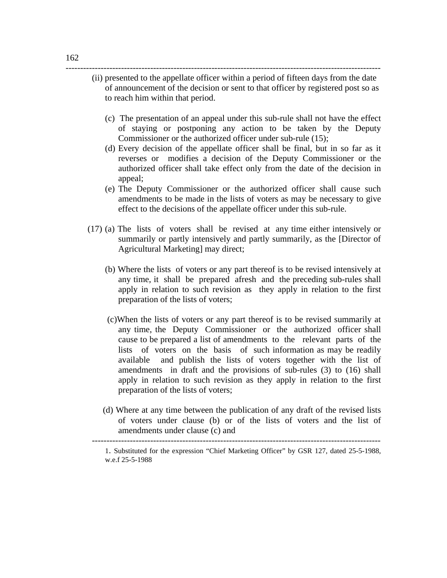### (ii) presented to the appellate officer within a period of fifteen days from the date of announcement of the decision or sent to that officer by registered post so as to reach him within that period.

------------------------------------------------------------------------------------------------------------

- (c) The presentation of an appeal under this sub-rule shall not have the effect of staying or postponing any action to be taken by the Deputy Commissioner or the authorized officer under sub-rule (15);
- (d) Every decision of the appellate officer shall be final, but in so far as it reverses or modifies a decision of the Deputy Commissioner or the authorized officer shall take effect only from the date of the decision in appeal;
- (e) The Deputy Commissioner or the authorized officer shall cause such amendments to be made in the lists of voters as may be necessary to give effect to the decisions of the appellate officer under this sub-rule.
- (17) (a) The lists of voters shall be revised at any time either intensively or summarily or partly intensively and partly summarily, as the [Director of Agricultural Marketing] may direct;
	- (b) Where the lists of voters or any part thereof is to be revised intensively at any time, it shall be prepared afresh and the preceding sub-rules shall apply in relation to such revision as they apply in relation to the first preparation of the lists of voters;
	- (c)When the lists of voters or any part thereof is to be revised summarily at any time, the Deputy Commissioner or the authorized officer shall cause to be prepared a list of amendments to the relevant parts of the lists of voters on the basis of such information as may be readily available and publish the lists of voters together with the list of amendments in draft and the provisions of sub-rules (3) to (16) shall apply in relation to such revision as they apply in relation to the first preparation of the lists of voters;
	- (d) Where at any time between the publication of any draft of the revised lists of voters under clause (b) or of the lists of voters and the list of amendments under clause (c) and

---------------------------------------------------------------------------------------------------

 <sup>1.</sup> Substituted for the expression "Chief Marketing Officer" by GSR 127, dated 25-5-1988, w.e.f 25-5-1988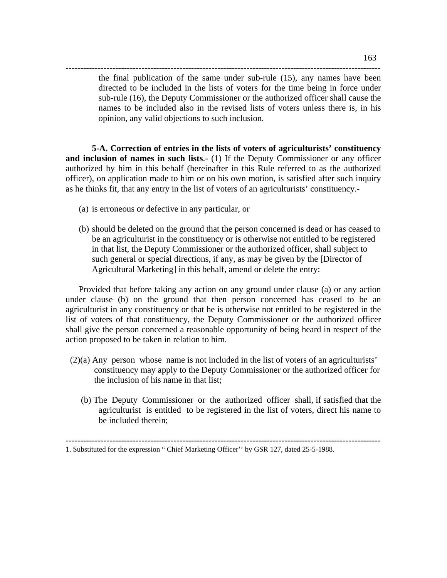the final publication of the same under sub-rule (15), any names have been directed to be included in the lists of voters for the time being in force under sub-rule (16), the Deputy Commissioner or the authorized officer shall cause the names to be included also in the revised lists of voters unless there is, in his opinion, any valid objections to such inclusion.

**5-A. Correction of entries in the lists of voters of agriculturists' constituency and inclusion of names in such lists**.- (1) If the Deputy Commissioner or any officer authorized by him in this behalf (hereinafter in this Rule referred to as the authorized officer), on application made to him or on his own motion, is satisfied after such inquiry as he thinks fit, that any entry in the list of voters of an agriculturists' constituency.-

------------------------------------------------------------------------------------------------------------

- (a) is erroneous or defective in any particular, or
- (b) should be deleted on the ground that the person concerned is dead or has ceased to be an agriculturist in the constituency or is otherwise not entitled to be registered in that list, the Deputy Commissioner or the authorized officer, shall subject to such general or special directions, if any, as may be given by the [Director of Agricultural Marketing] in this behalf, amend or delete the entry:

Provided that before taking any action on any ground under clause (a) or any action under clause (b) on the ground that then person concerned has ceased to be an agriculturist in any constituency or that he is otherwise not entitled to be registered in the list of voters of that constituency, the Deputy Commissioner or the authorized officer shall give the person concerned a reasonable opportunity of being heard in respect of the action proposed to be taken in relation to him.

- (2)(a) Any person whose name is not included in the list of voters of an agriculturists' constituency may apply to the Deputy Commissioner or the authorized officer for the inclusion of his name in that list;
	- (b) The Deputy Commissioner or the authorized officer shall, if satisfied that the agriculturist is entitled to be registered in the list of voters, direct his name to be included therein;

<sup>1.</sup> Substituted for the expression " Chief Marketing Officer" by GSR 127, dated 25-5-1988.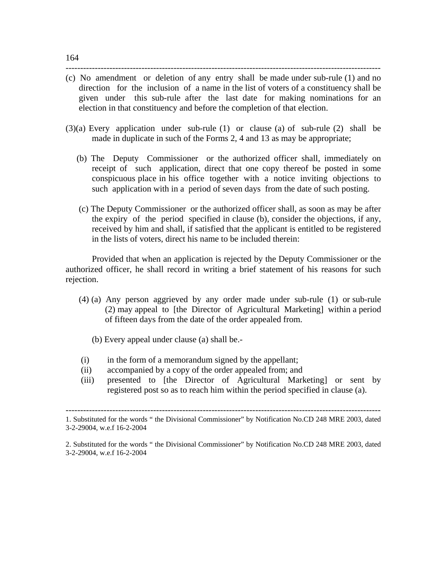(c) No amendment or deletion of any entry shall be made under sub-rule (1) and no direction for the inclusion of a name in the list of voters of a constituency shall be given under this sub-rule after the last date for making nominations for an election in that constituency and before the completion of that election.

------------------------------------------------------------------------------------------------------------

- (3)(a) Every application under sub-rule (1) or clause (a) of sub-rule (2) shall be made in duplicate in such of the Forms 2, 4 and 13 as may be appropriate;
	- (b) The Deputy Commissioner or the authorized officer shall, immediately on receipt of such application, direct that one copy thereof be posted in some conspicuous place in his office together with a notice inviting objections to such application with in a period of seven days from the date of such posting.
	- (c) The Deputy Commissioner or the authorized officer shall, as soon as may be after the expiry of the period specified in clause (b), consider the objections, if any, received by him and shall, if satisfied that the applicant is entitled to be registered in the lists of voters, direct his name to be included therein:

 Provided that when an application is rejected by the Deputy Commissioner or the authorized officer, he shall record in writing a brief statement of his reasons for such rejection.

- (4) (a) Any person aggrieved by any order made under sub-rule (1) or sub-rule (2) may appeal to [the Director of Agricultural Marketing] within a period of fifteen days from the date of the order appealed from.
	- (b) Every appeal under clause (a) shall be.-
- (i) in the form of a memorandum signed by the appellant;
- (ii) accompanied by a copy of the order appealed from; and
- (iii) presented to [the Director of Agricultural Marketing] or sent by registered post so as to reach him within the period specified in clause (a).

<sup>1.</sup> Substituted for the words " the Divisional Commissioner" by Notification No.CD 248 MRE 2003, dated 3-2-29004, w.e.f 16-2-2004

<sup>2.</sup> Substituted for the words " the Divisional Commissioner" by Notification No.CD 248 MRE 2003, dated 3-2-29004, w.e.f 16-2-2004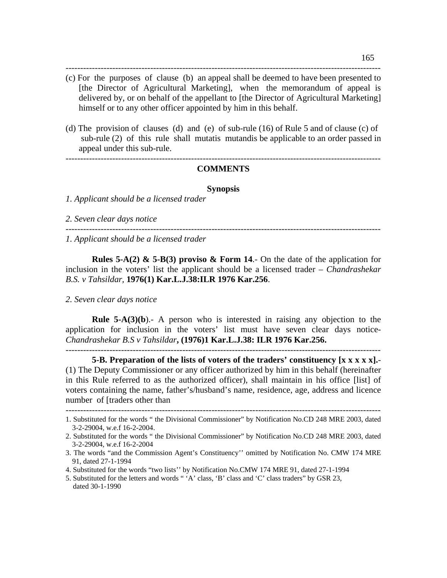(c) For the purposes of clause (b) an appeal shall be deemed to have been presented to [the Director of Agricultural Marketing], when the memorandum of appeal is delivered by, or on behalf of the appellant to [the Director of Agricultural Marketing] himself or to any other officer appointed by him in this behalf.

------------------------------------------------------------------------------------------------------------

(d) The provision of clauses (d) and (e) of sub-rule (16) of Rule 5 and of clause (c) of sub-rule (2) of this rule shall mutatis mutandis be applicable to an order passed in appeal under this sub-rule.

#### ------------------------------------------------------------------------------------------------------------ **COMMENTS**

#### **Synopsis**

------------------------------------------------------------------------------------------------------------

*1. Applicant should be a licensed trader* 

*2. Seven clear days notice*

*1. Applicant should be a licensed trader* 

**Rules 5-A(2) & 5-B(3) proviso & Form 14.-** On the date of the application for inclusion in the voters' list the applicant should be a licensed trader – *Chandrashekar B.S. v Tahsildar,* **1976(1) Kar.L.J.38:ILR 1976 Kar.256**.

#### *2. Seven clear days notice*

**Rule 5-A(3)(b**).- A person who is interested in raising any objection to the application for inclusion in the voters' list must have seven clear days notice-*Chandrashekar B.S v Tahsildar***, (1976)1 Kar.L.J.38: ILR 1976 Kar.256.**

------------------------------------------------------------------------------------------------------------

**5-B. Preparation of the lists of voters of the traders' constituency [x x x x x].**- (1) The Deputy Commissioner or any officer authorized by him in this behalf (hereinafter in this Rule referred to as the authorized officer), shall maintain in his office [list] of voters containing the name, father's/husband's name, residence, age, address and licence number of [traders other than

<sup>1.</sup> Substituted for the words " the Divisional Commissioner" by Notification No.CD 248 MRE 2003, dated

<sup>3-2-29004,</sup> w.e.f 16-2-2004.

<sup>2.</sup> Substituted for the words " the Divisional Commissioner" by Notification No.CD 248 MRE 2003, dated 3-2-29004, w.e.f 16-2-2004

<sup>3.</sup> The words "and the Commission Agent's Constituency'' omitted by Notification No. CMW 174 MRE 91, dated 27-1-1994

<sup>4.</sup> Substituted for the words "two lists'' by Notification No.CMW 174 MRE 91, dated 27-1-1994

<sup>5.</sup> Substituted for the letters and words " 'A' class, 'B' class and 'C' class traders" by GSR 23, dated 30-1-1990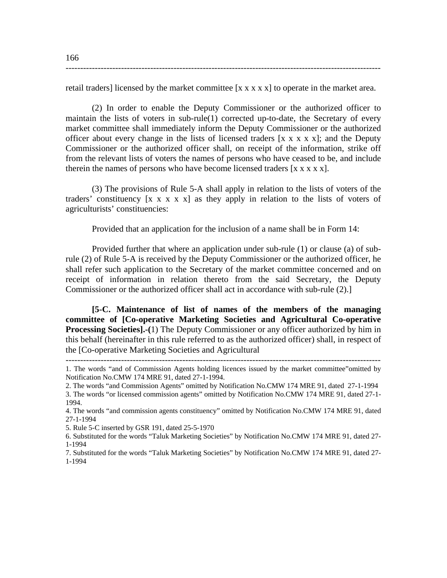retail traders] licensed by the market committee  $[x x x x x]$  to operate in the market area.

------------------------------------------------------------------------------------------------------------

 (2) In order to enable the Deputy Commissioner or the authorized officer to maintain the lists of voters in sub-rule(1) corrected up-to-date, the Secretary of every market committee shall immediately inform the Deputy Commissioner or the authorized officer about every change in the lists of licensed traders  $[x x x x x]$ ; and the Deputy Commissioner or the authorized officer shall, on receipt of the information, strike off from the relevant lists of voters the names of persons who have ceased to be, and include therein the names of persons who have become licensed traders  $[x x x x x]$ .

 (3) The provisions of Rule 5-A shall apply in relation to the lists of voters of the traders' constituency  $[x \times x \times x]$  as they apply in relation to the lists of voters of agriculturists' constituencies:

Provided that an application for the inclusion of a name shall be in Form 14:

 Provided further that where an application under sub-rule (1) or clause (a) of subrule (2) of Rule 5-A is received by the Deputy Commissioner or the authorized officer, he shall refer such application to the Secretary of the market committee concerned and on receipt of information in relation thereto from the said Secretary, the Deputy Commissioner or the authorized officer shall act in accordance with sub-rule (2).]

**[5-C. Maintenance of list of names of the members of the managing committee of [Co-operative Marketing Societies and Agricultural Co-operative Processing Societies].-(**1) The Deputy Commissioner or any officer authorized by him in this behalf (hereinafter in this rule referred to as the authorized officer) shall, in respect of the [Co-operative Marketing Societies and Agricultural

2. The words "and Commission Agents" omitted by Notification No.CMW 174 MRE 91, dated 27-1-1994

6. Substituted for the words "Taluk Marketing Societies" by Notification No.CMW 174 MRE 91, dated 27- 1-1994

<sup>------------------------------------------------------------------------------------------------------------ 1.</sup> The words "and of Commission Agents holding licences issued by the market committee"omitted by Notification No.CMW 174 MRE 91, dated 27-1-1994.

<sup>3.</sup> The words "or licensed commission agents" omitted by Notification No.CMW 174 MRE 91, dated 27-1- 1994.

<sup>4.</sup> The words "and commission agents constituency" omitted by Notification No.CMW 174 MRE 91, dated 27-1-1994

<sup>5.</sup> Rule 5-C inserted by GSR 191, dated 25-5-1970

<sup>7.</sup> Substituted for the words "Taluk Marketing Societies" by Notification No.CMW 174 MRE 91, dated 27- 1-1994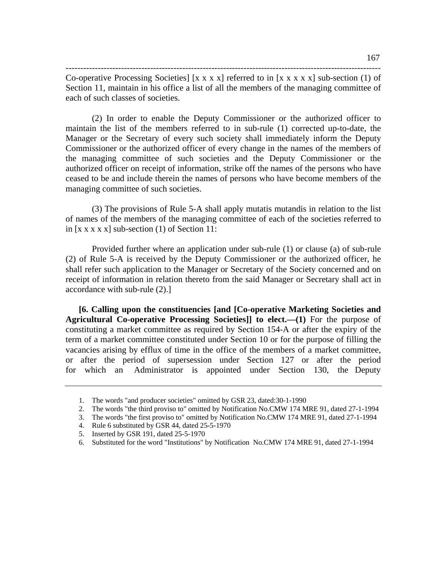Co-operative Processing Societies]  $[x x x x]$  referred to in  $[x x x x x]$  sub-section (1) of Section 11, maintain in his office a list of all the members of the managing committee of each of such classes of societies.

------------------------------------------------------------------------------------------------------------

(2) In order to enable the Deputy Commissioner or the authorized officer to maintain the list of the members referred to in sub-rule (1) corrected up-to-date, the Manager or the Secretary of every such society shall immediately inform the Deputy Commissioner or the authorized officer of every change in the names of the members of the managing committee of such societies and the Deputy Commissioner or the authorized officer on receipt of information, strike off the names of the persons who have ceased to be and include therein the names of persons who have become members of the managing committee of such societies.

(3) The provisions of Rule 5-A shall apply mutatis mutandis in relation to the list of names of the members of the managing committee of each of the societies referred to in  $[x x x x x]$  sub-section (1) of Section 11:

Provided further where an application under sub-rule (1) or clause (a) of sub-rule (2) of Rule 5-A is received by the Deputy Commissioner or the authorized officer, he shall refer such application to the Manager or Secretary of the Society concerned and on receipt of information in relation thereto from the said Manager or Secretary shall act in accordance with sub-rule (2).]

**[6. Calling upon the constituencies [and [Co-operative Marketing Societies and Agricultural Co-operative Processing Societies]] to elect.—(1)** For the purpose of constituting a market committee as required by Section 154-A or after the expiry of the term of a market committee constituted under Section 10 or for the purpose of filling the vacancies arising by efflux of time in the office of the members of a market committee, or after the period of supersession under Section 127 or after the period for which an Administrator is appointed under Section 130, the Deputy

<sup>1.</sup> The words "and producer societies" omitted by GSR 23, dated:30-1-1990

<sup>2.</sup> The words "the third proviso to" omitted by Notification No.CMW 174 MRE 91, dated 27-1-1994

<sup>3.</sup> The words "the first proviso to" omitted by Notification No.CMW 174 MRE 91, dated 27-1-1994

<sup>4.</sup> Rule 6 substituted by GSR 44, dated 25-5-1970

<sup>5.</sup> Inserted by GSR 191, dated 25-5-1970

<sup>6.</sup> Substituted for the word "Institutions" by Notification No.CMW 174 MRE 91, dated 27-1-1994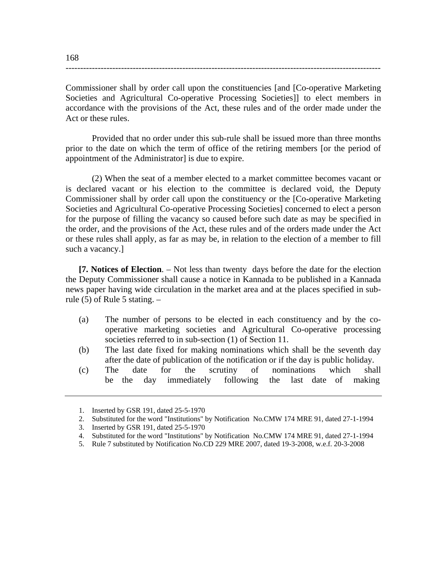Commissioner shall by order call upon the constituencies [and [Co-operative Marketing Societies and Agricultural Co-operative Processing Societies]] to elect members in accordance with the provisions of the Act, these rules and of the order made under the Act or these rules.

------------------------------------------------------------------------------------------------------------

Provided that no order under this sub-rule shall be issued more than three months prior to the date on which the term of office of the retiring members [or the period of appointment of the Administrator] is due to expire.

(2) When the seat of a member elected to a market committee becomes vacant or is declared vacant or his election to the committee is declared void, the Deputy Commissioner shall by order call upon the constituency or the [Co-operative Marketing Societies and Agricultural Co-operative Processing Societies] concerned to elect a person for the purpose of filling the vacancy so caused before such date as may be specified in the order, and the provisions of the Act, these rules and of the orders made under the Act or these rules shall apply, as far as may be, in relation to the election of a member to fill such a vacancy.]

**[7. Notices of Election**. – Not less than twenty days before the date for the election the Deputy Commissioner shall cause a notice in Kannada to be published in a Kannada news paper having wide circulation in the market area and at the places specified in subrule  $(5)$  of Rule 5 stating.  $-$ 

- (a) The number of persons to be elected in each constituency and by the cooperative marketing societies and Agricultural Co-operative processing societies referred to in sub-section (1) of Section 11.
- (b) The last date fixed for making nominations which shall be the seventh day after the date of publication of the notification or if the day is public holiday.
- (c) The date for the scrutiny of nominations which shall be the day immediately following the last date of making

- 4. Substituted for the word "Institutions" by Notification No.CMW 174 MRE 91, dated 27-1-1994
- 5. Rule 7 substituted by Notification No.CD 229 MRE 2007, dated 19-3-2008, w.e.f. 20-3-2008

<sup>1.</sup> Inserted by GSR 191, dated 25-5-1970

<sup>2.</sup> Substituted for the word "Institutions" by Notification No.CMW 174 MRE 91, dated 27-1-1994

<sup>3.</sup> Inserted by GSR 191, dated 25-5-1970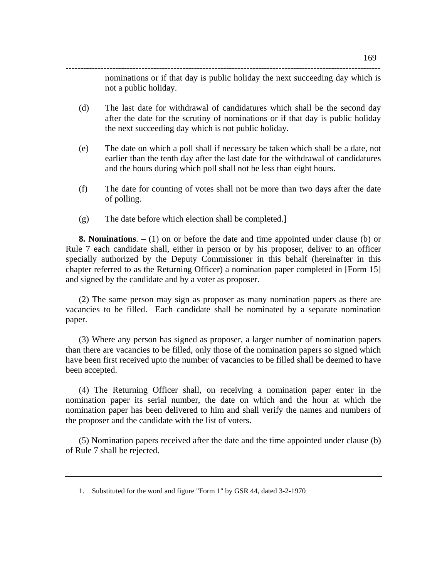nominations or if that day is public holiday the next succeeding day which is not a public holiday.

(d) The last date for withdrawal of candidatures which shall be the second day after the date for the scrutiny of nominations or if that day is public holiday the next succeeding day which is not public holiday.

------------------------------------------------------------------------------------------------------------

- (e) The date on which a poll shall if necessary be taken which shall be a date, not earlier than the tenth day after the last date for the withdrawal of candidatures and the hours during which poll shall not be less than eight hours.
- (f) The date for counting of votes shall not be more than two days after the date of polling.
- (g) The date before which election shall be completed.]

**8. Nominations**. – (1) on or before the date and time appointed under clause (b) or Rule 7 each candidate shall, either in person or by his proposer, deliver to an officer specially authorized by the Deputy Commissioner in this behalf (hereinafter in this chapter referred to as the Returning Officer) a nomination paper completed in [Form 15] and signed by the candidate and by a voter as proposer.

(2) The same person may sign as proposer as many nomination papers as there are vacancies to be filled. Each candidate shall be nominated by a separate nomination paper.

(3) Where any person has signed as proposer, a larger number of nomination papers than there are vacancies to be filled, only those of the nomination papers so signed which have been first received upto the number of vacancies to be filled shall be deemed to have been accepted.

(4) The Returning Officer shall, on receiving a nomination paper enter in the nomination paper its serial number, the date on which and the hour at which the nomination paper has been delivered to him and shall verify the names and numbers of the proposer and the candidate with the list of voters.

(5) Nomination papers received after the date and the time appointed under clause (b) of Rule 7 shall be rejected.

1. Substituted for the word and figure "Form 1" by GSR 44, dated 3-2-1970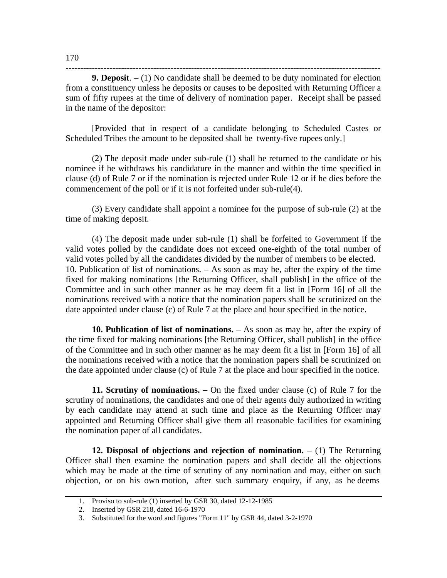**9. Deposit**. – (1) No candidate shall be deemed to be duty nominated for election from a constituency unless he deposits or causes to be deposited with Returning Officer a sum of fifty rupees at the time of delivery of nomination paper. Receipt shall be passed in the name of the depositor:

------------------------------------------------------------------------------------------------------------

[Provided that in respect of a candidate belonging to Scheduled Castes or Scheduled Tribes the amount to be deposited shall be twenty-five rupees only.]

(2) The deposit made under sub-rule (1) shall be returned to the candidate or his nominee if he withdraws his candidature in the manner and within the time specified in clause (d) of Rule 7 or if the nomination is rejected under Rule 12 or if he dies before the commencement of the poll or if it is not forfeited under sub-rule(4).

(3) Every candidate shall appoint a nominee for the purpose of sub-rule (2) at the time of making deposit.

(4) The deposit made under sub-rule (1) shall be forfeited to Government if the valid votes polled by the candidate does not exceed one-eighth of the total number of valid votes polled by all the candidates divided by the number of members to be elected. 10. Publication of list of nominations. – As soon as may be, after the expiry of the time fixed for making nominations [the Returning Officer, shall publish] in the office of the Committee and in such other manner as he may deem fit a list in [Form 16] of all the nominations received with a notice that the nomination papers shall be scrutinized on the date appointed under clause (c) of Rule 7 at the place and hour specified in the notice.

**10. Publication of list of nominations.** – As soon as may be, after the expiry of the time fixed for making nominations [the Returning Officer, shall publish] in the office of the Committee and in such other manner as he may deem fit a list in [Form 16] of all the nominations received with a notice that the nomination papers shall be scrutinized on the date appointed under clause (c) of Rule 7 at the place and hour specified in the notice.

**11. Scrutiny of nominations. –** On the fixed under clause (c) of Rule 7 for the scrutiny of nominations, the candidates and one of their agents duly authorized in writing by each candidate may attend at such time and place as the Returning Officer may appointed and Returning Officer shall give them all reasonable facilities for examining the nomination paper of all candidates.

**12. Disposal of objections and rejection of nomination.** – (1) The Returning Officer shall then examine the nomination papers and shall decide all the objections which may be made at the time of scrutiny of any nomination and may, either on such objection, or on his own motion, after such summary enquiry, if any, as he deems

<sup>1.</sup> Proviso to sub-rule (1) inserted by GSR 30, dated 12-12-1985

<sup>2.</sup> Inserted by GSR 218, dated 16-6-1970

<sup>3.</sup> Substituted for the word and figures "Form 11" by GSR 44, dated 3-2-1970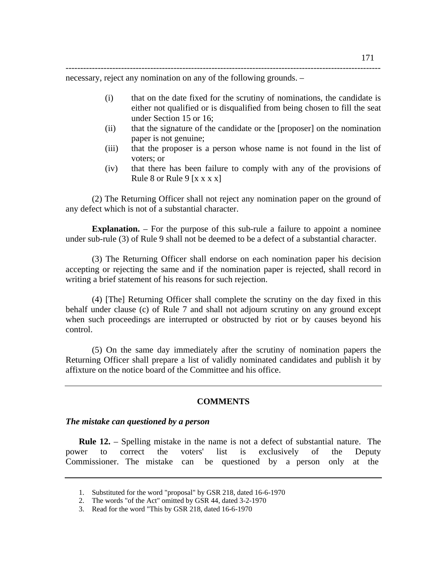----------------------------------------------------------------------------------------------------------- necessary, reject any nomination on any of the following grounds. –

- (i) that on the date fixed for the scrutiny of nominations, the candidate is either not qualified or is disqualified from being chosen to fill the seat under Section 15 or 16;
	- (ii) that the signature of the candidate or the [proposer] on the nomination paper is not genuine;
	- (iii) that the proposer is a person whose name is not found in the list of voters; or
	- (iv) that there has been failure to comply with any of the provisions of Rule 8 or Rule 9  $[x x x x]$

(2) The Returning Officer shall not reject any nomination paper on the ground of any defect which is not of a substantial character.

**Explanation.** – For the purpose of this sub-rule a failure to appoint a nominee under sub-rule (3) of Rule 9 shall not be deemed to be a defect of a substantial character.

(3) The Returning Officer shall endorse on each nomination paper his decision accepting or rejecting the same and if the nomination paper is rejected, shall record in writing a brief statement of his reasons for such rejection.

(4) [The] Returning Officer shall complete the scrutiny on the day fixed in this behalf under clause (c) of Rule 7 and shall not adjourn scrutiny on any ground except when such proceedings are interrupted or obstructed by riot or by causes beyond his control.

(5) On the same day immediately after the scrutiny of nomination papers the Returning Officer shall prepare a list of validly nominated candidates and publish it by affixture on the notice board of the Committee and his office.

#### **COMMENTS**

#### *The mistake can questioned by a person*

**Rule 12.** – Spelling mistake in the name is not a defect of substantial nature. The power to correct the voters' list is exclusively of the Deputy Commissioner. The mistake can be questioned by a person only at the

<sup>1.</sup> Substituted for the word "proposal" by GSR 218, dated 16-6-1970

<sup>2.</sup> The words "of the Act" omitted by GSR 44, dated 3-2-1970

<sup>3.</sup> Read for the word "This by GSR 218, dated 16-6-1970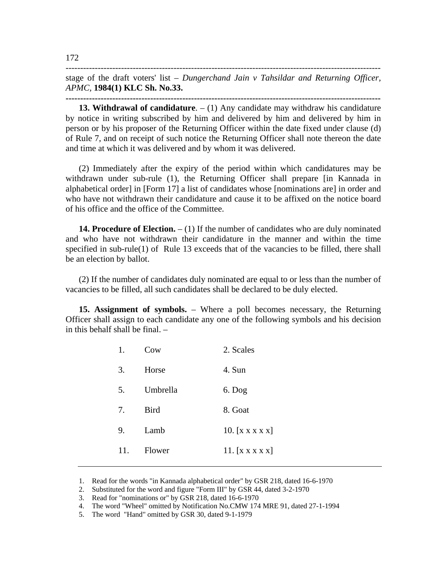stage of the draft voters' list – *Dungerchand Jain v Tahsildar and Returning Officer, APMC,* **1984(1) KLC Sh. No.33.** 

------------------------------------------------------------------------------------------------------------

**------------------------------------------------------------------------------------------------------------**

**13. Withdrawal of candidature**. – (1) Any candidate may withdraw his candidature by notice in writing subscribed by him and delivered by him and delivered by him in person or by his proposer of the Returning Officer within the date fixed under clause (d) of Rule 7, and on receipt of such notice the Returning Officer shall note thereon the date and time at which it was delivered and by whom it was delivered.

(2) Immediately after the expiry of the period within which candidatures may be withdrawn under sub-rule (1), the Returning Officer shall prepare [in Kannada in alphabetical order] in [Form 17] a list of candidates whose [nominations are] in order and who have not withdrawn their candidature and cause it to be affixed on the notice board of his office and the office of the Committee.

**14. Procedure of Election.** – (1) If the number of candidates who are duly nominated and who have not withdrawn their candidature in the manner and within the time specified in sub-rule(1) of Rule 13 exceeds that of the vacancies to be filled, there shall be an election by ballot.

(2) If the number of candidates duly nominated are equal to or less than the number of vacancies to be filled, all such candidates shall be declared to be duly elected.

**15. Assignment of symbols.** – Where a poll becomes necessary, the Returning Officer shall assign to each candidate any one of the following symbols and his decision in this behalf shall be final. –

| 1.  | Cow         | 2. Scales                                         |
|-----|-------------|---------------------------------------------------|
| 3.  | Horse       | 4. Sun                                            |
| 5.  | Umbrella    | $6.$ Dog                                          |
| 7.  | <b>Bird</b> | 8. Goat                                           |
| 9.  | Lamb        | 10. $\begin{bmatrix} x & x & x & x \end{bmatrix}$ |
| 11. | Flower      | 11. $\begin{bmatrix} x & x & x & x \end{bmatrix}$ |
|     |             |                                                   |

<sup>1.</sup> Read for the words "in Kannada alphabetical order" by GSR 218, dated 16-6-1970

<sup>2.</sup> Substituted for the word and figure "Form III" by GSR 44, dated 3-2-1970

<sup>3.</sup> Read for "nominations or" by GSR 218, dated 16-6-1970

<sup>4.</sup> The word "Wheel" omitted by Notification No.CMW 174 MRE 91, dated 27-1-1994

<sup>5.</sup> The word "Hand" omitted by GSR 30, dated 9-1-1979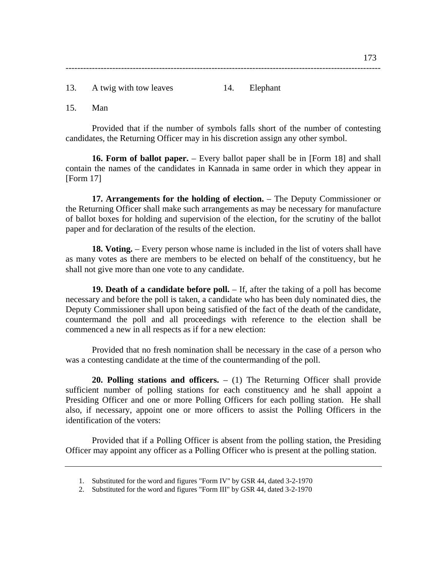13. A twig with tow leaves 14. Elephant

15. Man

Provided that if the number of symbols falls short of the number of contesting candidates, the Returning Officer may in his discretion assign any other symbol.

**16. Form of ballot paper.** – Every ballot paper shall be in [Form 18] and shall contain the names of the candidates in Kannada in same order in which they appear in [Form 17]

**17. Arrangements for the holding of election.** – The Deputy Commissioner or the Returning Officer shall make such arrangements as may be necessary for manufacture of ballot boxes for holding and supervision of the election, for the scrutiny of the ballot paper and for declaration of the results of the election.

**18. Voting.** – Every person whose name is included in the list of voters shall have as many votes as there are members to be elected on behalf of the constituency, but he shall not give more than one vote to any candidate.

**19. Death of a candidate before poll.** – If, after the taking of a poll has become necessary and before the poll is taken, a candidate who has been duly nominated dies, the Deputy Commissioner shall upon being satisfied of the fact of the death of the candidate, countermand the poll and all proceedings with reference to the election shall be commenced a new in all respects as if for a new election:

Provided that no fresh nomination shall be necessary in the case of a person who was a contesting candidate at the time of the countermanding of the poll.

**20. Polling stations and officers.** – (1) The Returning Officer shall provide sufficient number of polling stations for each constituency and he shall appoint a Presiding Officer and one or more Polling Officers for each polling station. He shall also, if necessary, appoint one or more officers to assist the Polling Officers in the identification of the voters:

Provided that if a Polling Officer is absent from the polling station, the Presiding Officer may appoint any officer as a Polling Officer who is present at the polling station.

<sup>1.</sup> Substituted for the word and figures "Form IV" by GSR 44, dated 3-2-1970

<sup>2.</sup> Substituted for the word and figures "Form III" by GSR 44, dated 3-2-1970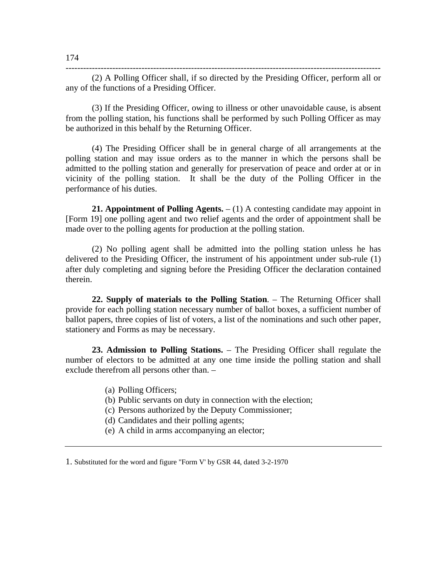(2) A Polling Officer shall, if so directed by the Presiding Officer, perform all or any of the functions of a Presiding Officer.

(3) If the Presiding Officer, owing to illness or other unavoidable cause, is absent from the polling station, his functions shall be performed by such Polling Officer as may be authorized in this behalf by the Returning Officer.

(4) The Presiding Officer shall be in general charge of all arrangements at the polling station and may issue orders as to the manner in which the persons shall be admitted to the polling station and generally for preservation of peace and order at or in vicinity of the polling station. It shall be the duty of the Polling Officer in the performance of his duties.

**21. Appointment of Polling Agents.** – (1) A contesting candidate may appoint in [Form 19] one polling agent and two relief agents and the order of appointment shall be made over to the polling agents for production at the polling station.

(2) No polling agent shall be admitted into the polling station unless he has delivered to the Presiding Officer, the instrument of his appointment under sub-rule (1) after duly completing and signing before the Presiding Officer the declaration contained therein.

**22. Supply of materials to the Polling Station**. – The Returning Officer shall provide for each polling station necessary number of ballot boxes, a sufficient number of ballot papers, three copies of list of voters, a list of the nominations and such other paper, stationery and Forms as may be necessary.

**23. Admission to Polling Stations.** – The Presiding Officer shall regulate the number of electors to be admitted at any one time inside the polling station and shall exclude therefrom all persons other than. –

- (a) Polling Officers;
- (b) Public servants on duty in connection with the election;
- (c) Persons authorized by the Deputy Commissioner;
- (d) Candidates and their polling agents;
- (e) A child in arms accompanying an elector;

<sup>1.</sup> Substituted for the word and figure "Form V' by GSR 44, dated 3-2-1970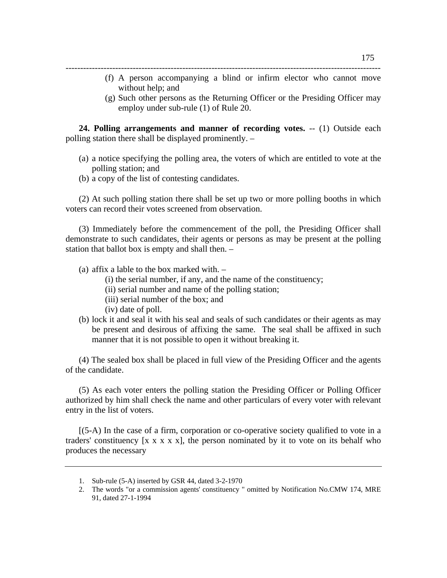- (f) A person accompanying a blind or infirm elector who cannot move without help; and
- (g) Such other persons as the Returning Officer or the Presiding Officer may employ under sub-rule (1) of Rule 20.

**24. Polling arrangements and manner of recording votes.** -- (1) Outside each polling station there shall be displayed prominently. –

------------------------------------------------------------------------------------------------------------

- (a) a notice specifying the polling area, the voters of which are entitled to vote at the polling station; and
- (b) a copy of the list of contesting candidates.

(2) At such polling station there shall be set up two or more polling booths in which voters can record their votes screened from observation.

(3) Immediately before the commencement of the poll, the Presiding Officer shall demonstrate to such candidates, their agents or persons as may be present at the polling station that ballot box is empty and shall then. –

- (a) affix a lable to the box marked with.
	- (i) the serial number, if any, and the name of the constituency;
	- (ii) serial number and name of the polling station;
	- (iii) serial number of the box; and
	- (iv) date of poll.
- (b) lock it and seal it with his seal and seals of such candidates or their agents as may be present and desirous of affixing the same. The seal shall be affixed in such manner that it is not possible to open it without breaking it.

(4) The sealed box shall be placed in full view of the Presiding Officer and the agents of the candidate.

(5) As each voter enters the polling station the Presiding Officer or Polling Officer authorized by him shall check the name and other particulars of every voter with relevant entry in the list of voters.

[(5-A) In the case of a firm, corporation or co-operative society qualified to vote in a traders' constituency  $[x x x x x]$ , the person nominated by it to vote on its behalf who produces the necessary

<sup>1.</sup> Sub-rule (5-A) inserted by GSR 44, dated 3-2-1970

<sup>2.</sup> The words "or a commission agents' constituency " omitted by Notification No.CMW 174, MRE 91, dated 27-1-1994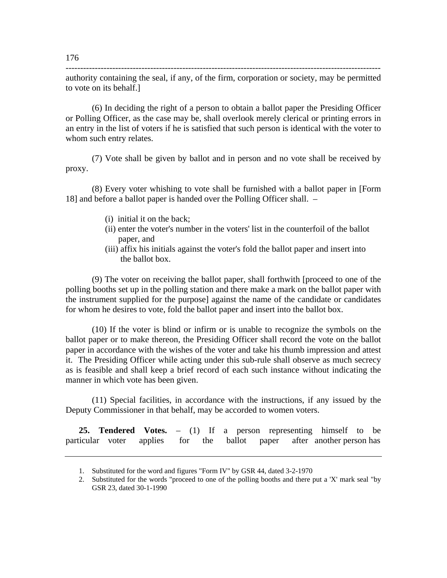authority containing the seal, if any, of the firm, corporation or society, may be permitted to vote on its behalf.]

------------------------------------------------------------------------------------------------------------

(6) In deciding the right of a person to obtain a ballot paper the Presiding Officer or Polling Officer, as the case may be, shall overlook merely clerical or printing errors in an entry in the list of voters if he is satisfied that such person is identical with the voter to whom such entry relates.

(7) Vote shall be given by ballot and in person and no vote shall be received by proxy.

(8) Every voter whishing to vote shall be furnished with a ballot paper in [Form 18] and before a ballot paper is handed over the Polling Officer shall. –

- (i) initial it on the back;
- (ii) enter the voter's number in the voters' list in the counterfoil of the ballot paper, and
- (iii) affix his initials against the voter's fold the ballot paper and insert into the ballot box.

(9) The voter on receiving the ballot paper, shall forthwith [proceed to one of the polling booths set up in the polling station and there make a mark on the ballot paper with the instrument supplied for the purpose] against the name of the candidate or candidates for whom he desires to vote, fold the ballot paper and insert into the ballot box.

(10) If the voter is blind or infirm or is unable to recognize the symbols on the ballot paper or to make thereon, the Presiding Officer shall record the vote on the ballot paper in accordance with the wishes of the voter and take his thumb impression and attest it. The Presiding Officer while acting under this sub-rule shall observe as much secrecy as is feasible and shall keep a brief record of each such instance without indicating the manner in which vote has been given.

(11) Special facilities, in accordance with the instructions, if any issued by the Deputy Commissioner in that behalf, may be accorded to women voters.

**25. Tendered Votes.** – (1) If a person representing himself to be particular voter applies for the ballot paper after another person has

<sup>1.</sup> Substituted for the word and figures "Form IV" by GSR 44, dated 3-2-1970

<sup>2.</sup> Substituted for the words "proceed to one of the polling booths and there put a 'X' mark seal "by GSR 23, dated 30-1-1990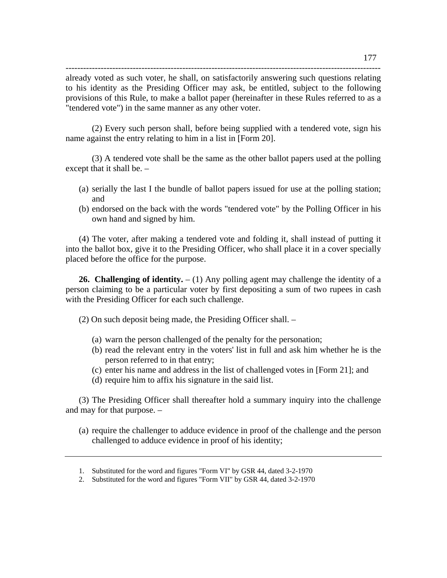already voted as such voter, he shall, on satisfactorily answering such questions relating to his identity as the Presiding Officer may ask, be entitled, subject to the following provisions of this Rule, to make a ballot paper (hereinafter in these Rules referred to as a "tendered vote") in the same manner as any other voter.

------------------------------------------------------------------------------------------------------------

(2) Every such person shall, before being supplied with a tendered vote, sign his name against the entry relating to him in a list in [Form 20].

(3) A tendered vote shall be the same as the other ballot papers used at the polling except that it shall be. –

- (a) serially the last I the bundle of ballot papers issued for use at the polling station; and
- (b) endorsed on the back with the words "tendered vote" by the Polling Officer in his own hand and signed by him.

(4) The voter, after making a tendered vote and folding it, shall instead of putting it into the ballot box, give it to the Presiding Officer, who shall place it in a cover specially placed before the office for the purpose.

**26. Challenging of identity.**  $- (1)$  Any polling agent may challenge the identity of a person claiming to be a particular voter by first depositing a sum of two rupees in cash with the Presiding Officer for each such challenge.

(2) On such deposit being made, the Presiding Officer shall. –

- (a) warn the person challenged of the penalty for the personation;
- (b) read the relevant entry in the voters' list in full and ask him whether he is the person referred to in that entry;
- (c) enter his name and address in the list of challenged votes in [Form 21]; and
- (d) require him to affix his signature in the said list.

(3) The Presiding Officer shall thereafter hold a summary inquiry into the challenge and may for that purpose. –

(a) require the challenger to adduce evidence in proof of the challenge and the person challenged to adduce evidence in proof of his identity;

<sup>1.</sup> Substituted for the word and figures "Form VI" by GSR 44, dated 3-2-1970

<sup>2.</sup> Substituted for the word and figures "Form VII" by GSR 44, dated 3-2-1970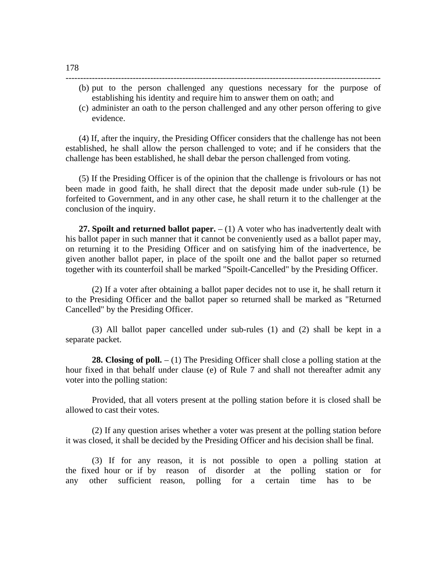(b) put to the person challenged any questions necessary for the purpose of establishing his identity and require him to answer them on oath; and

------------------------------------------------------------------------------------------------------------

(c) administer an oath to the person challenged and any other person offering to give evidence.

(4) If, after the inquiry, the Presiding Officer considers that the challenge has not been established, he shall allow the person challenged to vote; and if he considers that the challenge has been established, he shall debar the person challenged from voting.

(5) If the Presiding Officer is of the opinion that the challenge is frivolours or has not been made in good faith, he shall direct that the deposit made under sub-rule (1) be forfeited to Government, and in any other case, he shall return it to the challenger at the conclusion of the inquiry.

**27. Spoilt and returned ballot paper.** – (1) A voter who has inadvertently dealt with his ballot paper in such manner that it cannot be conveniently used as a ballot paper may, on returning it to the Presiding Officer and on satisfying him of the inadvertence, be given another ballot paper, in place of the spoilt one and the ballot paper so returned together with its counterfoil shall be marked "Spoilt-Cancelled" by the Presiding Officer.

(2) If a voter after obtaining a ballot paper decides not to use it, he shall return it to the Presiding Officer and the ballot paper so returned shall be marked as "Returned Cancelled" by the Presiding Officer.

(3) All ballot paper cancelled under sub-rules (1) and (2) shall be kept in a separate packet.

**28. Closing of poll.**  $- (1)$  The Presiding Officer shall close a polling station at the hour fixed in that behalf under clause (e) of Rule 7 and shall not thereafter admit any voter into the polling station:

Provided, that all voters present at the polling station before it is closed shall be allowed to cast their votes.

(2) If any question arises whether a voter was present at the polling station before it was closed, it shall be decided by the Presiding Officer and his decision shall be final.

(3) If for any reason, it is not possible to open a polling station at the fixed hour or if by reason of disorder at the polling station or for any other sufficient reason, polling for a certain time has to be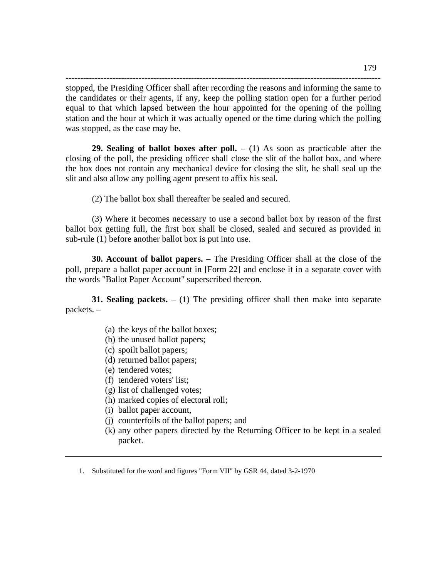----------------------------------------------------------------------------------------------------------- stopped, the Presiding Officer shall after recording the reasons and informing the same to the candidates or their agents, if any, keep the polling station open for a further period equal to that which lapsed between the hour appointed for the opening of the polling station and the hour at which it was actually opened or the time during which the polling was stopped, as the case may be.

**29. Sealing of ballot boxes after poll.**  $- (1)$  As soon as practicable after the closing of the poll, the presiding officer shall close the slit of the ballot box, and where the box does not contain any mechanical device for closing the slit, he shall seal up the slit and also allow any polling agent present to affix his seal.

(2) The ballot box shall thereafter be sealed and secured.

(3) Where it becomes necessary to use a second ballot box by reason of the first ballot box getting full, the first box shall be closed, sealed and secured as provided in sub-rule (1) before another ballot box is put into use.

**30. Account of ballot papers.** – The Presiding Officer shall at the close of the poll, prepare a ballot paper account in [Form 22] and enclose it in a separate cover with the words "Ballot Paper Account" superscribed thereon.

**31. Sealing packets.** – (1) The presiding officer shall then make into separate packets. –

- (a) the keys of the ballot boxes;
- (b) the unused ballot papers;
- (c) spoilt ballot papers;
- (d) returned ballot papers;
- (e) tendered votes;
- (f) tendered voters' list;
- (g) list of challenged votes;
- (h) marked copies of electoral roll;
- (i) ballot paper account,
- (j) counterfoils of the ballot papers; and
- (k) any other papers directed by the Returning Officer to be kept in a sealed packet.

1. Substituted for the word and figures "Form VII" by GSR 44, dated 3-2-1970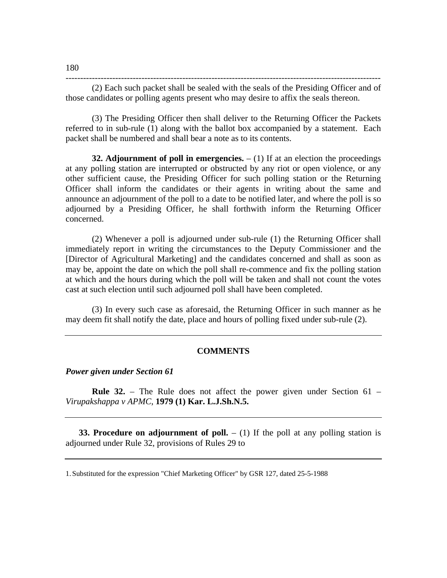------------------------------------------------------------------------------------------------------------

(2) Each such packet shall be sealed with the seals of the Presiding Officer and of those candidates or polling agents present who may desire to affix the seals thereon.

(3) The Presiding Officer then shall deliver to the Returning Officer the Packets referred to in sub-rule (1) along with the ballot box accompanied by a statement. Each packet shall be numbered and shall bear a note as to its contents.

**32. Adjournment of poll in emergencies.**  $- (1)$  If at an election the proceedings at any polling station are interrupted or obstructed by any riot or open violence, or any other sufficient cause, the Presiding Officer for such polling station or the Returning Officer shall inform the candidates or their agents in writing about the same and announce an adjournment of the poll to a date to be notified later, and where the poll is so adjourned by a Presiding Officer, he shall forthwith inform the Returning Officer concerned.

(2) Whenever a poll is adjourned under sub-rule (1) the Returning Officer shall immediately report in writing the circumstances to the Deputy Commissioner and the [Director of Agricultural Marketing] and the candidates concerned and shall as soon as may be, appoint the date on which the poll shall re-commence and fix the polling station at which and the hours during which the poll will be taken and shall not count the votes cast at such election until such adjourned poll shall have been completed.

(3) In every such case as aforesaid, the Returning Officer in such manner as he may deem fit shall notify the date, place and hours of polling fixed under sub-rule (2).

### **COMMENTS**

*Power given under Section 61* 

**Rule 32.** – The Rule does not affect the power given under Section 61 – *Virupakshappa v APMC*, **1979 (1) Kar. L.J.Sh.N.5.** 

**33. Procedure on adjournment of poll.**  $- (1)$  If the poll at any polling station is adjourned under Rule 32, provisions of Rules 29 to

180

<sup>1.</sup> Substituted for the expression "Chief Marketing Officer" by GSR 127, dated 25-5-1988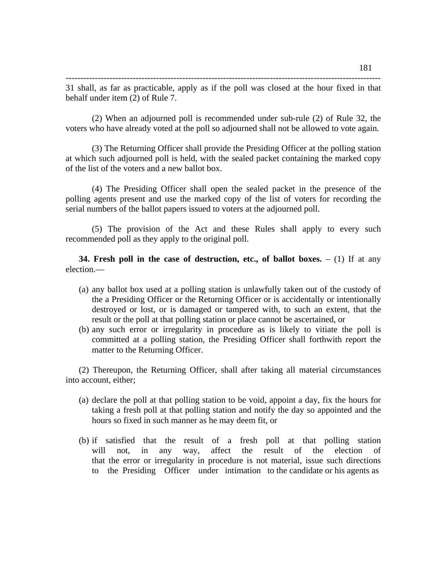(2) When an adjourned poll is recommended under sub-rule (2) of Rule 32, the voters who have already voted at the poll so adjourned shall not be allowed to vote again.

(3) The Returning Officer shall provide the Presiding Officer at the polling station at which such adjourned poll is held, with the sealed packet containing the marked copy of the list of the voters and a new ballot box.

(4) The Presiding Officer shall open the sealed packet in the presence of the polling agents present and use the marked copy of the list of voters for recording the serial numbers of the ballot papers issued to voters at the adjourned poll.

(5) The provision of the Act and these Rules shall apply to every such recommended poll as they apply to the original poll.

**34. Fresh poll in the case of destruction, etc., of ballot boxes.**  $- (1)$  If at any election.—

- (a) any ballot box used at a polling station is unlawfully taken out of the custody of the a Presiding Officer or the Returning Officer or is accidentally or intentionally destroyed or lost, or is damaged or tampered with, to such an extent, that the result or the poll at that polling station or place cannot be ascertained, or
- (b) any such error or irregularity in procedure as is likely to vitiate the poll is committed at a polling station, the Presiding Officer shall forthwith report the matter to the Returning Officer.

(2) Thereupon, the Returning Officer, shall after taking all material circumstances into account, either;

- (a) declare the poll at that polling station to be void, appoint a day, fix the hours for taking a fresh poll at that polling station and notify the day so appointed and the hours so fixed in such manner as he may deem fit, or
- (b) if satisfied that the result of a fresh poll at that polling station will not, in any way, affect the result of the election of that the error or irregularity in procedure is not material, issue such directions to the Presiding Officer under intimation to the candidate or his agents as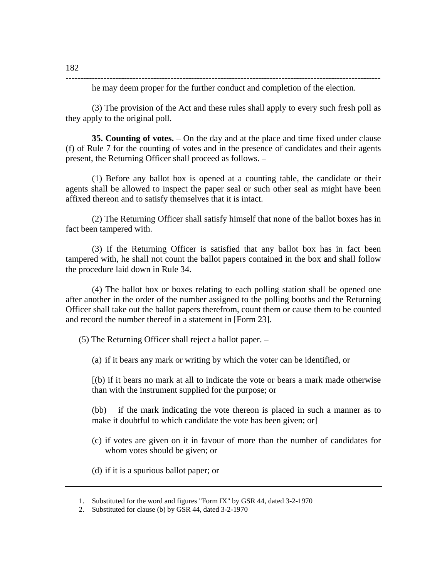------------------------------------------------------------------------------------------------------------

he may deem proper for the further conduct and completion of the election.

(3) The provision of the Act and these rules shall apply to every such fresh poll as they apply to the original poll.

**35. Counting of votes.** – On the day and at the place and time fixed under clause (f) of Rule 7 for the counting of votes and in the presence of candidates and their agents present, the Returning Officer shall proceed as follows. –

(1) Before any ballot box is opened at a counting table, the candidate or their agents shall be allowed to inspect the paper seal or such other seal as might have been affixed thereon and to satisfy themselves that it is intact.

(2) The Returning Officer shall satisfy himself that none of the ballot boxes has in fact been tampered with.

(3) If the Returning Officer is satisfied that any ballot box has in fact been tampered with, he shall not count the ballot papers contained in the box and shall follow the procedure laid down in Rule 34.

(4) The ballot box or boxes relating to each polling station shall be opened one after another in the order of the number assigned to the polling booths and the Returning Officer shall take out the ballot papers therefrom, count them or cause them to be counted and record the number thereof in a statement in [Form 23].

(5) The Returning Officer shall reject a ballot paper. –

(a) if it bears any mark or writing by which the voter can be identified, or

[(b) if it bears no mark at all to indicate the vote or bears a mark made otherwise than with the instrument supplied for the purpose; or

(bb) if the mark indicating the vote thereon is placed in such a manner as to make it doubtful to which candidate the vote has been given; or

- (c) if votes are given on it in favour of more than the number of candidates for whom votes should be given; or
- (d) if it is a spurious ballot paper; or

<sup>1.</sup> Substituted for the word and figures "Form IX" by GSR 44, dated 3-2-1970

<sup>2.</sup> Substituted for clause (b) by GSR 44, dated 3-2-1970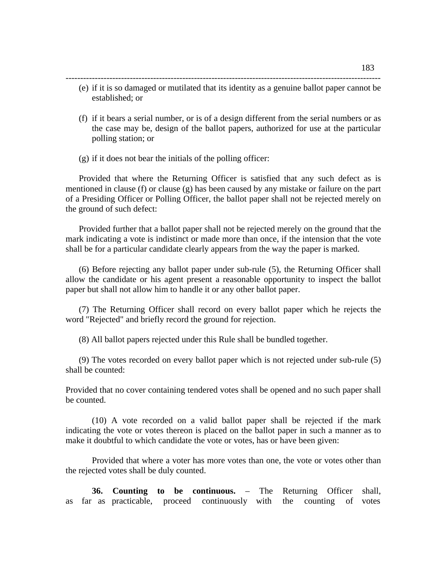------------------------------------------------------------------------------------------------------------ (e) if it is so damaged or mutilated that its identity as a genuine ballot paper cannot be established; or

- (f) if it bears a serial number, or is of a design different from the serial numbers or as the case may be, design of the ballot papers, authorized for use at the particular polling station; or
- (g) if it does not bear the initials of the polling officer:

Provided that where the Returning Officer is satisfied that any such defect as is mentioned in clause (f) or clause (g) has been caused by any mistake or failure on the part of a Presiding Officer or Polling Officer, the ballot paper shall not be rejected merely on the ground of such defect:

Provided further that a ballot paper shall not be rejected merely on the ground that the mark indicating a vote is indistinct or made more than once, if the intension that the vote shall be for a particular candidate clearly appears from the way the paper is marked.

(6) Before rejecting any ballot paper under sub-rule (5), the Returning Officer shall allow the candidate or his agent present a reasonable opportunity to inspect the ballot paper but shall not allow him to handle it or any other ballot paper.

(7) The Returning Officer shall record on every ballot paper which he rejects the word "Rejected" and briefly record the ground for rejection.

(8) All ballot papers rejected under this Rule shall be bundled together.

(9) The votes recorded on every ballot paper which is not rejected under sub-rule (5) shall be counted:

Provided that no cover containing tendered votes shall be opened and no such paper shall be counted.

(10) A vote recorded on a valid ballot paper shall be rejected if the mark indicating the vote or votes thereon is placed on the ballot paper in such a manner as to make it doubtful to which candidate the vote or votes, has or have been given:

Provided that where a voter has more votes than one, the vote or votes other than the rejected votes shall be duly counted.

**36. Counting to be continuous.** – The Returning Officer shall, as far as practicable, proceed continuously with the counting of votes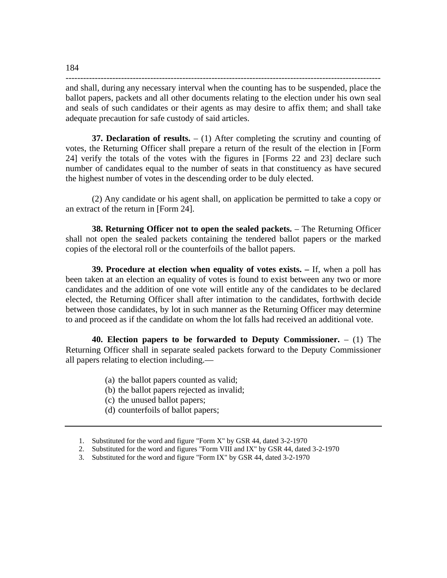----------------------------------------------------------------------------------------------------------- and shall, during any necessary interval when the counting has to be suspended, place the ballot papers, packets and all other documents relating to the election under his own seal and seals of such candidates or their agents as may desire to affix them; and shall take adequate precaution for safe custody of said articles.

**37. Declaration of results.** – (1) After completing the scrutiny and counting of votes, the Returning Officer shall prepare a return of the result of the election in [Form 24] verify the totals of the votes with the figures in [Forms 22 and 23] declare such number of candidates equal to the number of seats in that constituency as have secured the highest number of votes in the descending order to be duly elected.

(2) Any candidate or his agent shall, on application be permitted to take a copy or an extract of the return in [Form 24].

**38. Returning Officer not to open the sealed packets.** – The Returning Officer shall not open the sealed packets containing the tendered ballot papers or the marked copies of the electoral roll or the counterfoils of the ballot papers.

**39. Procedure at election when equality of votes exists. –** If, when a poll has been taken at an election an equality of votes is found to exist between any two or more candidates and the addition of one vote will entitle any of the candidates to be declared elected, the Returning Officer shall after intimation to the candidates, forthwith decide between those candidates, by lot in such manner as the Returning Officer may determine to and proceed as if the candidate on whom the lot falls had received an additional vote.

**40. Election papers to be forwarded to Deputy Commissioner.** – (1) The Returning Officer shall in separate sealed packets forward to the Deputy Commissioner all papers relating to election including.—

- (a) the ballot papers counted as valid;
- (b) the ballot papers rejected as invalid;
- (c) the unused ballot papers;
- (d) counterfoils of ballot papers;

184

<sup>1.</sup> Substituted for the word and figure "Form X" by GSR 44, dated 3-2-1970

<sup>2.</sup> Substituted for the word and figures "Form VIII and IX" by GSR 44, dated 3-2-1970

<sup>3.</sup> Substituted for the word and figure "Form IX" by GSR 44, dated 3-2-1970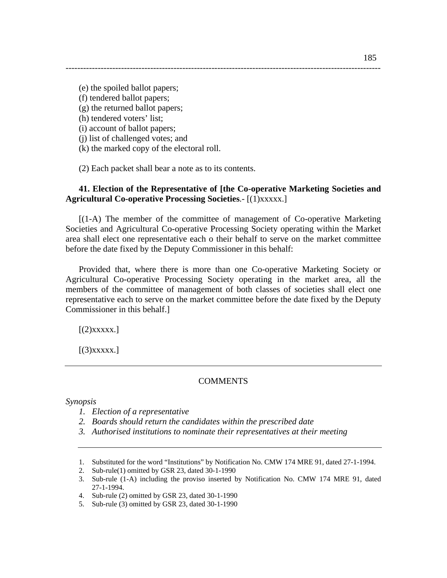(e) the spoiled ballot papers; (f) tendered ballot papers; (g) the returned ballot papers; (h) tendered voters' list;

(i) account of ballot papers;

(j) list of challenged votes; and

(k) the marked copy of the electoral roll.

(2) Each packet shall bear a note as to its contents.

# **41. Election of the Representative of [the Co-operative Marketing Societies and Agricultural Co-operative Processing Societies**.- [(1)xxxxx.]

------------------------------------------------------------------------------------------------------------

[(1-A) The member of the committee of management of Co-operative Marketing Societies and Agricultural Co-operative Processing Society operating within the Market area shall elect one representative each o their behalf to serve on the market committee before the date fixed by the Deputy Commissioner in this behalf:

Provided that, where there is more than one Co-operative Marketing Society or Agricultural Co-operative Processing Society operating in the market area, all the members of the committee of management of both classes of societies shall elect one representative each to serve on the market committee before the date fixed by the Deputy Commissioner in this behalf.]

 $[(2)$ xxxxx.]

 $[(3)$ xxxxx.]

# COMMENTS

*Synopsis* 

- *1. Election of a representative*
- *2. Boards should return the candidates within the prescribed date*
- *3. Authorised institutions to nominate their representatives at their meeting*

<sup>1.</sup> Substituted for the word "Institutions" by Notification No. CMW 174 MRE 91, dated 27-1-1994.

<sup>2.</sup> Sub-rule(1) omitted by GSR 23, dated 30-1-1990

<sup>3.</sup> Sub-rule (1-A) including the proviso inserted by Notification No. CMW 174 MRE 91, dated 27-1-1994.

<sup>4.</sup> Sub-rule (2) omitted by GSR 23, dated 30-1-1990

<sup>5.</sup> Sub-rule (3) omitted by GSR 23, dated 30-1-1990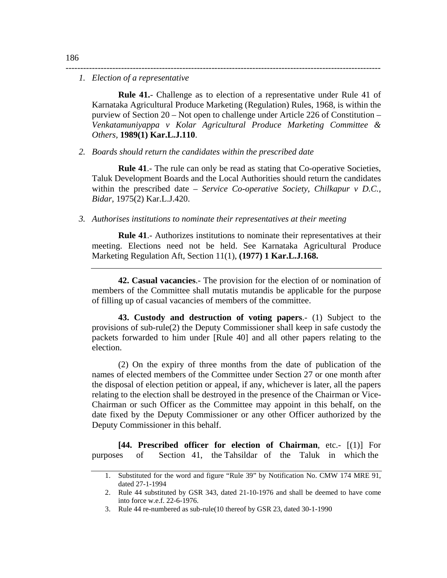#### *1. Election of a representative*

**Rule 41.**- Challenge as to election of a representative under Rule 41 of Karnataka Agricultural Produce Marketing (Regulation) Rules, 1968, is within the purview of Section 20 – Not open to challenge under Article 226 of Constitution – *Venkatamuniyappa v Kolar Agricultural Produce Marketing Committee & Others,* **1989(1) Kar.L.J.110**.

------------------------------------------------------------------------------------------------------------

#### *2. Boards should return the candidates within the prescribed date*

**Rule 41**.- The rule can only be read as stating that Co-operative Societies, Taluk Development Boards and the Local Authorities should return the candidates within the prescribed date – *Service Co-operative Society, Chilkapur v D.C., Bidar*, 1975(2) Kar.L.J.420.

*3. Authorises institutions to nominate their representatives at their meeting* 

**Rule 41**.- Authorizes institutions to nominate their representatives at their meeting. Elections need not be held. See Karnataka Agricultural Produce Marketing Regulation Aft, Section 11(1), **(1977) 1 Kar.L.J.168.** 

**42. Casual vacancies**.- The provision for the election of or nomination of members of the Committee shall mutatis mutandis be applicable for the purpose of filling up of casual vacancies of members of the committee.

**43. Custody and destruction of voting papers**.- (1) Subject to the provisions of sub-rule(2) the Deputy Commissioner shall keep in safe custody the packets forwarded to him under [Rule 40] and all other papers relating to the election.

(2) On the expiry of three months from the date of publication of the names of elected members of the Committee under Section 27 or one month after the disposal of election petition or appeal, if any, whichever is later, all the papers relating to the election shall be destroyed in the presence of the Chairman or Vice-Chairman or such Officer as the Committee may appoint in this behalf, on the date fixed by the Deputy Commissioner or any other Officer authorized by the Deputy Commissioner in this behalf.

**[44. Prescribed officer for election of Chairman**, etc.- [(1)] For purposes of Section 41, the Tahsildar of the Taluk in which the

<sup>1.</sup> Substituted for the word and figure "Rule 39" by Notification No. CMW 174 MRE 91, dated 27-1-1994

<sup>2.</sup> Rule 44 substituted by GSR 343, dated 21-10-1976 and shall be deemed to have come into force w.e.f. 22-6-1976.

<sup>3.</sup> Rule 44 re-numbered as sub-rule(10 thereof by GSR 23, dated 30-1-1990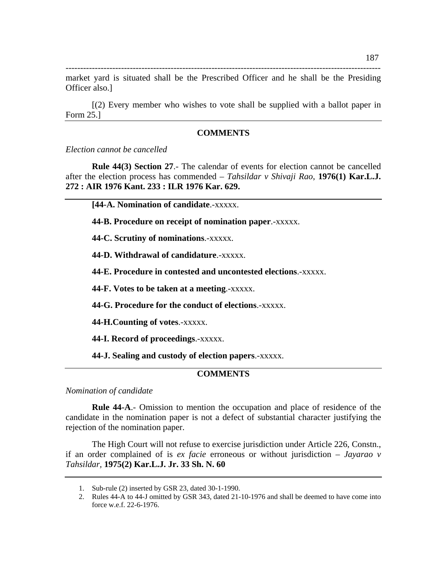----------------------------------------------------------------------------------------------------------- market yard is situated shall be the Prescribed Officer and he shall be the Presiding Officer also.]

[(2) Every member who wishes to vote shall be supplied with a ballot paper in Form 25.]

### **COMMENTS**

*Election cannot be cancelled* 

**Rule 44(3) Section 27**.- The calendar of events for election cannot be cancelled after the election process has commended – *Tahsildar v Shivaji Rao*, **1976(1) Kar.L.J. 272 : AIR 1976 Kant. 233 : ILR 1976 Kar. 629.** 

**[44-A. Nomination of candidate**.-xxxxx.

**44-B. Procedure on receipt of nomination paper**.-xxxxx.

**44-C. Scrutiny of nominations**.-xxxxx.

**44-D. Withdrawal of candidature**.-xxxxx.

**44-E. Procedure in contested and uncontested elections**.-xxxxx.

**44-F. Votes to be taken at a meeting**.-xxxxx.

**44-G. Procedure for the conduct of elections**.-xxxxx.

**44-H.Counting of votes**.-xxxxx.

**44-I. Record of proceedings**.-xxxxx.

**44-J. Sealing and custody of election papers**.-xxxxx.

## **COMMENTS**

*Nomination of candidate* 

**Rule 44-A**.- Omission to mention the occupation and place of residence of the candidate in the nomination paper is not a defect of substantial character justifying the rejection of the nomination paper.

 The High Court will not refuse to exercise jurisdiction under Article 226, Constn., if an order complained of is *ex facie* erroneous or without jurisdiction – *Jayarao v Tahsildar,* **1975(2) Kar.L.J. Jr. 33 Sh. N. 60** 

<sup>1.</sup> Sub-rule (2) inserted by GSR 23, dated 30-1-1990.

<sup>2.</sup> Rules 44-A to 44-J omitted by GSR 343, dated 21-10-1976 and shall be deemed to have come into force w.e.f. 22-6-1976.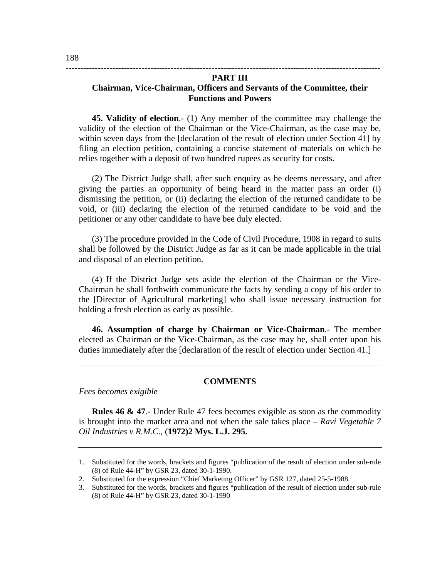## **PART III Chairman, Vice-Chairman, Officers and Servants of the Committee, their Functions and Powers**

------------------------------------------------------------------------------------------------------------

**45. Validity of election**.- (1) Any member of the committee may challenge the validity of the election of the Chairman or the Vice-Chairman, as the case may be, within seven days from the [declaration of the result of election under Section 41] by filing an election petition, containing a concise statement of materials on which he relies together with a deposit of two hundred rupees as security for costs.

(2) The District Judge shall, after such enquiry as he deems necessary, and after giving the parties an opportunity of being heard in the matter pass an order (i) dismissing the petition, or (ii) declaring the election of the returned candidate to be void, or (iii) declaring the election of the returned candidate to be void and the petitioner or any other candidate to have bee duly elected.

(3) The procedure provided in the Code of Civil Procedure, 1908 in regard to suits shall be followed by the District Judge as far as it can be made applicable in the trial and disposal of an election petition.

(4) If the District Judge sets aside the election of the Chairman or the Vice-Chairman he shall forthwith communicate the facts by sending a copy of his order to the [Director of Agricultural marketing] who shall issue necessary instruction for holding a fresh election as early as possible.

**46. Assumption of charge by Chairman or Vice-Chairman**.- The member elected as Chairman or the Vice-Chairman, as the case may be, shall enter upon his duties immediately after the [declaration of the result of election under Section 41.]

## **COMMENTS**

*Fees becomes exigible* 

**Rules 46 & 47**.- Under Rule 47 fees becomes exigible as soon as the commodity is brought into the market area and not when the sale takes place – *Ravi Vegetable 7 Oil Industries v R.M.C*., (**1972)2 Mys. L.J. 295.**

<sup>1.</sup> Substituted for the words, brackets and figures "publication of the result of election under sub-rule (8) of Rule 44-H" by GSR 23, dated 30-1-1990.

<sup>2.</sup> Substituted for the expression "Chief Marketing Officer" by GSR 127, dated 25-5-1988.

<sup>3.</sup> Substituted for the words, brackets and figures "publication of the result of election under sub-rule (8) of Rule 44-H" by GSR 23, dated 30-1-1990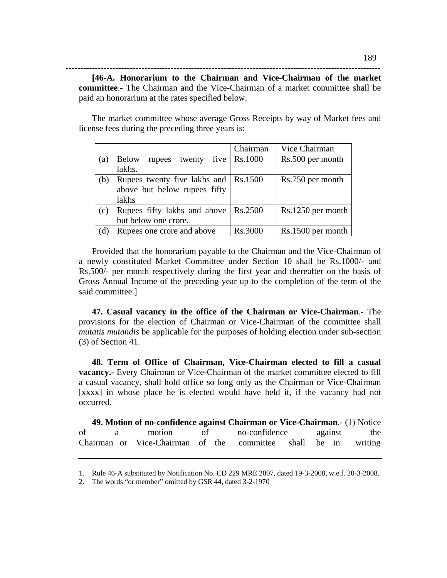**[46-A. Honorarium to the Chairman and Vice-Chairman of the market committee**.- The Chairman and the Vice-Chairman of a market committee shall be paid an honorarium at the rates specified below.

------------------------------------------------------------------------------------------------------------

 The market committee whose average Gross Receipts by way of Market fees and license fees during the preceding three years is:

|     |                                          | Chairman | Vice Chairman     |
|-----|------------------------------------------|----------|-------------------|
| (a) | <b>Below</b><br>five<br>twenty<br>rupees | Rs.1000  | Rs.500 per month  |
|     | lakhs.                                   |          |                   |
| (b) | Rupees twenty five lakhs and   Rs.1500   |          | Rs.750 per month  |
|     | above but below rupees fifty             |          |                   |
|     | lakhs                                    |          |                   |
| (c) | Rupees fifty lakhs and above             | Rs.2500  | Rs.1250 per month |
|     | but below one crore.                     |          |                   |
| (d) | Rupees one crore and above               | Rs.3000  | Rs.1500 per month |

 Provided that the honorarium payable to the Chairman and the Vice-Chairman of a newly constituted Market Committee under Section 10 shall be Rs.1000/- and Rs.500/- per month respectively during the first year and thereafter on the basis of Gross Annual Income of the preceding year up to the completion of the term of the said committee.]

**47. Casual vacancy in the office of the Chairman or Vice-Chairman**.- The provisions for the election of Chairman or Vice-Chairman of the committee shall *mutatis mutandis* be applicable for the purposes of holding election under sub-section (3) of Section 41.

**48. Term of Office of Chairman, Vice-Chairman elected to fill a casual vacancy.-** Every Chairman or Vice-Chairman of the market committee elected to fill a casual vacancy, shall hold office so long only as the Chairman or Vice-Chairman [xxxx] in whose place he is elected would have held it, if the vacancy had not occurred.

**49. Motion of no-confidence against Chairman or Vice-Chairman**.- (1) Notice of a motion of no-confidence against the Chairman or Vice-Chairman of the committee shall be in writing

<sup>1.</sup> Rule 46-A substituted by Notification No. CD 229 MRE 2007, dated 19-3-2008, w.e.f. 20-3-2008.

<sup>2.</sup> The words "or member" omitted by GSR 44, dated 3-2-1970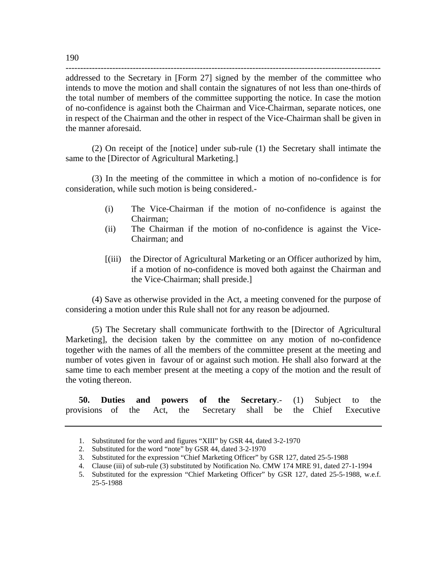addressed to the Secretary in [Form 27] signed by the member of the committee who intends to move the motion and shall contain the signatures of not less than one-thirds of the total number of members of the committee supporting the notice. In case the motion of no-confidence is against both the Chairman and Vice-Chairman, separate notices, one in respect of the Chairman and the other in respect of the Vice-Chairman shall be given in the manner aforesaid.

------------------------------------------------------------------------------------------------------------

(2) On receipt of the [notice] under sub-rule (1) the Secretary shall intimate the same to the [Director of Agricultural Marketing.]

(3) In the meeting of the committee in which a motion of no-confidence is for consideration, while such motion is being considered.-

- (i) The Vice-Chairman if the motion of no-confidence is against the Chairman;
- (ii) The Chairman if the motion of no-confidence is against the Vice-Chairman; and
- [(iii) the Director of Agricultural Marketing or an Officer authorized by him, if a motion of no-confidence is moved both against the Chairman and the Vice-Chairman; shall preside.]

(4) Save as otherwise provided in the Act, a meeting convened for the purpose of considering a motion under this Rule shall not for any reason be adjourned.

(5) The Secretary shall communicate forthwith to the [Director of Agricultural Marketing], the decision taken by the committee on any motion of no-confidence together with the names of all the members of the committee present at the meeting and number of votes given in favour of or against such motion. He shall also forward at the same time to each member present at the meeting a copy of the motion and the result of the voting thereon.

|                                                                   |  |  |  |  | <b>50. Duties and powers of the Secretary.</b> (1) Subject to the |  |
|-------------------------------------------------------------------|--|--|--|--|-------------------------------------------------------------------|--|
| provisions of the Act, the Secretary shall be the Chief Executive |  |  |  |  |                                                                   |  |

<sup>1.</sup> Substituted for the word and figures "XIII" by GSR 44, dated 3-2-1970

<sup>2.</sup> Substituted for the word "note" by GSR 44, dated 3-2-1970

<sup>3.</sup> Substituted for the expression "Chief Marketing Officer" by GSR 127, dated 25-5-1988

<sup>4.</sup> Clause (iii) of sub-rule (3) substituted by Notification No. CMW 174 MRE 91, dated 27-1-1994

<sup>5.</sup> Substituted for the expression "Chief Marketing Officer" by GSR 127, dated 25-5-1988, w.e.f. 25-5-1988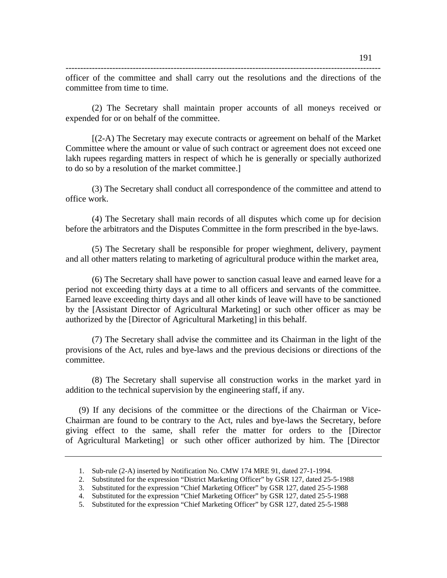officer of the committee and shall carry out the resolutions and the directions of the committee from time to time.

(2) The Secretary shall maintain proper accounts of all moneys received or expended for or on behalf of the committee.

[(2-A) The Secretary may execute contracts or agreement on behalf of the Market Committee where the amount or value of such contract or agreement does not exceed one lakh rupees regarding matters in respect of which he is generally or specially authorized to do so by a resolution of the market committee.]

(3) The Secretary shall conduct all correspondence of the committee and attend to office work.

(4) The Secretary shall main records of all disputes which come up for decision before the arbitrators and the Disputes Committee in the form prescribed in the bye-laws.

(5) The Secretary shall be responsible for proper wieghment, delivery, payment and all other matters relating to marketing of agricultural produce within the market area,

(6) The Secretary shall have power to sanction casual leave and earned leave for a period not exceeding thirty days at a time to all officers and servants of the committee. Earned leave exceeding thirty days and all other kinds of leave will have to be sanctioned by the [Assistant Director of Agricultural Marketing] or such other officer as may be authorized by the [Director of Agricultural Marketing] in this behalf.

(7) The Secretary shall advise the committee and its Chairman in the light of the provisions of the Act, rules and bye-laws and the previous decisions or directions of the committee.

(8) The Secretary shall supervise all construction works in the market yard in addition to the technical supervision by the engineering staff, if any.

(9) If any decisions of the committee or the directions of the Chairman or Vice-Chairman are found to be contrary to the Act, rules and bye-laws the Secretary, before giving effect to the same, shall refer the matter for orders to the [Director of Agricultural Marketing] or such other officer authorized by him. The [Director

<sup>1.</sup> Sub-rule (2-A) inserted by Notification No. CMW 174 MRE 91, dated 27-1-1994.

<sup>2.</sup> Substituted for the expression "District Marketing Officer" by GSR 127, dated 25-5-1988

<sup>3.</sup> Substituted for the expression "Chief Marketing Officer" by GSR 127, dated 25-5-1988

<sup>4.</sup> Substituted for the expression "Chief Marketing Officer" by GSR 127, dated 25-5-1988

<sup>5.</sup> Substituted for the expression "Chief Marketing Officer" by GSR 127, dated 25-5-1988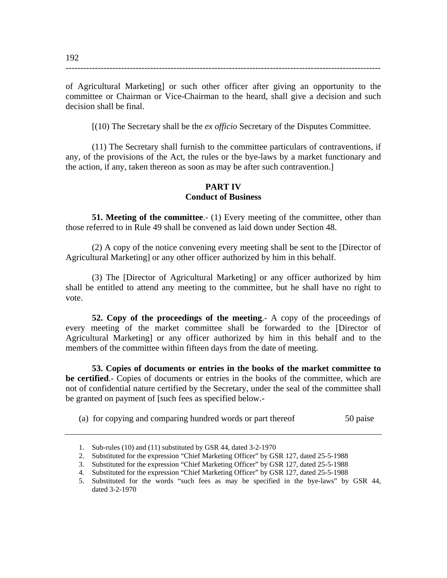of Agricultural Marketing] or such other officer after giving an opportunity to the committee or Chairman or Vice-Chairman to the heard, shall give a decision and such decision shall be final.

------------------------------------------------------------------------------------------------------------

[(10) The Secretary shall be the *ex officio* Secretary of the Disputes Committee.

(11) The Secretary shall furnish to the committee particulars of contraventions, if any, of the provisions of the Act, the rules or the bye-laws by a market functionary and the action, if any, taken thereon as soon as may be after such contravention.]

## **PART IV Conduct of Business**

**51. Meeting of the committee**.- (1) Every meeting of the committee, other than those referred to in Rule 49 shall be convened as laid down under Section 48.

(2) A copy of the notice convening every meeting shall be sent to the [Director of Agricultural Marketing] or any other officer authorized by him in this behalf.

(3) The [Director of Agricultural Marketing] or any officer authorized by him shall be entitled to attend any meeting to the committee, but he shall have no right to vote.

**52. Copy of the proceedings of the meeting**.- A copy of the proceedings of every meeting of the market committee shall be forwarded to the [Director of Agricultural Marketing] or any officer authorized by him in this behalf and to the members of the committee within fifteen days from the date of meeting.

**53. Copies of documents or entries in the books of the market committee to be certified**.- Copies of documents or entries in the books of the committee, which are not of confidential nature certified by the Secretary, under the seal of the committee shall be granted on payment of [such fees as specified below.-

(a) for copying and comparing hundred words or part thereof 50 paise

<sup>1.</sup> Sub-rules (10) and (11) substituted by GSR 44, dated 3-2-1970

<sup>2.</sup> Substituted for the expression "Chief Marketing Officer" by GSR 127, dated 25-5-1988

<sup>3.</sup> Substituted for the expression "Chief Marketing Officer" by GSR 127, dated 25-5-1988

<sup>4.</sup> Substituted for the expression "Chief Marketing Officer" by GSR 127, dated 25-5-1988

<sup>5.</sup> Substituted for the words "such fees as may be specified in the bye-laws" by GSR 44, dated 3-2-1970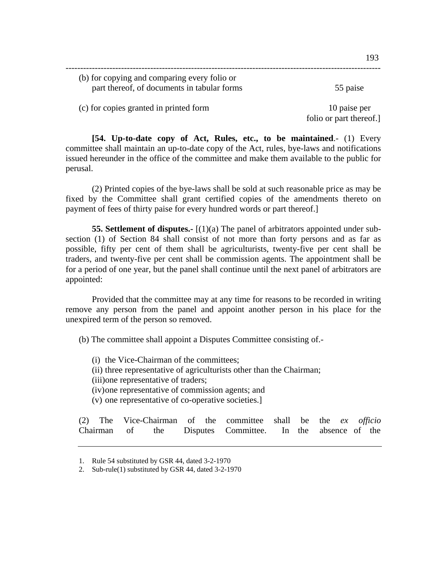| (b) for copying and comparing every folio or |                         |
|----------------------------------------------|-------------------------|
| part thereof, of documents in tabular forms  | 55 paise                |
| (c) for copies granted in printed form       | 10 paise per            |
|                                              | folio or part thereof.] |

**[54. Up-to-date copy of Act, Rules, etc., to be maintained**.- (1) Every committee shall maintain an up-to-date copy of the Act, rules, bye-laws and notifications issued hereunder in the office of the committee and make them available to the public for perusal.

(2) Printed copies of the bye-laws shall be sold at such reasonable price as may be fixed by the Committee shall grant certified copies of the amendments thereto on payment of fees of thirty paise for every hundred words or part thereof.]

**55. Settlement of disputes.-** [(1)(a) The panel of arbitrators appointed under subsection (1) of Section 84 shall consist of not more than forty persons and as far as possible, fifty per cent of them shall be agriculturists, twenty-five per cent shall be traders, and twenty-five per cent shall be commission agents. The appointment shall be for a period of one year, but the panel shall continue until the next panel of arbitrators are appointed:

Provided that the committee may at any time for reasons to be recorded in writing remove any person from the panel and appoint another person in his place for the unexpired term of the person so removed.

(b) The committee shall appoint a Disputes Committee consisting of.-

- (i) the Vice-Chairman of the committees;
- (ii) three representative of agriculturists other than the Chairman;
- (iii)one representative of traders;
- (iv)one representative of commission agents; and
- (v) one representative of co-operative societies.]

(2) The Vice-Chairman of the committee shall be the *ex officio*  Chairman of the Disputes Committee. In the absence of the

<sup>1.</sup> Rule 54 substituted by GSR 44, dated 3-2-1970

<sup>2.</sup> Sub-rule(1) substituted by GSR 44, dated 3-2-1970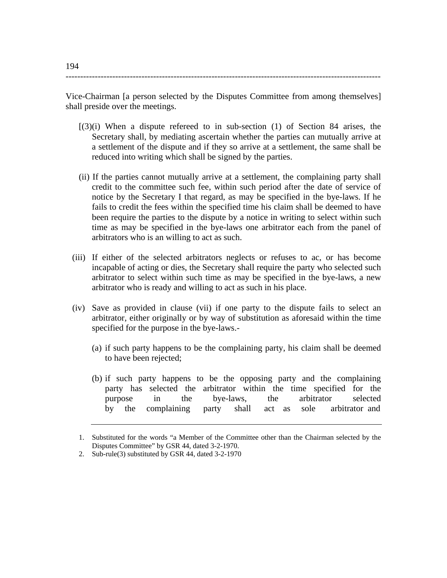------------------------------------------------------------------------------------------------------------

Vice-Chairman [a person selected by the Disputes Committee from among themselves] shall preside over the meetings.

- $[(3)(i)$  When a dispute refereed to in sub-section  $(1)$  of Section 84 arises, the Secretary shall, by mediating ascertain whether the parties can mutually arrive at a settlement of the dispute and if they so arrive at a settlement, the same shall be reduced into writing which shall be signed by the parties.
- (ii) If the parties cannot mutually arrive at a settlement, the complaining party shall credit to the committee such fee, within such period after the date of service of notice by the Secretary I that regard, as may be specified in the bye-laws. If he fails to credit the fees within the specified time his claim shall be deemed to have been require the parties to the dispute by a notice in writing to select within such time as may be specified in the bye-laws one arbitrator each from the panel of arbitrators who is an willing to act as such.
- (iii) If either of the selected arbitrators neglects or refuses to ac, or has become incapable of acting or dies, the Secretary shall require the party who selected such arbitrator to select within such time as may be specified in the bye-laws, a new arbitrator who is ready and willing to act as such in his place.
- (iv) Save as provided in clause (vii) if one party to the dispute fails to select an arbitrator, either originally or by way of substitution as aforesaid within the time specified for the purpose in the bye-laws.-
	- (a) if such party happens to be the complaining party, his claim shall be deemed to have been rejected;
	- (b) if such party happens to be the opposing party and the complaining party has selected the arbitrator within the time specified for the purpose in the bye-laws, the arbitrator selected by the complaining party shall act as sole arbitrator and

<sup>1.</sup> Substituted for the words "a Member of the Committee other than the Chairman selected by the Disputes Committee" by GSR 44, dated 3-2-1970.

<sup>2.</sup> Sub-rule(3) substituted by GSR 44, dated 3-2-1970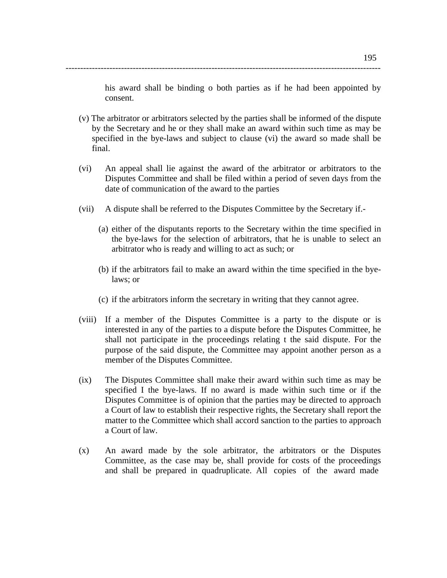his award shall be binding o both parties as if he had been appointed by consent.

(v) The arbitrator or arbitrators selected by the parties shall be informed of the dispute by the Secretary and he or they shall make an award within such time as may be specified in the bye-laws and subject to clause (vi) the award so made shall be final.

------------------------------------------------------------------------------------------------------------

- (vi) An appeal shall lie against the award of the arbitrator or arbitrators to the Disputes Committee and shall be filed within a period of seven days from the date of communication of the award to the parties
- (vii) A dispute shall be referred to the Disputes Committee by the Secretary if.-
	- (a) either of the disputants reports to the Secretary within the time specified in the bye-laws for the selection of arbitrators, that he is unable to select an arbitrator who is ready and willing to act as such; or
	- (b) if the arbitrators fail to make an award within the time specified in the byelaws; or
	- (c) if the arbitrators inform the secretary in writing that they cannot agree.
- (viii) If a member of the Disputes Committee is a party to the dispute or is interested in any of the parties to a dispute before the Disputes Committee, he shall not participate in the proceedings relating t the said dispute. For the purpose of the said dispute, the Committee may appoint another person as a member of the Disputes Committee.
- (ix) The Disputes Committee shall make their award within such time as may be specified I the bye-laws. If no award is made within such time or if the Disputes Committee is of opinion that the parties may be directed to approach a Court of law to establish their respective rights, the Secretary shall report the matter to the Committee which shall accord sanction to the parties to approach a Court of law.
- (x) An award made by the sole arbitrator, the arbitrators or the Disputes Committee, as the case may be, shall provide for costs of the proceedings and shall be prepared in quadruplicate. All copies of the award made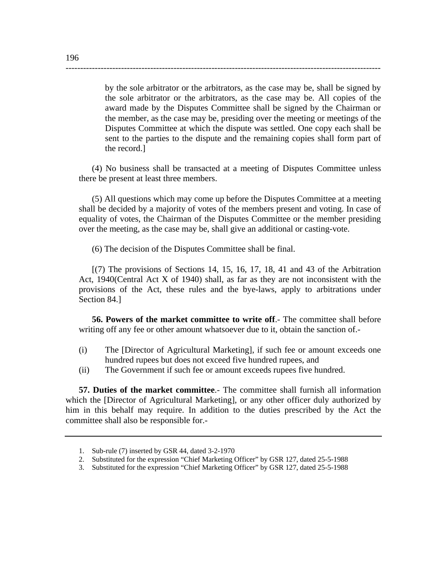by the sole arbitrator or the arbitrators, as the case may be, shall be signed by the sole arbitrator or the arbitrators, as the case may be. All copies of the award made by the Disputes Committee shall be signed by the Chairman or the member, as the case may be, presiding over the meeting or meetings of the Disputes Committee at which the dispute was settled. One copy each shall be sent to the parties to the dispute and the remaining copies shall form part of the record.]

(4) No business shall be transacted at a meeting of Disputes Committee unless there be present at least three members.

------------------------------------------------------------------------------------------------------------

(5) All questions which may come up before the Disputes Committee at a meeting shall be decided by a majority of votes of the members present and voting. In case of equality of votes, the Chairman of the Disputes Committee or the member presiding over the meeting, as the case may be, shall give an additional or casting-vote.

(6) The decision of the Disputes Committee shall be final.

 $[(7)$  The provisions of Sections 14, 15, 16, 17, 18, 41 and 43 of the Arbitration Act, 1940(Central Act X of 1940) shall, as far as they are not inconsistent with the provisions of the Act, these rules and the bye-laws, apply to arbitrations under Section 84.]

**56. Powers of the market committee to write off**.- The committee shall before writing off any fee or other amount whatsoever due to it, obtain the sanction of.-

- (i) The [Director of Agricultural Marketing], if such fee or amount exceeds one hundred rupees but does not exceed five hundred rupees, and
- (ii) The Government if such fee or amount exceeds rupees five hundred.

**57. Duties of the market committee**.- The committee shall furnish all information which the [Director of Agricultural Marketing], or any other officer duly authorized by him in this behalf may require. In addition to the duties prescribed by the Act the committee shall also be responsible for.-

<sup>1.</sup> Sub-rule (7) inserted by GSR 44, dated 3-2-1970

<sup>2.</sup> Substituted for the expression "Chief Marketing Officer" by GSR 127, dated 25-5-1988

<sup>3.</sup> Substituted for the expression "Chief Marketing Officer" by GSR 127, dated 25-5-1988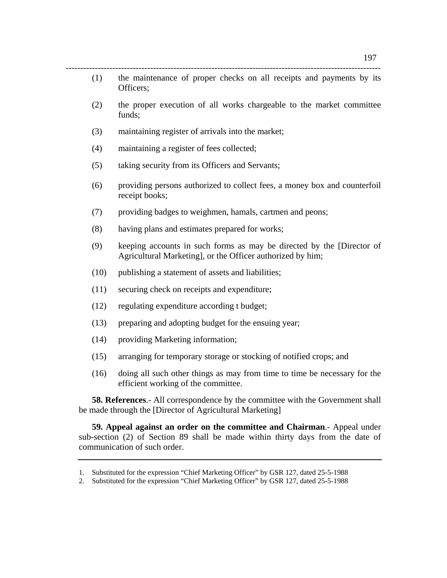(1) the maintenance of proper checks on all receipts and payments by its Officers;

------------------------------------------------------------------------------------------------------------

- (2) the proper execution of all works chargeable to the market committee funds;
- (3) maintaining register of arrivals into the market;
- (4) maintaining a register of fees collected;
- (5) taking security from its Officers and Servants;
- (6) providing persons authorized to collect fees, a money box and counterfoil receipt books;
- (7) providing badges to weighmen, hamals, cartmen and peons;
- (8) having plans and estimates prepared for works;
- (9) keeping accounts in such forms as may be directed by the [Director of Agricultural Marketing], or the Officer authorized by him;
- (10) publishing a statement of assets and liabilities;
- (11) securing check on receipts and expenditure;
- (12) regulating expenditure according t budget;
- (13) preparing and adopting budget for the ensuing year;
- (14) providing Marketing information;
- (15) arranging for temporary storage or stocking of notified crops; and
- (16) doing all such other things as may from time to time be necessary for the efficient working of the committee.

**58. References**.- All correspondence by the committee with the Government shall be made through the [Director of Agricultural Marketing]

**59. Appeal against an order on the committee and Chairman**.- Appeal under sub-section (2) of Section 89 shall be made within thirty days from the date of communication of such order.

<sup>1.</sup> Substituted for the expression "Chief Marketing Officer" by GSR 127, dated 25-5-1988

<sup>2.</sup> Substituted for the expression "Chief Marketing Officer" by GSR 127, dated 25-5-1988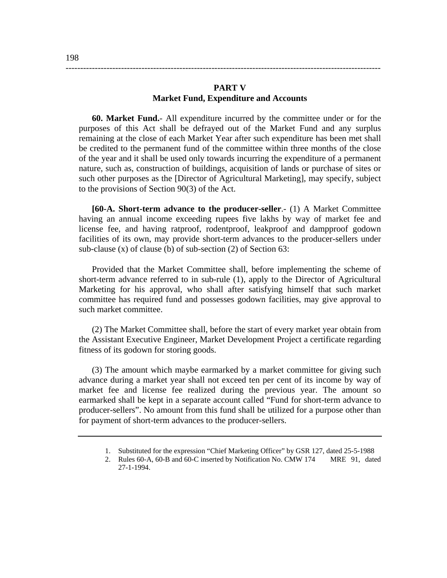## **PART V Market Fund, Expenditure and Accounts**

------------------------------------------------------------------------------------------------------------

**60. Market Fund.**- All expenditure incurred by the committee under or for the purposes of this Act shall be defrayed out of the Market Fund and any surplus remaining at the close of each Market Year after such expenditure has been met shall be credited to the permanent fund of the committee within three months of the close of the year and it shall be used only towards incurring the expenditure of a permanent nature, such as, construction of buildings, acquisition of lands or purchase of sites or such other purposes as the [Director of Agricultural Marketing], may specify, subject to the provisions of Section 90(3) of the Act.

**[60-A. Short-term advance to the producer-seller**.- (1) A Market Committee having an annual income exceeding rupees five lakhs by way of market fee and license fee, and having ratproof, rodentproof, leakproof and dampproof godown facilities of its own, may provide short-term advances to the producer-sellers under sub-clause (x) of clause (b) of sub-section (2) of Section 63:

 Provided that the Market Committee shall, before implementing the scheme of short-term advance referred to in sub-rule (1), apply to the Director of Agricultural Marketing for his approval, who shall after satisfying himself that such market committee has required fund and possesses godown facilities, may give approval to such market committee.

(2) The Market Committee shall, before the start of every market year obtain from the Assistant Executive Engineer, Market Development Project a certificate regarding fitness of its godown for storing goods.

(3) The amount which maybe earmarked by a market committee for giving such advance during a market year shall not exceed ten per cent of its income by way of market fee and license fee realized during the previous year. The amount so earmarked shall be kept in a separate account called "Fund for short-term advance to producer-sellers". No amount from this fund shall be utilized for a purpose other than for payment of short-term advances to the producer-sellers.

<sup>1.</sup> Substituted for the expression "Chief Marketing Officer" by GSR 127, dated 25-5-1988

<sup>2.</sup> Rules 60-A, 60-B and 60-C inserted by Notification No. CMW 174 MRE 91, dated 27-1-1994.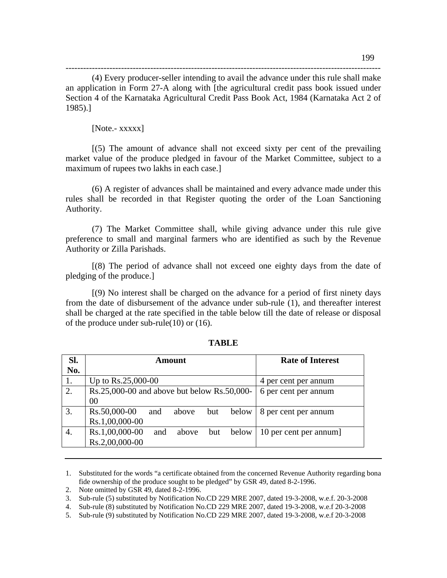(4) Every producer-seller intending to avail the advance under this rule shall make an application in Form 27-A along with [the agricultural credit pass book issued under Section 4 of the Karnataka Agricultural Credit Pass Book Act, 1984 (Karnataka Act 2 of 1985).]

------------------------------------------------------------------------------------------------------------

## [Note.- xxxxx]

 $[(5)$  The amount of advance shall not exceed sixty per cent of the prevailing market value of the produce pledged in favour of the Market Committee, subject to a maximum of rupees two lakhs in each case.]

(6) A register of advances shall be maintained and every advance made under this rules shall be recorded in that Register quoting the order of the Loan Sanctioning Authority.

(7) The Market Committee shall, while giving advance under this rule give preference to small and marginal farmers who are identified as such by the Revenue Authority or Zilla Parishads.

[(8) The period of advance shall not exceed one eighty days from the date of pledging of the produce.]

[(9) No interest shall be charged on the advance for a period of first ninety days from the date of disbursement of the advance under sub-rule (1), and thereafter interest shall be charged at the rate specified in the table below till the date of release or disposal of the produce under sub-rule(10) or (16).

| Sl. | Amount                                         | <b>Rate of Interest</b> |
|-----|------------------------------------------------|-------------------------|
| No. |                                                |                         |
|     | Up to $Rs.25,000-00$                           | 4 per cent per annum    |
| 2.  | Rs.25,000-00 and above but below Rs.50,000-    | 6 per cent per annum    |
|     | 00                                             |                         |
| 3.  | Rs.50,000-00<br>below<br>but<br>and<br>above   | 8 per cent per annum    |
|     | Rs.1,00,000-00                                 |                         |
| 4.  | Rs.1,00,000-00<br>below<br>above<br>and<br>but | 10 per cent per annum]  |
|     | Rs.2,00,000-00                                 |                         |

## **TABLE**

<sup>1.</sup> Substituted for the words "a certificate obtained from the concerned Revenue Authority regarding bona fide ownership of the produce sought to be pledged" by GSR 49, dated 8-2-1996.

<sup>2.</sup> Note omitted by GSR 49, dated 8-2-1996.

<sup>3.</sup> Sub-rule (5) substituted by Notification No.CD 229 MRE 2007, dated 19-3-2008, w.e.f. 20-3-2008

<sup>4.</sup> Sub-rule (8) substituted by Notification No.CD 229 MRE 2007, dated 19-3-2008, w.e.f 20-3-2008

<sup>5.</sup> Sub-rule (9) substituted by Notification No.CD 229 MRE 2007, dated 19-3-2008, w.e.f 20-3-2008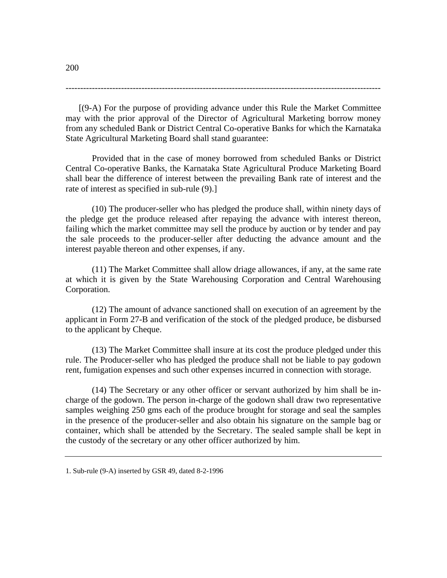------------------------------------------------------------------------------------------------------------

[(9-A) For the purpose of providing advance under this Rule the Market Committee may with the prior approval of the Director of Agricultural Marketing borrow money from any scheduled Bank or District Central Co-operative Banks for which the Karnataka State Agricultural Marketing Board shall stand guarantee:

 Provided that in the case of money borrowed from scheduled Banks or District Central Co-operative Banks, the Karnataka State Agricultural Produce Marketing Board shall bear the difference of interest between the prevailing Bank rate of interest and the rate of interest as specified in sub-rule (9).]

 (10) The producer-seller who has pledged the produce shall, within ninety days of the pledge get the produce released after repaying the advance with interest thereon, failing which the market committee may sell the produce by auction or by tender and pay the sale proceeds to the producer-seller after deducting the advance amount and the interest payable thereon and other expenses, if any.

 (11) The Market Committee shall allow driage allowances, if any, at the same rate at which it is given by the State Warehousing Corporation and Central Warehousing Corporation.

(12) The amount of advance sanctioned shall on execution of an agreement by the applicant in Form 27-B and verification of the stock of the pledged produce, be disbursed to the applicant by Cheque.

(13) The Market Committee shall insure at its cost the produce pledged under this rule. The Producer-seller who has pledged the produce shall not be liable to pay godown rent, fumigation expenses and such other expenses incurred in connection with storage.

(14) The Secretary or any other officer or servant authorized by him shall be incharge of the godown. The person in-charge of the godown shall draw two representative samples weighing 250 gms each of the produce brought for storage and seal the samples in the presence of the producer-seller and also obtain his signature on the sample bag or container, which shall be attended by the Secretary. The sealed sample shall be kept in the custody of the secretary or any other officer authorized by him.

<sup>1.</sup> Sub-rule (9-A) inserted by GSR 49, dated 8-2-1996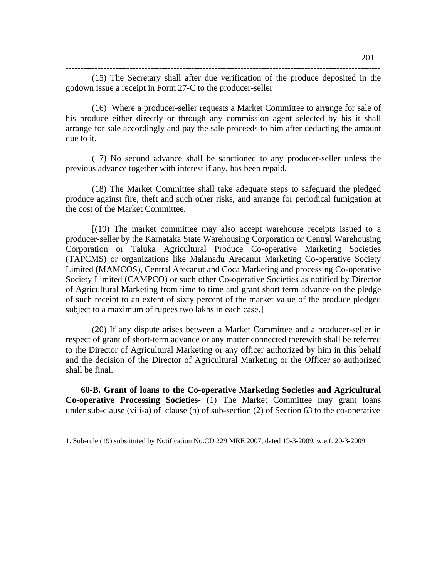------------------------------------------------------------------------------------------------------------

(15) The Secretary shall after due verification of the produce deposited in the godown issue a receipt in Form 27-C to the producer-seller

(16) Where a producer-seller requests a Market Committee to arrange for sale of his produce either directly or through any commission agent selected by his it shall arrange for sale accordingly and pay the sale proceeds to him after deducting the amount due to it.

(17) No second advance shall be sanctioned to any producer-seller unless the previous advance together with interest if any, has been repaid.

(18) The Market Committee shall take adequate steps to safeguard the pledged produce against fire, theft and such other risks, and arrange for periodical fumigation at the cost of the Market Committee.

[(19) The market committee may also accept warehouse receipts issued to a producer-seller by the Karnataka State Warehousing Corporation or Central Warehousing Corporation or Taluka Agricultural Produce Co-operative Marketing Societies (TAPCMS) or organizations like Malanadu Arecanut Marketing Co-operative Society Limited (MAMCOS), Central Arecanut and Coca Marketing and processing Co-operative Society Limited (CAMPCO) or such other Co-operative Societies as notified by Director of Agricultural Marketing from time to time and grant short term advance on the pledge of such receipt to an extent of sixty percent of the market value of the produce pledged subject to a maximum of rupees two lakhs in each case.]

(20) If any dispute arises between a Market Committee and a producer-seller in respect of grant of short-term advance or any matter connected therewith shall be referred to the Director of Agricultural Marketing or any officer authorized by him in this behalf and the decision of the Director of Agricultural Marketing or the Officer so authorized shall be final.

 **60-B. Grant of loans to the Co-operative Marketing Societies and Agricultural Co-operative Processing Societies-** (1) The Market Committee may grant loans under sub-clause (viii-a) of clause (b) of sub-section (2) of Section 63 to the co-operative

<sup>1.</sup> Sub-rule (19) substituted by Notification No.CD 229 MRE 2007, dated 19-3-2009, w.e.f. 20-3-2009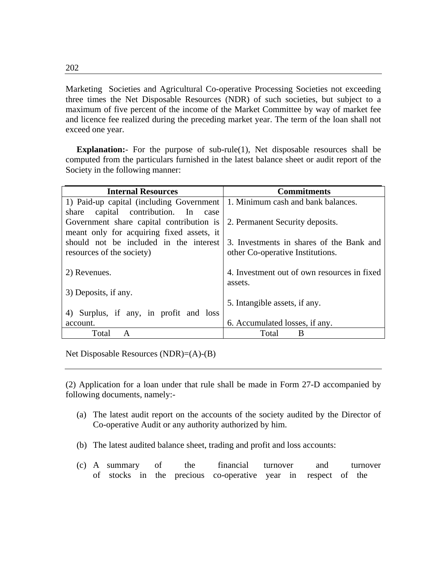Marketing Societies and Agricultural Co-operative Processing Societies not exceeding three times the Net Disposable Resources (NDR) of such societies, but subject to a maximum of five percent of the income of the Market Committee by way of market fee and licence fee realized during the preceding market year. The term of the loan shall not exceed one year.

**Explanation:** For the purpose of sub-rule(1), Net disposable resources shall be computed from the particulars furnished in the latest balance sheet or audit report of the Society in the following manner:

| <b>Internal Resources</b>                 | <b>Commitments</b>                          |
|-------------------------------------------|---------------------------------------------|
| 1) Paid-up capital (including Government  | 1. Minimum cash and bank balances.          |
| share capital contribution. In case       |                                             |
| Government share capital contribution is  | 2. Permanent Security deposits.             |
| meant only for acquiring fixed assets, it |                                             |
| should not be included in the interest    | 3. Investments in shares of the Bank and    |
| resources of the society)                 | other Co-operative Institutions.            |
|                                           |                                             |
| 2) Revenues.                              | 4. Investment out of own resources in fixed |
|                                           | assets.                                     |
| 3) Deposits, if any.                      |                                             |
|                                           | 5. Intangible assets, if any.               |
| 4) Surplus, if any, in profit and loss    |                                             |
| account.                                  | 6. Accumulated losses, if any.              |
| Total<br>A                                | B<br>Total                                  |

Net Disposable Resources (NDR)=(A)-(B)

(2) Application for a loan under that rule shall be made in Form 27-D accompanied by following documents, namely:-

- (a) The latest audit report on the accounts of the society audited by the Director of Co-operative Audit or any authority authorized by him.
- (b) The latest audited balance sheet, trading and profit and loss accounts:
- (c) A summary of the financial turnover and turnover of stocks in the precious co-operative year in respect of the

202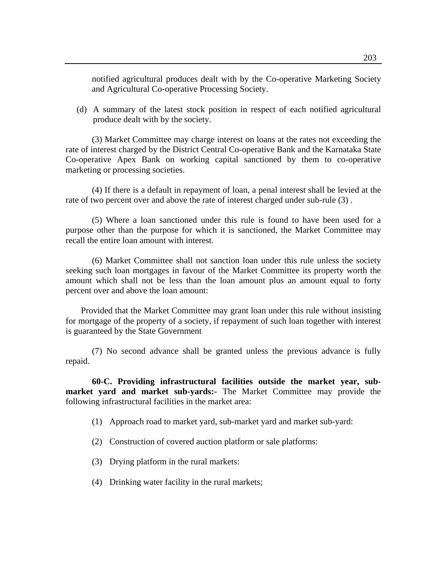notified agricultural produces dealt with by the Co-operative Marketing Society and Agricultural Co-operative Processing Society.

(d) A summary of the latest stock position in respect of each notified agricultural produce dealt with by the society.

 (3) Market Committee may charge interest on loans at the rates not exceeding the rate of interest charged by the District Central Co-operative Bank and the Karnataka State Co-operative Apex Bank on working capital sanctioned by them to co-operative marketing or processing societies.

(4) If there is a default in repayment of loan, a penal interest shall be levied at the rate of two percent over and above the rate of interest charged under sub-rule (3) .

 (5) Where a loan sanctioned under this rule is found to have been used for a purpose other than the purpose for which it is sanctioned, the Market Committee may recall the entire loan amount with interest.

 (6) Market Committee shall not sanction loan under this rule unless the society seeking such loan mortgages in favour of the Market Committee its property worth the amount which shall not be less than the loan amount plus an amount equal to forty percent over and above the loan amount:

 Provided that the Market Committee may grant loan under this rule without insisting for mortgage of the property of a society, if repayment of such loan together with interest is guaranteed by the State Government

 (7) No second advance shall be granted unless the previous advance is fully repaid.

**60-C. Providing infrastructural facilities outside the market year, submarket yard and market sub-yards:-** The Market Committee may provide the following infrastructural facilities in the market area:

- (1) Approach road to market yard, sub-market yard and market sub-yard:
- (2) Construction of covered auction platform or sale platforms:
- (3) Drying platform in the rural markets:
- (4) Drinking water facility in the rural markets;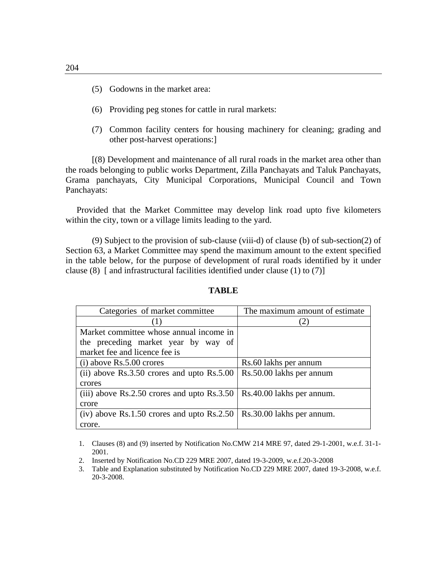- (5) Godowns in the market area:
- (6) Providing peg stones for cattle in rural markets:
- (7) Common facility centers for housing machinery for cleaning; grading and other post-harvest operations:]

[(8) Development and maintenance of all rural roads in the market area other than the roads belonging to public works Department, Zilla Panchayats and Taluk Panchayats, Grama panchayats, City Municipal Corporations, Municipal Council and Town Panchayats:

 Provided that the Market Committee may develop link road upto five kilometers within the city, town or a village limits leading to the yard.

 (9) Subject to the provision of sub-clause (viii-d) of clause (b) of sub-section(2) of Section 63, a Market Committee may spend the maximum amount to the extent specified in the table below, for the purpose of development of rural roads identified by it under clause (8) [ and infrastructural facilities identified under clause (1) to (7)]

| Categories of market committee                  | The maximum amount of estimate |  |
|-------------------------------------------------|--------------------------------|--|
|                                                 |                                |  |
| Market committee whose annual income in         |                                |  |
| the preceding market year by way of             |                                |  |
| market fee and licence fee is                   |                                |  |
| $(i)$ above Rs.5.00 crores                      | Rs.60 lakhs per annum          |  |
| (ii) above $Rs.3.50$ crores and upto $Rs.5.00$  | Rs.50.00 lakhs per annum       |  |
| crores                                          |                                |  |
| (iii) above $Rs.2.50$ crores and upto $Rs.3.50$ | Rs.40.00 lakhs per annum.      |  |
| crore                                           |                                |  |
| (iv) above $Rs.1.50$ crores and upto $Rs.2.50$  | Rs.30.00 lakhs per annum.      |  |
| crore.                                          |                                |  |

## **TABLE**

<sup>1.</sup> Clauses (8) and (9) inserted by Notification No.CMW 214 MRE 97, dated 29-1-2001, w.e.f. 31-1- 2001.

<sup>2.</sup> Inserted by Notification No.CD 229 MRE 2007, dated 19-3-2009, w.e.f.20-3-2008

<sup>3.</sup> Table and Explanation substituted by Notification No.CD 229 MRE 2007, dated 19-3-2008, w.e.f. 20-3-2008.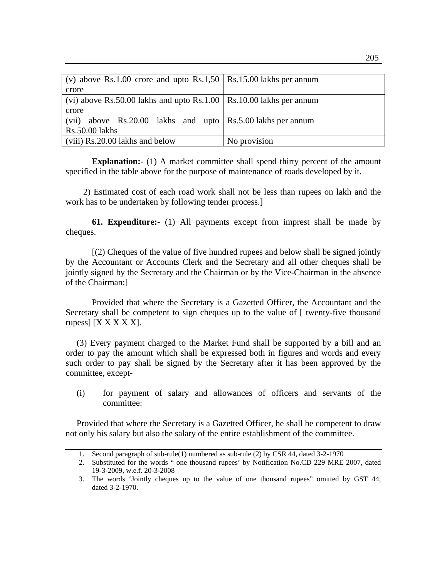| (v) above Rs.1.00 crore and upto Rs.1,50   Rs.15.00 lakhs per annum   |              |
|-----------------------------------------------------------------------|--------------|
| crore                                                                 |              |
| (vi) above Rs.50.00 lakhs and upto Rs.1.00   Rs.10.00 lakhs per annum |              |
| crore                                                                 |              |
| (vii) above Rs.20.00 lakhs and upto Rs.5.00 lakhs per annum           |              |
| Rs.50.00 lakhs                                                        |              |
| (viii) Rs.20.00 lakhs and below                                       | No provision |

**Explanation:**- (1) A market committee shall spend thirty percent of the amount specified in the table above for the purpose of maintenance of roads developed by it.

 2) Estimated cost of each road work shall not be less than rupees on lakh and the work has to be undertaken by following tender process.]

**61. Expenditure:-** (1) All payments except from imprest shall be made by cheques.

 [(2) Cheques of the value of five hundred rupees and below shall be signed jointly by the Accountant or Accounts Clerk and the Secretary and all other cheques shall be jointly signed by the Secretary and the Chairman or by the Vice-Chairman in the absence of the Chairman:]

Provided that where the Secretary is a Gazetted Officer, the Accountant and the Secretary shall be competent to sign cheques up to the value of [ twenty-five thousand rupess $[$  [X X X X X].

 (3) Every payment charged to the Market Fund shall be supported by a bill and an order to pay the amount which shall be expressed both in figures and words and every such order to pay shall be signed by the Secretary after it has been approved by the committee, except-

(i) for payment of salary and allowances of officers and servants of the committee:

 Provided that where the Secretary is a Gazetted Officer, he shall be competent to draw not only his salary but also the salary of the entire establishment of the committee.

<sup>1.</sup> Second paragraph of sub-rule(1) numbered as sub-rule (2) by CSR 44, dated 3-2-1970

<sup>2.</sup> Substituted for the words " one thousand rupees' by Notification No.CD 229 MRE 2007, dated 19-3-2009, w.e.f. 20-3-2008

<sup>3.</sup> The words 'Jointly cheques up to the value of one thousand rupees" omitted by GST 44, dated 3-2-1970.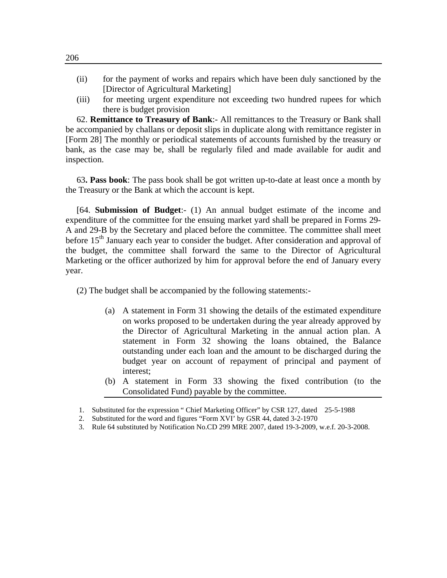- (ii) for the payment of works and repairs which have been duly sanctioned by the [Director of Agricultural Marketing]
- (iii) for meeting urgent expenditure not exceeding two hundred rupees for which there is budget provision

62. **Remittance to Treasury of Bank**:- All remittances to the Treasury or Bank shall be accompanied by challans or deposit slips in duplicate along with remittance register in [Form 28] The monthly or periodical statements of accounts furnished by the treasury or bank, as the case may be, shall be regularly filed and made available for audit and inspection.

63**. Pass book**: The pass book shall be got written up-to-date at least once a month by the Treasury or the Bank at which the account is kept.

[64. **Submission of Budget**:- (1) An annual budget estimate of the income and expenditure of the committee for the ensuing market yard shall be prepared in Forms 29- A and 29-B by the Secretary and placed before the committee. The committee shall meet before  $15<sup>th</sup>$  January each year to consider the budget. After consideration and approval of the budget, the committee shall forward the same to the Director of Agricultural Marketing or the officer authorized by him for approval before the end of January every year.

(2) The budget shall be accompanied by the following statements:-

- (a) A statement in Form 31 showing the details of the estimated expenditure on works proposed to be undertaken during the year already approved by the Director of Agricultural Marketing in the annual action plan. A statement in Form 32 showing the loans obtained, the Balance outstanding under each loan and the amount to be discharged during the budget year on account of repayment of principal and payment of interest;
- (b) A statement in Form 33 showing the fixed contribution (to the Consolidated Fund) payable by the committee.
- 1. Substituted for the expression " Chief Marketing Officer" by CSR 127, dated 25-5-1988
- 2. Substituted for the word and figures "Form XVI' by GSR 44, dated 3-2-1970
- 3. Rule 64 substituted by Notification No.CD 299 MRE 2007, dated 19-3-2009, w.e.f. 20-3-2008.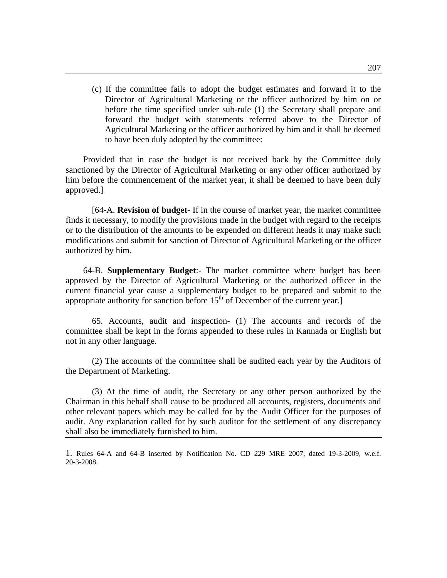(c) If the committee fails to adopt the budget estimates and forward it to the Director of Agricultural Marketing or the officer authorized by him on or before the time specified under sub-rule (1) the Secretary shall prepare and forward the budget with statements referred above to the Director of Agricultural Marketing or the officer authorized by him and it shall be deemed to have been duly adopted by the committee:

 Provided that in case the budget is not received back by the Committee duly sanctioned by the Director of Agricultural Marketing or any other officer authorized by him before the commencement of the market year, it shall be deemed to have been duly approved.]

 [64-A. **Revision of budget**- If in the course of market year, the market committee finds it necessary, to modify the provisions made in the budget with regard to the receipts or to the distribution of the amounts to be expended on different heads it may make such modifications and submit for sanction of Director of Agricultural Marketing or the officer authorized by him.

 64-B. **Supplementary Budget**:- The market committee where budget has been approved by the Director of Agricultural Marketing or the authorized officer in the current financial year cause a supplementary budget to be prepared and submit to the appropriate authority for sanction before  $15<sup>th</sup>$  of December of the current year.]

 65. Accounts, audit and inspection- (1) The accounts and records of the committee shall be kept in the forms appended to these rules in Kannada or English but not in any other language.

 (2) The accounts of the committee shall be audited each year by the Auditors of the Department of Marketing.

 (3) At the time of audit, the Secretary or any other person authorized by the Chairman in this behalf shall cause to be produced all accounts, registers, documents and other relevant papers which may be called for by the Audit Officer for the purposes of audit. Any explanation called for by such auditor for the settlement of any discrepancy shall also be immediately furnished to him.

1. Rules 64-A and 64-B inserted by Notification No. CD 229 MRE 2007, dated 19-3-2009, w.e.f. 20-3-2008.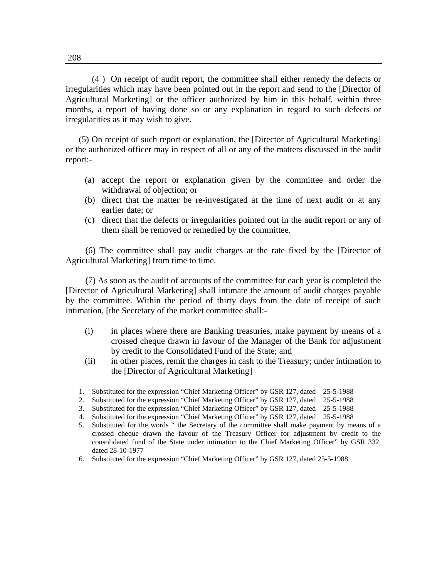(4 ) On receipt of audit report, the committee shall either remedy the defects or irregularities which may have been pointed out in the report and send to the [Director of Agricultural Marketing] or the officer authorized by him in this behalf, within three months, a report of having done so or any explanation in regard to such defects or irregularities as it may wish to give.

 (5) On receipt of such report or explanation, the [Director of Agricultural Marketing] or the authorized officer may in respect of all or any of the matters discussed in the audit report:-

- (a) accept the report or explanation given by the committee and order the withdrawal of objection; or
- (b) direct that the matter be re-investigated at the time of next audit or at any earlier date; or
- (c) direct that the defects or irregularities pointed out in the audit report or any of them shall be removed or remedied by the committee.

(6) The committee shall pay audit charges at the rate fixed by the [Director of Agricultural Marketing] from time to time.

(7) As soon as the audit of accounts of the committee for each year is completed the [Director of Agricultural Marketing] shall intimate the amount of audit charges payable by the committee. Within the period of thirty days from the date of receipt of such intimation, [the Secretary of the market committee shall:-

- (i) in places where there are Banking treasuries, make payment by means of a crossed cheque drawn in favour of the Manager of the Bank for adjustment by credit to the Consolidated Fund of the State; and
- (ii) in other places, remit the charges in cash to the Treasury; under intimation to the [Director of Agricultural Marketing]

<sup>1.</sup> Substituted for the expression "Chief Marketing Officer" by GSR 127, dated 25-5-1988

<sup>2.</sup> Substituted for the expression "Chief Marketing Officer" by GSR 127, dated 25-5-1988

<sup>3.</sup> Substituted for the expression "Chief Marketing Officer" by GSR 127, dated 25-5-1988

<sup>4.</sup> Substituted for the expression "Chief Marketing Officer" by GSR 127, dated 25-5-1988

<sup>5.</sup> Substituted for the words " the Secretary of the committee shall make payment by means of a crossed cheque drawn the favour of the Treasury Officer for adjustment by credit to the consolidated fund of the State under intimation to the Chief Marketing Officer" by GSR 332, dated 28-10-1977

<sup>6.</sup> Substituted for the expression "Chief Marketing Officer" by GSR 127, dated 25-5-1988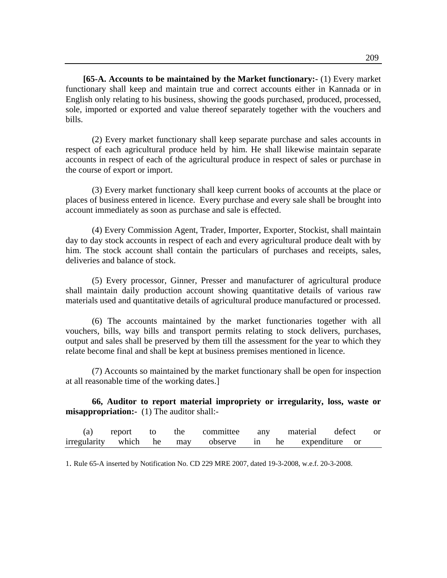**[65-A. Accounts to be maintained by the Market functionary:-** (1) Every market functionary shall keep and maintain true and correct accounts either in Kannada or in English only relating to his business, showing the goods purchased, produced, processed, sole, imported or exported and value thereof separately together with the vouchers and bills.

 (2) Every market functionary shall keep separate purchase and sales accounts in respect of each agricultural produce held by him. He shall likewise maintain separate accounts in respect of each of the agricultural produce in respect of sales or purchase in the course of export or import.

 (3) Every market functionary shall keep current books of accounts at the place or places of business entered in licence. Every purchase and every sale shall be brought into account immediately as soon as purchase and sale is effected.

 (4) Every Commission Agent, Trader, Importer, Exporter, Stockist, shall maintain day to day stock accounts in respect of each and every agricultural produce dealt with by him. The stock account shall contain the particulars of purchases and receipts, sales, deliveries and balance of stock.

 (5) Every processor, Ginner, Presser and manufacturer of agricultural produce shall maintain daily production account showing quantitative details of various raw materials used and quantitative details of agricultural produce manufactured or processed.

 (6) The accounts maintained by the market functionaries together with all vouchers, bills, way bills and transport permits relating to stock delivers, purchases, output and sales shall be preserved by them till the assessment for the year to which they relate become final and shall be kept at business premises mentioned in licence.

 (7) Accounts so maintained by the market functionary shall be open for inspection at all reasonable time of the working dates.]

**66, Auditor to report material impropriety or irregularity, loss, waste or misappropriation:-** (1) The auditor shall:-

| (a) | report to |  |  | the committee any material defect or                   |  |
|-----|-----------|--|--|--------------------------------------------------------|--|
|     |           |  |  | irregularity which he may observe in he expenditure or |  |

1. Rule 65-A inserted by Notification No. CD 229 MRE 2007, dated 19-3-2008, w.e.f. 20-3-2008.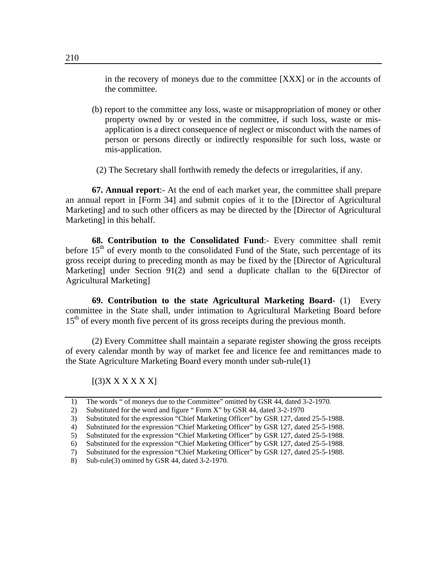in the recovery of moneys due to the committee [XXX] or in the accounts of the committee.

- (b) report to the committee any loss, waste or misappropriation of money or other property owned by or vested in the committee, if such loss, waste or misapplication is a direct consequence of neglect or misconduct with the names of person or persons directly or indirectly responsible for such loss, waste or mis-application.
- (2) The Secretary shall forthwith remedy the defects or irregularities, if any.

**67. Annual report**:- At the end of each market year, the committee shall prepare an annual report in [Form 34] and submit copies of it to the [Director of Agricultural Marketing] and to such other officers as may be directed by the [Director of Agricultural Marketing] in this behalf.

**68. Contribution to the Consolidated Fund**:- Every committee shall remit before  $15<sup>th</sup>$  of every month to the consolidated Fund of the State, such percentage of its gross receipt during to preceding month as may be fixed by the [Director of Agricultural Marketing] under Section 91(2) and send a duplicate challan to the 6[Director of Agricultural Marketing]

 **69. Contribution to the state Agricultural Marketing Board**- (1) Every committee in the State shall, under intimation to Agricultural Marketing Board before 15<sup>th</sup> of every month five percent of its gross receipts during the previous month.

 (2) Every Committee shall maintain a separate register showing the gross receipts of every calendar month by way of market fee and licence fee and remittances made to the State Agriculture Marketing Board every month under sub-rule(1)

 $[(3)X$  X X X X X  $]$ 

<sup>1)</sup> The words " of moneys due to the Committee" omitted by GSR 44, dated 3-2-1970.

<sup>2)</sup> Substituted for the word and figure " Form X" by GSR 44, dated 3-2-1970

<sup>3)</sup> Substituted for the expression "Chief Marketing Officer" by GSR 127, dated 25-5-1988.

<sup>4)</sup> Substituted for the expression "Chief Marketing Officer" by GSR 127, dated 25-5-1988.

<sup>5)</sup> Substituted for the expression "Chief Marketing Officer" by GSR 127, dated 25-5-1988.

<sup>6)</sup> Substituted for the expression "Chief Marketing Officer" by GSR 127, dated 25-5-1988.

<sup>7)</sup> Substituted for the expression "Chief Marketing Officer" by GSR 127, dated 25-5-1988.

<sup>8)</sup> Sub-rule(3) omitted by GSR 44, dated 3-2-1970.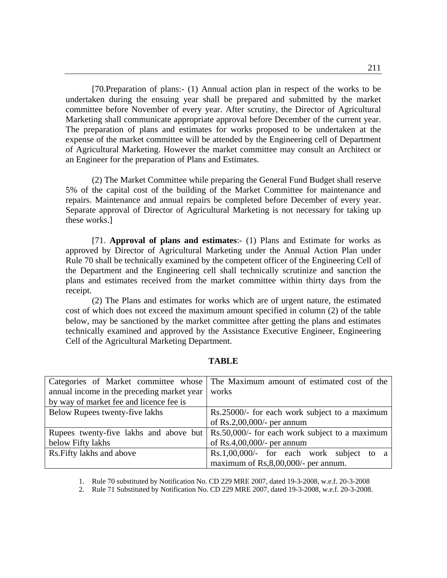[70.Preparation of plans:- (1) Annual action plan in respect of the works to be undertaken during the ensuing year shall be prepared and submitted by the market committee before November of every year. After scrutiny, the Director of Agricultural Marketing shall communicate appropriate approval before December of the current year. The preparation of plans and estimates for works proposed to be undertaken at the expense of the market committee will be attended by the Engineering cell of Department of Agricultural Marketing. However the market committee may consult an Architect or an Engineer for the preparation of Plans and Estimates.

 (2) The Market Committee while preparing the General Fund Budget shall reserve 5% of the capital cost of the building of the Market Committee for maintenance and repairs. Maintenance and annual repairs be completed before December of every year. Separate approval of Director of Agricultural Marketing is not necessary for taking up these works.]

 [71. **Approval of plans and estimates**:- (1) Plans and Estimate for works as approved by Director of Agricultural Marketing under the Annual Action Plan under Rule 70 shall be technically examined by the competent officer of the Engineering Cell of the Department and the Engineering cell shall technically scrutinize and sanction the plans and estimates received from the market committee within thirty days from the receipt.

 (2) The Plans and estimates for works which are of urgent nature, the estimated cost of which does not exceed the maximum amount specified in column (2) of the table below, may be sanctioned by the market committee after getting the plans and estimates technically examined and approved by the Assistance Executive Engineer, Engineering Cell of the Agricultural Marketing Department.

|                                            | Categories of Market committee whose The Maximum amount of estimated cost of the              |  |  |  |
|--------------------------------------------|-----------------------------------------------------------------------------------------------|--|--|--|
| annual income in the preceding market year | works                                                                                         |  |  |  |
| by way of market fee and licence fee is    |                                                                                               |  |  |  |
| Below Rupees twenty-five lakhs             | Rs.25000/- for each work subject to a maximum                                                 |  |  |  |
|                                            | of Rs.2,00,000/- per annum                                                                    |  |  |  |
|                                            | Rupees twenty-five lakhs and above but $\vert$ Rs.50,000/- for each work subject to a maximum |  |  |  |
| below Fifty lakhs                          | of $Rs.4,00,000/$ - per annum                                                                 |  |  |  |
| Rs. Fifty lakhs and above                  | $Rs.1,00,000/$ - for each work subject<br>to<br>- a                                           |  |  |  |
|                                            | maximum of Rs, 8,00,000/- per annum.                                                          |  |  |  |

### **TABLE**

1. Rule 70 substituted by Notification No. CD 229 MRE 2007, dated 19-3-2008, w.e.f. 20-3-2008

2. Rule 71 Substituted by Notification No. CD 229 MRE 2007, dated 19-3-2008, w.e.f. 20-3-2008.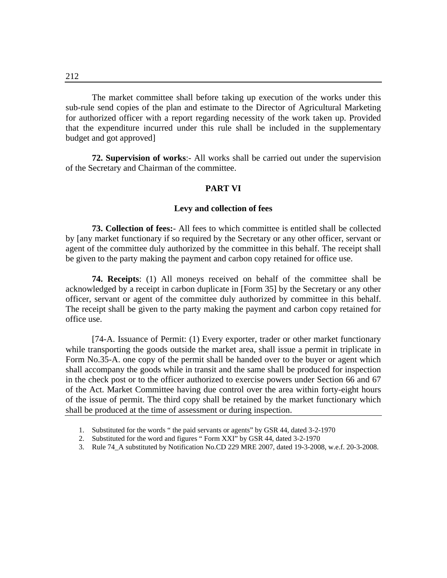The market committee shall before taking up execution of the works under this sub-rule send copies of the plan and estimate to the Director of Agricultural Marketing for authorized officer with a report regarding necessity of the work taken up. Provided that the expenditure incurred under this rule shall be included in the supplementary budget and got approved]

**72. Supervision of works**:- All works shall be carried out under the supervision of the Secretary and Chairman of the committee.

### **PART VI**

#### **Levy and collection of fees**

**73. Collection of fees:**- All fees to which committee is entitled shall be collected by [any market functionary if so required by the Secretary or any other officer, servant or agent of the committee duly authorized by the committee in this behalf. The receipt shall be given to the party making the payment and carbon copy retained for office use.

**74. Receipts**: (1) All moneys received on behalf of the committee shall be acknowledged by a receipt in carbon duplicate in [Form 35] by the Secretary or any other officer, servant or agent of the committee duly authorized by committee in this behalf. The receipt shall be given to the party making the payment and carbon copy retained for office use.

 [74-A. Issuance of Permit: (1) Every exporter, trader or other market functionary while transporting the goods outside the market area, shall issue a permit in triplicate in Form No.35-A. one copy of the permit shall be handed over to the buyer or agent which shall accompany the goods while in transit and the same shall be produced for inspection in the check post or to the officer authorized to exercise powers under Section 66 and 67 of the Act. Market Committee having due control over the area within forty-eight hours of the issue of permit. The third copy shall be retained by the market functionary which shall be produced at the time of assessment or during inspection.

3. Rule 74\_A substituted by Notification No.CD 229 MRE 2007, dated 19-3-2008, w.e.f. 20-3-2008.

<sup>1.</sup> Substituted for the words " the paid servants or agents" by GSR 44, dated 3-2-1970

<sup>2.</sup> Substituted for the word and figures " Form XXI" by GSR 44, dated 3-2-1970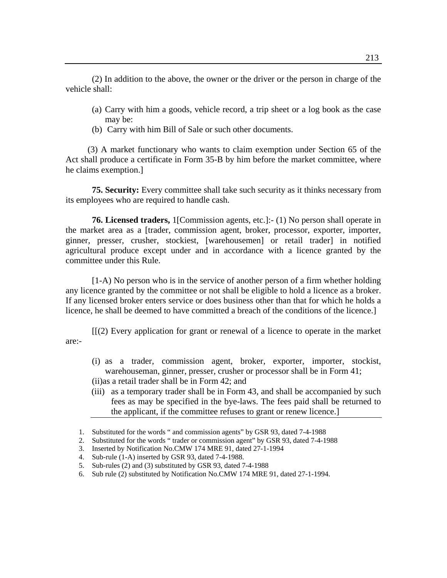(2) In addition to the above, the owner or the driver or the person in charge of the vehicle shall:

- (a) Carry with him a goods, vehicle record, a trip sheet or a log book as the case may be:
- (b) Carry with him Bill of Sale or such other documents.

 (3) A market functionary who wants to claim exemption under Section 65 of the Act shall produce a certificate in Form 35-B by him before the market committee, where he claims exemption.]

**75. Security:** Every committee shall take such security as it thinks necessary from its employees who are required to handle cash.

**76. Licensed traders,** 1[Commission agents, etc.]:- (1) No person shall operate in the market area as a [trader, commission agent, broker, processor, exporter, importer, ginner, presser, crusher, stockiest, [warehousemen] or retail trader] in notified agricultural produce except under and in accordance with a licence granted by the committee under this Rule.

 [1-A) No person who is in the service of another person of a firm whether holding any licence granted by the committee or not shall be eligible to hold a licence as a broker. If any licensed broker enters service or does business other than that for which he holds a licence, he shall be deemed to have committed a breach of the conditions of the licence.]

 [[(2) Every application for grant or renewal of a licence to operate in the market are:-

- (i) as a trader, commission agent, broker, exporter, importer, stockist, warehouseman, ginner, presser, crusher or processor shall be in Form 41;
- (ii)as a retail trader shall be in Form 42; and
- (iii) as a temporary trader shall be in Form 43, and shall be accompanied by such fees as may be specified in the bye-laws. The fees paid shall be returned to the applicant, if the committee refuses to grant or renew licence.]

- 5. Sub-rules (2) and (3) substituted by GSR 93, dated 7-4-1988
- 6. Sub rule (2) substituted by Notification No.CMW 174 MRE 91, dated 27-1-1994.

<sup>1.</sup> Substituted for the words " and commission agents" by GSR 93, dated 7-4-1988

<sup>2.</sup> Substituted for the words " trader or commission agent" by GSR 93, dated 7-4-1988

<sup>3.</sup> Inserted by Notification No.CMW 174 MRE 91, dated 27-1-1994

<sup>4.</sup> Sub-rule (1-A) inserted by GSR 93, dated 7-4-1988.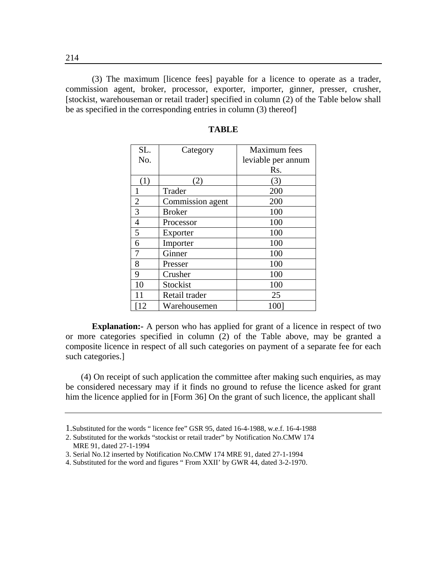(3) The maximum [licence fees] payable for a licence to operate as a trader, commission agent, broker, processor, exporter, importer, ginner, presser, crusher, [stockist, warehouseman or retail trader] specified in column (2) of the Table below shall be as specified in the corresponding entries in column (3) thereof]

| SL.            | Category         | Maximum fees       |
|----------------|------------------|--------------------|
| No.            |                  | leviable per annum |
|                |                  | Rs.                |
| (1)            | (2)              | (3)                |
| 1              | Trader           | 200                |
| $\overline{2}$ | Commission agent | 200                |
| 3              | <b>Broker</b>    | 100                |
| $\overline{4}$ | Processor        | 100                |
| 5              | Exporter         | 100                |
| 6              | Importer         | 100                |
| 7              | Ginner           | 100                |
| 8              | Presser          | 100                |
| 9              | Crusher          | 100                |
| 10             | Stockist         | 100                |
| 11             | Retail trader    | 25                 |
| 12             | Warehousemen     | 1001               |

#### **TABLE**

**Explanation:** A person who has applied for grant of a licence in respect of two or more categories specified in column (2) of the Table above, may be granted a composite licence in respect of all such categories on payment of a separate fee for each such categories.]

 (4) On receipt of such application the committee after making such enquiries, as may be considered necessary may if it finds no ground to refuse the licence asked for grant him the licence applied for in [Form 36] On the grant of such licence, the applicant shall

<sup>1.</sup>Substituted for the words " licence fee" GSR 95, dated 16-4-1988, w.e.f. 16-4-1988

<sup>2.</sup> Substituted for the workds "stockist or retail trader" by Notification No.CMW 174 MRE 91, dated 27-1-1994

<sup>3.</sup> Serial No.12 inserted by Notification No.CMW 174 MRE 91, dated 27-1-1994

<sup>4.</sup> Substituted for the word and figures " From XXII' by GWR 44, dated 3-2-1970.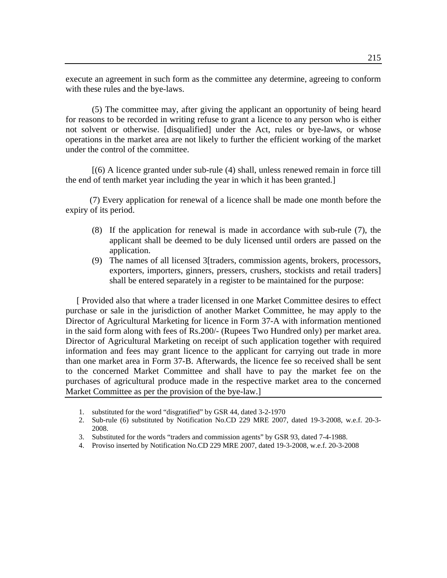execute an agreement in such form as the committee any determine, agreeing to conform with these rules and the bye-laws.

 (5) The committee may, after giving the applicant an opportunity of being heard for reasons to be recorded in writing refuse to grant a licence to any person who is either not solvent or otherwise. [disqualified] under the Act, rules or bye-laws, or whose operations in the market area are not likely to further the efficient working of the market under the control of the committee.

 [(6) A licence granted under sub-rule (4) shall, unless renewed remain in force till the end of tenth market year including the year in which it has been granted.]

 (7) Every application for renewal of a licence shall be made one month before the expiry of its period.

- (8) If the application for renewal is made in accordance with sub-rule (7), the applicant shall be deemed to be duly licensed until orders are passed on the application.
- (9) The names of all licensed 3[traders, commission agents, brokers, processors, exporters, importers, ginners, pressers, crushers, stockists and retail traders] shall be entered separately in a register to be maintained for the purpose:

 [ Provided also that where a trader licensed in one Market Committee desires to effect purchase or sale in the jurisdiction of another Market Committee, he may apply to the Director of Agricultural Marketing for licence in Form 37-A with information mentioned in the said form along with fees of Rs.200/- (Rupees Two Hundred only) per market area. Director of Agricultural Marketing on receipt of such application together with required information and fees may grant licence to the applicant for carrying out trade in more than one market area in Form 37-B. Afterwards, the licence fee so received shall be sent to the concerned Market Committee and shall have to pay the market fee on the purchases of agricultural produce made in the respective market area to the concerned Market Committee as per the provision of the bye-law.]

- 1. substituted for the word "disgratified" by GSR 44, dated 3-2-1970
- 2. Sub-rule (6) substituted by Notification No.CD 229 MRE 2007, dated 19-3-2008, w.e.f. 20-3- 2008.
- 3. Substituted for the words "traders and commission agents" by GSR 93, dated 7-4-1988.
- 4. Proviso inserted by Notification No.CD 229 MRE 2007, dated 19-3-2008, w.e.f. 20-3-2008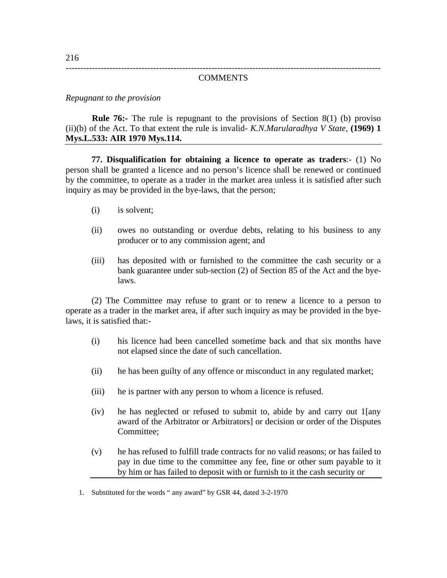## ------------------------------------------------------------------------------------------------------------ **COMMENTS**

*Repugnant to the provision* 

**Rule 76:-** The rule is repugnant to the provisions of Section 8(1) (b) proviso (ii)(b) of the Act. To that extent the rule is invalid- *K.N.Marularadhya V State,* **(1969) 1 Mys.L.533: AIR 1970 Mys.114.**

**77. Disqualification for obtaining a licence to operate as traders**:- (1) No person shall be granted a licence and no person's licence shall be renewed or continued by the committee, to operate as a trader in the market area unless it is satisfied after such inquiry as may be provided in the bye-laws, that the person;

- (i) is solvent;
- (ii) owes no outstanding or overdue debts, relating to his business to any producer or to any commission agent; and
- (iii) has deposited with or furnished to the committee the cash security or a bank guarantee under sub-section (2) of Section 85 of the Act and the byelaws.

 (2) The Committee may refuse to grant or to renew a licence to a person to operate as a trader in the market area, if after such inquiry as may be provided in the byelaws, it is satisfied that:-

- (i) his licence had been cancelled sometime back and that six months have not elapsed since the date of such cancellation.
- (ii) he has been guilty of any offence or misconduct in any regulated market;
- (iii) he is partner with any person to whom a licence is refused.
- (iv) he has neglected or refused to submit to, abide by and carry out 1[any award of the Arbitrator or Arbitrators] or decision or order of the Disputes Committee;
- (v) he has refused to fulfill trade contracts for no valid reasons; or has failed to pay in due time to the committee any fee, fine or other sum payable to it by him or has failed to deposit with or furnish to it the cash security or

<sup>1.</sup> Substituted for the words " any award" by GSR 44, dated 3-2-1970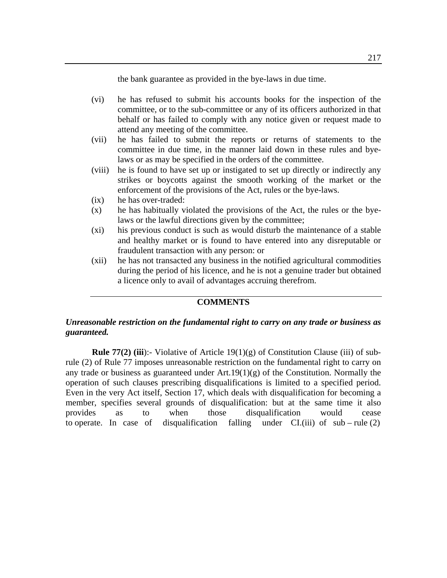the bank guarantee as provided in the bye-laws in due time.

- (vi) he has refused to submit his accounts books for the inspection of the committee, or to the sub-committee or any of its officers authorized in that behalf or has failed to comply with any notice given or request made to attend any meeting of the committee.
- (vii) he has failed to submit the reports or returns of statements to the committee in due time, in the manner laid down in these rules and byelaws or as may be specified in the orders of the committee.
- (viii) he is found to have set up or instigated to set up directly or indirectly any strikes or boycotts against the smooth working of the market or the enforcement of the provisions of the Act, rules or the bye-laws.
- (ix) he has over-traded:
- (x) he has habitually violated the provisions of the Act, the rules or the byelaws or the lawful directions given by the committee;
- (xi) his previous conduct is such as would disturb the maintenance of a stable and healthy market or is found to have entered into any disreputable or fraudulent transaction with any person: or
- (xii) he has not transacted any business in the notified agricultural commodities during the period of his licence, and he is not a genuine trader but obtained a licence only to avail of advantages accruing therefrom.

## **COMMENTS**

## *Unreasonable restriction on the fundamental right to carry on any trade or business as guaranteed.*

**Rule 77(2) (iii):**- Violative of Article  $19(1)(g)$  of Constitution Clause (iii) of subrule (2) of Rule 77 imposes unreasonable restriction on the fundamental right to carry on any trade or business as guaranteed under  $Art.19(1)(g)$  of the Constitution. Normally the operation of such clauses prescribing disqualifications is limited to a specified period. Even in the very Act itself, Section 17, which deals with disqualification for becoming a member, specifies several grounds of disqualification: but at the same time it also provides as to when those disqualification would cease to operate. In case of disqualification falling under  $CI.(iii)$  of sub – rule (2)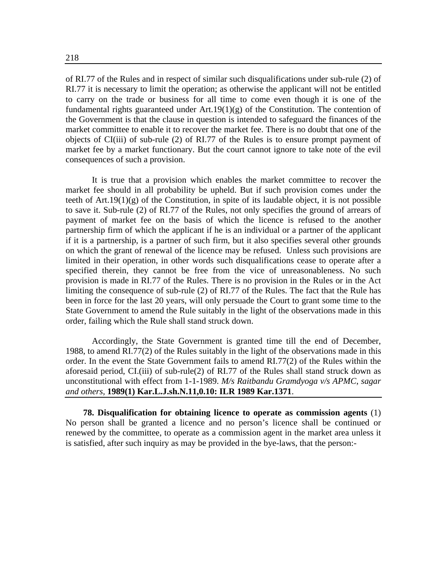of RI.77 of the Rules and in respect of similar such disqualifications under sub-rule (2) of RI.77 it is necessary to limit the operation; as otherwise the applicant will not be entitled to carry on the trade or business for all time to come even though it is one of the fundamental rights guaranteed under  $Art.19(1)(g)$  of the Constitution. The contention of the Government is that the clause in question is intended to safeguard the finances of the market committee to enable it to recover the market fee. There is no doubt that one of the objects of CI(iii) of sub-rule (2) of RI.77 of the Rules is to ensure prompt payment of market fee by a market functionary. But the court cannot ignore to take note of the evil consequences of such a provision.

 It is true that a provision which enables the market committee to recover the market fee should in all probability be upheld. But if such provision comes under the teeth of Art.19(1)(g) of the Constitution, in spite of its laudable object, it is not possible to save it. Sub-rule (2) of RI.77 of the Rules, not only specifies the ground of arrears of payment of market fee on the basis of which the licence is refused to the another partnership firm of which the applicant if he is an individual or a partner of the applicant if it is a partnership, is a partner of such firm, but it also specifies several other grounds on which the grant of renewal of the licence may be refused. Unless such provisions are limited in their operation, in other words such disqualifications cease to operate after a specified therein, they cannot be free from the vice of unreasonableness. No such provision is made in RI.77 of the Rules. There is no provision in the Rules or in the Act limiting the consequence of sub-rule (2) of RI.77 of the Rules. The fact that the Rule has been in force for the last 20 years, will only persuade the Court to grant some time to the State Government to amend the Rule suitably in the light of the observations made in this order, failing which the Rule shall stand struck down.

 Accordingly, the State Government is granted time till the end of December, 1988, to amend RI.77(2) of the Rules suitably in the light of the observations made in this order. In the event the State Government fails to amend RI.77(2) of the Rules within the aforesaid period, CI.(iii) of sub-rule(2) of RI.77 of the Rules shall stand struck down as unconstitutional with effect from 1-1-1989. *M/s Raitbandu Gramdyoga v/s APMC*, *sagar and others,* **1989(1) Kar.L.J.sh.N.11,0.10: ILR 1989 Kar.1371**.

 **78. Disqualification for obtaining licence to operate as commission agents** (1) No person shall be granted a licence and no person's licence shall be continued or renewed by the committee, to operate as a commission agent in the market area unless it is satisfied, after such inquiry as may be provided in the bye-laws, that the person:-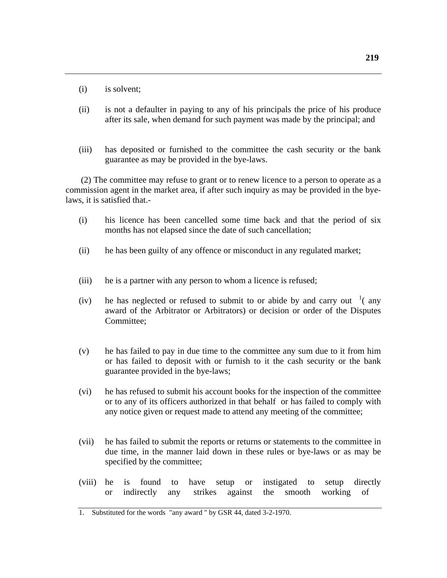(i) is solvent;

- (ii) is not a defaulter in paying to any of his principals the price of his produce after its sale, when demand for such payment was made by the principal; and
- (iii) has deposited or furnished to the committee the cash security or the bank guarantee as may be provided in the bye-laws.

 (2) The committee may refuse to grant or to renew licence to a person to operate as a commission agent in the market area, if after such inquiry as may be provided in the byelaws, it is satisfied that.-

- (i) his licence has been cancelled some time back and that the period of six months has not elapsed since the date of such cancellation;
- (ii) he has been guilty of any offence or misconduct in any regulated market;
- (iii) he is a partner with any person to whom a licence is refused;
- (iv) he has neglected or refused to submit to or abide by and carry out  $\frac{1}{1}$  (any award of the Arbitrator or Arbitrators) or decision or order of the Disputes Committee;
- (v) he has failed to pay in due time to the committee any sum due to it from him or has failed to deposit with or furnish to it the cash security or the bank guarantee provided in the bye-laws;
- (vi) he has refused to submit his account books for the inspection of the committee or to any of its officers authorized in that behalf or has failed to comply with any notice given or request made to attend any meeting of the committee;
- (vii) he has failed to submit the reports or returns or statements to the committee in due time, in the manner laid down in these rules or bye-laws or as may be specified by the committee;
- (viii) he is found to have setup or instigated to setup directly or indirectly any strikes against the smooth working of

<sup>1.</sup> Substituted for the words "any award " by GSR 44, dated 3-2-1970.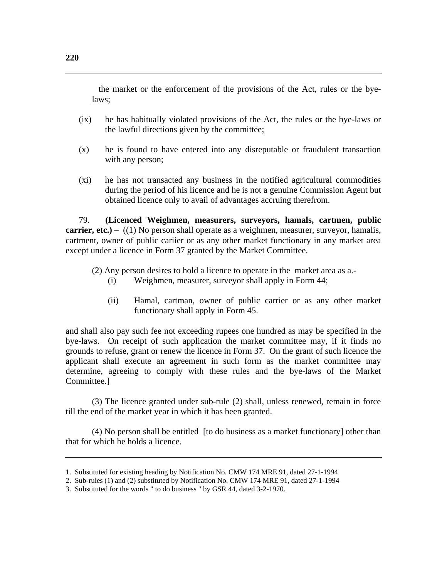the market or the enforcement of the provisions of the Act, rules or the byelaws;

- (ix) he has habitually violated provisions of the Act, the rules or the bye-laws or the lawful directions given by the committee;
- (x) he is found to have entered into any disreputable or fraudulent transaction with any person;
- (xi) he has not transacted any business in the notified agricultural commodities during the period of his licence and he is not a genuine Commission Agent but obtained licence only to avail of advantages accruing therefrom.

79. **(Licenced Weighmen, measurers, surveyors, hamals, cartmen, public carrier, etc.)** – ((1) No person shall operate as a weighmen, measurer, surveyor, hamalis, cartment, owner of public cariier or as any other market functionary in any market area except under a licence in Form 37 granted by the Market Committee.

- (2) Any person desires to hold a licence to operate in the market area as a.-
	- (i) Weighmen, measurer, surveyor shall apply in Form 44;
	- (ii) Hamal, cartman, owner of public carrier or as any other market functionary shall apply in Form 45.

and shall also pay such fee not exceeding rupees one hundred as may be specified in the bye-laws. On receipt of such application the market committee may, if it finds no grounds to refuse, grant or renew the licence in Form 37. On the grant of such licence the applicant shall execute an agreement in such form as the market committee may determine, agreeing to comply with these rules and the bye-laws of the Market Committee.]

(3) The licence granted under sub-rule (2) shall, unless renewed, remain in force till the end of the market year in which it has been granted.

(4) No person shall be entitled [to do business as a market functionary] other than that for which he holds a licence.

<sup>1.</sup> Substituted for existing heading by Notification No. CMW 174 MRE 91, dated 27-1-1994

<sup>2.</sup> Sub-rules (1) and (2) substituted by Notification No. CMW 174 MRE 91, dated 27-1-1994

<sup>3.</sup> Substituted for the words " to do business " by GSR 44, dated 3-2-1970.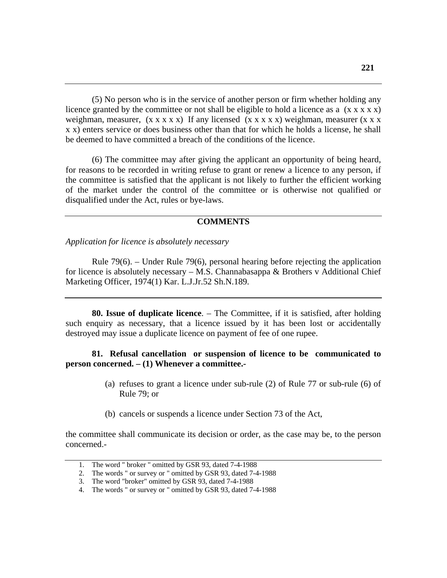(5) No person who is in the service of another person or firm whether holding any licence granted by the committee or not shall be eligible to hold a licence as a  $(x \times x \times x)$ weighman, measurer,  $(x \times x \times x)$  If any licensed  $(x \times x \times x)$  weighman, measurer  $(x \times x \times x)$ x x) enters service or does business other than that for which he holds a license, he shall be deemed to have committed a breach of the conditions of the licence.

(6) The committee may after giving the applicant an opportunity of being heard, for reasons to be recorded in writing refuse to grant or renew a licence to any person, if the committee is satisfied that the applicant is not likely to further the efficient working of the market under the control of the committee or is otherwise not qualified or disqualified under the Act, rules or bye-laws.

### **COMMENTS**

*Application for licence is absolutely necessary* 

Rule 79(6). – Under Rule 79(6), personal hearing before rejecting the application for licence is absolutely necessary  $-$  M.S. Channabasappa & Brothers v Additional Chief Marketing Officer, 1974(1) Kar. L.J.Jr.52 Sh.N.189.

**80. Issue of duplicate licence**. – The Committee, if it is satisfied, after holding such enquiry as necessary, that a licence issued by it has been lost or accidentally destroyed may issue a duplicate licence on payment of fee of one rupee.

## **81. Refusal cancellation or suspension of licence to be communicated to person concerned. – (1) Whenever a committee.-**

- (a) refuses to grant a licence under sub-rule (2) of Rule 77 or sub-rule (6) of Rule 79; or
- (b) cancels or suspends a licence under Section 73 of the Act,

the committee shall communicate its decision or order, as the case may be, to the person concerned.-

<sup>1.</sup> The word " broker " omitted by GSR 93, dated 7-4-1988

<sup>2.</sup> The words " or survey or " omitted by GSR 93, dated 7-4-1988

<sup>3.</sup> The word "broker" omitted by GSR 93, dated 7-4-1988

<sup>4.</sup> The words " or survey or " omitted by GSR 93, dated 7-4-1988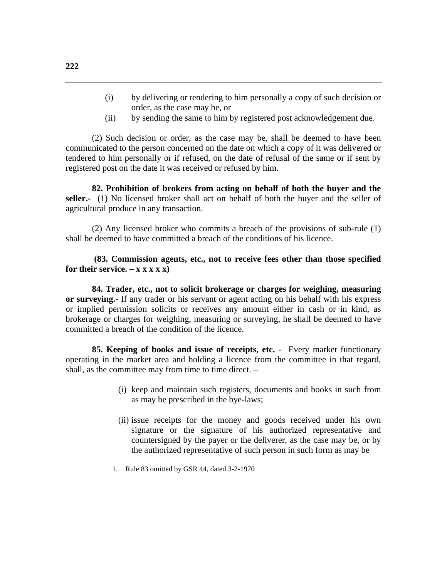- (i) by delivering or tendering to him personally a copy of such decision or order, as the case may be, or
- (ii) by sending the same to him by registered post acknowledgement due.

(2) Such decision or order, as the case may be, shall be deemed to have been communicated to the person concerned on the date on which a copy of it was delivered or tendered to him personally or if refused, on the date of refusal of the same or if sent by registered post on the date it was received or refused by him.

**82. Prohibition of brokers from acting on behalf of both the buyer and the seller.-** (1) No licensed broker shall act on behalf of both the buyer and the seller of agricultural produce in any transaction.

(2) Any licensed broker who commits a breach of the provisions of sub-rule (1) shall be deemed to have committed a breach of the conditions of his licence.

 **(83. Commission agents, etc., not to receive fees other than those specified**  for their service.  $- x x x x x$ )

**84. Trader, etc., not to solicit brokerage or charges for weighing, measuring or surveying.-** If any trader or his servant or agent acting on his behalf with his express or implied permission solicits or receives any amount either in cash or in kind, as brokerage or charges for weighing, measuring or surveying, he shall be deemed to have committed a breach of the condition of the licence.

**85. Keeping of books and issue of receipts, etc.** - Every market functionary operating in the market area and holding a licence from the committee in that regard, shall, as the committee may from time to time direct. –

- (i) keep and maintain such registers, documents and books in such from as may be prescribed in the bye-laws;
- (ii) issue receipts for the money and goods received under his own signature or the signature of his authorized representative and countersigned by the payer or the deliverer, as the case may be, or by the authorized representative of such person in such form as may be

1. Rule 83 omitted by GSR 44, dated 3-2-1970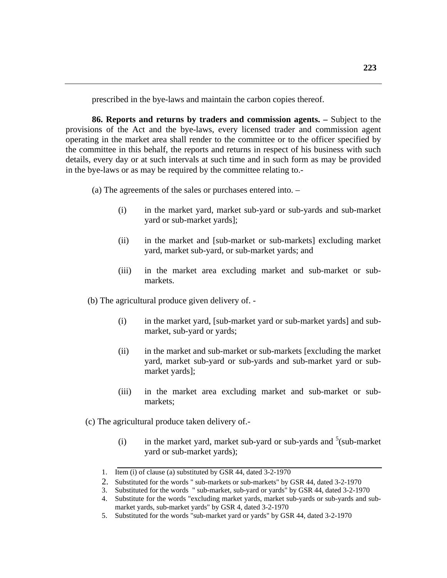prescribed in the bye-laws and maintain the carbon copies thereof.

**86. Reports and returns by traders and commission agents. –** Subject to the provisions of the Act and the bye-laws, every licensed trader and commission agent operating in the market area shall render to the committee or to the officer specified by the committee in this behalf, the reports and returns in respect of his business with such details, every day or at such intervals at such time and in such form as may be provided in the bye-laws or as may be required by the committee relating to.-

(a) The agreements of the sales or purchases entered into. –

- (i) in the market yard, market sub-yard or sub-yards and sub-market yard or sub-market yards];
- (ii) in the market and [sub-market or sub-markets] excluding market yard, market sub-yard, or sub-market yards; and
- (iii) in the market area excluding market and sub-market or submarkets.

(b) The agricultural produce given delivery of. -

- (i) in the market yard, [sub-market yard or sub-market yards] and submarket, sub-yard or yards;
- (ii) in the market and sub-market or sub-markets [excluding the market yard, market sub-yard or sub-yards and sub-market yard or submarket yards];
- (iii) in the market area excluding market and sub-market or submarkets;

(c) The agricultural produce taken delivery of.-

(i) in the market yard, market sub-yard or sub-yards and  $5$ (sub-market) yard or sub-market yards);

<sup>1.</sup> Item (i) of clause (a) substituted by GSR 44, dated 3-2-1970

<sup>2.</sup> Substituted for the words " sub-markets or sub-markets" by GSR 44, dated 3-2-1970

<sup>3.</sup> Substituted for the words " sub-market, sub-yard or yards" by GSR 44, dated 3-2-1970

<sup>4.</sup> Substitute for the words "excluding market yards, market sub-yards or sub-yards and submarket yards, sub-market yards" by GSR 4, dated 3-2-1970

<sup>5.</sup> Substituted for the words "sub-market yard or yards" by GSR 44, dated 3-2-1970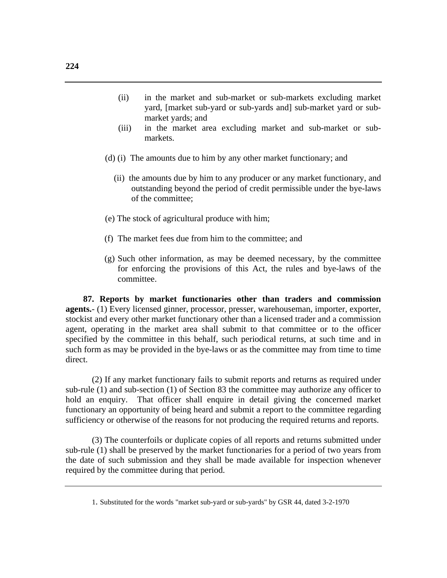- (ii) in the market and sub-market or sub-markets excluding market yard, [market sub-yard or sub-yards and] sub-market yard or submarket yards; and
- (iii) in the market area excluding market and sub-market or submarkets.
- (d) (i) The amounts due to him by any other market functionary; and
	- (ii) the amounts due by him to any producer or any market functionary, and outstanding beyond the period of credit permissible under the bye-laws of the committee;
- (e) The stock of agricultural produce with him;
- (f) The market fees due from him to the committee; and
- (g) Such other information, as may be deemed necessary, by the committee for enforcing the provisions of this Act, the rules and bye-laws of the committee.

 **87. Reports by market functionaries other than traders and commission agents.**- (1) Every licensed ginner, processor, presser, warehouseman, importer, exporter, stockist and every other market functionary other than a licensed trader and a commission agent, operating in the market area shall submit to that committee or to the officer specified by the committee in this behalf, such periodical returns, at such time and in such form as may be provided in the bye-laws or as the committee may from time to time direct.

(2) If any market functionary fails to submit reports and returns as required under sub-rule (1) and sub-section (1) of Section 83 the committee may authorize any officer to hold an enquiry. That officer shall enquire in detail giving the concerned market functionary an opportunity of being heard and submit a report to the committee regarding sufficiency or otherwise of the reasons for not producing the required returns and reports.

(3) The counterfoils or duplicate copies of all reports and returns submitted under sub-rule (1) shall be preserved by the market functionaries for a period of two years from the date of such submission and they shall be made available for inspection whenever required by the committee during that period.

<sup>1.</sup> Substituted for the words "market sub-yard or sub-yards" by GSR 44, dated 3-2-1970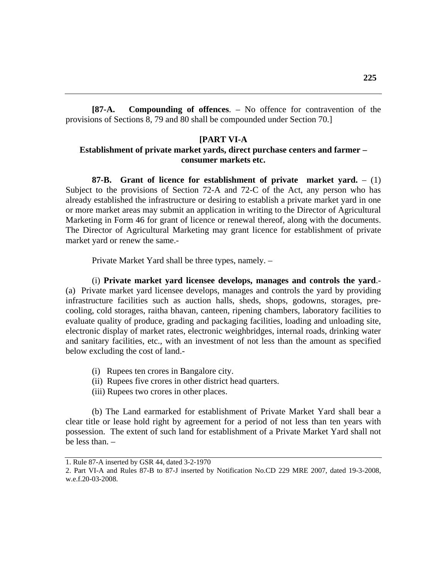**[87-A. Compounding of offences**. – No offence for contravention of the provisions of Sections 8, 79 and 80 shall be compounded under Section 70.]

### **[PART VI-A**

## **Establishment of private market yards, direct purchase centers and farmer – consumer markets etc.**

**87-B. Grant of licence for establishment of private market yard.** – (1) Subject to the provisions of Section 72-A and 72-C of the Act, any person who has already established the infrastructure or desiring to establish a private market yard in one or more market areas may submit an application in writing to the Director of Agricultural Marketing in Form 46 for grant of licence or renewal thereof, along with the documents. The Director of Agricultural Marketing may grant licence for establishment of private market yard or renew the same.-

Private Market Yard shall be three types, namely. –

(i) **Private market yard licensee develops, manages and controls the yard**.- (a) Private market yard licensee develops, manages and controls the yard by providing infrastructure facilities such as auction halls, sheds, shops, godowns, storages, precooling, cold storages, raitha bhavan, canteen, ripening chambers, laboratory facilities to evaluate quality of produce, grading and packaging facilities, loading and unloading site, electronic display of market rates, electronic weighbridges, internal roads, drinking water and sanitary facilities, etc., with an investment of not less than the amount as specified below excluding the cost of land.-

- (i) Rupees ten crores in Bangalore city.
- (ii) Rupees five crores in other district head quarters.
- (iii) Rupees two crores in other places.

(b) The Land earmarked for establishment of Private Market Yard shall bear a clear title or lease hold right by agreement for a period of not less than ten years with possession. The extent of such land for establishment of a Private Market Yard shall not be less than. –

<sup>1.</sup> Rule 87-A inserted by GSR 44, dated 3-2-1970

<sup>2.</sup> Part VI-A and Rules 87-B to 87-J inserted by Notification No.CD 229 MRE 2007, dated 19-3-2008, w.e.f.20-03-2008.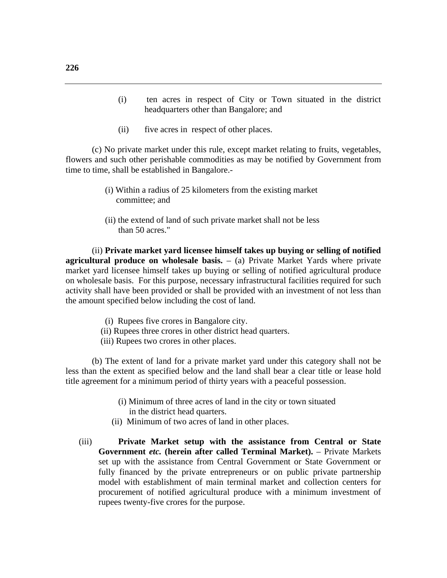- (i) ten acres in respect of City or Town situated in the district headquarters other than Bangalore; and
- (ii) five acres in respect of other places.

(c) No private market under this rule, except market relating to fruits, vegetables, flowers and such other perishable commodities as may be notified by Government from time to time, shall be established in Bangalore.-

- (i) Within a radius of 25 kilometers from the existing market committee; and
- (ii) the extend of land of such private market shall not be less than 50 acres."

(ii) **Private market yard licensee himself takes up buying or selling of notified agricultural produce on wholesale basis.** – (a) Private Market Yards where private market yard licensee himself takes up buying or selling of notified agricultural produce on wholesale basis. For this purpose, necessary infrastructural facilities required for such activity shall have been provided or shall be provided with an investment of not less than the amount specified below including the cost of land.

- (i) Rupees five crores in Bangalore city.
- (ii) Rupees three crores in other district head quarters.
- (iii) Rupees two crores in other places.

(b) The extent of land for a private market yard under this category shall not be less than the extent as specified below and the land shall bear a clear title or lease hold title agreement for a minimum period of thirty years with a peaceful possession.

- (i) Minimum of three acres of land in the city or town situated in the district head quarters.
- (ii) Minimum of two acres of land in other places.
- (iii) **Private Market setup with the assistance from Central or State Government** *etc.* **(herein after called Terminal Market).** – Private Markets set up with the assistance from Central Government or State Government or fully financed by the private entrepreneurs or on public private partnership model with establishment of main terminal market and collection centers for procurement of notified agricultural produce with a minimum investment of rupees twenty-five crores for the purpose.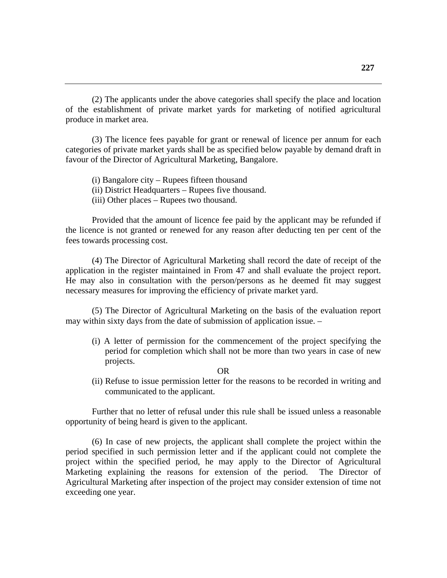(2) The applicants under the above categories shall specify the place and location of the establishment of private market yards for marketing of notified agricultural produce in market area.

(3) The licence fees payable for grant or renewal of licence per annum for each categories of private market yards shall be as specified below payable by demand draft in favour of the Director of Agricultural Marketing, Bangalore.

(i) Bangalore city – Rupees fifteen thousand

(ii) District Headquarters – Rupees five thousand.

(iii) Other places – Rupees two thousand.

Provided that the amount of licence fee paid by the applicant may be refunded if the licence is not granted or renewed for any reason after deducting ten per cent of the fees towards processing cost.

(4) The Director of Agricultural Marketing shall record the date of receipt of the application in the register maintained in From 47 and shall evaluate the project report. He may also in consultation with the person/persons as he deemed fit may suggest necessary measures for improving the efficiency of private market yard.

(5) The Director of Agricultural Marketing on the basis of the evaluation report may within sixty days from the date of submission of application issue. –

(i) A letter of permission for the commencement of the project specifying the period for completion which shall not be more than two years in case of new projects.

#### OR

 (ii) Refuse to issue permission letter for the reasons to be recorded in writing and communicated to the applicant.

Further that no letter of refusal under this rule shall be issued unless a reasonable opportunity of being heard is given to the applicant.

(6) In case of new projects, the applicant shall complete the project within the period specified in such permission letter and if the applicant could not complete the project within the specified period, he may apply to the Director of Agricultural Marketing explaining the reasons for extension of the period. The Director of Agricultural Marketing after inspection of the project may consider extension of time not exceeding one year.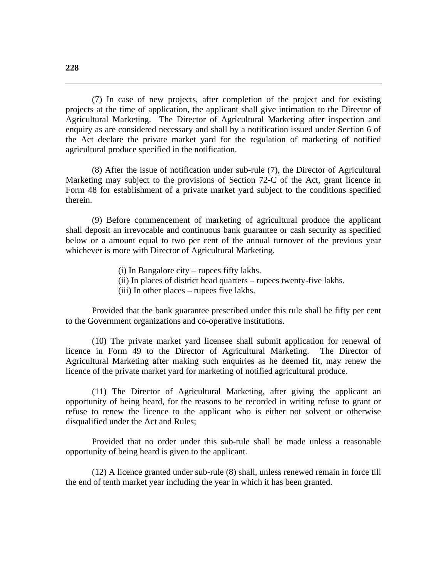(7) In case of new projects, after completion of the project and for existing projects at the time of application, the applicant shall give intimation to the Director of Agricultural Marketing. The Director of Agricultural Marketing after inspection and enquiry as are considered necessary and shall by a notification issued under Section 6 of the Act declare the private market yard for the regulation of marketing of notified agricultural produce specified in the notification.

(8) After the issue of notification under sub-rule (7), the Director of Agricultural Marketing may subject to the provisions of Section 72-C of the Act, grant licence in Form 48 for establishment of a private market yard subject to the conditions specified therein.

(9) Before commencement of marketing of agricultural produce the applicant shall deposit an irrevocable and continuous bank guarantee or cash security as specified below or a amount equal to two per cent of the annual turnover of the previous year whichever is more with Director of Agricultural Marketing.

(i) In Bangalore city – rupees fifty lakhs.

- (ii) In places of district head quarters rupees twenty-five lakhs.
- (iii) In other places rupees five lakhs.

Provided that the bank guarantee prescribed under this rule shall be fifty per cent to the Government organizations and co-operative institutions.

(10) The private market yard licensee shall submit application for renewal of licence in Form 49 to the Director of Agricultural Marketing. The Director of Agricultural Marketing after making such enquiries as he deemed fit, may renew the licence of the private market yard for marketing of notified agricultural produce.

(11) The Director of Agricultural Marketing, after giving the applicant an opportunity of being heard, for the reasons to be recorded in writing refuse to grant or refuse to renew the licence to the applicant who is either not solvent or otherwise disqualified under the Act and Rules;

Provided that no order under this sub-rule shall be made unless a reasonable opportunity of being heard is given to the applicant.

(12) A licence granted under sub-rule (8) shall, unless renewed remain in force till the end of tenth market year including the year in which it has been granted.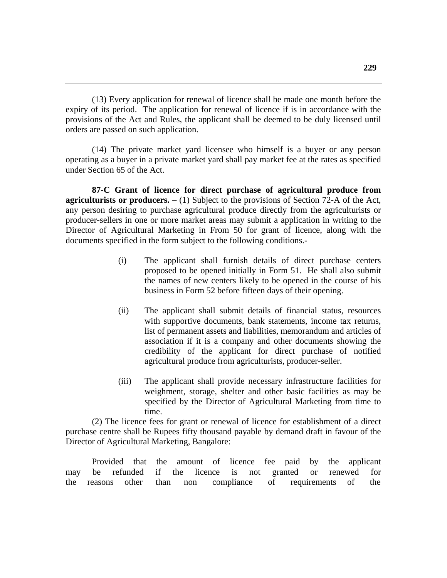(13) Every application for renewal of licence shall be made one month before the expiry of its period. The application for renewal of licence if is in accordance with the provisions of the Act and Rules, the applicant shall be deemed to be duly licensed until orders are passed on such application.

(14) The private market yard licensee who himself is a buyer or any person operating as a buyer in a private market yard shall pay market fee at the rates as specified under Section 65 of the Act.

**87-C Grant of licence for direct purchase of agricultural produce from agriculturists or producers.** – (1) Subject to the provisions of Section 72-A of the Act, any person desiring to purchase agricultural produce directly from the agriculturists or producer-sellers in one or more market areas may submit a application in writing to the Director of Agricultural Marketing in From 50 for grant of licence, along with the documents specified in the form subject to the following conditions.-

- (i) The applicant shall furnish details of direct purchase centers proposed to be opened initially in Form 51. He shall also submit the names of new centers likely to be opened in the course of his business in Form 52 before fifteen days of their opening.
- (ii) The applicant shall submit details of financial status, resources with supportive documents, bank statements, income tax returns, list of permanent assets and liabilities, memorandum and articles of association if it is a company and other documents showing the credibility of the applicant for direct purchase of notified agricultural produce from agriculturists, producer-seller.
- (iii) The applicant shall provide necessary infrastructure facilities for weighment, storage, shelter and other basic facilities as may be specified by the Director of Agricultural Marketing from time to time.

(2) The licence fees for grant or renewal of licence for establishment of a direct purchase centre shall be Rupees fifty thousand payable by demand draft in favour of the Director of Agricultural Marketing, Bangalore:

 Provided that the amount of licence fee paid by the applicant may be refunded if the licence is not granted or renewed for the reasons other than non compliance of requirements of the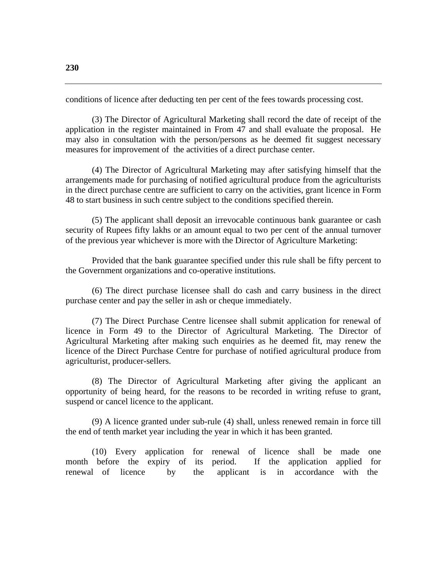conditions of licence after deducting ten per cent of the fees towards processing cost.

(3) The Director of Agricultural Marketing shall record the date of receipt of the application in the register maintained in From 47 and shall evaluate the proposal. He may also in consultation with the person/persons as he deemed fit suggest necessary measures for improvement of the activities of a direct purchase center.

(4) The Director of Agricultural Marketing may after satisfying himself that the arrangements made for purchasing of notified agricultural produce from the agriculturists in the direct purchase centre are sufficient to carry on the activities, grant licence in Form 48 to start business in such centre subject to the conditions specified therein.

(5) The applicant shall deposit an irrevocable continuous bank guarantee or cash security of Rupees fifty lakhs or an amount equal to two per cent of the annual turnover of the previous year whichever is more with the Director of Agriculture Marketing:

Provided that the bank guarantee specified under this rule shall be fifty percent to the Government organizations and co-operative institutions.

(6) The direct purchase licensee shall do cash and carry business in the direct purchase center and pay the seller in ash or cheque immediately.

(7) The Direct Purchase Centre licensee shall submit application for renewal of licence in Form 49 to the Director of Agricultural Marketing. The Director of Agricultural Marketing after making such enquiries as he deemed fit, may renew the licence of the Direct Purchase Centre for purchase of notified agricultural produce from agriculturist, producer-sellers.

(8) The Director of Agricultural Marketing after giving the applicant an opportunity of being heard, for the reasons to be recorded in writing refuse to grant, suspend or cancel licence to the applicant.

(9) A licence granted under sub-rule (4) shall, unless renewed remain in force till the end of tenth market year including the year in which it has been granted.

(10) Every application for renewal of licence shall be made one month before the expiry of its period. If the application applied for renewal of licence by the applicant is in accordance with the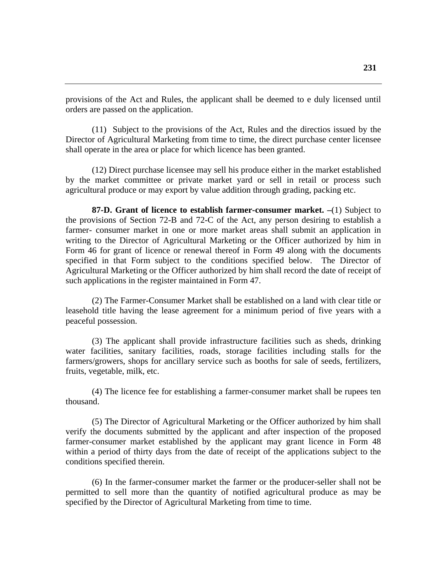provisions of the Act and Rules, the applicant shall be deemed to e duly licensed until orders are passed on the application.

(11) Subject to the provisions of the Act, Rules and the directios issued by the Director of Agricultural Marketing from time to time, the direct purchase center licensee shall operate in the area or place for which licence has been granted.

(12) Direct purchase licensee may sell his produce either in the market established by the market committee or private market yard or sell in retail or process such agricultural produce or may export by value addition through grading, packing etc.

**87-D. Grant of licence to establish farmer-consumer market. –**(1) Subject to the provisions of Section 72-B and 72-C of the Act, any person desiring to establish a farmer- consumer market in one or more market areas shall submit an application in writing to the Director of Agricultural Marketing or the Officer authorized by him in Form 46 for grant of licence or renewal thereof in Form 49 along with the documents specified in that Form subject to the conditions specified below. The Director of Agricultural Marketing or the Officer authorized by him shall record the date of receipt of such applications in the register maintained in Form 47.

(2) The Farmer-Consumer Market shall be established on a land with clear title or leasehold title having the lease agreement for a minimum period of five years with a peaceful possession.

(3) The applicant shall provide infrastructure facilities such as sheds, drinking water facilities, sanitary facilities, roads, storage facilities including stalls for the farmers/growers, shops for ancillary service such as booths for sale of seeds, fertilizers, fruits, vegetable, milk, etc.

(4) The licence fee for establishing a farmer-consumer market shall be rupees ten thousand.

(5) The Director of Agricultural Marketing or the Officer authorized by him shall verify the documents submitted by the applicant and after inspection of the proposed farmer-consumer market established by the applicant may grant licence in Form 48 within a period of thirty days from the date of receipt of the applications subject to the conditions specified therein.

(6) In the farmer-consumer market the farmer or the producer-seller shall not be permitted to sell more than the quantity of notified agricultural produce as may be specified by the Director of Agricultural Marketing from time to time.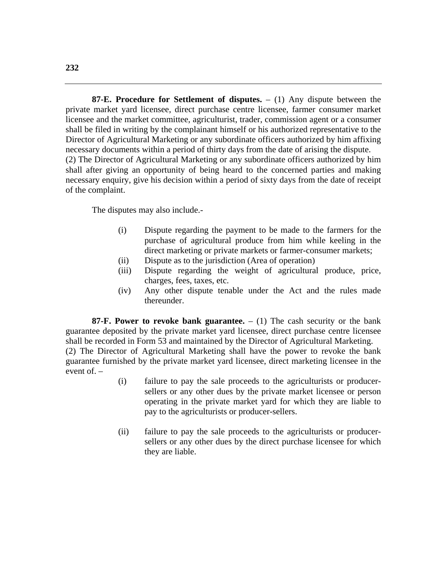**87-E. Procedure for Settlement of disputes.** – (1) Any dispute between the private market yard licensee, direct purchase centre licensee, farmer consumer market licensee and the market committee, agriculturist, trader, commission agent or a consumer shall be filed in writing by the complainant himself or his authorized representative to the Director of Agricultural Marketing or any subordinate officers authorized by him affixing necessary documents within a period of thirty days from the date of arising the dispute. (2) The Director of Agricultural Marketing or any subordinate officers authorized by him shall after giving an opportunity of being heard to the concerned parties and making necessary enquiry, give his decision within a period of sixty days from the date of receipt of the complaint.

The disputes may also include.-

- (i) Dispute regarding the payment to be made to the farmers for the purchase of agricultural produce from him while keeling in the direct marketing or private markets or farmer-consumer markets;
- (ii) Dispute as to the jurisdiction (Area of operation)
- (iii) Dispute regarding the weight of agricultural produce, price, charges, fees, taxes, etc.
- (iv) Any other dispute tenable under the Act and the rules made thereunder.

**87-F. Power to revoke bank guarantee.**  $- (1)$  The cash security or the bank guarantee deposited by the private market yard licensee, direct purchase centre licensee shall be recorded in Form 53 and maintained by the Director of Agricultural Marketing. (2) The Director of Agricultural Marketing shall have the power to revoke the bank guarantee furnished by the private market yard licensee, direct marketing licensee in the event of. –

- (i) failure to pay the sale proceeds to the agriculturists or producersellers or any other dues by the private market licensee or person operating in the private market yard for which they are liable to pay to the agriculturists or producer-sellers.
- (ii) failure to pay the sale proceeds to the agriculturists or producersellers or any other dues by the direct purchase licensee for which they are liable.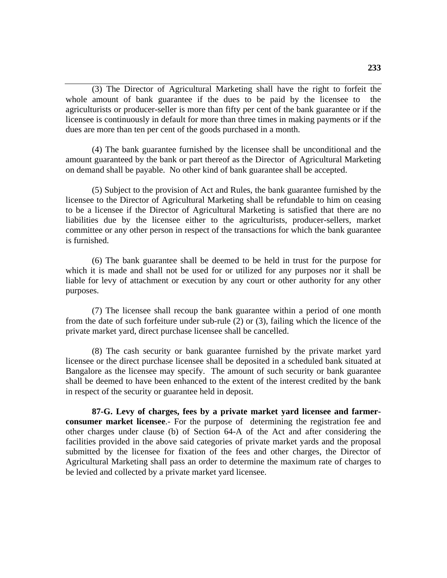(3) The Director of Agricultural Marketing shall have the right to forfeit the whole amount of bank guarantee if the dues to be paid by the licensee to the agriculturists or producer-seller is more than fifty per cent of the bank guarantee or if the licensee is continuously in default for more than three times in making payments or if the dues are more than ten per cent of the goods purchased in a month.

(4) The bank guarantee furnished by the licensee shall be unconditional and the amount guaranteed by the bank or part thereof as the Director of Agricultural Marketing on demand shall be payable. No other kind of bank guarantee shall be accepted.

(5) Subject to the provision of Act and Rules, the bank guarantee furnished by the licensee to the Director of Agricultural Marketing shall be refundable to him on ceasing to be a licensee if the Director of Agricultural Marketing is satisfied that there are no liabilities due by the licensee either to the agriculturists, producer-sellers, market committee or any other person in respect of the transactions for which the bank guarantee is furnished.

(6) The bank guarantee shall be deemed to be held in trust for the purpose for which it is made and shall not be used for or utilized for any purposes nor it shall be liable for levy of attachment or execution by any court or other authority for any other purposes.

(7) The licensee shall recoup the bank guarantee within a period of one month from the date of such forfeiture under sub-rule (2) or (3), failing which the licence of the private market yard, direct purchase licensee shall be cancelled.

(8) The cash security or bank guarantee furnished by the private market yard licensee or the direct purchase licensee shall be deposited in a scheduled bank situated at Bangalore as the licensee may specify. The amount of such security or bank guarantee shall be deemed to have been enhanced to the extent of the interest credited by the bank in respect of the security or guarantee held in deposit.

**87-G. Levy of charges, fees by a private market yard licensee and farmerconsumer market licensee**.- For the purpose of determining the registration fee and other charges under clause (b) of Section 64-A of the Act and after considering the facilities provided in the above said categories of private market yards and the proposal submitted by the licensee for fixation of the fees and other charges, the Director of Agricultural Marketing shall pass an order to determine the maximum rate of charges to be levied and collected by a private market yard licensee.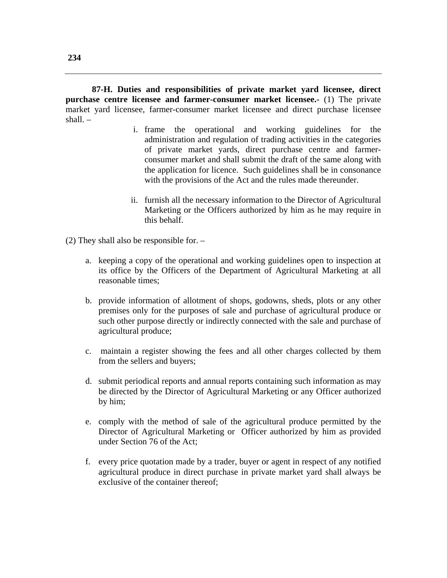**87-H. Duties and responsibilities of private market yard licensee, direct purchase centre licensee and farmer-consumer market licensee.-** (1) The private market yard licensee, farmer-consumer market licensee and direct purchase licensee shall. –

- i. frame the operational and working guidelines for the administration and regulation of trading activities in the categories of private market yards, direct purchase centre and farmerconsumer market and shall submit the draft of the same along with the application for licence. Such guidelines shall be in consonance with the provisions of the Act and the rules made thereunder.
- ii. furnish all the necessary information to the Director of Agricultural Marketing or the Officers authorized by him as he may require in this behalf.

(2) They shall also be responsible for. –

- a. keeping a copy of the operational and working guidelines open to inspection at its office by the Officers of the Department of Agricultural Marketing at all reasonable times;
- b. provide information of allotment of shops, godowns, sheds, plots or any other premises only for the purposes of sale and purchase of agricultural produce or such other purpose directly or indirectly connected with the sale and purchase of agricultural produce;
- c. maintain a register showing the fees and all other charges collected by them from the sellers and buyers;
- d. submit periodical reports and annual reports containing such information as may be directed by the Director of Agricultural Marketing or any Officer authorized by him;
- e. comply with the method of sale of the agricultural produce permitted by the Director of Agricultural Marketing or Officer authorized by him as provided under Section 76 of the Act;
- f. every price quotation made by a trader, buyer or agent in respect of any notified agricultural produce in direct purchase in private market yard shall always be exclusive of the container thereof;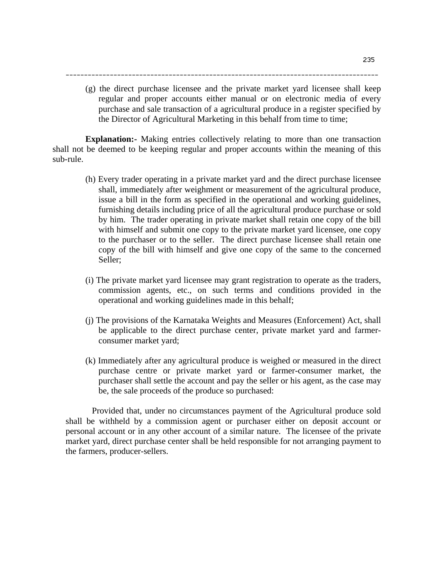(g) the direct purchase licensee and the private market yard licensee shall keep regular and proper accounts either manual or on electronic media of every purchase and sale transaction of a agricultural produce in a register specified by the Director of Agricultural Marketing in this behalf from time to time;

-------------------------------------------------------------------------------------

**Explanation:-** Making entries collectively relating to more than one transaction shall not be deemed to be keeping regular and proper accounts within the meaning of this sub-rule.

- (h) Every trader operating in a private market yard and the direct purchase licensee shall, immediately after weighment or measurement of the agricultural produce, issue a bill in the form as specified in the operational and working guidelines, furnishing details including price of all the agricultural produce purchase or sold by him. The trader operating in private market shall retain one copy of the bill with himself and submit one copy to the private market yard licensee, one copy to the purchaser or to the seller. The direct purchase licensee shall retain one copy of the bill with himself and give one copy of the same to the concerned Seller;
- (i) The private market yard licensee may grant registration to operate as the traders, commission agents, etc., on such terms and conditions provided in the operational and working guidelines made in this behalf;
- (j) The provisions of the Karnataka Weights and Measures (Enforcement) Act, shall be applicable to the direct purchase center, private market yard and farmerconsumer market yard;
- (k) Immediately after any agricultural produce is weighed or measured in the direct purchase centre or private market yard or farmer-consumer market, the purchaser shall settle the account and pay the seller or his agent, as the case may be, the sale proceeds of the produce so purchased:

 Provided that, under no circumstances payment of the Agricultural produce sold shall be withheld by a commission agent or purchaser either on deposit account or personal account or in any other account of a similar nature. The licensee of the private market yard, direct purchase center shall be held responsible for not arranging payment to the farmers, producer-sellers.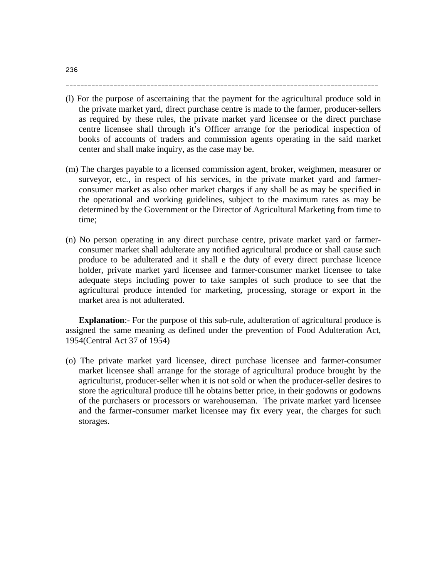(l) For the purpose of ascertaining that the payment for the agricultural produce sold in the private market yard, direct purchase centre is made to the farmer, producer-sellers as required by these rules, the private market yard licensee or the direct purchase centre licensee shall through it's Officer arrange for the periodical inspection of books of accounts of traders and commission agents operating in the said market center and shall make inquiry, as the case may be.

-------------------------------------------------------------------------------------

- (m) The charges payable to a licensed commission agent, broker, weighmen, measurer or surveyor, etc., in respect of his services, in the private market yard and farmerconsumer market as also other market charges if any shall be as may be specified in the operational and working guidelines, subject to the maximum rates as may be determined by the Government or the Director of Agricultural Marketing from time to time;
- (n) No person operating in any direct purchase centre, private market yard or farmerconsumer market shall adulterate any notified agricultural produce or shall cause such produce to be adulterated and it shall e the duty of every direct purchase licence holder, private market yard licensee and farmer-consumer market licensee to take adequate steps including power to take samples of such produce to see that the agricultural produce intended for marketing, processing, storage or export in the market area is not adulterated.

**Explanation**:- For the purpose of this sub-rule, adulteration of agricultural produce is assigned the same meaning as defined under the prevention of Food Adulteration Act, 1954(Central Act 37 of 1954)

(o) The private market yard licensee, direct purchase licensee and farmer-consumer market licensee shall arrange for the storage of agricultural produce brought by the agriculturist, producer-seller when it is not sold or when the producer-seller desires to store the agricultural produce till he obtains better price, in their godowns or godowns of the purchasers or processors or warehouseman. The private market yard licensee and the farmer-consumer market licensee may fix every year, the charges for such storages.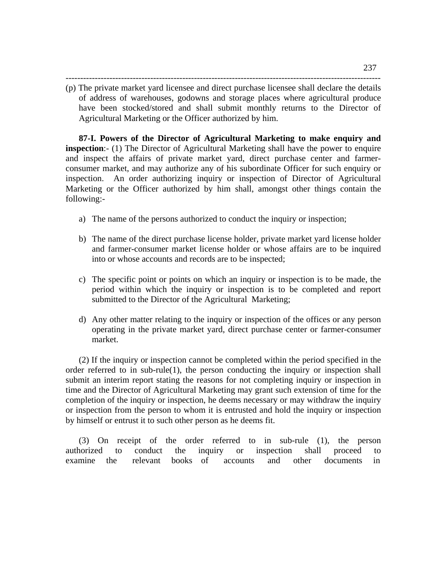------------------------------------------------------------------------------------------------------------

(p) The private market yard licensee and direct purchase licensee shall declare the details of address of warehouses, godowns and storage places where agricultural produce have been stocked/stored and shall submit monthly returns to the Director of Agricultural Marketing or the Officer authorized by him.

**87-I. Powers of the Director of Agricultural Marketing to make enquiry and inspection**:- (1) The Director of Agricultural Marketing shall have the power to enquire and inspect the affairs of private market yard, direct purchase center and farmerconsumer market, and may authorize any of his subordinate Officer for such enquiry or inspection. An order authorizing inquiry or inspection of Director of Agricultural Marketing or the Officer authorized by him shall, amongst other things contain the following:-

- a) The name of the persons authorized to conduct the inquiry or inspection;
- b) The name of the direct purchase license holder, private market yard license holder and farmer-consumer market license holder or whose affairs are to be inquired into or whose accounts and records are to be inspected;
- c) The specific point or points on which an inquiry or inspection is to be made, the period within which the inquiry or inspection is to be completed and report submitted to the Director of the Agricultural Marketing;
- d) Any other matter relating to the inquiry or inspection of the offices or any person operating in the private market yard, direct purchase center or farmer-consumer market.

(2) If the inquiry or inspection cannot be completed within the period specified in the order referred to in sub-rule(1), the person conducting the inquiry or inspection shall submit an interim report stating the reasons for not completing inquiry or inspection in time and the Director of Agricultural Marketing may grant such extension of time for the completion of the inquiry or inspection, he deems necessary or may withdraw the inquiry or inspection from the person to whom it is entrusted and hold the inquiry or inspection by himself or entrust it to such other person as he deems fit.

(3) On receipt of the order referred to in sub-rule (1), the person authorized to conduct the inquiry or inspection shall proceed to examine the relevant books of accounts and other documents in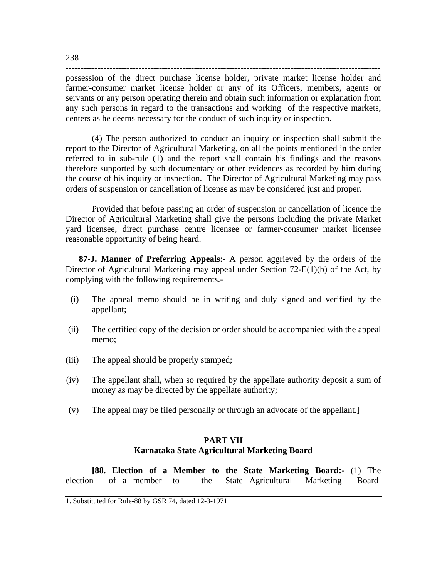----------------------------------------------------------------------------------------------------------- possession of the direct purchase license holder, private market license holder and farmer-consumer market license holder or any of its Officers, members, agents or servants or any person operating therein and obtain such information or explanation from any such persons in regard to the transactions and working of the respective markets,

centers as he deems necessary for the conduct of such inquiry or inspection.

(4) The person authorized to conduct an inquiry or inspection shall submit the report to the Director of Agricultural Marketing, on all the points mentioned in the order referred to in sub-rule (1) and the report shall contain his findings and the reasons therefore supported by such documentary or other evidences as recorded by him during the course of his inquiry or inspection. The Director of Agricultural Marketing may pass orders of suspension or cancellation of license as may be considered just and proper.

 Provided that before passing an order of suspension or cancellation of licence the Director of Agricultural Marketing shall give the persons including the private Market yard licensee, direct purchase centre licensee or farmer-consumer market licensee reasonable opportunity of being heard.

**87-J. Manner of Preferring Appeals**:- A person aggrieved by the orders of the Director of Agricultural Marketing may appeal under Section 72-E(1)(b) of the Act, by complying with the following requirements.-

- (i) The appeal memo should be in writing and duly signed and verified by the appellant;
- (ii) The certified copy of the decision or order should be accompanied with the appeal memo;
- (iii) The appeal should be properly stamped;
- (iv) The appellant shall, when so required by the appellate authority deposit a sum of money as may be directed by the appellate authority;
- (v) The appeal may be filed personally or through an advocate of the appellant.]

## **PART VII Karnataka State Agricultural Marketing Board**

**[88. Election of a Member to the State Marketing Board:-** (1) The electionof a member to the State Agricultural Marketing Board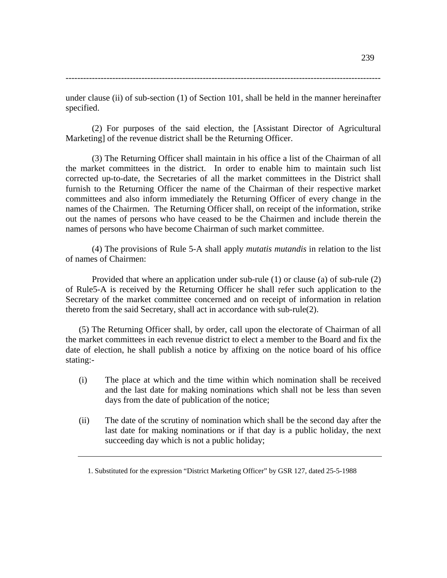239

------------------------------------------------------------------------------------------------------------

under clause (ii) of sub-section (1) of Section 101, shall be held in the manner hereinafter specified.

(2) For purposes of the said election, the [Assistant Director of Agricultural Marketing] of the revenue district shall be the Returning Officer.

(3) The Returning Officer shall maintain in his office a list of the Chairman of all the market committees in the district. In order to enable him to maintain such list corrected up-to-date, the Secretaries of all the market committees in the District shall furnish to the Returning Officer the name of the Chairman of their respective market committees and also inform immediately the Returning Officer of every change in the names of the Chairmen. The Returning Officer shall, on receipt of the information, strike out the names of persons who have ceased to be the Chairmen and include therein the names of persons who have become Chairman of such market committee.

(4) The provisions of Rule 5-A shall apply *mutatis mutandis* in relation to the list of names of Chairmen:

Provided that where an application under sub-rule (1) or clause (a) of sub-rule (2) of Rule5-A is received by the Returning Officer he shall refer such application to the Secretary of the market committee concerned and on receipt of information in relation thereto from the said Secretary, shall act in accordance with sub-rule(2).

(5) The Returning Officer shall, by order, call upon the electorate of Chairman of all the market committees in each revenue district to elect a member to the Board and fix the date of election, he shall publish a notice by affixing on the notice board of his office stating:-

- (i) The place at which and the time within which nomination shall be received and the last date for making nominations which shall not be less than seven days from the date of publication of the notice;
- (ii) The date of the scrutiny of nomination which shall be the second day after the last date for making nominations or if that day is a public holiday, the next succeeding day which is not a public holiday;

 <sup>1.</sup> Substituted for the expression "District Marketing Officer" by GSR 127, dated 25-5-1988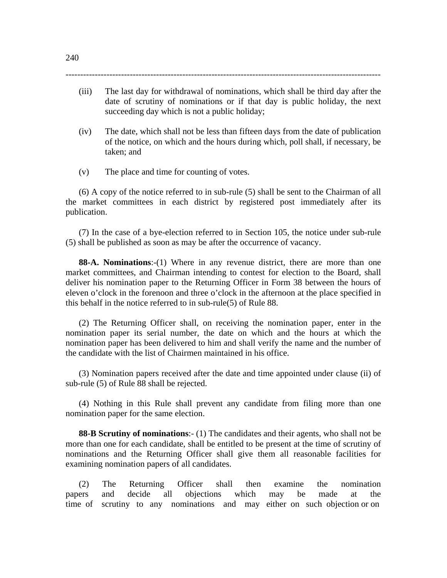------------------------------------------------------------------------------------------------------------

- (iii) The last day for withdrawal of nominations, which shall be third day after the date of scrutiny of nominations or if that day is public holiday, the next succeeding day which is not a public holiday;
- (iv) The date, which shall not be less than fifteen days from the date of publication of the notice, on which and the hours during which, poll shall, if necessary, be taken; and
- (v) The place and time for counting of votes.

(6) A copy of the notice referred to in sub-rule (5) shall be sent to the Chairman of all the market committees in each district by registered post immediately after its publication.

(7) In the case of a bye-election referred to in Section 105, the notice under sub-rule (5) shall be published as soon as may be after the occurrence of vacancy.

**88-A. Nominations**:-(1) Where in any revenue district, there are more than one market committees, and Chairman intending to contest for election to the Board, shall deliver his nomination paper to the Returning Officer in Form 38 between the hours of eleven o'clock in the forenoon and three o'clock in the afternoon at the place specified in this behalf in the notice referred to in sub-rule(5) of Rule 88.

(2) The Returning Officer shall, on receiving the nomination paper, enter in the nomination paper its serial number, the date on which and the hours at which the nomination paper has been delivered to him and shall verify the name and the number of the candidate with the list of Chairmen maintained in his office.

(3) Nomination papers received after the date and time appointed under clause (ii) of sub-rule (5) of Rule 88 shall be rejected.

(4) Nothing in this Rule shall prevent any candidate from filing more than one nomination paper for the same election.

**88-B Scrutiny of nominations**:- (1) The candidates and their agents, who shall not be more than one for each candidate, shall be entitled to be present at the time of scrutiny of nominations and the Returning Officer shall give them all reasonable facilities for examining nomination papers of all candidates.

(2) The Returning Officer shall then examine the nomination papers and decide all objections which may be made at the time of scrutiny to any nominations and may either on such objection or on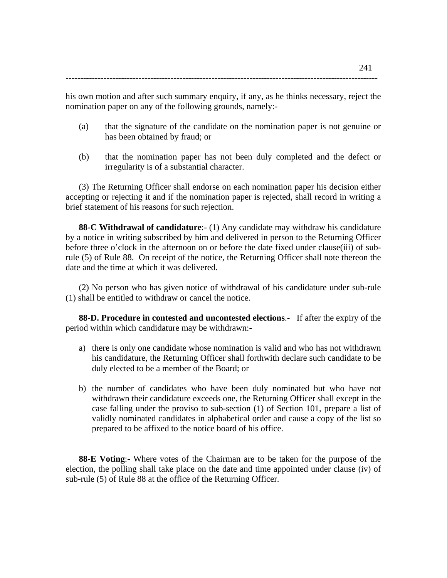-----------------------------------------------------------------------------------------------------------

his own motion and after such summary enquiry, if any, as he thinks necessary, reject the nomination paper on any of the following grounds, namely:-

- (a) that the signature of the candidate on the nomination paper is not genuine or has been obtained by fraud; or
- (b) that the nomination paper has not been duly completed and the defect or irregularity is of a substantial character.

(3) The Returning Officer shall endorse on each nomination paper his decision either accepting or rejecting it and if the nomination paper is rejected, shall record in writing a brief statement of his reasons for such rejection.

**88-C Withdrawal of candidature**:- (1) Any candidate may withdraw his candidature by a notice in writing subscribed by him and delivered in person to the Returning Officer before three o'clock in the afternoon on or before the date fixed under clause(iii) of subrule (5) of Rule 88. On receipt of the notice, the Returning Officer shall note thereon the date and the time at which it was delivered.

(2) No person who has given notice of withdrawal of his candidature under sub-rule (1) shall be entitled to withdraw or cancel the notice.

**88-D. Procedure in contested and uncontested elections**.- If after the expiry of the period within which candidature may be withdrawn:-

- a) there is only one candidate whose nomination is valid and who has not withdrawn his candidature, the Returning Officer shall forthwith declare such candidate to be duly elected to be a member of the Board; or
- b) the number of candidates who have been duly nominated but who have not withdrawn their candidature exceeds one, the Returning Officer shall except in the case falling under the proviso to sub-section (1) of Section 101, prepare a list of validly nominated candidates in alphabetical order and cause a copy of the list so prepared to be affixed to the notice board of his office.

**88-E Voting**:- Where votes of the Chairman are to be taken for the purpose of the election, the polling shall take place on the date and time appointed under clause (iv) of sub-rule (5) of Rule 88 at the office of the Returning Officer.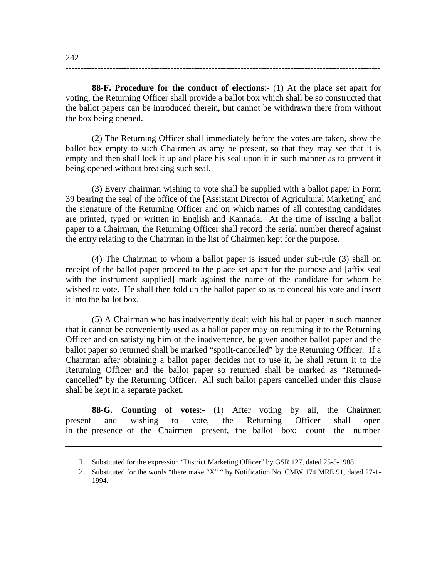**88-F. Procedure for the conduct of elections**:- (1) At the place set apart for voting, the Returning Officer shall provide a ballot box which shall be so constructed that the ballot papers can be introduced therein, but cannot be withdrawn there from without the box being opened.

------------------------------------------------------------------------------------------------------------

(2) The Returning Officer shall immediately before the votes are taken, show the ballot box empty to such Chairmen as amy be present, so that they may see that it is empty and then shall lock it up and place his seal upon it in such manner as to prevent it being opened without breaking such seal.

(3) Every chairman wishing to vote shall be supplied with a ballot paper in Form 39 bearing the seal of the office of the [Assistant Director of Agricultural Marketing] and the signature of the Returning Officer and on which names of all contesting candidates are printed, typed or written in English and Kannada. At the time of issuing a ballot paper to a Chairman, the Returning Officer shall record the serial number thereof against the entry relating to the Chairman in the list of Chairmen kept for the purpose.

(4) The Chairman to whom a ballot paper is issued under sub-rule (3) shall on receipt of the ballot paper proceed to the place set apart for the purpose and [affix seal with the instrument supplied] mark against the name of the candidate for whom he wished to vote. He shall then fold up the ballot paper so as to conceal his vote and insert it into the ballot box.

(5) A Chairman who has inadvertently dealt with his ballot paper in such manner that it cannot be conveniently used as a ballot paper may on returning it to the Returning Officer and on satisfying him of the inadvertence, be given another ballot paper and the ballot paper so returned shall be marked "spoilt-cancelled" by the Returning Officer. If a Chairman after obtaining a ballot paper decides not to use it, he shall return it to the Returning Officer and the ballot paper so returned shall be marked as "Returnedcancelled" by the Returning Officer. All such ballot papers cancelled under this clause shall be kept in a separate packet.

**88-G. Counting of votes**:- (1) After voting by all, the Chairmen present and wishing to vote, the Returning Officer shall open in the presence of the Chairmen present, the ballot box; count the number

<sup>1.</sup> Substituted for the expression "District Marketing Officer" by GSR 127, dated 25-5-1988

<sup>2.</sup> Substituted for the words "there make "X" " by Notification No. CMW 174 MRE 91, dated 27-1- 1994.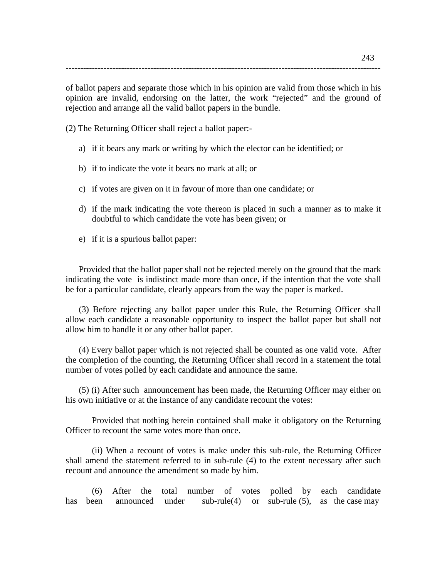of ballot papers and separate those which in his opinion are valid from those which in his opinion are invalid, endorsing on the latter, the work "rejected" and the ground of rejection and arrange all the valid ballot papers in the bundle.

------------------------------------------------------------------------------------------------------------

(2) The Returning Officer shall reject a ballot paper:-

- a) if it bears any mark or writing by which the elector can be identified; or
- b) if to indicate the vote it bears no mark at all; or
- c) if votes are given on it in favour of more than one candidate; or
- d) if the mark indicating the vote thereon is placed in such a manner as to make it doubtful to which candidate the vote has been given; or
- e) if it is a spurious ballot paper:

Provided that the ballot paper shall not be rejected merely on the ground that the mark indicating the vote is indistinct made more than once, if the intention that the vote shall be for a particular candidate, clearly appears from the way the paper is marked.

(3) Before rejecting any ballot paper under this Rule, the Returning Officer shall allow each candidate a reasonable opportunity to inspect the ballot paper but shall not allow him to handle it or any other ballot paper.

(4) Every ballot paper which is not rejected shall be counted as one valid vote. After the completion of the counting, the Returning Officer shall record in a statement the total number of votes polled by each candidate and announce the same.

(5) (i) After such announcement has been made, the Returning Officer may either on his own initiative or at the instance of any candidate recount the votes:

 Provided that nothing herein contained shall make it obligatory on the Returning Officer to recount the same votes more than once.

(ii) When a recount of votes is make under this sub-rule, the Returning Officer shall amend the statement referred to in sub-rule (4) to the extent necessary after such recount and announce the amendment so made by him.

(6) After the total number of votes polled by each candidate has been announced under sub-rule(4) or sub-rule (5), as the case may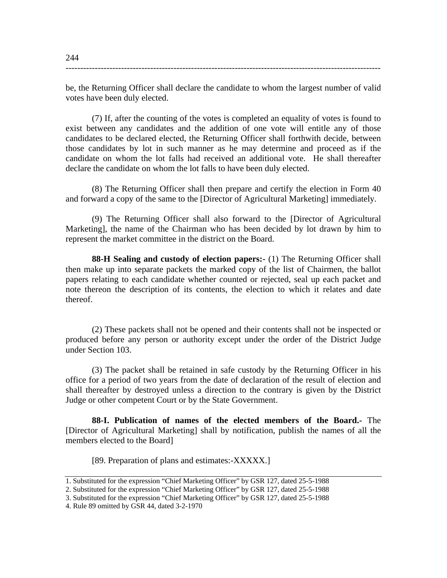be, the Returning Officer shall declare the candidate to whom the largest number of valid votes have been duly elected.

------------------------------------------------------------------------------------------------------------

(7) If, after the counting of the votes is completed an equality of votes is found to exist between any candidates and the addition of one vote will entitle any of those candidates to be declared elected, the Returning Officer shall forthwith decide, between those candidates by lot in such manner as he may determine and proceed as if the candidate on whom the lot falls had received an additional vote. He shall thereafter declare the candidate on whom the lot falls to have been duly elected.

(8) The Returning Officer shall then prepare and certify the election in Form 40 and forward a copy of the same to the [Director of Agricultural Marketing] immediately.

(9) The Returning Officer shall also forward to the [Director of Agricultural Marketing], the name of the Chairman who has been decided by lot drawn by him to represent the market committee in the district on the Board.

**88-H Sealing and custody of election papers:-** (1) The Returning Officer shall then make up into separate packets the marked copy of the list of Chairmen, the ballot papers relating to each candidate whether counted or rejected, seal up each packet and note thereon the description of its contents, the election to which it relates and date thereof.

(2) These packets shall not be opened and their contents shall not be inspected or produced before any person or authority except under the order of the District Judge under Section 103.

(3) The packet shall be retained in safe custody by the Returning Officer in his office for a period of two years from the date of declaration of the result of election and shall thereafter by destroyed unless a direction to the contrary is given by the District Judge or other competent Court or by the State Government.

**88-I. Publication of names of the elected members of the Board.-** The [Director of Agricultural Marketing] shall by notification, publish the names of all the members elected to the Board]

[89. Preparation of plans and estimates:-XXXXX.]

<sup>1.</sup> Substituted for the expression "Chief Marketing Officer" by GSR 127, dated 25-5-1988

<sup>2.</sup> Substituted for the expression "Chief Marketing Officer" by GSR 127, dated 25-5-1988

<sup>3.</sup> Substituted for the expression "Chief Marketing Officer" by GSR 127, dated 25-5-1988

<sup>4.</sup> Rule 89 omitted by GSR 44, dated 3-2-1970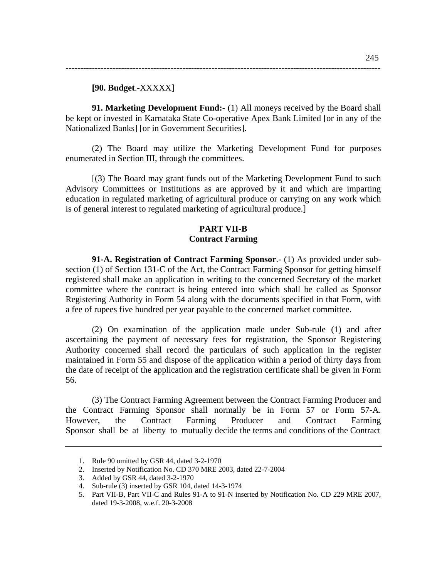**91. Marketing Development Fund:**- (1) All moneys received by the Board shall be kept or invested in Karnataka State Co-operative Apex Bank Limited [or in any of the Nationalized Banks] [or in Government Securities].

------------------------------------------------------------------------------------------------------------

(2) The Board may utilize the Marketing Development Fund for purposes enumerated in Section III, through the committees.

[(3) The Board may grant funds out of the Marketing Development Fund to such Advisory Committees or Institutions as are approved by it and which are imparting education in regulated marketing of agricultural produce or carrying on any work which is of general interest to regulated marketing of agricultural produce.]

### **PART VII-B Contract Farming**

**91-A. Registration of Contract Farming Sponsor**.- (1) As provided under subsection (1) of Section 131-C of the Act, the Contract Farming Sponsor for getting himself registered shall make an application in writing to the concerned Secretary of the market committee where the contract is being entered into which shall be called as Sponsor Registering Authority in Form 54 along with the documents specified in that Form, with a fee of rupees five hundred per year payable to the concerned market committee.

(2) On examination of the application made under Sub-rule (1) and after ascertaining the payment of necessary fees for registration, the Sponsor Registering Authority concerned shall record the particulars of such application in the register maintained in Form 55 and dispose of the application within a period of thirty days from the date of receipt of the application and the registration certificate shall be given in Form 56.

(3) The Contract Farming Agreement between the Contract Farming Producer and the Contract Farming Sponsor shall normally be in Form 57 or Form 57-A. However, the Contract Farming Producer and Contract Farming Sponsor shall be at liberty to mutually decide the terms and conditions of the Contract

<sup>1.</sup> Rule 90 omitted by GSR 44, dated 3-2-1970

<sup>2.</sup> Inserted by Notification No. CD 370 MRE 2003, dated 22-7-2004

<sup>3.</sup> Added by GSR 44, dated 3-2-1970

<sup>4.</sup> Sub-rule (3) inserted by GSR 104, dated 14-3-1974

<sup>5.</sup> Part VII-B, Part VII-C and Rules 91-A to 91-N inserted by Notification No. CD 229 MRE 2007, dated 19-3-2008, w.e.f. 20-3-2008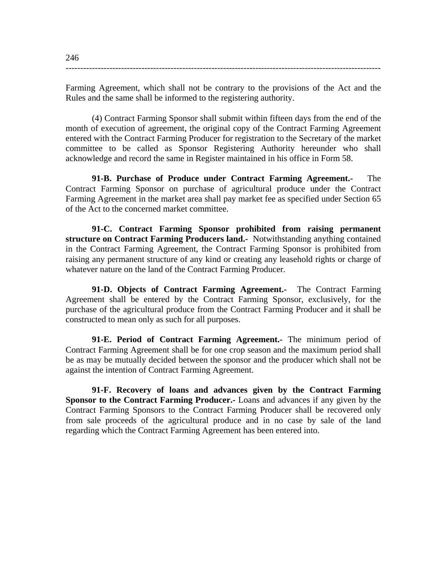Farming Agreement, which shall not be contrary to the provisions of the Act and the Rules and the same shall be informed to the registering authority.

------------------------------------------------------------------------------------------------------------

(4) Contract Farming Sponsor shall submit within fifteen days from the end of the month of execution of agreement, the original copy of the Contract Farming Agreement entered with the Contract Farming Producer for registration to the Secretary of the market committee to be called as Sponsor Registering Authority hereunder who shall acknowledge and record the same in Register maintained in his office in Form 58.

**91-B. Purchase of Produce under Contract Farming Agreement.-** The Contract Farming Sponsor on purchase of agricultural produce under the Contract Farming Agreement in the market area shall pay market fee as specified under Section 65 of the Act to the concerned market committee.

**91-C. Contract Farming Sponsor prohibited from raising permanent structure on Contract Farming Producers land.-** Notwithstanding anything contained in the Contract Farming Agreement, the Contract Farming Sponsor is prohibited from raising any permanent structure of any kind or creating any leasehold rights or charge of whatever nature on the land of the Contract Farming Producer.

**91-D. Objects of Contract Farming Agreement.-** The Contract Farming Agreement shall be entered by the Contract Farming Sponsor, exclusively, for the purchase of the agricultural produce from the Contract Farming Producer and it shall be constructed to mean only as such for all purposes.

**91-E. Period of Contract Farming Agreement.-** The minimum period of Contract Farming Agreement shall be for one crop season and the maximum period shall be as may be mutually decided between the sponsor and the producer which shall not be against the intention of Contract Farming Agreement.

**91-F. Recovery of loans and advances given by the Contract Farming Sponsor to the Contract Farming Producer.-** Loans and advances if any given by the Contract Farming Sponsors to the Contract Farming Producer shall be recovered only from sale proceeds of the agricultural produce and in no case by sale of the land regarding which the Contract Farming Agreement has been entered into.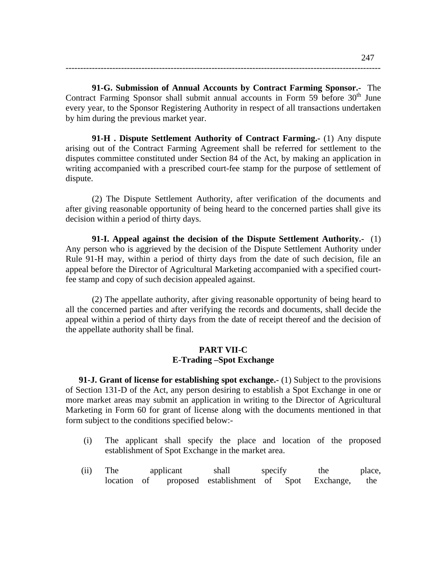**91-G. Submission of Annual Accounts by Contract Farming Sponsor.-** The Contract Farming Sponsor shall submit annual accounts in Form 59 before  $30<sup>th</sup>$  June every year, to the Sponsor Registering Authority in respect of all transactions undertaken by him during the previous market year.

------------------------------------------------------------------------------------------------------------

**91-H . Dispute Settlement Authority of Contract Farming.-** (1) Any dispute arising out of the Contract Farming Agreement shall be referred for settlement to the disputes committee constituted under Section 84 of the Act, by making an application in writing accompanied with a prescribed court-fee stamp for the purpose of settlement of dispute.

(2) The Dispute Settlement Authority, after verification of the documents and after giving reasonable opportunity of being heard to the concerned parties shall give its decision within a period of thirty days.

**91-I. Appeal against the decision of the Dispute Settlement Authority.-** (1) Any person who is aggrieved by the decision of the Dispute Settlement Authority under Rule 91-H may, within a period of thirty days from the date of such decision, file an appeal before the Director of Agricultural Marketing accompanied with a specified courtfee stamp and copy of such decision appealed against.

(2) The appellate authority, after giving reasonable opportunity of being heard to all the concerned parties and after verifying the records and documents, shall decide the appeal within a period of thirty days from the date of receipt thereof and the decision of the appellate authority shall be final.

### **PART VII-C E-Trading –Spot Exchange**

**91-J. Grant of license for establishing spot exchange.** (1) Subject to the provisions of Section 131-D of the Act, any person desiring to establish a Spot Exchange in one or more market areas may submit an application in writing to the Director of Agricultural Marketing in Form 60 for grant of license along with the documents mentioned in that form subject to the conditions specified below:-

- (i) The applicant shall specify the place and location of the proposed establishment of Spot Exchange in the market area.
- (ii) The applicant shall specify the place, location of proposed establishment of Spot Exchange, the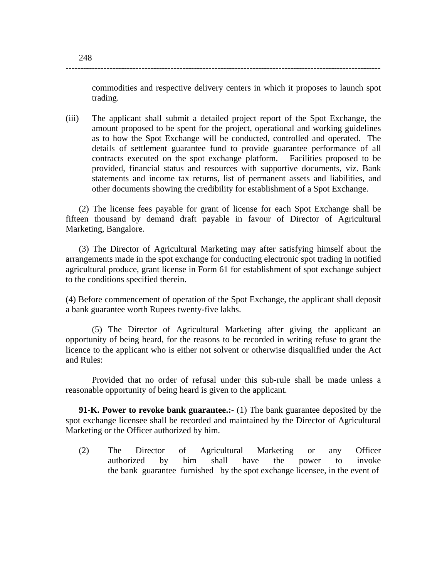commodities and respective delivery centers in which it proposes to launch spot trading.

(iii) The applicant shall submit a detailed project report of the Spot Exchange, the amount proposed to be spent for the project, operational and working guidelines as to how the Spot Exchange will be conducted, controlled and operated. The details of settlement guarantee fund to provide guarantee performance of all contracts executed on the spot exchange platform. Facilities proposed to be provided, financial status and resources with supportive documents, viz. Bank statements and income tax returns, list of permanent assets and liabilities, and other documents showing the credibility for establishment of a Spot Exchange.

------------------------------------------------------------------------------------------------------------

(2) The license fees payable for grant of license for each Spot Exchange shall be fifteen thousand by demand draft payable in favour of Director of Agricultural Marketing, Bangalore.

(3) The Director of Agricultural Marketing may after satisfying himself about the arrangements made in the spot exchange for conducting electronic spot trading in notified agricultural produce, grant license in Form 61 for establishment of spot exchange subject to the conditions specified therein.

(4) Before commencement of operation of the Spot Exchange, the applicant shall deposit a bank guarantee worth Rupees twenty-five lakhs.

(5) The Director of Agricultural Marketing after giving the applicant an opportunity of being heard, for the reasons to be recorded in writing refuse to grant the licence to the applicant who is either not solvent or otherwise disqualified under the Act and Rules:

 Provided that no order of refusal under this sub-rule shall be made unless a reasonable opportunity of being heard is given to the applicant.

**91-K. Power to revoke bank guarantee.:-** (1) The bank guarantee deposited by the spot exchange licensee shall be recorded and maintained by the Director of Agricultural Marketing or the Officer authorized by him.

(2) The Director of Agricultural Marketing or any Officer authorized by him shall have the power to invoke the bank guarantee furnished by the spot exchange licensee, in the event of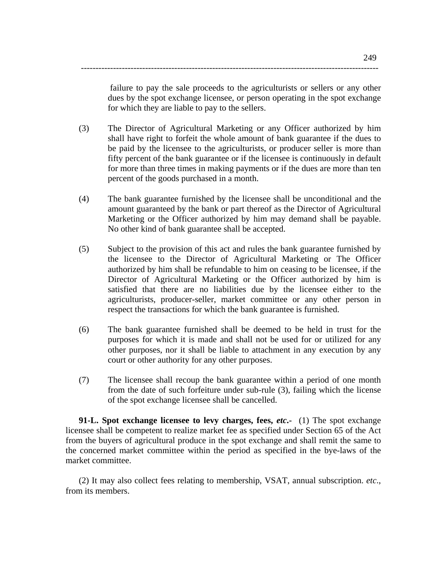failure to pay the sale proceeds to the agriculturists or sellers or any other dues by the spot exchange licensee, or person operating in the spot exchange for which they are liable to pay to the sellers.

(3) The Director of Agricultural Marketing or any Officer authorized by him shall have right to forfeit the whole amount of bank guarantee if the dues to be paid by the licensee to the agriculturists, or producer seller is more than fifty percent of the bank guarantee or if the licensee is continuously in default for more than three times in making payments or if the dues are more than ten percent of the goods purchased in a month.

------------------------------------------------------------------------------------------------------

- (4) The bank guarantee furnished by the licensee shall be unconditional and the amount guaranteed by the bank or part thereof as the Director of Agricultural Marketing or the Officer authorized by him may demand shall be payable. No other kind of bank guarantee shall be accepted.
- (5) Subject to the provision of this act and rules the bank guarantee furnished by the licensee to the Director of Agricultural Marketing or The Officer authorized by him shall be refundable to him on ceasing to be licensee, if the Director of Agricultural Marketing or the Officer authorized by him is satisfied that there are no liabilities due by the licensee either to the agriculturists, producer-seller, market committee or any other person in respect the transactions for which the bank guarantee is furnished.
- (6) The bank guarantee furnished shall be deemed to be held in trust for the purposes for which it is made and shall not be used for or utilized for any other purposes, nor it shall be liable to attachment in any execution by any court or other authority for any other purposes.
- (7) The licensee shall recoup the bank guarantee within a period of one month from the date of such forfeiture under sub-rule (3), failing which the license of the spot exchange licensee shall be cancelled.

**91-L. Spot exchange licensee to levy charges, fees,** *etc***.-** (1) The spot exchange licensee shall be competent to realize market fee as specified under Section 65 of the Act from the buyers of agricultural produce in the spot exchange and shall remit the same to the concerned market committee within the period as specified in the bye-laws of the market committee.

(2) It may also collect fees relating to membership, VSAT, annual subscription. *etc*., from its members.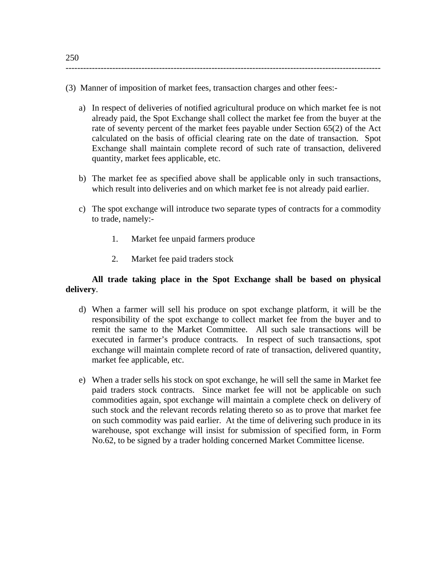(3) Manner of imposition of market fees, transaction charges and other fees:-

------------------------------------------------------------------------------------------------------------

- a) In respect of deliveries of notified agricultural produce on which market fee is not already paid, the Spot Exchange shall collect the market fee from the buyer at the rate of seventy percent of the market fees payable under Section 65(2) of the Act calculated on the basis of official clearing rate on the date of transaction. Spot Exchange shall maintain complete record of such rate of transaction, delivered quantity, market fees applicable, etc.
- b) The market fee as specified above shall be applicable only in such transactions, which result into deliveries and on which market fee is not already paid earlier.
- c) The spot exchange will introduce two separate types of contracts for a commodity to trade, namely:-
	- 1. Market fee unpaid farmers produce
	- 2. Market fee paid traders stock

# **All trade taking place in the Spot Exchange shall be based on physical delivery**.

- d) When a farmer will sell his produce on spot exchange platform, it will be the responsibility of the spot exchange to collect market fee from the buyer and to remit the same to the Market Committee. All such sale transactions will be executed in farmer's produce contracts. In respect of such transactions, spot exchange will maintain complete record of rate of transaction, delivered quantity, market fee applicable, etc.
- e) When a trader sells his stock on spot exchange, he will sell the same in Market fee paid traders stock contracts. Since market fee will not be applicable on such commodities again, spot exchange will maintain a complete check on delivery of such stock and the relevant records relating thereto so as to prove that market fee on such commodity was paid earlier. At the time of delivering such produce in its warehouse, spot exchange will insist for submission of specified form, in Form No.62, to be signed by a trader holding concerned Market Committee license.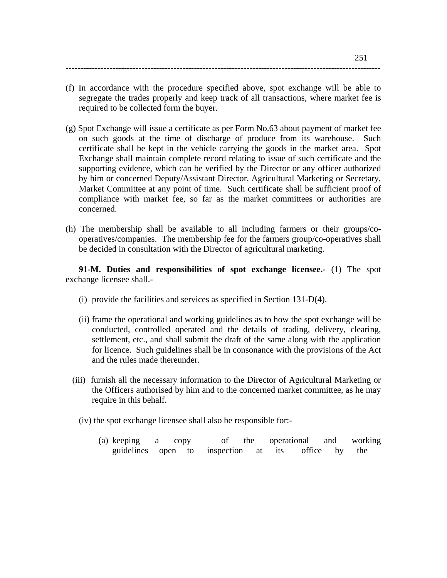(f) In accordance with the procedure specified above, spot exchange will be able to segregate the trades properly and keep track of all transactions, where market fee is required to be collected form the buyer.

------------------------------------------------------------------------------------------------------------

- (g) Spot Exchange will issue a certificate as per Form No.63 about payment of market fee on such goods at the time of discharge of produce from its warehouse. Such certificate shall be kept in the vehicle carrying the goods in the market area. Spot Exchange shall maintain complete record relating to issue of such certificate and the supporting evidence, which can be verified by the Director or any officer authorized by him or concerned Deputy/Assistant Director, Agricultural Marketing or Secretary, Market Committee at any point of time. Such certificate shall be sufficient proof of compliance with market fee, so far as the market committees or authorities are concerned.
- (h) The membership shall be available to all including farmers or their groups/cooperatives/companies. The membership fee for the farmers group/co-operatives shall be decided in consultation with the Director of agricultural marketing.

**91-M. Duties and responsibilities of spot exchange licensee.-** (1) The spot exchange licensee shall.-

- (i) provide the facilities and services as specified in Section 131-D(4).
- (ii) frame the operational and working guidelines as to how the spot exchange will be conducted, controlled operated and the details of trading, delivery, clearing, settlement, etc., and shall submit the draft of the same along with the application for licence. Such guidelines shall be in consonance with the provisions of the Act and the rules made thereunder.
- (iii) furnish all the necessary information to the Director of Agricultural Marketing or the Officers authorised by him and to the concerned market committee, as he may require in this behalf.
	- (iv) the spot exchange licensee shall also be responsible for:-
		- (a) keeping a copy of the operational and working guidelines open to inspection at its office by the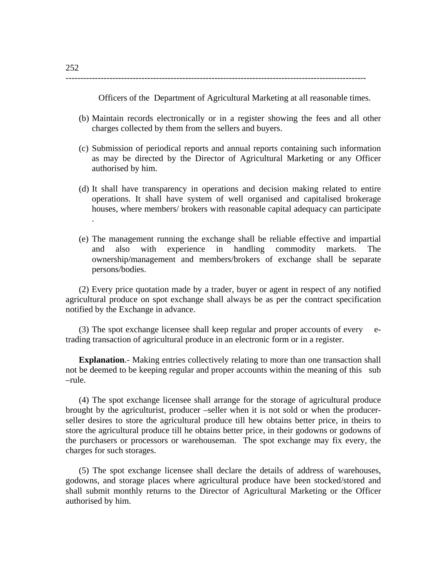-------------------------------------------------------------------------------------------------------

Officers of the Department of Agricultural Marketing at all reasonable times.

- (b) Maintain records electronically or in a register showing the fees and all other charges collected by them from the sellers and buyers.
- (c) Submission of periodical reports and annual reports containing such information as may be directed by the Director of Agricultural Marketing or any Officer authorised by him.
- (d) It shall have transparency in operations and decision making related to entire operations. It shall have system of well organised and capitalised brokerage houses, where members/ brokers with reasonable capital adequacy can participate .
- (e) The management running the exchange shall be reliable effective and impartial and also with experience in handling commodity markets. The ownership/management and members/brokers of exchange shall be separate persons/bodies.

(2) Every price quotation made by a trader, buyer or agent in respect of any notified agricultural produce on spot exchange shall always be as per the contract specification notified by the Exchange in advance.

(3) The spot exchange licensee shall keep regular and proper accounts of every etrading transaction of agricultural produce in an electronic form or in a register.

**Explanation.**- Making entries collectively relating to more than one transaction shall not be deemed to be keeping regular and proper accounts within the meaning of this sub –rule.

(4) The spot exchange licensee shall arrange for the storage of agricultural produce brought by the agriculturist, producer –seller when it is not sold or when the producerseller desires to store the agricultural produce till hew obtains better price, in theirs to store the agricultural produce till he obtains better price, in their godowns or godowns of the purchasers or processors or warehouseman. The spot exchange may fix every, the charges for such storages.

(5) The spot exchange licensee shall declare the details of address of warehouses, godowns, and storage places where agricultural produce have been stocked/stored and shall submit monthly returns to the Director of Agricultural Marketing or the Officer authorised by him.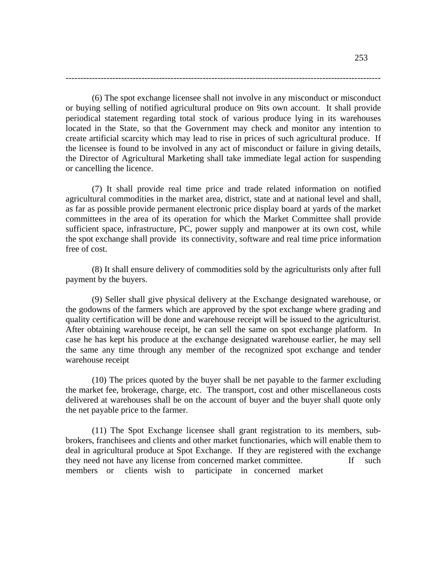(6) The spot exchange licensee shall not involve in any misconduct or misconduct or buying selling of notified agricultural produce on 9its own account. It shall provide periodical statement regarding total stock of various produce lying in its warehouses located in the State, so that the Government may check and monitor any intention to create artificial scarcity which may lead to rise in prices of such agricultural produce. If the licensee is found to be involved in any act of misconduct or failure in giving details, the Director of Agricultural Marketing shall take immediate legal action for suspending or cancelling the licence.

------------------------------------------------------------------------------------------------------------

(7) It shall provide real time price and trade related information on notified agricultural commodities in the market area, district, state and at national level and shall, as far as possible provide permanent electronic price display board at yards of the market committees in the area of its operation for which the Market Committee shall provide sufficient space, infrastructure, PC, power supply and manpower at its own cost, while the spot exchange shall provide its connectivity, software and real time price information free of cost.

(8) It shall ensure delivery of commodities sold by the agriculturists only after full payment by the buyers.

(9) Seller shall give physical delivery at the Exchange designated warehouse, or the godowns of the farmers which are approved by the spot exchange where grading and quality certification will be done and warehouse receipt will be issued to the agriculturist. After obtaining warehouse receipt, he can sell the same on spot exchange platform. In case he has kept his produce at the exchange designated warehouse earlier, he may sell the same any time through any member of the recognized spot exchange and tender warehouse receipt

(10) The prices quoted by the buyer shall be net payable to the farmer excluding the market fee, brokerage, charge, etc. The transport, cost and other miscellaneous costs delivered at warehouses shall be on the account of buyer and the buyer shall quote only the net payable price to the farmer.

(11) The Spot Exchange licensee shall grant registration to its members, subbrokers, franchisees and clients and other market functionaries, which will enable them to deal in agricultural produce at Spot Exchange. If they are registered with the exchange they need not have any license from concerned market committee. If such members or clients wish to participate in concerned market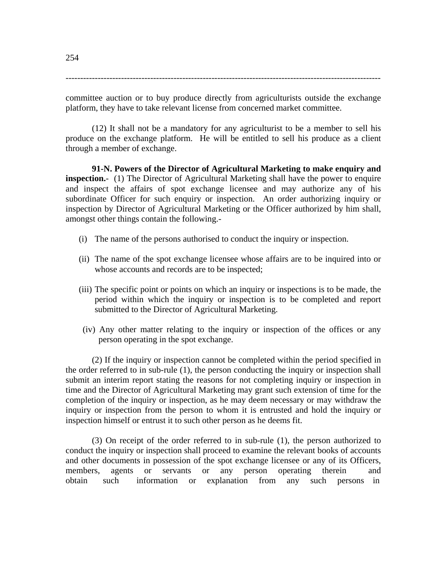------------------------------------------------------------------------------------------------------------

committee auction or to buy produce directly from agriculturists outside the exchange platform, they have to take relevant license from concerned market committee.

(12) It shall not be a mandatory for any agriculturist to be a member to sell his produce on the exchange platform. He will be entitled to sell his produce as a client through a member of exchange.

**91-N. Powers of the Director of Agricultural Marketing to make enquiry and inspection.**- (1) The Director of Agricultural Marketing shall have the power to enquire and inspect the affairs of spot exchange licensee and may authorize any of his subordinate Officer for such enquiry or inspection. An order authorizing inquiry or inspection by Director of Agricultural Marketing or the Officer authorized by him shall, amongst other things contain the following.-

- (i) The name of the persons authorised to conduct the inquiry or inspection.
- (ii) The name of the spot exchange licensee whose affairs are to be inquired into or whose accounts and records are to be inspected;
- (iii) The specific point or points on which an inquiry or inspections is to be made, the period within which the inquiry or inspection is to be completed and report submitted to the Director of Agricultural Marketing.
- (iv) Any other matter relating to the inquiry or inspection of the offices or any person operating in the spot exchange.

(2) If the inquiry or inspection cannot be completed within the period specified in the order referred to in sub-rule (1), the person conducting the inquiry or inspection shall submit an interim report stating the reasons for not completing inquiry or inspection in time and the Director of Agricultural Marketing may grant such extension of time for the completion of the inquiry or inspection, as he may deem necessary or may withdraw the inquiry or inspection from the person to whom it is entrusted and hold the inquiry or inspection himself or entrust it to such other person as he deems fit.

(3) On receipt of the order referred to in sub-rule (1), the person authorized to conduct the inquiry or inspection shall proceed to examine the relevant books of accounts and other documents in possession of the spot exchange licensee or any of its Officers, members, agents or servants or any person operating therein and obtain such information or explanation from any such persons in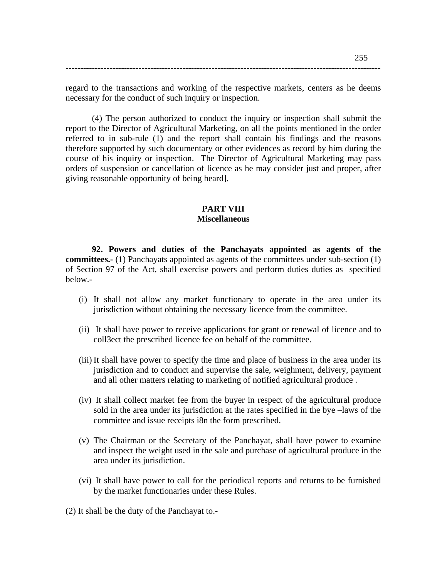regard to the transactions and working of the respective markets, centers as he deems necessary for the conduct of such inquiry or inspection.

------------------------------------------------------------------------------------------------------------

(4) The person authorized to conduct the inquiry or inspection shall submit the report to the Director of Agricultural Marketing, on all the points mentioned in the order referred to in sub-rule (1) and the report shall contain his findings and the reasons therefore supported by such documentary or other evidences as record by him during the course of his inquiry or inspection. The Director of Agricultural Marketing may pass orders of suspension or cancellation of licence as he may consider just and proper, after giving reasonable opportunity of being heard].

### **PART VIII Miscellaneous**

**92. Powers and duties of the Panchayats appointed as agents of the committees.-** (1) Panchayats appointed as agents of the committees under sub-section (1) of Section 97 of the Act, shall exercise powers and perform duties duties as specified below.-

- (i) It shall not allow any market functionary to operate in the area under its jurisdiction without obtaining the necessary licence from the committee.
- (ii) It shall have power to receive applications for grant or renewal of licence and to coll3ect the prescribed licence fee on behalf of the committee.
- (iii) It shall have power to specify the time and place of business in the area under its jurisdiction and to conduct and supervise the sale, weighment, delivery, payment and all other matters relating to marketing of notified agricultural produce .
- (iv) It shall collect market fee from the buyer in respect of the agricultural produce sold in the area under its jurisdiction at the rates specified in the bye –laws of the committee and issue receipts i8n the form prescribed.
- (v) The Chairman or the Secretary of the Panchayat, shall have power to examine and inspect the weight used in the sale and purchase of agricultural produce in the area under its jurisdiction.
- (vi) It shall have power to call for the periodical reports and returns to be furnished by the market functionaries under these Rules.
- (2) It shall be the duty of the Panchayat to.-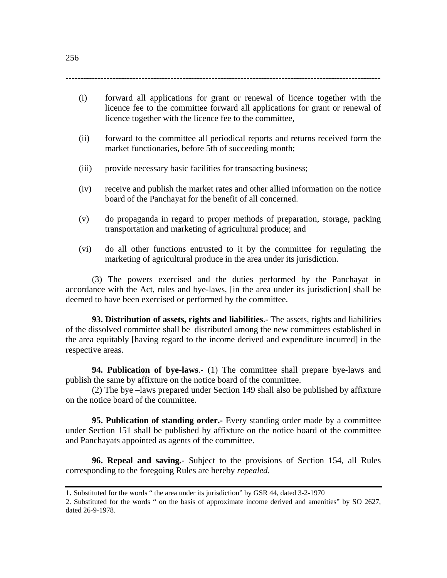(i) forward all applications for grant or renewal of licence together with the licence fee to the committee forward all applications for grant or renewal of licence together with the licence fee to the committee,

------------------------------------------------------------------------------------------------------------

- (ii) forward to the committee all periodical reports and returns received form the market functionaries, before 5th of succeeding month;
- (iii) provide necessary basic facilities for transacting business;
- (iv) receive and publish the market rates and other allied information on the notice board of the Panchayat for the benefit of all concerned.
- (v) do propaganda in regard to proper methods of preparation, storage, packing transportation and marketing of agricultural produce; and
- (vi) do all other functions entrusted to it by the committee for regulating the marketing of agricultural produce in the area under its jurisdiction.

(3) The powers exercised and the duties performed by the Panchayat in accordance with the Act, rules and bye-laws, [in the area under its jurisdiction] shall be deemed to have been exercised or performed by the committee.

**93. Distribution of assets, rights and liabilities**.- The assets, rights and liabilities of the dissolved committee shall be distributed among the new committees established in the area equitably [having regard to the income derived and expenditure incurred] in the respective areas.

**94. Publication of bye-laws**.- (1) The committee shall prepare bye-laws and publish the same by affixture on the notice board of the committee.

(2) The bye –laws prepared under Section 149 shall also be published by affixture on the notice board of the committee.

**95. Publication of standing order.-** Every standing order made by a committee under Section 151 shall be published by affixture on the notice board of the committee and Panchayats appointed as agents of the committee.

**96. Repeal and saving.**- Subject to the provisions of Section 154, all Rules corresponding to the foregoing Rules are hereby *repealed.* 

<sup>1.</sup> Substituted for the words " the area under its jurisdiction" by GSR 44, dated 3-2-1970

<sup>2.</sup> Substituted for the words " on the basis of approximate income derived and amenities" by SO 2627, dated 26-9-1978.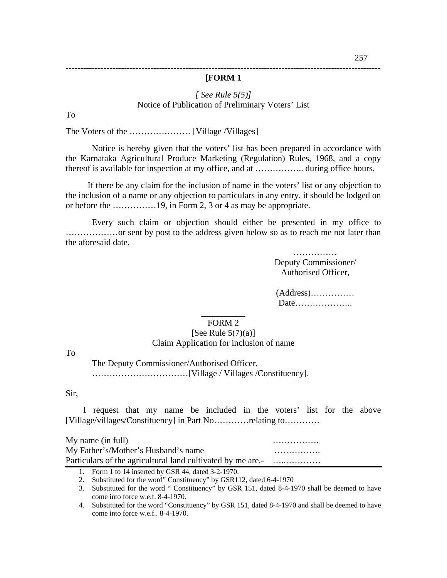### ------------------------------------------------------------------------------------------------------------ **[FORM 1**

### *[ See Rule 5(5)]* Notice of Publication of Preliminary Voters' List

To

The Voters of the ………………… [Village /Villages]

Notice is hereby given that the voters' list has been prepared in accordance with the Karnataka Agricultural Produce Marketing (Regulation) Rules, 1968, and a copy thereof is available for inspection at my office, and at …………….. during office hours.

 If there be any claim for the inclusion of name in the voters' list or any objection to the inclusion of a name or any objection to particulars in any entry, it should be lodged on or before the ……………19, in Form 2, 3 or 4 as may be appropriate.

Every such claim or objection should either be presented in my office to ………………or sent by post to the address given below so as to reach me not later than the aforesaid date.

> …………… Deputy Commissioner/ Authorised Officer,

#### $\overline{\phantom{a}}$ FORM 2

### [See Rule  $5(7)(a)$ ] Claim Application for inclusion of name

To

The Deputy Commissioner/Authorised Officer, ……………………………[Village / Villages /Constituency].

#### Sir,

 I request that my name be included in the voters' list for the above [Village/villages/Constituency] in Part No…………relating to…………

 $Mv$  name (in full)  $\ldots$   $\ldots$   $\ldots$   $\ldots$ My Father's/Mother's Husband's name ……………. Particulars of the agricultural land cultivated by me are.- …....................

<sup>(</sup>Address)…………… Date………………..

<sup>1.</sup> Form 1 to 14 inserted by GSR 44, dated 3-2-1970.

<sup>2.</sup> Substituted for the word" Constituency" by GSR112, dated 6-4-1970

<sup>3.</sup> Substituted for the word " Constituency" by GSR 151, dated 8-4-1970 shall be deemed to have come into force w.e.f. 8-4-1970.

<sup>4.</sup> Substituted for the word "Constituency" by GSR 151, dated 8-4-1970 and shall be deemed to have come into force w.e.f.. 8-4-1970.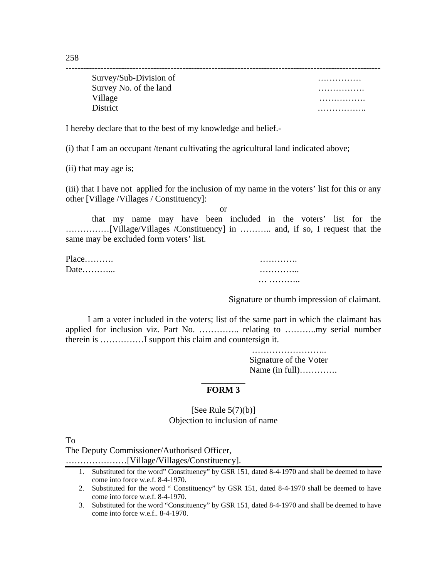| Survey/Sub-Division of | . |
|------------------------|---|
| Survey No. of the land | . |
| Village                | . |
| <b>District</b>        | . |

I hereby declare that to the best of my knowledge and belief.-

(i) that I am an occupant /tenant cultivating the agricultural land indicated above;

(ii) that may age is;

(iii) that I have not applied for the inclusion of my name in the voters' list for this or any other [Village /Villages / Constituency]:

or

that my name may have been included in the voters' list for the ……………[Village/Villages /Constituency] in ……….. and, if so, I request that the same may be excluded form voters' list.

| $Place$ | . |
|---------|---|
| Date    | . |
|         | . |

Signature or thumb impression of claimant.

 I am a voter included in the voters; list of the same part in which the claimant has applied for inclusion viz. Part No. ………….. relating to ………..my serial number therein is ……………I support this claim and countersign it.

> …………………… Signature of the Voter Name (in full)………….

### \_\_\_\_\_\_\_\_\_\_ **FORM 3**

[See Rule  $5(7)(b)$ ] Objection to inclusion of name

To

The Deputy Commissioner/Authorised Officer,

…………………[Village/Villages/Constituency].

<sup>1.</sup> Substituted for the word" Constituency" by GSR 151, dated 8-4-1970 and shall be deemed to have come into force w.e.f. 8-4-1970.

<sup>2.</sup> Substituted for the word " Constituency" by GSR 151, dated 8-4-1970 shall be deemed to have come into force w.e.f. 8-4-1970.

<sup>3.</sup> Substituted for the word "Constituency" by GSR 151, dated 8-4-1970 and shall be deemed to have come into force w.e.f.. 8-4-1970.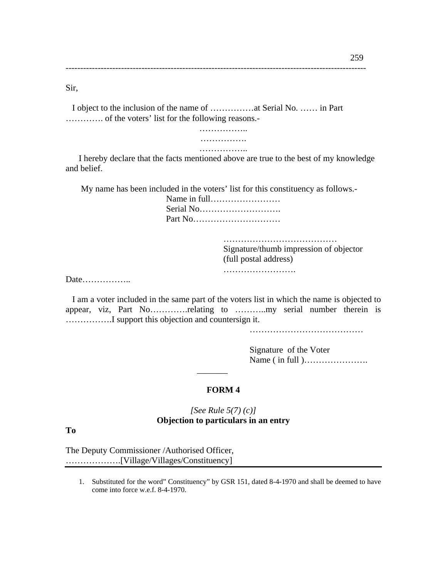Sir,

 I object to the inclusion of the name of ……………at Serial No. …… in Part …………. of the voters' list for the following reasons.-

-------------------------------------------------------------------------------------------------------

…………….. ……………. ………………

 I hereby declare that the facts mentioned above are true to the best of my knowledge and belief.

My name has been included in the voters' list for this constituency as follows.-

Name in full…………………… Serial No………………………. Part No…………………………

> …………………………………………… Signature/thumb impression of objector (full postal address) …………………………

Date……………..

 I am a voter included in the same part of the voters list in which the name is objected to appear, viz, Part No………….relating to ………..my serial number therein is …………….I support this objection and countersign it.

…………………………………………

Signature of the Voter Name ( in full )………………….

### **FORM 4**

 $\overline{\phantom{a}}$ 

### *[See Rule 5(7) (c)]*  **Objection to particulars in an entry**

**To** 

The Deputy Commissioner /Authorised Officer, ……………….[Village/Villages/Constituency]

1. Substituted for the word" Constituency" by GSR 151, dated 8-4-1970 and shall be deemed to have come into force w.e.f. 8-4-1970.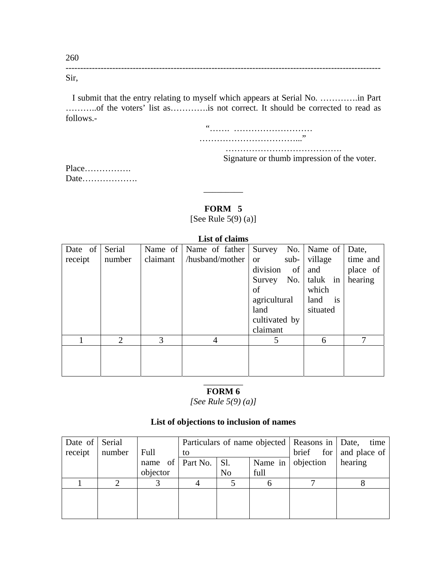------------------------------------------------------------------------------------------------------------ Sir,

 I submit that the entry relating to myself which appears at Serial No. ………….in Part ………..of the voters' list as………….is not correct. It should be corrected to read as follows.-

 "……. ……………………… ……………………………..."

………………………………….

Signature or thumb impression of the voter.

Place……………. Date……………….

# **FORM 5**

\_\_\_\_\_\_\_\_\_

[See Rule 5(9) (a)]

| List of claims  |                             |          |                        |                      |          |          |  |  |  |
|-----------------|-----------------------------|----------|------------------------|----------------------|----------|----------|--|--|--|
| Date of $\vert$ | Serial                      |          | Name of Name of father | Survey No.   Name of |          | Date,    |  |  |  |
| receipt         | number                      | claimant | /husband/mother        | sub-<br><b>or</b>    | village  | time and |  |  |  |
|                 |                             |          |                        | division<br>of       | and      | place of |  |  |  |
|                 |                             |          |                        | Survey No.           | taluk in | hearing  |  |  |  |
|                 |                             |          |                        | of                   | which    |          |  |  |  |
|                 |                             |          |                        | agricultural         | land is  |          |  |  |  |
|                 |                             |          |                        | land                 | situated |          |  |  |  |
|                 |                             |          |                        | cultivated by        |          |          |  |  |  |
|                 |                             |          |                        | claimant             |          |          |  |  |  |
|                 | $\mathcal{D}_{\mathcal{L}}$ | 3        | 4                      | 5                    | 6        | 7        |  |  |  |
|                 |                             |          |                        |                      |          |          |  |  |  |
|                 |                             |          |                        |                      |          |          |  |  |  |
|                 |                             |          |                        |                      |          |          |  |  |  |

### \_\_\_\_\_\_\_\_\_ **FORM 6**

*[See Rule 5(9) (a)]* 

### **List of objections to inclusion of names**

| Date of Serial |        |          |    |                                                              |      | Particulars of name objected   Reasons in   Date, | time |
|----------------|--------|----------|----|--------------------------------------------------------------|------|---------------------------------------------------|------|
| receipt        | number | Full     | to |                                                              |      | $\text{brief}$ for   and place of                 |      |
|                |        |          |    | objection<br>name of $\vert$ Part No. $\vert$ Sl.<br>Name in |      |                                                   |      |
|                |        | objector |    | N <sub>o</sub>                                               | full |                                                   |      |
|                |        |          |    |                                                              |      |                                                   |      |
|                |        |          |    |                                                              |      |                                                   |      |
|                |        |          |    |                                                              |      |                                                   |      |
|                |        |          |    |                                                              |      |                                                   |      |

260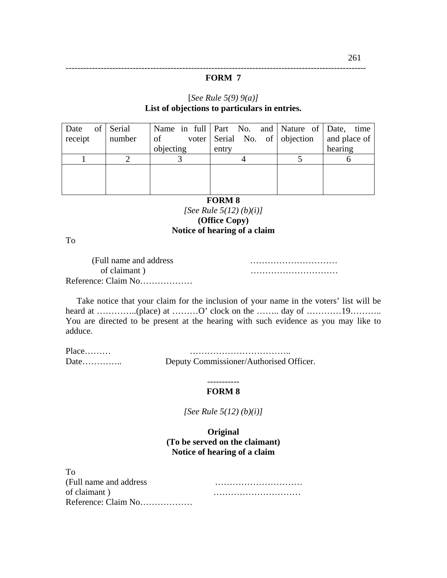#### **FORM 7**

-------------------------------------------------------------------------------------------------------

### [*See Rule 5(9) 9(a)]* **List of objections to particulars in entries.**

| Date of Serial |        |           | Name in full   Part No. and   Nature of   Date, time |              |
|----------------|--------|-----------|------------------------------------------------------|--------------|
| receipt        | number | of        | voter Serial No. of objection                        | and place of |
|                |        | objecting | entry                                                | hearing      |
|                |        |           |                                                      |              |
|                |        |           |                                                      |              |
|                |        |           |                                                      |              |
|                |        |           |                                                      |              |

#### **FORM 8**

*[See Rule 5(12) (b)(i)]* **(Office Copy) Notice of hearing of a claim** 

To

| (Full name and address) |  |
|-------------------------|--|
| of claimant)            |  |
| Reference: Claim No     |  |

 Take notice that your claim for the inclusion of your name in the voters' list will be heard at …………...(place) at ………..O' clock on the ……… day of ………...19……….. You are directed to be present at the hearing with such evidence as you may like to adduce.

Place……… Date………….. Deputy Commissioner/Authorised Officer.

#### ----------- **FORM 8**

*[See Rule 5(12) (b)(i)]* 

**Original (To be served on the claimant) Notice of hearing of a claim** 

| To                      |  |
|-------------------------|--|
| (Full name and address) |  |
| of claimant)            |  |
| Reference: Claim No     |  |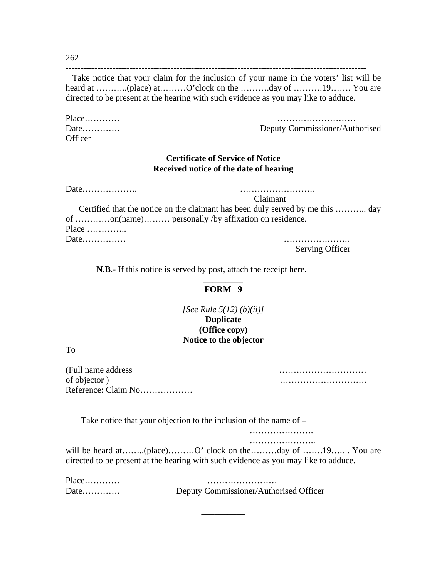262

 Take notice that your claim for the inclusion of your name in the voters' list will be heard at …………(place) at………O'clock on the ………day of ………19…… You are directed to be present at the hearing with such evidence as you may like to adduce.

-------------------------------------------------------------------------------------------------------

**Officer** 

Place………… ……………………… Date…………. Deputy Commissioner/Authorised

### **Certificate of Service of Notice Received notice of the date of hearing**

Date………………. …………………….. Claimant Certified that the notice on the claimant has been duly served by me this ……….. day of …………on(name)……… personally /by affixation on residence. Place ………….. Date…………… …………………..

Serving Officer

 **N.B**.- If this notice is served by post, attach the receipt here.

#### \_\_\_\_\_\_\_\_\_ **FORM 9**

*[See Rule 5(12) (b)(ii)]* **Duplicate (Office copy) Notice to the objector**

To

| (Full name address) |  |
|---------------------|--|
| of objector)        |  |
| Reference: Claim No |  |

Take notice that your objection to the inclusion of the name of –

…………………. ………………………

will be heard at……..(place)………O' clock on the………day of …….19…… You are directed to be present at the hearing with such evidence as you may like to adduce.

\_\_\_\_\_\_\_\_\_\_

| $Place$ |                                        |
|---------|----------------------------------------|
| Date    | Deputy Commissioner/Authorised Officer |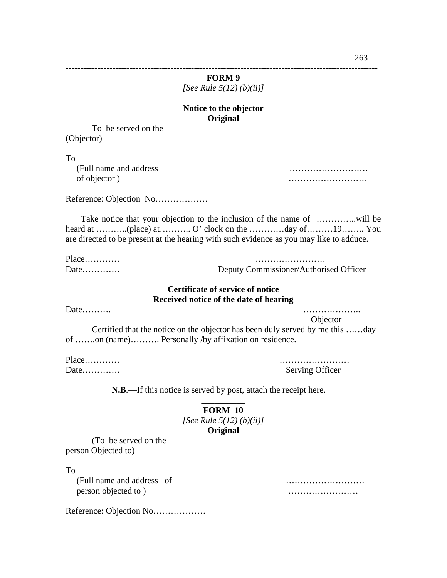| <b>FORM9</b>               |  |  |  |  |  |  |
|----------------------------|--|--|--|--|--|--|
| [See Rule $5(12)$ (b)(ii)] |  |  |  |  |  |  |

### **Notice to the objector Original**

To be served on the (Objector)

To

 (Full name and address ……………………… of objector ) ………………………

Reference: Objection No………………

 Take notice that your objection to the inclusion of the name of …………..will be heard at ………..(place) at……….. O' clock on the ………..day of………19…….. You are directed to be present at the hearing with such evidence as you may like to adduce.

| $Place$ |  |  |  |  |  |  |
|---------|--|--|--|--|--|--|
| Date    |  |  |  |  |  |  |

…………………… Deputy Commissioner/Authorised Officer

### **Certificate of service of notice Received notice of the date of hearing**

Date………. ………………..

 Objector Certified that the notice on the objector has been duly served by me this ……day of …….on (name)………. Personally /by affixation on residence.

Place………… ……………………

Date…………. Serving Officer

 **N.B**.—If this notice is served by post, attach the receipt here.

### \_\_\_\_\_\_\_\_\_\_ **FORM 10**  *[See Rule 5(12) (b)(ii)]* **Original**

(To be served on the person Objected to)

To

 (Full name and address of ……………………… person objected to ) with the set of the set of the set of the set of the set of the set of the set of the set of the set of the set of the set of the set of the set of the set of the set of the set of the set of the set o

Reference: Objection No………………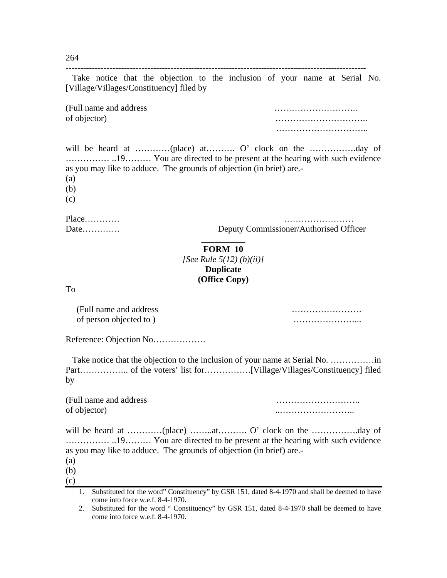264

| [Village/Villages/Constituency] filed by                                                 | Take notice that the objection to the inclusion of your name at Serial No.      |
|------------------------------------------------------------------------------------------|---------------------------------------------------------------------------------|
| (Full name and address)<br>of objector)                                                  | .                                                                               |
| as you may like to adduce. The grounds of objection (in brief) are.<br>(a)<br>(b)<br>(c) |                                                                                 |
| $Place$<br>Date                                                                          | Deputy Commissioner/Authorised Officer                                          |
| $T_{\Omega}$                                                                             | <b>FORM 10</b><br>[See Rule 5(12) (b)(ii)]<br><b>Duplicate</b><br>(Office Copy) |

To

 (Full name and address …………………… of person objected to ) …………………...

Reference: Objection No………………

Take notice that the objection to the inclusion of your name at Serial No. ......................... Part…………….. of the voters' list for…………….[Village/Villages/Constituency] filed by

(Full name and address ………………………..

of objector) ..……………………..

will be heard at …………(place) ……..at……….. O' clock on the ……………..day of …………… ..19……… You are directed to be present at the hearing with such evidence as you may like to adduce. The grounds of objection (in brief) are.-

(a) (b)

(c)

<sup>1.</sup> Substituted for the word" Constituency" by GSR 151, dated 8-4-1970 and shall be deemed to have come into force w.e.f. 8-4-1970.

<sup>2.</sup> Substituted for the word " Constituency" by GSR 151, dated 8-4-1970 shall be deemed to have come into force w.e.f. 8-4-1970.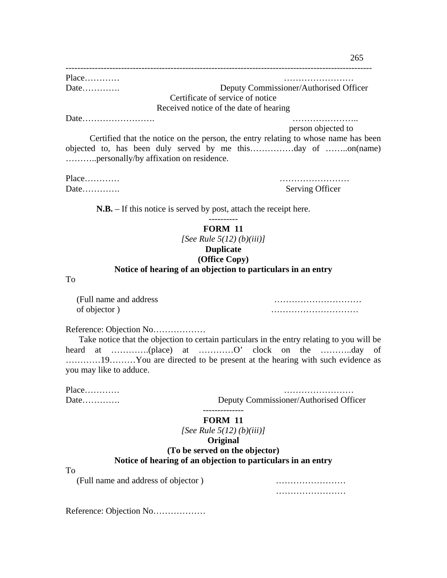| Place | .                                      |
|-------|----------------------------------------|
| Date  | Deputy Commissioner/Authorised Officer |
|       | Certificate of service of notice       |
|       | Received notice of the date of hearing |
|       |                                        |

person objected to

 Certified that the notice on the person, the entry relating to whose name has been objected to, has been duly served by me this……………day of ……..on(name) ………..personally/by affixation on residence.

Place………… ……………………

Date…………. Serving Officer

 **N.B.** – If this notice is served by post, attach the receipt here.

**FORM 11**  *[See Rule 5(12) (b)(iii)]* **Duplicate (Office Copy)** 

### **Notice of hearing of an objection to particulars in an entry**

To

 (Full name and address ………………………… of objector ) means and  $\mathbf{I}$  is a set of objector  $\mathbf{I}$  is a set of objector  $\mathbf{I}$ 

Reference: Objection No………………

 Take notice that the objection to certain particulars in the entry relating to you will be heard at ………….(place) at …………O' clock on the ………..day of …………19………You are directed to be present at the hearing with such evidence as you may like to adduce.

Place………… ……………………

Date…………. Deputy Commissioner/Authorised Officer

#### -------------- **FORM 11**

*[See Rule 5(12) (b)(iii)]*

# **Original**

# **(To be served on the objector)**

#### **Notice of hearing of an objection to particulars in an entry**

To

(Full name and address of objector ) ……………………

……………………

Reference: Objection No………………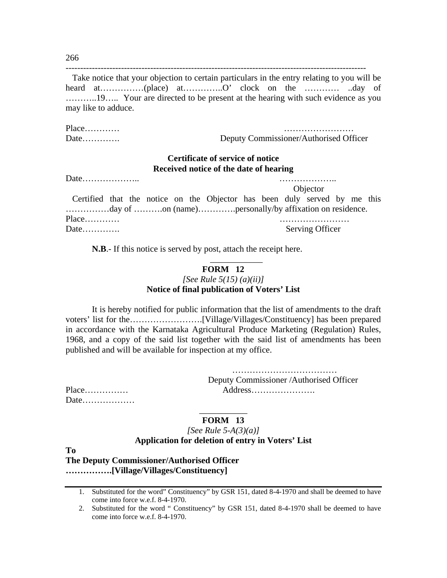-------------------------------------------------------------------------------------------------------

 Take notice that your objection to certain particulars in the entry relating to you will be heard at………………(place) at……………O' clock on the ………… .day of ………..19….. Your are directed to be present at the hearing with such evidence as you may like to adduce.

Place………… …………………… Date…………. Deputy Commissioner/Authorised Officer

### **Certificate of service of notice Received notice of the date of hearing**

Date………………… **Objector**  Certified that the notice on the Objector has been duly served by me this ……………day of ……….on (name)………….personally/by affixation on residence. Place………… …………………… Date…………. Serving Officer

**N.B**.- If this notice is served by post, attach the receipt here.

### **FORM 12**  *[See Rule 5(15) (a)(ii)]* **Notice of final publication of Voters' List**

\_\_\_\_\_\_\_\_\_\_\_\_

It is hereby notified for public information that the list of amendments to the draft voters' list for the…………………….[Village/Villages/Constituency] has been prepared in accordance with the Karnataka Agricultural Produce Marketing (Regulation) Rules, 1968, and a copy of the said list together with the said list of amendments has been published and will be available for inspection at my office.

> ……………………………… Deputy Commissioner /Authorised Officer Place…………… Address………………….

| Place |  |  |  |  |  |  |  |
|-------|--|--|--|--|--|--|--|
| Date  |  |  |  |  |  |  |  |

#### \_\_\_\_\_\_\_\_\_\_\_ **FORM 13**

### *[See Rule 5-A(3)(a)]* **Application for deletion of entry in Voters' List**

**To** 

**The Deputy Commissioner/Authorised Officer …………….[Village/Villages/Constituency]** 

266

<sup>1.</sup> Substituted for the word" Constituency" by GSR 151, dated 8-4-1970 and shall be deemed to have come into force w.e.f. 8-4-1970.

<sup>2.</sup> Substituted for the word " Constituency" by GSR 151, dated 8-4-1970 shall be deemed to have come into force w.e.f. 8-4-1970.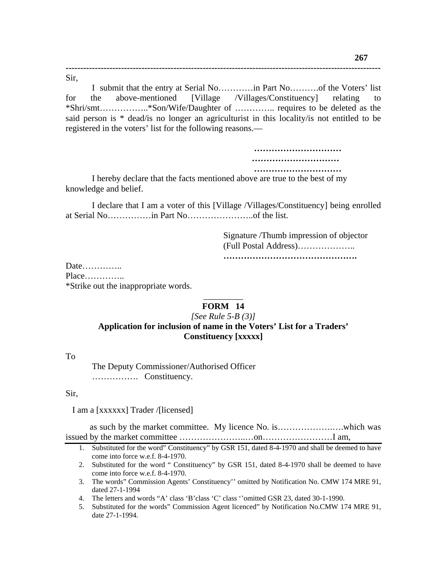Sir,

I submit that the entry at Serial No…………in Part No……….of the Voters' list for the above-mentioned [Village /Villages/Constituency] relating to \*Shri/smt……………..\*Son/Wife/Daughter of ………….. requires to be deleted as the said person is \* dead/is no longer an agriculturist in this locality/is not entitled to be registered in the voters' list for the following reasons.—

**------------------------------------------------------------------------------------------------------------** 

 **………………………… ………………………… …………………………** 

I hereby declare that the facts mentioned above are true to the best of my knowledge and belief.

I declare that I am a voter of this [Village /Villages/Constituency] being enrolled at Serial No……………in Part No…………………..of the list.

> Signature /Thumb impression of objector (Full Postal Address)……………….. **……………………………………….**

Date………….. Place………….. \*Strike out the inappropriate words.

### \_\_\_\_\_\_\_\_\_ **FORM 14**

### *[See Rule 5-B (3)]*

### **Application for inclusion of name in the Voters' List for a Traders' Constituency [xxxxx]**

To

The Deputy Commissioner/Authorised Officer ……………. Constituency.

Sir,

I am a [xxxxxx] Trader /[licensed]

 as such by the market committee. My licence No. is……………….….which was issued by the market committee …………………..…on……………………I am,

- 1. Substituted for the word" Constituency" by GSR 151, dated 8-4-1970 and shall be deemed to have come into force w.e.f. 8-4-1970.
- 2. Substituted for the word " Constituency" by GSR 151, dated 8-4-1970 shall be deemed to have come into force w.e.f. 8-4-1970.
- 3. The words" Commission Agents' Constituency'' omitted by Notification No. CMW 174 MRE 91, dated 27-1-1994
- 4. The letters and words "A' class 'B'class 'C' class ''omitted GSR 23, dated 30-1-1990.
- 5. Substituted for the words" Commission Agent licenced" by Notification No.CMW 174 MRE 91, date 27-1-1994.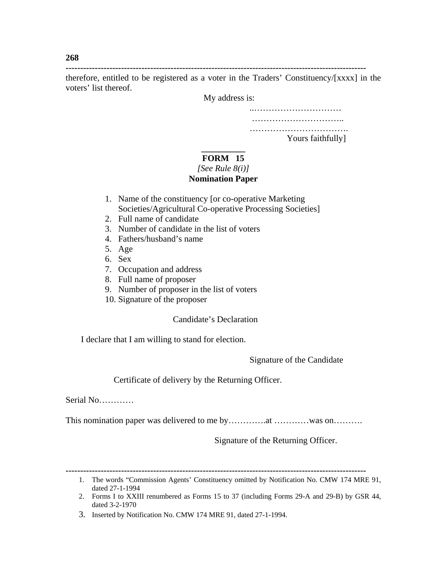**-------------------------------------------------------------------------------------------------------** 

therefore, entitled to be registered as a voter in the Traders' Constituency/[xxxx] in the voters' list thereof.

My address is:

..………………………… ………………………………

…………………………………… Yours faithfully]

### **\_\_\_\_\_\_\_\_\_\_ FORM 15**  *[See Rule 8(i)]*

### **Nomination Paper**

- 1. Name of the constituency [or co-operative Marketing Societies/Agricultural Co-operative Processing Societies]
- 2. Full name of candidate
- 3. Number of candidate in the list of voters
- 4. Fathers/husband's name
- 5. Age
- 6. Sex
- 7. Occupation and address
- 8. Full name of proposer
- 9. Number of proposer in the list of voters
- 10. Signature of the proposer

# Candidate's Declaration

I declare that I am willing to stand for election.

Signature of the Candidate

Certificate of delivery by the Returning Officer.

Serial No…………

This nomination paper was delivered to me by…………at …………was on………

Signature of the Returning Officer.

**268** 

**<sup>-------------------------------------------------------------------------------------------------------</sup>** 

<sup>1.</sup> The words "Commission Agents' Constituency omitted by Notification No. CMW 174 MRE 91, dated 27-1-1994

<sup>2.</sup> Forms I to XXIII renumbered as Forms 15 to 37 (including Forms 29-A and 29-B) by GSR 44, dated 3-2-1970

<sup>3.</sup> Inserted by Notification No. CMW 174 MRE 91, dated 27-1-1994.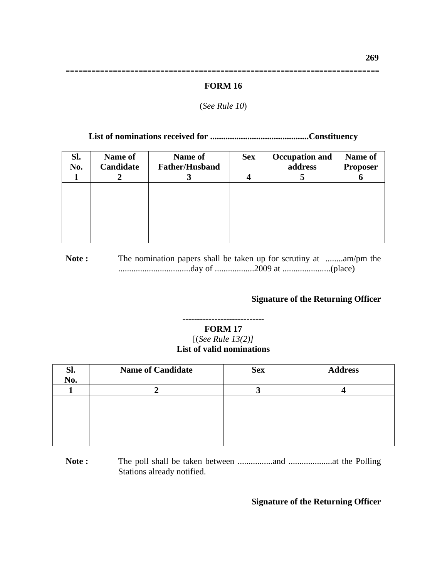# ------------------------------------------------------------------------- **FORM 16**

### (*See Rule 10*)

### **List of nominations received for .............................................Constituency**

| SI.<br>No. | Name of<br>Candidate | Name of<br><b>Father/Husband</b> | <b>Sex</b> | <b>Occupation and</b><br>address | Name of<br><b>Proposer</b> |
|------------|----------------------|----------------------------------|------------|----------------------------------|----------------------------|
|            |                      |                                  |            |                                  |                            |
|            |                      |                                  |            |                                  |                            |
|            |                      |                                  |            |                                  |                            |
|            |                      |                                  |            |                                  |                            |
|            |                      |                                  |            |                                  |                            |
|            |                      |                                  |            |                                  |                            |
|            |                      |                                  |            |                                  |                            |

Note : The nomination papers shall be taken up for scrutiny at ........am/pm the .................................day of ..................2009 at ......................(place)

### **Signature of the Returning Officer**

### **---------------------------- FORM 17** [(*See Rule 13(2)]* **List of valid nominations**

| Sl.<br>No. | <b>Name of Candidate</b> | <b>Sex</b> | <b>Address</b> |
|------------|--------------------------|------------|----------------|
|            |                          |            |                |
|            |                          |            |                |

**Note :** The poll shall be taken between ................and ....................at the Polling Stations already notified.

### **Signature of the Returning Officer**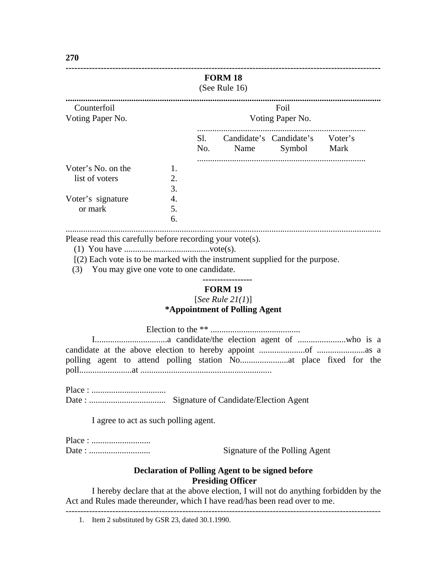|                                                                                                                                                                                           |          |            | <b>FORM 18</b><br>(See Rule 16)                                        |                                           |      |
|-------------------------------------------------------------------------------------------------------------------------------------------------------------------------------------------|----------|------------|------------------------------------------------------------------------|-------------------------------------------|------|
| Counterfoil                                                                                                                                                                               |          |            |                                                                        | Foil                                      |      |
| Voting Paper No.                                                                                                                                                                          |          |            |                                                                        | Voting Paper No.                          |      |
|                                                                                                                                                                                           |          | Sl.<br>No. | Name                                                                   | Candidate's Candidate's Voter's<br>Symbol | Mark |
| Voter's No. on the                                                                                                                                                                        | 1.       |            |                                                                        |                                           |      |
| list of voters                                                                                                                                                                            | 2.<br>3. |            |                                                                        |                                           |      |
| Voter's signature                                                                                                                                                                         | 4.       |            |                                                                        |                                           |      |
| or mark                                                                                                                                                                                   | 5.       |            |                                                                        |                                           |      |
|                                                                                                                                                                                           | 6.       |            |                                                                        |                                           |      |
| Please read this carefully before recording your vote(s).<br>$(2)$ Each vote is to be marked with the instrument supplied for the purpose.<br>(3) You may give one vote to one candidate. |          |            |                                                                        |                                           |      |
|                                                                                                                                                                                           |          |            | <b>FORM 19</b><br>[See Rule $2I(1)$ ]<br>*Appointment of Polling Agent |                                           |      |

Election to the \*\* .........................................

Place : .................................. Date : ................................... Signature of Candidate/Election Agent

I agree to act as such polling agent.

Place : ...........................

Date : ............................ Signature of the Polling Agent

### **Declaration of Polling Agent to be signed before Presiding Officer**

I hereby declare that at the above election, I will not do anything forbidden by the Act and Rules made thereunder, which I have read/has been read over to me.

**270** 

<sup>------------------------------------------------------------------------------------------------------------ 1.</sup> Item 2 substituted by GSR 23, dated 30.1.1990.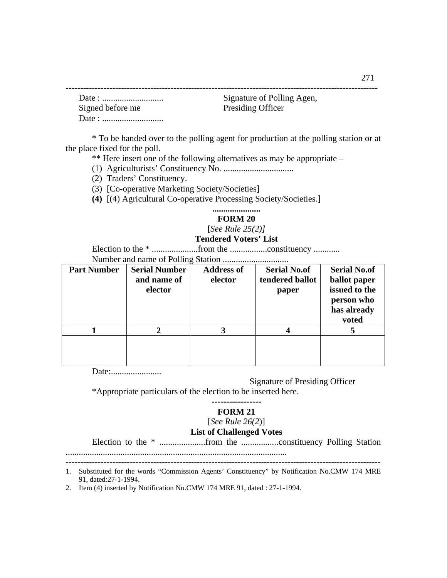|                  | Signature of Polling Agen, |
|------------------|----------------------------|
| Signed before me | <b>Presiding Officer</b>   |
|                  |                            |

\* To be handed over to the polling agent for production at the polling station or at the place fixed for the poll.

\*\* Here insert one of the following alternatives as may be appropriate –

- (1) Agriculturists' Constituency No. ................................
- (2) Traders' Constituency.
- (3) [Co-operative Marketing Society/Societies]
- **(4)** [(4) Agricultural Co-operative Processing Society/Societies.]

### **...................... FORM 20**  [*See Rule 25(2)]*

#### **Tendered Voters' List**

Election to the \* .....................from the .................constituency ............

Number and name of Polling Station ..............................

| <b>Part Number</b> | <b>Serial Number</b><br>and name of<br>elector | <b>Address of</b><br>elector | <b>Serial No.of</b><br>tendered ballot<br>paper | <b>Serial No.of</b><br>ballot paper<br>issued to the<br>person who<br>has already<br>voted |
|--------------------|------------------------------------------------|------------------------------|-------------------------------------------------|--------------------------------------------------------------------------------------------|
|                    | 2                                              |                              |                                                 |                                                                                            |
|                    |                                                |                              |                                                 |                                                                                            |

Date:.......................

Signature of Presiding Officer

\*Appropriate particulars of the election to be inserted here.

#### **----------------- FORM 21**

#### [*See Rule 26(2*)]

#### **List of Challenged Votes**

Election to the \* .....................from the .................constituency Polling Station .....................................................................................................

------------------------------------------------------------------------------------------------------------ 1. Substituted for the words "Commission Agents' Constituency" by Notification No.CMW 174 MRE 91, dated:27-1-1994.

2. Item (4) inserted by Notification No.CMW 174 MRE 91, dated : 27-1-1994.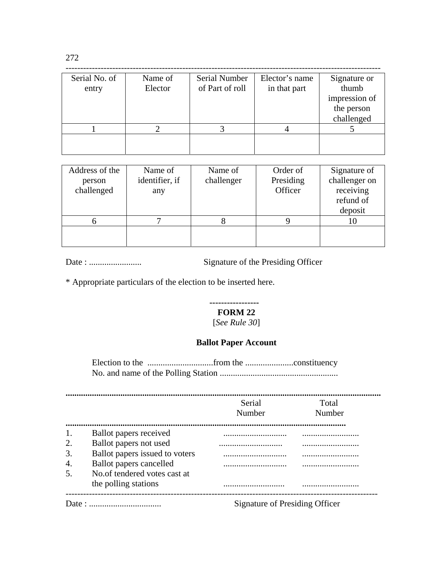| Serial No. of | Name of | Serial Number   | Elector's name | Signature or  |
|---------------|---------|-----------------|----------------|---------------|
| entry         | Elector | of Part of roll | in that part   | thumb         |
|               |         |                 |                | impression of |
|               |         |                 |                | the person    |
|               |         |                 |                | challenged    |
|               |         |                 |                |               |
|               |         |                 |                |               |
|               |         |                 |                |               |

| Address of the<br>person<br>challenged | Name of<br>identifier, if<br>any | Name of<br>challenger | Order of<br>Presiding<br>Officer | Signature of<br>challenger on<br>receiving<br>refund of<br>deposit |
|----------------------------------------|----------------------------------|-----------------------|----------------------------------|--------------------------------------------------------------------|
|                                        |                                  |                       |                                  |                                                                    |
|                                        |                                  |                       |                                  |                                                                    |

Date : ........................ Signature of the Presiding Officer

\* Appropriate particulars of the election to be inserted here.

#### **----------------- FORM 22**

[*See Rule 30*]

### **Ballot Paper Account**

Election to the ..............................from the ......................constituency No. and name of the Polling Station ......................................................

|    |                                | Serial<br>Number               | Total<br>Number |
|----|--------------------------------|--------------------------------|-----------------|
| 1. | Ballot papers received         |                                |                 |
| 2. | Ballot papers not used         |                                |                 |
| 3. | Ballot papers issued to voters |                                |                 |
| 4. | <b>Ballot</b> papers cancelled |                                |                 |
| 5. | No. of tendered votes cast at  |                                |                 |
|    | the polling stations           |                                |                 |
|    |                                | Signature of Presiding Officer |                 |

272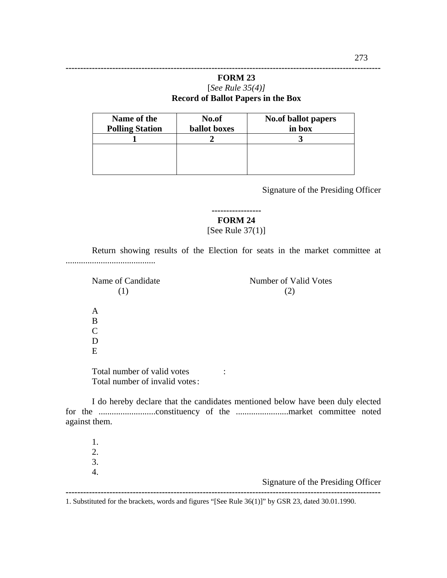| Name of the<br><b>Polling Station</b> | No.of<br><b>ballot</b> boxes | No.of ballot papers<br>in box |
|---------------------------------------|------------------------------|-------------------------------|
|                                       |                              |                               |
|                                       |                              |                               |
|                                       |                              |                               |
|                                       |                              |                               |

**------------------------------------------------------------------------------------------------------------** 

Signature of the Presiding Officer

**-----------------** 

**FORM 24** 

[See Rule 37(1)]

Return showing results of the Election for seats in the market committee at .........................................

Name of Candidate Number of Valid Votes  $(1)$  (2) A B C D

E

Total number of valid votes : Total number of invalid votes :

I do hereby declare that the candidates mentioned below have been duly elected for the ..........................constituency of the ........................market committee noted against them.

1. 2. 3. 4. Signature of the Presiding Officer **------------------------------------------------------------------------------------------------------------** 

1. Substituted for the brackets, words and figures "[See Rule 36(1)]" by GSR 23, dated 30.01.1990.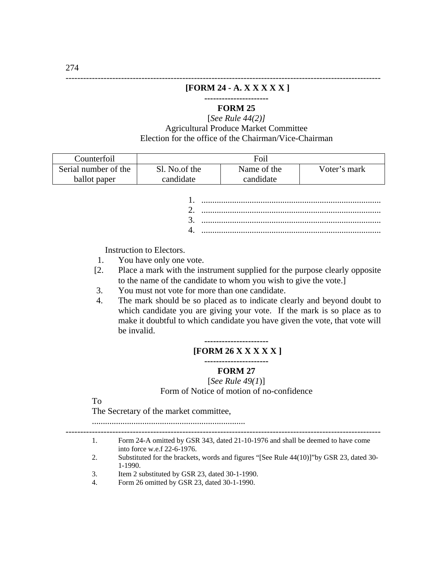#### **[FORM 24 - A. X X X X X ]**

------------------------------------------------------------------------------------------------------------

**----------------------** 

### **FORM 25**

[*See Rule 44(2)]* Agricultural Produce Market Committee Election for the office of the Chairman/Vice-Chairman

| Counterfoil          | Foil          |             |              |  |  |  |  |
|----------------------|---------------|-------------|--------------|--|--|--|--|
| Serial number of the | Sl. No.of the | Name of the | Voter's mark |  |  |  |  |
| ballot paper         | candidate     | candidate   |              |  |  |  |  |

Instruction to Electors.

- 1. You have only one vote.
- [2. Place a mark with the instrument supplied for the purpose clearly opposite to the name of the candidate to whom you wish to give the vote.]
- 3. You must not vote for more than one candidate.
- 4. The mark should be so placed as to indicate clearly and beyond doubt to which candidate you are giving your vote. If the mark is so place as to make it doubtful to which candidate you have given the vote, that vote will be invalid.

#### **---------------------- [FORM 26 X X X X X ]**

### **----------------------**

### **FORM 27**

[*See Rule 49(1*)]

Form of Notice of motion of no-confidence

#### To

The Secretary of the market committee,

......................................................................

- ------------------------------------------------------------------------------------------------------------ 1. Form 24-A omitted by GSR 343, dated 21-10-1976 and shall be deemed to have come into force w.e.f 22-6-1976.
- 2. Substituted for the brackets, words and figures "[See Rule 44(10)]"by GSR 23, dated 30- 1-1990.
- 3. Item 2 substituted by GSR 23, dated 30-1-1990.
- 4. Form 26 omitted by GSR 23, dated 30-1-1990.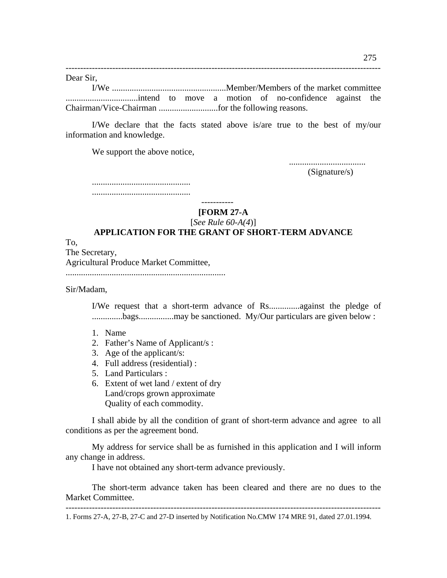------------------------------------------------------------------------------------------------------------ Dear Sir, I/We ....................................................Member/Members of the market committee .................................intend to move a motion of no-confidence against the Chairman/Vice-Chairman ...........................for the following reasons.

I/We declare that the facts stated above is/are true to the best of my/our information and knowledge.

We support the above notice,

...................................

(Signature/s)

.............................................

.............................................

-----------

**[FORM 27-A** 

[*See Rule 60-A(4*)]

### **APPLICATION FOR THE GRANT OF SHORT-TERM ADVANCE**

To, The Secretary, Agricultural Produce Market Committee, .........................................................................

Sir/Madam,

I/We request that a short-term advance of Rs..............against the pledge of ..............bags................may be sanctioned. My/Our particulars are given below :

- 1. Name
- 2. Father's Name of Applicant/s :
- 3. Age of the applicant/s:
- 4. Full address (residential) :
- 5. Land Particulars :
- 6. Extent of wet land / extent of dry Land/crops grown approximate Quality of each commodity.

 I shall abide by all the condition of grant of short-term advance and agree to all conditions as per the agreement bond.

 My address for service shall be as furnished in this application and I will inform any change in address.

I have not obtained any short-term advance previously.

 The short-term advance taken has been cleared and there are no dues to the Market Committee.

1. Forms 27-A, 27-B, 27-C and 27-D inserted by Notification No.CMW 174 MRE 91, dated 27.01.1994.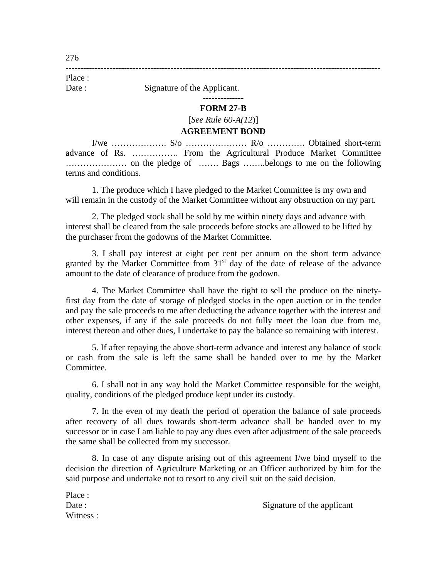Date : Signature of the Applicant.

#### **FORM 27-B**

--------------

### [*See Rule 60-A(12*)]

------------------------------------------------------------------------------------------------------------

#### **AGREEMENT BOND**

I/we ………………. S/o ………………… R/o …………. Obtained short-term advance of Rs. ……………. From the Agricultural Produce Market Committee ………………… on the pledge of ……. Bags ……..belongs to me on the following terms and conditions.

1. The produce which I have pledged to the Market Committee is my own and will remain in the custody of the Market Committee without any obstruction on my part.

2. The pledged stock shall be sold by me within ninety days and advance with interest shall be cleared from the sale proceeds before stocks are allowed to be lifted by the purchaser from the godowns of the Market Committee.

3. I shall pay interest at eight per cent per annum on the short term advance granted by the Market Committee from  $31<sup>st</sup>$  day of the date of release of the advance amount to the date of clearance of produce from the godown.

4. The Market Committee shall have the right to sell the produce on the ninetyfirst day from the date of storage of pledged stocks in the open auction or in the tender and pay the sale proceeds to me after deducting the advance together with the interest and other expenses, if any if the sale proceeds do not fully meet the loan due from me, interest thereon and other dues, I undertake to pay the balance so remaining with interest.

5. If after repaying the above short-term advance and interest any balance of stock or cash from the sale is left the same shall be handed over to me by the Market Committee.

6. I shall not in any way hold the Market Committee responsible for the weight, quality, conditions of the pledged produce kept under its custody.

7. In the even of my death the period of operation the balance of sale proceeds after recovery of all dues towards short-term advance shall be handed over to my successor or in case I am liable to pay any dues even after adjustment of the sale proceeds the same shall be collected from my successor.

8. In case of any dispute arising out of this agreement I/we bind myself to the decision the direction of Agriculture Marketing or an Officer authorized by him for the said purpose and undertake not to resort to any civil suit on the said decision.

| Place:    |                            |
|-----------|----------------------------|
| Date :    | Signature of the applicant |
| Witness · |                            |

Place :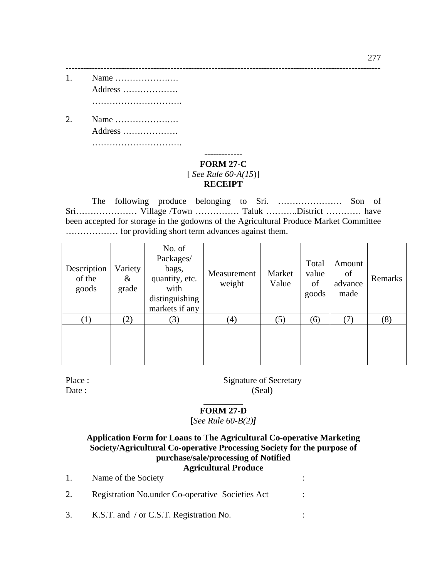- 1. Name ……………….… Address ………………. ………………………….
- 2. Name ……………….… Address ………………. ……………………………………

### ------------- **FORM 27-C**  [ *See Rule 60-A(15*)] **RECEIPT**

------------------------------------------------------------------------------------------------------------

 The following produce belonging to Sri. …………………. Son of Sri………………… Village /Town …………… Taluk ………..District ………… have been accepted for storage in the godowns of the Agricultural Produce Market Committee ……………… for providing short term advances against them.

| Description<br>of the<br>goods | Variety<br>&<br>grade | No. of<br>Packages/<br>bags,<br>quantity, etc.<br>with<br>distinguishing<br>markets if any | Measurement<br>weight | Market<br>Value | Total<br>value<br>of<br>goods | Amount<br>of<br>advance<br>made | Remarks |
|--------------------------------|-----------------------|--------------------------------------------------------------------------------------------|-----------------------|-----------------|-------------------------------|---------------------------------|---------|
| $\left(1\right)$               | (2)                   | 3)                                                                                         | (4)                   | (5)             | (6)                           | (7)                             | (8)     |
|                                |                       |                                                                                            |                       |                 |                               |                                 |         |

Place : Signature of Secretary Date : (Seal)

### \_\_\_\_\_\_\_\_\_ **FORM 27-D**

**[***See Rule 60-B(2)]* 

### **Application Form for Loans to The Agricultural Co-operative Marketing Society/Agricultural Co-operative Processing Society for the purpose of purchase/sale/processing of Notified Agricultural Produce**

1. Name of the Society :  $\cdot$ 2. Registration No.under Co-operative Societies Act : 3. K.S.T. and / or C.S.T. Registration No. :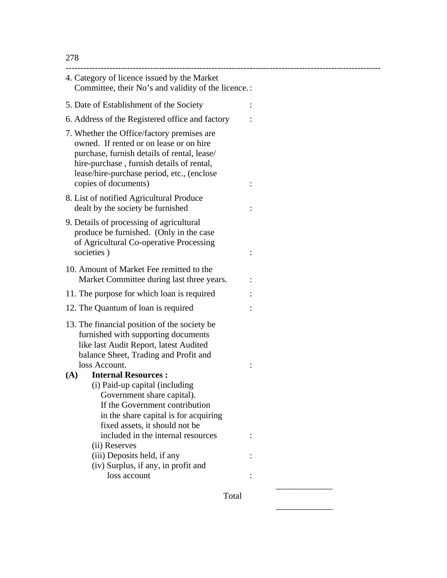| 4. Category of licence issued by the Market<br>Committee, their No's and validity of the licence.:                                                                                                                                                      |  |
|---------------------------------------------------------------------------------------------------------------------------------------------------------------------------------------------------------------------------------------------------------|--|
| 5. Date of Establishment of the Society                                                                                                                                                                                                                 |  |
| 6. Address of the Registered office and factory                                                                                                                                                                                                         |  |
| 7. Whether the Office/factory premises are<br>owned. If rented or on lease or on hire<br>purchase, furnish details of rental, lease/<br>hire-purchase, furnish details of rental,<br>lease/hire-purchase period, etc., (enclose<br>copies of documents) |  |
| 8. List of notified Agricultural Produce<br>dealt by the society be furnished                                                                                                                                                                           |  |
| 9. Details of processing of agricultural<br>produce be furnished. (Only in the case<br>of Agricultural Co-operative Processing<br>societies)                                                                                                            |  |
| 10. Amount of Market Fee remitted to the<br>Market Committee during last three years.                                                                                                                                                                   |  |
| 11. The purpose for which loan is required                                                                                                                                                                                                              |  |
| 12. The Quantum of loan is required                                                                                                                                                                                                                     |  |
| 13. The financial position of the society be<br>furnished with supporting documents<br>like last Audit Report, latest Audited<br>balance Sheet, Trading and Profit and                                                                                  |  |
| loss Account.                                                                                                                                                                                                                                           |  |
| <b>Internal Resources:</b><br>(A)<br>(i) Paid-up capital (including<br>Government share capital).<br>If the Government contribution<br>in the share capital is for acquiring<br>fixed assets, it should not be                                          |  |
| included in the internal resources                                                                                                                                                                                                                      |  |
| (ii) Reserves                                                                                                                                                                                                                                           |  |
| (iii) Deposits held, if any                                                                                                                                                                                                                             |  |
| (iv) Surplus, if any, in profit and                                                                                                                                                                                                                     |  |
| loss account                                                                                                                                                                                                                                            |  |
| Total                                                                                                                                                                                                                                                   |  |

 $\mathcal{L}_\text{max}$  and  $\mathcal{L}_\text{max}$  and  $\mathcal{L}_\text{max}$  and  $\mathcal{L}_\text{max}$  and  $\mathcal{L}_\text{max}$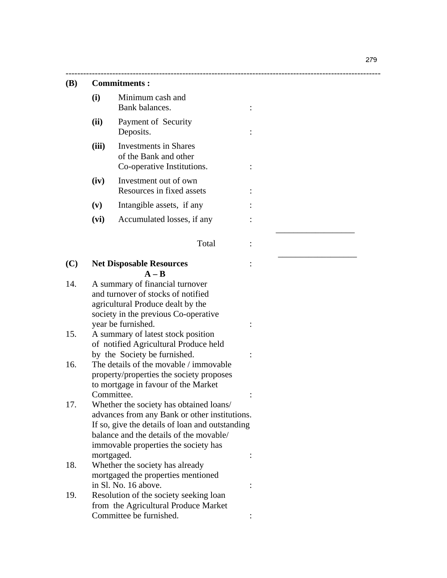\_\_\_\_\_\_\_\_\_\_\_\_\_\_\_\_\_\_

279

#### **(B) Commitments :**

- **(i)** Minimum cash and Bank balances.  $\qquad \qquad$  :
- **(ii)** Payment of Security Deposits. :
- **(iii)** Investments in Shares of the Bank and other Co-operative Institutions.  $\cdot$  :
- **(iv)** Investment out of own Resources in fixed assets :
- **(v)** Intangible assets, if any :
- **(vi)** Accumulated losses, if any :
- Total :

 $\mathcal{L}_\text{max}$  , which is a set of the set of the set of the set of the set of the set of the set of the set of the set of the set of the set of the set of the set of the set of the set of the set of the set of the set of

------------------------------------------------------------------------------------------------------------

#### **(C) Net Disposable Resources** :  $A - B$

- 14. A summary of financial turnover and turnover of stocks of notified agricultural Produce dealt by the society in the previous Co-operative year be furnished. :
- 15. A summary of latest stock position of notified Agricultural Produce held by the Society be furnished.  $\cdot$
- 16. The details of the movable / immovable property/properties the society proposes to mortgage in favour of the Market Committee. : The committee of the second service of the service of the service of the service of the service of the service of the service of the service of the service of the service of the service of the service of the s
- 17. Whether the society has obtained loans/ advances from any Bank or other institutions. If so, give the details of loan and outstanding balance and the details of the movable/ immovable properties the society has mortgaged.  $\qquad \qquad :$
- 18. Whether the society has already mortgaged the properties mentioned in Sl. No. 16 above. :
- 19. Resolution of the society seeking loan from the Agricultural Produce Market Committee be furnished. :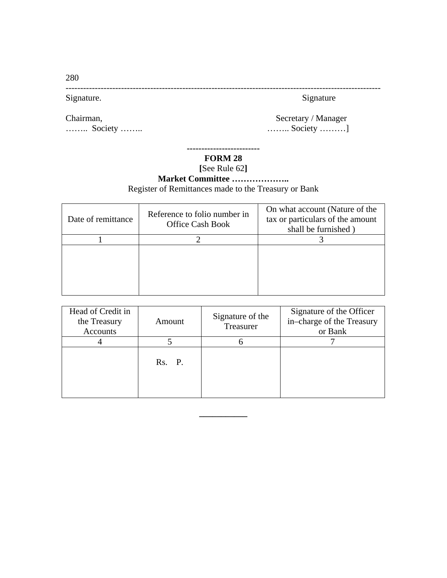280

------------------------------------------------------------------------------------------------------------ Signature. Signature Signature Signature Signature Signature Signature Signature Signature Signature Signature

Chairman, Secretary / Manager ……… Society ……… <br> ……… Society ………

# **FORM 28**

**-------------------------** 

**[**See Rule 62**]** 

# **Market Committee ………………..**  Register of Remittances made to the Treasury or Bank

| Date of remittance | Reference to folio number in<br><b>Office Cash Book</b> | On what account (Nature of the<br>tax or particulars of the amount<br>shall be furnished) |
|--------------------|---------------------------------------------------------|-------------------------------------------------------------------------------------------|
|                    |                                                         |                                                                                           |
|                    |                                                         |                                                                                           |

| Head of Credit in<br>the Treasury<br>Accounts | Amount | Signature of the<br>Treasurer | Signature of the Officer<br>in-charge of the Treasury<br>or Bank |
|-----------------------------------------------|--------|-------------------------------|------------------------------------------------------------------|
|                                               |        |                               |                                                                  |
|                                               | Rs. P. |                               |                                                                  |

**\_\_\_\_\_\_\_\_\_\_\_**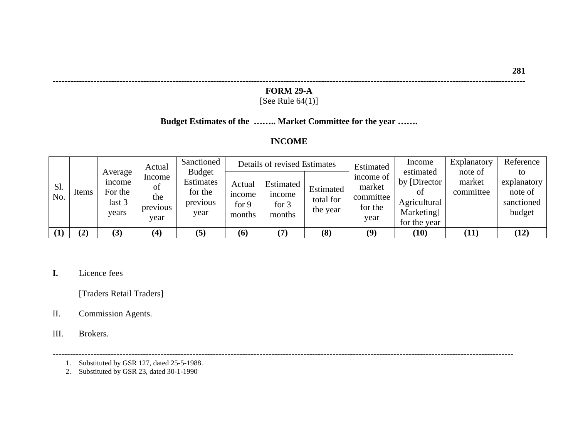#### **FORM 29-A**

**------------------------------------------------------------------------------------------------------------------------------------------------------------------** 

### [See Rule 64(1)]

### **Budget Estimates of the …….. Market Committee for the year …….**

### **INCOME**

|            |       |                                                | Actual                                  | Sanctioned                                                |                                            | Details of revised Estimates                         |                                    | Estimated                                           | Income                                                                         | Explanatory                    | Reference                                            |
|------------|-------|------------------------------------------------|-----------------------------------------|-----------------------------------------------------------|--------------------------------------------|------------------------------------------------------|------------------------------------|-----------------------------------------------------|--------------------------------------------------------------------------------|--------------------------------|------------------------------------------------------|
| Sl.<br>No. | Items | Average<br>ncome<br>For the<br>last 3<br>vears | Income<br>ΟÌ<br>the<br>previous<br>vear | <b>Budget</b><br>Estimates<br>for the<br>previous<br>year | Actual<br><i>n</i> come<br>for 9<br>months | Estimated<br><sub>1</sub> ncome<br>for $3$<br>months | Estimated<br>total for<br>the year | income of<br>market<br>committee<br>for the<br>year | estimated<br>by [Director]<br>ОŤ<br>Agricultural<br>Marketing]<br>for the year | note of<br>market<br>committee | to<br>explanatory<br>note of<br>sanctioned<br>budget |
|            | (2)   | (3)                                            | $\bf(4)$                                | (5)                                                       | (6)                                        |                                                      | (8)                                | (9)                                                 | (10)                                                                           | (11)                           | (12)                                                 |

--------------------------------------------------------------------------------------------------------------------------------------------------------------

**I.** Licence fees

[Traders Retail Traders]

II. Commission Agents.

III. Brokers.

- 1. Substituted by GSR 127, dated 25-5-1988.
	- 2. Substituted by GSR 23, dated 30-1-1990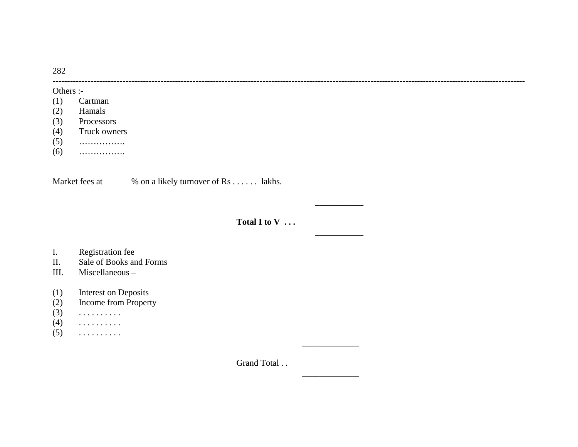282

#### Others :-

- (1) Cartman
- (2) Hamals
- (3) Processors
- (4) Truck owners
- (5) …………….
- (6) …………….

Market fees at  $\%$  on a likely turnover of Rs . . . . . . lakhs.

 **\_\_\_\_\_\_\_\_\_\_\_** 

 **\_\_\_\_\_\_\_\_\_\_\_** 

\_\_\_\_\_\_\_\_\_\_\_\_\_

 $\overline{\phantom{a}}$  . The contract of the contract of the contract of the contract of the contract of the contract of the contract of the contract of the contract of the contract of the contract of the contract of the contract of

**Total I to V** ...

------------------------------------------------------------------------------------------------------------------------------------------------------------------

# I. Registration fee<br>II. Sale of Books are

- Sale of Books and Forms
- III. Miscellaneous –
- (1) Interest on Deposits
- (2) Income from Property
- (3) . . . . . . . . . .
- $(4)$  . . . . . . . . . .
- $(5)$  . . . . . . . . . . .

Grand Total ..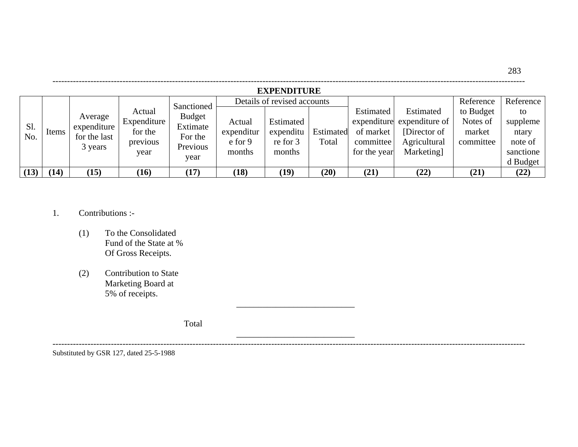|      | <b>EXPENDITURE</b> |              |             |                             |                  |                             |           |              |                            |           |           |
|------|--------------------|--------------|-------------|-----------------------------|------------------|-----------------------------|-----------|--------------|----------------------------|-----------|-----------|
|      |                    |              |             |                             |                  | Details of revised accounts |           |              |                            | Reference | Reference |
|      |                    | Average      | Actual      | Sanctioned<br><b>Budget</b> |                  |                             |           | Estimated    | Estimated                  | to Budget | to        |
| Sl.  |                    | expenditure  | Expenditure | Extimate                    | Actual           | Estimated                   |           |              | expenditure expenditure of | Notes of  | suppleme  |
| No.  | Items              | for the last | for the     | For the                     | expenditur       | expenditu                   | Estimated | of market    | [Director of]              | market    | ntary     |
|      |                    |              | previous    | Previous                    | $\epsilon$ for 9 | re for 3                    | Total     | committee    | Agricultural               | committee | note of   |
|      |                    | 3 years      | year        |                             | months           | months                      |           | for the year | <b>Marketing</b>           |           | sanctione |
|      |                    |              |             | year                        |                  |                             |           |              |                            |           | d Budget  |
| (13) | (14)               | (15)         | (16)        | (17)                        | (18)             | (19)                        | (20)      | (21)         | (22)                       | (21)      | (22)      |

------------------------------------------------------------------------------------------------------------------------------------------------------------------

283

- 1. Contributions :-
	- (1) To the Consolidated Fund of the State at % Of Gross Receipts.
	- (2) Contribution to State Marketing Board at 5% of receipts.

Total

 $\mathcal{L}_\mathcal{L}$  , and the contract of the contract of the contract of the contract of the contract of the contract of the contract of the contract of the contract of the contract of the contract of the contract of the cont

\_\_\_\_\_\_\_\_\_\_\_\_\_\_\_\_\_\_\_\_\_\_\_\_\_\_\_

Substituted by GSR 127, dated 25-5-1988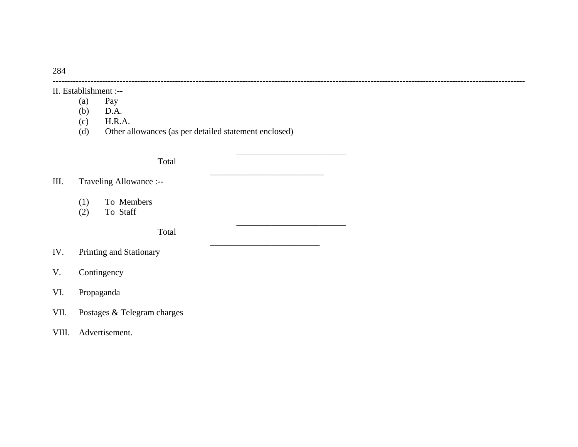II. Establishment :--

- 
- (a) Pay<br>(b)  $D.A$  $D.A.$
- (c) H.R.A.
- (d) Other allowances (as per detailed statement enclosed)

\_\_\_\_\_\_\_\_\_\_\_\_\_\_\_\_\_\_\_\_\_\_\_\_\_\_

\_\_\_\_\_\_\_\_\_\_\_\_\_\_\_\_\_\_\_\_\_\_\_\_\_

------------------------------------------------------------------------------------------------------------------------------------------------------------------

 $\overline{\phantom{a}}$  , and the contribution of the contribution of the contribution of the contribution of the contribution of the contribution of the contribution of the contribution of the contribution of the contribution of the

\_\_\_\_\_\_\_\_\_\_\_\_\_\_\_\_\_\_\_\_\_\_\_\_\_

**Total** 

III. Traveling Allowance :--

- (1) To Members
- (2) To Staff

Total

- IV. Printing and Stationary
- V. Contingency
- VI. Propaganda
- VII. Postages & Telegram charges

### VIII. Advertisement.

284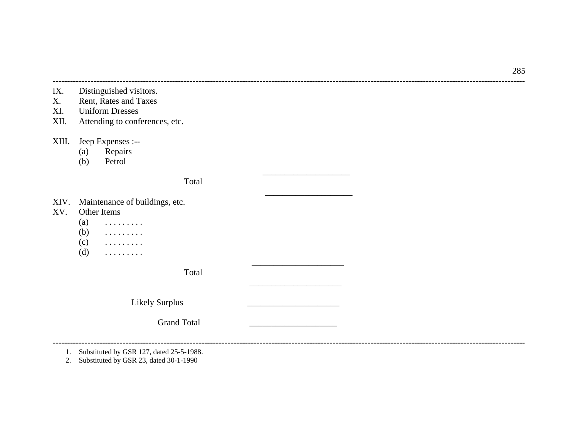285

- IX. Distinguished visitors.
- X. Rent, Rates and Taxes
- XI. Uniform Dresses
- XII. Attending to conferences, etc.

XIII. Jeep Expenses :--

(a) Repairs<br>(b) Petrol

Petrol

Total

 $\overline{\phantom{a}}$  . The contract of the contract of the contract of the contract of the contract of the contract of the contract of the contract of the contract of the contract of the contract of the contract of the contract of

------------------------------------------------------------------------------------------------------------------------------------------------------------------

\_\_\_\_\_\_\_\_\_\_\_\_\_\_\_\_\_\_\_\_

 $\overline{\phantom{a}}$  , and the contract of the contract of the contract of the contract of the contract of the contract of the contract of the contract of the contract of the contract of the contract of the contract of the contrac

------------------------------------------------------------------------------------------------------------------------------------------------------------------

- XIV. Maintenance of buildings, etc.<br>XV. Other Items
- XV. Other Items
	- $(a)$  . . . . . . . . . .
	- $(b)$  . . . . . . . . .
	- $(c)$  . . . . . . . . . .
	- $(d)$  . . . . . . . . . .

Total

 $\overline{\phantom{a}}$  . The contract of the contract of the contract of the contract of the contract of the contract of the contract of the contract of the contract of the contract of the contract of the contract of the contract of

Likely Surplus

Grand Total

1. Substituted by GSR 127, dated 25-5-1988.

2. Substituted by GSR 23, dated 30-1-1990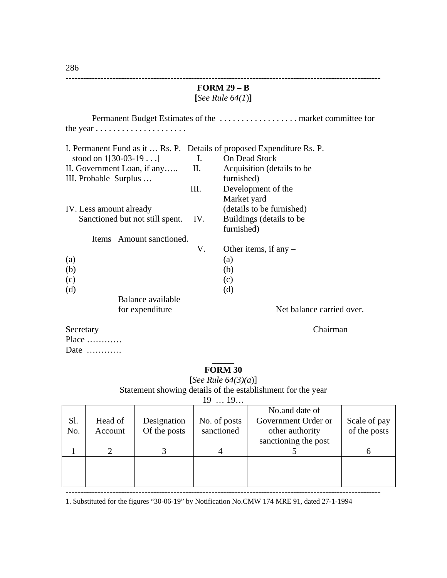|                                                                        | FORM $29 - B$ |                            |  |  |  |  |  |  |
|------------------------------------------------------------------------|---------------|----------------------------|--|--|--|--|--|--|
|                                                                        |               | [See Rule $64(1)$ ]        |  |  |  |  |  |  |
|                                                                        |               |                            |  |  |  |  |  |  |
|                                                                        |               |                            |  |  |  |  |  |  |
|                                                                        |               |                            |  |  |  |  |  |  |
|                                                                        |               |                            |  |  |  |  |  |  |
| I. Permanent Fund as it  Rs. P. Details of proposed Expenditure Rs. P. |               |                            |  |  |  |  |  |  |
| stood on $1[30-03-19]$                                                 |               | I. On Dead Stock           |  |  |  |  |  |  |
| II. Government Loan, if any II.                                        |               | Acquisition (details to be |  |  |  |  |  |  |
|                                                                        |               |                            |  |  |  |  |  |  |
| III. Probable Surplus                                                  |               | furnished)                 |  |  |  |  |  |  |
|                                                                        | III.          | Development of the         |  |  |  |  |  |  |
|                                                                        |               | Market yard                |  |  |  |  |  |  |
| IV. Less amount already                                                |               | (details to be furnished)  |  |  |  |  |  |  |
| Sanctioned but not still spent.                                        | IV.           | Buildings (details to be   |  |  |  |  |  |  |
|                                                                        |               | furnished)                 |  |  |  |  |  |  |
| Items Amount sanctioned.                                               |               |                            |  |  |  |  |  |  |
|                                                                        | V.            | Other items, if any $-$    |  |  |  |  |  |  |
| (a)                                                                    |               | (a)                        |  |  |  |  |  |  |
| (b)                                                                    |               | (b)                        |  |  |  |  |  |  |
| (c)                                                                    |               | (c)                        |  |  |  |  |  |  |
| (d)                                                                    |               | (d)                        |  |  |  |  |  |  |
| Balance available                                                      |               |                            |  |  |  |  |  |  |
|                                                                        |               | Net balance carried over.  |  |  |  |  |  |  |
| for expenditure                                                        |               |                            |  |  |  |  |  |  |
| Secretary                                                              |               | Chairman                   |  |  |  |  |  |  |
| Place                                                                  |               |                            |  |  |  |  |  |  |

### $\overline{\phantom{a}}$ **FORM 30**

[*See Rule 64(3)(a*)]

Statement showing details of the establishment for the year

|--|

| Sl.<br>No. | Head of<br>Account | Designation<br>Of the posts | No. of posts<br>sanctioned | No.and date of<br>Government Order or<br>other authority<br>sanctioning the post | Scale of pay<br>of the posts |
|------------|--------------------|-----------------------------|----------------------------|----------------------------------------------------------------------------------|------------------------------|
|            |                    |                             |                            |                                                                                  |                              |
|            |                    |                             |                            |                                                                                  |                              |

------------------------------------------------------------------------------------------------------------ 1. Substituted for the figures "30-06-19" by Notification No.CMW 174 MRE 91, dated 27-1-1994

Date …………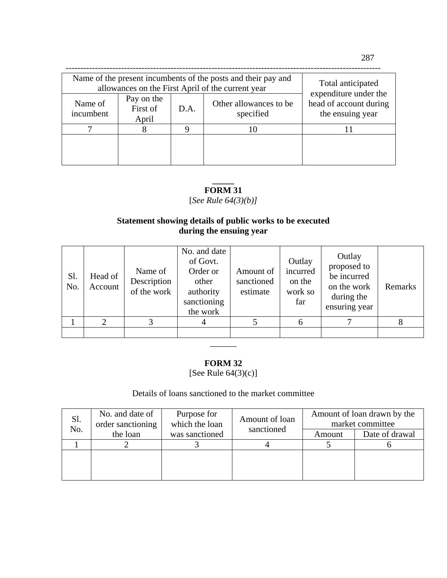| Name of the present incumbents of the posts and their pay and<br>allowances on the First April of the current year | Total anticipated               |      |                                     |                                                                     |  |
|--------------------------------------------------------------------------------------------------------------------|---------------------------------|------|-------------------------------------|---------------------------------------------------------------------|--|
| Name of<br>incumbent                                                                                               | Pay on the<br>First of<br>April | D.A. | Other allowances to be<br>specified | expenditure under the<br>head of account during<br>the ensuing year |  |
|                                                                                                                    |                                 |      | 10                                  |                                                                     |  |
|                                                                                                                    |                                 |      |                                     |                                                                     |  |

### **\_\_\_\_\_ FORM 31**

[*See Rule 64(3)(b)]*

# **Statement showing details of public works to be executed during the ensuing year**

| Sl.<br>No. | Head of<br>Account | Name of<br>Description<br>of the work | No. and date<br>of Govt.<br>Order or<br>other<br>authority<br>sanctioning<br>the work | Amount of<br>sanctioned<br>estimate | Outlay<br>incurred<br>on the<br>work so<br>far | Outlay<br>proposed to<br>be incurred<br>on the work<br>during the<br>ensuring year | Remarks |
|------------|--------------------|---------------------------------------|---------------------------------------------------------------------------------------|-------------------------------------|------------------------------------------------|------------------------------------------------------------------------------------|---------|
|            | $\mathfrak{D}$     | 3                                     |                                                                                       |                                     |                                                |                                                                                    | 8       |
|            |                    |                                       |                                                                                       |                                     |                                                |                                                                                    |         |
|            |                    |                                       |                                                                                       |                                     |                                                |                                                                                    |         |

### **FORM 32**

[See Rule 64(3)(c)]

# Details of loans sanctioned to the market committee

| Sl.<br>No. | No. and date of<br>order sanctioning | Purpose for<br>which the loan | Amount of loan | Amount of loan drawn by the<br>market committee |                |
|------------|--------------------------------------|-------------------------------|----------------|-------------------------------------------------|----------------|
|            | the loan                             | was sanctioned                | sanctioned     | Amount                                          | Date of drawal |
|            |                                      |                               |                |                                                 |                |
|            |                                      |                               |                |                                                 |                |
|            |                                      |                               |                |                                                 |                |
|            |                                      |                               |                |                                                 |                |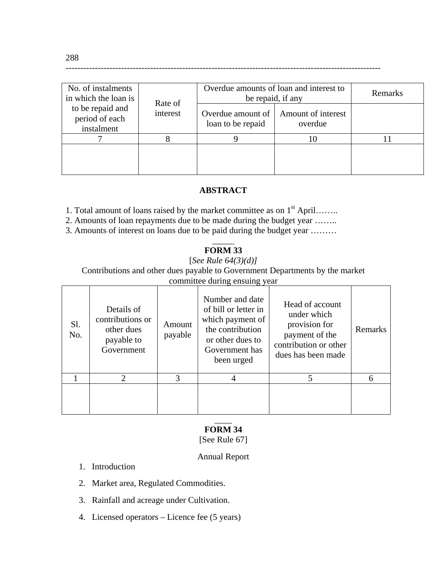| No. of instalments<br>in which the loan is<br>to be repaid and<br>period of each<br>instalment | Rate of  | Overdue amounts of loan and interest to<br>be repaid, if any | Remarks                       |  |
|------------------------------------------------------------------------------------------------|----------|--------------------------------------------------------------|-------------------------------|--|
|                                                                                                | interest | Overdue amount of<br>loan to be repaid                       | Amount of interest<br>overdue |  |
|                                                                                                |          |                                                              | 10                            |  |
|                                                                                                |          |                                                              |                               |  |

### **ABSTRACT**

------------------------------------------------------------------------------------------------------------

1. Total amount of loans raised by the market committee as on  $1<sup>st</sup>$  April…….

2. Amounts of loan repayments due to be made during the budget year ……..

3. Amounts of interest on loans due to be paid during the budget year ………

### $\overline{\phantom{a}}$ **FORM 33**

### [*See Rule 64(3)(d)]*

Contributions and other dues payable to Government Departments by the market committee during ensuing year

| Sl.<br>No. | Details of<br>contributions or<br>other dues<br>payable to<br>Government | Amount<br>payable | Number and date<br>of bill or letter in<br>which payment of<br>the contribution<br>or other dues to<br>Government has<br>been urged | Head of account<br>under which<br>provision for<br>payment of the<br>contribution or other<br>dues has been made | Remarks |
|------------|--------------------------------------------------------------------------|-------------------|-------------------------------------------------------------------------------------------------------------------------------------|------------------------------------------------------------------------------------------------------------------|---------|
|            | $\mathcal{D}_{\mathcal{L}}$                                              | 3                 |                                                                                                                                     | 5                                                                                                                | 6       |
|            |                                                                          |                   |                                                                                                                                     |                                                                                                                  |         |

### $\overline{\phantom{a}}$ **FORM 34**

# [See Rule 67]

### Annual Report

- 1. Introduction
- 2. Market area, Regulated Commodities.
- 3. Rainfall and acreage under Cultivation.
- 4. Licensed operators Licence fee (5 years)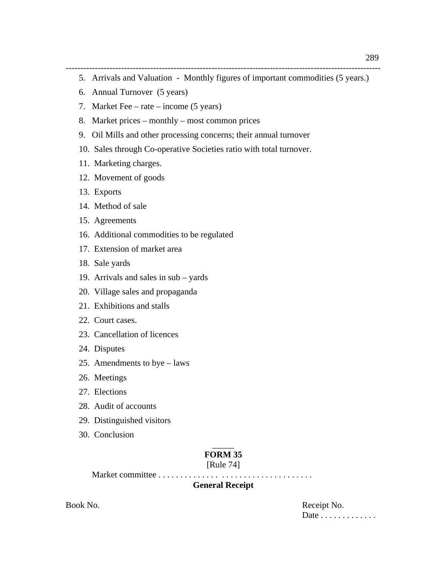------------------------------------------------------------------------------------------------------------ 5. Arrivals and Valuation - Monthly figures of important commodities (5 years.)

- 6. Annual Turnover (5 years)
- 7. Market Fee rate income (5 years)
- 8. Market prices monthly most common prices
- 9. Oil Mills and other processing concerns; their annual turnover
- 10. Sales through Co-operative Societies ratio with total turnover.
- 11. Marketing charges.
- 12. Movement of goods
- 13. Exports
- 14. Method of sale
- 15. Agreements
- 16. Additional commodities to be regulated
- 17. Extension of market area
- 18. Sale yards
- 19. Arrivals and sales in sub yards
- 20. Village sales and propaganda
- 21. Exhibitions and stalls
- 22. Court cases.
- 23. Cancellation of licences
- 24. Disputes
- 25. Amendments to bye laws
- 26. Meetings
- 27. Elections
- 28. Audit of accounts
- 29. Distinguished visitors
- 30. Conclusion

## $\overline{\phantom{a}}$ **FORM 35**

### [Rule 74]

Market committee . . . . . . . . . . . . . . . . . . . . . . . . . . . . . . . . . . .

## **General Receipt**

Book No. Receipt No. Date . . . . . . . . . . . . .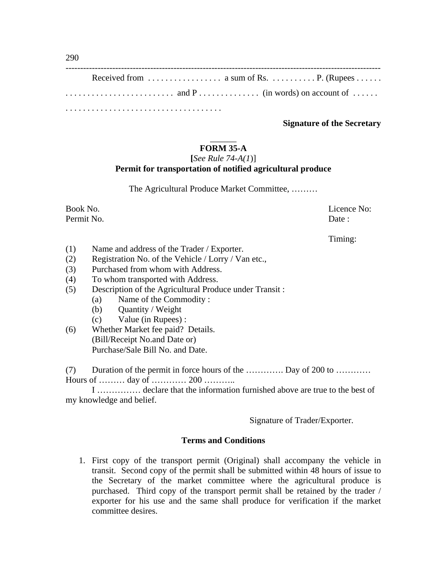## **Signature of the Secretary**

## $\overline{\phantom{a}}$ **FORM 35-A**

## **[***See Rule 74-A(1*)]

## **Permit for transportation of notified agricultural produce**

The Agricultural Produce Market Committee, ………

Permit No. Date : No. 2008. Date : No. 2008. Date : No. 2008. Date : No. 2008. Date : No. 2008. Date : No. 201

Book No. Licence No:

Timing:

- (1) Name and address of the Trader / Exporter.
- (2) Registration No. of the Vehicle / Lorry / Van etc.,
- (3) Purchased from whom with Address.
- (4) To whom transported with Address.
- (5) Description of the Agricultural Produce under Transit :
	- (a) Name of the Commodity :
	- (b) Quantity / Weight
	- (c) Value (in Rupees) :
- (6) Whether Market fee paid? Details. (Bill/Receipt No.and Date or) Purchase/Sale Bill No. and Date.

(7) Duration of the permit in force hours of the …………. Day of 200 to ………… Hours of ……… day of ………… 200 ………..

 I …………… declare that the information furnished above are true to the best of my knowledge and belief.

Signature of Trader/Exporter.

### **Terms and Conditions**

1. First copy of the transport permit (Original) shall accompany the vehicle in transit. Second copy of the permit shall be submitted within 48 hours of issue to the Secretary of the market committee where the agricultural produce is purchased. Third copy of the transport permit shall be retained by the trader / exporter for his use and the same shall produce for verification if the market committee desires.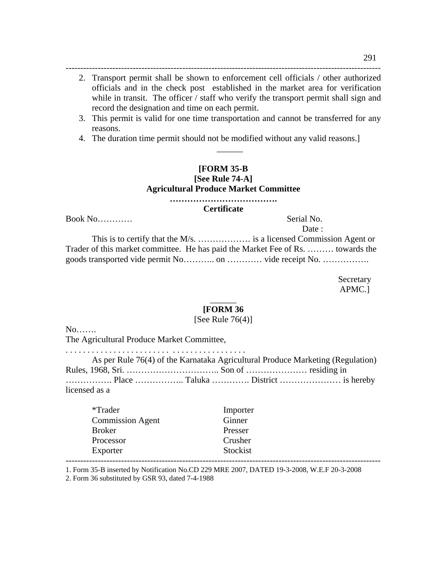2. Transport permit shall be shown to enforcement cell officials / other authorized officials and in the check post established in the market area for verification while in transit. The officer / staff who verify the transport permit shall sign and record the designation and time on each permit.

------------------------------------------------------------------------------------------------------------

3. This permit is valid for one time transportation and cannot be transferred for any reasons.

 $\overline{\phantom{a}}$ 

4. The duration time permit should not be modified without any valid reasons.]

# **[FORM 35-B**

# **[See Rule 74-A] Agricultural Produce Market Committee**

**……………………………….** 

**Certificate**

Book No…………

Date :

 This is to certify that the M/s. ……………… is a licensed Commission Agent or Trader of this market committee. He has paid the Market Fee of Rs. ……… towards the goods transported vide permit No……….. on ………… vide receipt No. …………….

> Secretary APMC.]

### $\overline{\phantom{a}}$ **[FORM 36**

### [See Rule  $76(4)$ ]

No…….

The Agricultural Produce Market Committee,

. . . . . . . . . . . . . . . . . . . . . . . . . . . . . . . . . . . . . . . . .

|               | As per Rule 76(4) of the Karnataka Agricultural Produce Marketing (Regulation) |
|---------------|--------------------------------------------------------------------------------|
|               |                                                                                |
|               |                                                                                |
| licensed as a |                                                                                |

| *Trader       |                         | Importer |  |
|---------------|-------------------------|----------|--|
|               | <b>Commission Agent</b> | Ginner   |  |
| <b>Broker</b> |                         | Presser  |  |
| Processor     |                         | Crusher  |  |
| Exporter      |                         | Stockist |  |
|               |                         |          |  |

1. Form 35-B inserted by Notification No.CD 229 MRE 2007, DATED 19-3-2008, W.E.F 20-3-2008

2. Form 36 substituted by GSR 93, dated 7-4-1988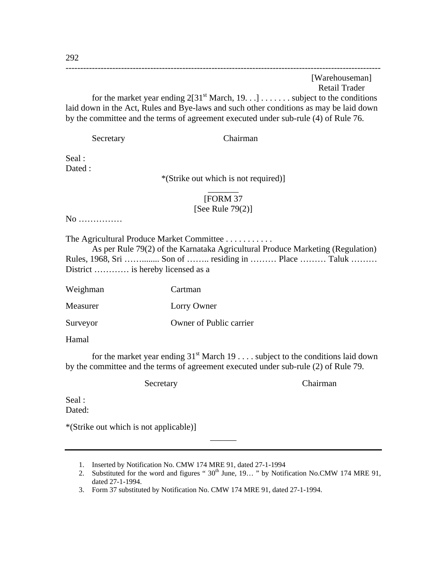# ------------------------------------------------------------------------------------------------------------ [Warehouseman] Retail Trader for the market year ending  $2[31<sup>st</sup> March, 19, . .]$ ...... subject to the conditions laid down in the Act, Rules and Bye-laws and such other conditions as may be laid down by the committee and the terms of agreement executed under sub-rule (4) of Rule 76.

Secretary Chairman

Seal : Dated :

> \*(Strike out which is not required)]  $\overline{\phantom{a}}$

## [FORM 37

### [See Rule 79(2)]

No ……………

The Agricultural Produce Market Committee . . . . . . . . . . .

 As per Rule 79(2) of the Karnataka Agricultural Produce Marketing (Regulation) Rules, 1968, Sri ……........ Son of …….. residing in ……… Place ……… Taluk ……… District ………… is hereby licensed as a

Weighman Cartman

Measurer Lorry Owner

Surveyor Owner of Public carrier

Hamal

for the market year ending  $31<sup>st</sup>$  March 19 . . . . subject to the conditions laid down by the committee and the terms of agreement executed under sub-rule (2) of Rule 79.

Secretary Chairman

Seal : Dated:

\*(Strike out which is not applicable)]

- 1. Inserted by Notification No. CMW 174 MRE 91, dated 27-1-1994
- 2. Substituted for the word and figures " $30<sup>th</sup>$  June, 19..." by Notification No.CMW 174 MRE 91, dated 27-1-1994.

 $\overline{\phantom{a}}$ 

3. Form 37 substituted by Notification No. CMW 174 MRE 91, dated 27-1-1994.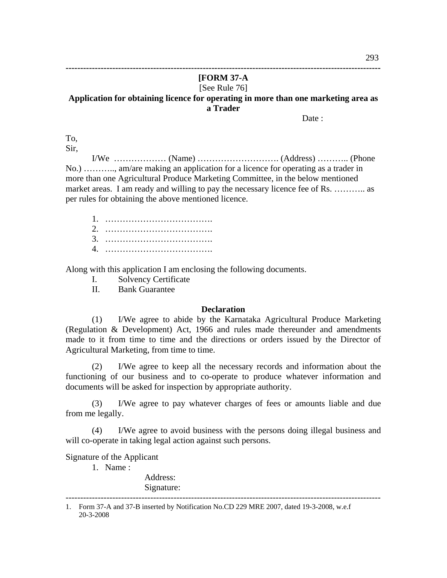## **------------------------------------------------------------------------------------------------------------ [FORM 37-A**  [See Rule 76] **Application for obtaining licence for operating in more than one marketing area as a Trader**

Date :

To,

Sir,

 I/We ……………… (Name) ………………………. (Address) ……….. (Phone No.) ……….., am/are making an application for a licence for operating as a trader in more than one Agricultural Produce Marketing Committee, in the below mentioned market areas. I am ready and willing to pay the necessary licence fee of Rs. ............ as per rules for obtaining the above mentioned licence.

1. ………………………………. 2. ………………………………. 3. ………………………………. 4. ……………………………….

Along with this application I am enclosing the following documents.

I. Solvency Certificate

II. Bank Guarantee

### **Declaration**

(1) I/We agree to abide by the Karnataka Agricultural Produce Marketing (Regulation & Development) Act, 1966 and rules made thereunder and amendments made to it from time to time and the directions or orders issued by the Director of Agricultural Marketing, from time to time.

(2) I/We agree to keep all the necessary records and information about the functioning of our business and to co-operate to produce whatever information and documents will be asked for inspection by appropriate authority.

(3) I/We agree to pay whatever charges of fees or amounts liable and due from me legally.

(4) I/We agree to avoid business with the persons doing illegal business and will co-operate in taking legal action against such persons.

Signature of the Applicant

1. Name :

Address:

Signature:

<sup>------------------------------------------------------------------------------------------------------------ 1.</sup> Form 37-A and 37-B inserted by Notification No.CD 229 MRE 2007, dated 19-3-2008, w.e.f 20-3-2008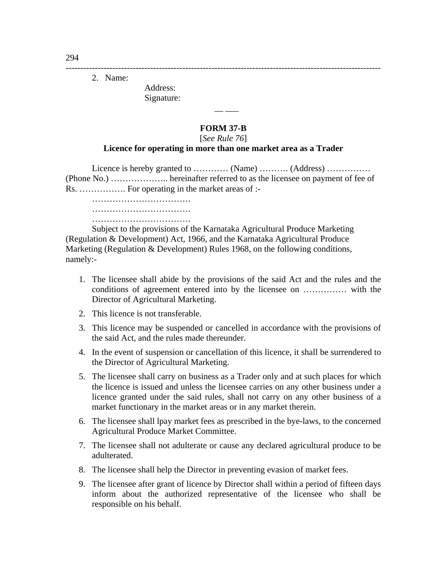2. Name:

Address: Signature:

 $\mathcal{L} = \mathcal{L} \times \mathcal{L} = \mathcal{L} \times \mathcal{L} = \mathcal{L} \times \mathcal{L} = \mathcal{L} \times \mathcal{L}$ 

## **FORM 37-B**

------------------------------------------------------------------------------------------------------------

### [*See Rule 76*]

## **Licence for operating in more than one market area as a Trader**

Licence is hereby granted to ………… (Name) ………… (Address) …………… (Phone No.) ……………….. hereinafter referred to as the licensee on payment of fee of Rs. ……………. For operating in the market areas of :-

 ……………………………. …………………………………… …………………………………………

 Subject to the provisions of the Karnataka Agricultural Produce Marketing (Regulation & Development) Act, 1966, and the Karnataka Agricultural Produce Marketing (Regulation & Development) Rules 1968, on the following conditions, namely:-

- 1. The licensee shall abide by the provisions of the said Act and the rules and the conditions of agreement entered into by the licensee on …………… with the Director of Agricultural Marketing.
- 2. This licence is not transferable.
- 3. This licence may be suspended or cancelled in accordance with the provisions of the said Act, and the rules made thereunder.
- 4. In the event of suspension or cancellation of this licence, it shall be surrendered to the Director of Agricultural Marketing.
- 5. The licensee shall carry on business as a Trader only and at such places for which the licence is issued and unless the licensee carries on any other business under a licence granted under the said rules, shall not carry on any other business of a market functionary in the market areas or in any market therein.
- 6. The licensee shall lpay market fees as prescribed in the bye-laws, to the concerned Agricultural Produce Market Committee.
- 7. The licensee shall not adulterate or cause any declared agricultural produce to be adulterated.
- 8. The licensee shall help the Director in preventing evasion of market fees.
- 9. The licensee after grant of licence by Director shall within a period of fifteen days inform about the authorized representative of the licensee who shall be responsible on his behalf.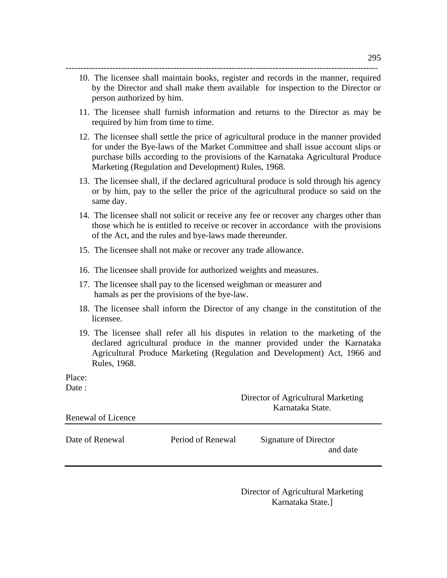- 10. The licensee shall maintain books, register and records in the manner, required by the Director and shall make them available for inspection to the Director or person authorized by him.
- 11. The licensee shall furnish information and returns to the Director as may be required by him from time to time.
- 12. The licensee shall settle the price of agricultural produce in the manner provided for under the Bye-laws of the Market Committee and shall issue account slips or purchase bills according to the provisions of the Karnataka Agricultural Produce Marketing (Regulation and Development) Rules, 1968.
- 13. The licensee shall, if the declared agricultural produce is sold through his agency or by him, pay to the seller the price of the agricultural produce so said on the same day.
- 14. The licensee shall not solicit or receive any fee or recover any charges other than those which he is entitled to receive or recover in accordance with the provisions of the Act, and the rules and bye-laws made thereunder.
- 15. The licensee shall not make or recover any trade allowance.
- 16. The licensee shall provide for authorized weights and measures.
- 17. The licensee shall pay to the licensed weighman or measurer and hamals as per the provisions of the bye-law.
- 18. The licensee shall inform the Director of any change in the constitution of the licensee.
- 19. The licensee shall refer all his disputes in relation to the marketing of the declared agricultural produce in the manner provided under the Karnataka Agricultural Produce Marketing (Regulation and Development) Act, 1966 and Rules, 1968.

Place:

Date :

| Renewal of Licence |                   | Director of Agricultural Marketing<br>Karnataka State. |  |
|--------------------|-------------------|--------------------------------------------------------|--|
| Date of Renewal    | Period of Renewal | Signature of Director<br>and date                      |  |

Director of Agricultural Marketing Karnataka State.]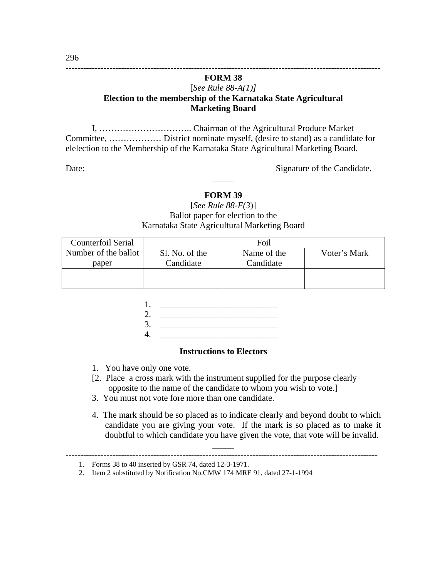## **FORM 38**  [*See Rule 88-A(1)]* **Election to the membership of the Karnataka State Agricultural Marketing Board**

**------------------------------------------------------------------------------------------------------------** 

I, ………………………….. Chairman of the Agricultural Produce Market Committee, ……………… District nominate myself, (desire to stand) as a candidate for elelection to the Membership of the Karnataka State Agricultural Marketing Board.

Date: Signature of the Candidate.

# **FORM 39**

 $\overline{\phantom{a}}$ 

# [*See Rule 88-F(3*)] Ballot paper for election to the Karnataka State Agricultural Marketing Board

| Counterfoil Serial   | Foil           |             |              |
|----------------------|----------------|-------------|--------------|
| Number of the ballot | Sl. No. of the | Name of the | Voter's Mark |
| paper                | Candidate      | Candidate   |              |
|                      |                |             |              |
|                      |                |             |              |

| 3. |  |
|----|--|
|    |  |

## **Instructions to Electors**

- 1. You have only one vote.
- [2. Place a cross mark with the instrument supplied for the purpose clearly opposite to the name of the candidate to whom you wish to vote.]

 $\overline{\phantom{a}}$ 

- 3. You must not vote fore more than one candidate.
- 4. The mark should be so placed as to indicate clearly and beyond doubt to which candidate you are giving your vote. If the mark is so placed as to make it doubtful to which candidate you have given the vote, that vote will be invalid.

<sup>1.</sup> Forms 38 to 40 inserted by GSR 74, dated 12-3-1971.

<sup>2.</sup> Item 2 substituted by Notification No.CMW 174 MRE 91, dated 27-1-1994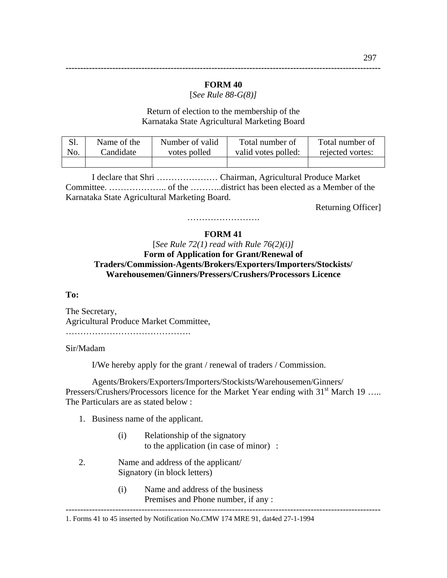## **FORM 40**

[*See Rule 88-G(8)]*

Return of election to the membership of the Karnataka State Agricultural Marketing Board

| Sl. | Name of the | Number of valid | Total number of     | Total number of  |
|-----|-------------|-----------------|---------------------|------------------|
| No. | Candidate   | votes polled    | valid votes polled: | rejected vortes: |
|     |             |                 |                     |                  |

 I declare that Shri ………………… Chairman, Agricultural Produce Market Committee. ……………….. of the ………..district has been elected as a Member of the Karnataka State Agricultural Marketing Board.

Returning Officer]

# …………………………… **FORM 41**

# [*See Rule 72(1) read with Rule 76(2)(i)]* **Form of Application for Grant/Renewal of Traders/Commission-Agents/Brokers/Exporters/Importers/Stockists/ Warehousemen/Ginners/Pressers/Crushers/Processors Licence**

### **To:**

The Secretary, Agricultural Produce Market Committee, …………………………………….

### Sir/Madam

I/We hereby apply for the grant / renewal of traders / Commission.

 Agents/Brokers/Exporters/Importers/Stockists/Warehousemen/Ginners/ Pressers/Crushers/Processors licence for the Market Year ending with  $31<sup>st</sup>$  March 19 ….. The Particulars are as stated below :

- 1. Business name of the applicant.
	- (i) Relationship of the signatory to the application (in case of minor) :
- 2. Name and address of the applicant/ Signatory (in block letters)
	- (i) Name and address of the business Premises and Phone number, if any :

1. Forms 41 to 45 inserted by Notification No.CMW 174 MRE 91, dat4ed 27-1-1994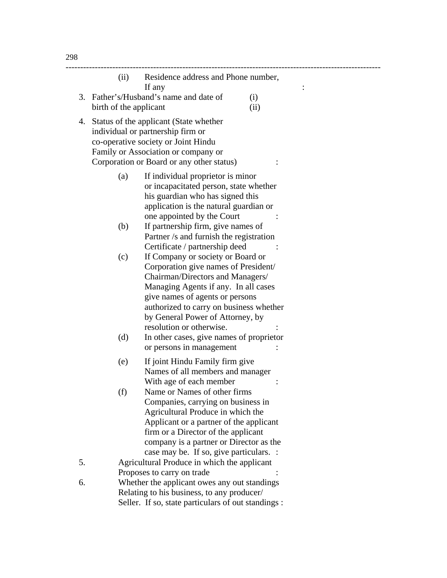|    |                        | (ii) Residence address and Phone number,<br>If any                                                                                                                                                                                                                                                  |             |  |
|----|------------------------|-----------------------------------------------------------------------------------------------------------------------------------------------------------------------------------------------------------------------------------------------------------------------------------------------------|-------------|--|
|    | birth of the applicant | 3. Father's/Husband's name and date of                                                                                                                                                                                                                                                              | (i)<br>(ii) |  |
|    |                        | 4. Status of the applicant (State whether<br>individual or partnership firm or<br>co-operative society or Joint Hindu<br>Family or Association or company or<br>Corporation or Board or any other status)                                                                                           |             |  |
|    | (a)                    | If individual proprietor is minor<br>or incapacitated person, state whether<br>his guardian who has signed this<br>application is the natural guardian or<br>one appointed by the Court                                                                                                             |             |  |
|    | (b)                    | If partnership firm, give names of<br>Partner /s and furnish the registration<br>Certificate / partnership deed                                                                                                                                                                                     |             |  |
|    | (c)                    | If Company or society or Board or<br>Corporation give names of President/<br>Chairman/Directors and Managers/<br>Managing Agents if any. In all cases<br>give names of agents or persons<br>authorized to carry on business whether<br>by General Power of Attorney, by<br>resolution or otherwise. |             |  |
|    | (d)                    | In other cases, give names of proprietor<br>or persons in management                                                                                                                                                                                                                                |             |  |
|    | (e)                    | If joint Hindu Family firm give<br>Names of all members and manager<br>With age of each member                                                                                                                                                                                                      |             |  |
|    | (f)                    | Name or Names of other firms<br>Companies, carrying on business in<br>Agricultural Produce in which the<br>Applicant or a partner of the applicant<br>firm or a Director of the applicant<br>company is a partner or Director as the<br>case may be. If so, give particulars. :                     |             |  |
| 5. |                        | Agricultural Produce in which the applicant<br>Proposes to carry on trade                                                                                                                                                                                                                           |             |  |
| 6. |                        | Whether the applicant owes any out standings<br>Relating to his business, to any producer/<br>Seller. If so, state particulars of out standings :                                                                                                                                                   |             |  |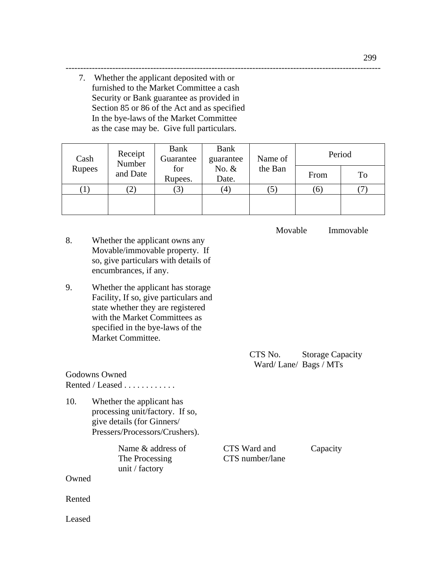7. Whether the applicant deposited with or furnished to the Market Committee a cash Security or Bank guarantee as provided in Section 85 or 86 of the Act and as specified In the bye-laws of the Market Committee as the case may be. Give full particulars.

| Cash   | Receipt<br>Number | Bank<br>Guarantee | <b>Bank</b><br>Name of<br>guarantee | Period  |          |    |
|--------|-------------------|-------------------|-------------------------------------|---------|----------|----|
| Rupees | and Date          | for<br>Rupees.    | No. $&$<br>Date.                    | the Ban | From     | To |
|        | $\left( 2\right)$ | $\mathcal{L}$     | $\left( 4\right)$                   | (5      | $\sigma$ |    |
|        |                   |                   |                                     |         |          |    |

------------------------------------------------------------------------------------------------------------

- 8. Whether the applicant owns any Movable/immovable property. If so, give particulars with details of encumbrances, if any.
- 9. Whether the applicant has storage Facility, If so, give particulars and state whether they are registered with the Market Committees as specified in the bye-laws of the Market Committee.

Godowns Owned

Rented / Leased . . . . . . . . . . . .

10. Whether the applicant has processing unit/factory. If so, give details (for Ginners/ Pressers/Processors/Crushers).

unit / factory

Owned

Rented

Leased

 CTS No. Storage Capacity Ward/ Lane/ Bags / MTs

Name & address of CTS Ward and Capacity The Processing CTS number/lane

Movable Immovable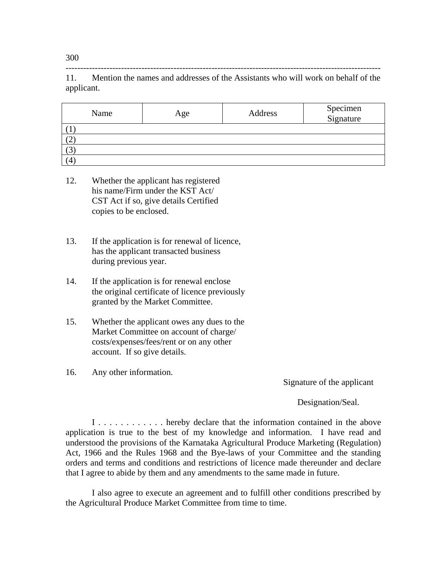11. Mention the names and addresses of the Assistants who will work on behalf of the applicant.

------------------------------------------------------------------------------------------------------------

| Name | Age |  | Specimen<br>Signature |
|------|-----|--|-----------------------|
|      |     |  |                       |
|      |     |  |                       |
|      |     |  |                       |
| (4)  |     |  |                       |

- 12. Whether the applicant has registered his name/Firm under the KST Act/ CST Act if so, give details Certified copies to be enclosed.
- 13. If the application is for renewal of licence, has the applicant transacted business during previous year.
- 14. If the application is for renewal enclose the original certificate of licence previously granted by the Market Committee.
- 15. Whether the applicant owes any dues to the Market Committee on account of charge/ costs/expenses/fees/rent or on any other account. If so give details.
- 16. Any other information.

Signature of the applicant

Designation/Seal.

 I . . . . . . . . . . . . hereby declare that the information contained in the above application is true to the best of my knowledge and information. I have read and understood the provisions of the Karnataka Agricultural Produce Marketing (Regulation) Act, 1966 and the Rules 1968 and the Bye-laws of your Committee and the standing orders and terms and conditions and restrictions of licence made thereunder and declare that I agree to abide by them and any amendments to the same made in future.

 I also agree to execute an agreement and to fulfill other conditions prescribed by the Agricultural Produce Market Committee from time to time.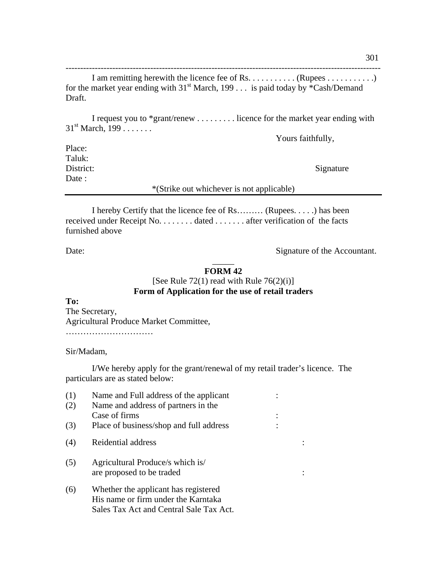I am remitting herewith the licence fee of Rs. . . . . . . . . . . (Rupees . . . . . . . . . . . . ) for the market year ending with  $31<sup>st</sup>$  March, 199 . . . is paid today by \*Cash/Demand Draft.

------------------------------------------------------------------------------------------------------------

 I request you to \*grant/renew . . . . . . . . . licence for the market year ending with  $31<sup>st</sup>$  March,  $199...$ ....

Yours faithfully,

Place: Taluk: District: Signature Date:

\*(Strike out whichever is not applicable)

 I hereby Certify that the licence fee of Rs……… (Rupees. . . . .) has been received under Receipt No. . . . . . . . dated . . . . . . . after verification of the facts furnished above

Date: Signature of the Accountant.

## $\overline{\phantom{a}}$ **FORM 42**

# [See Rule 72(1) read with Rule  $76(2)(i)$ ] **Form of Application for the use of retail traders**

**To:**  The Secretary, Agricultural Produce Market Committee, …………………………

Sir/Madam,

 I/We hereby apply for the grant/renewal of my retail trader's licence. The particulars are as stated below:

| (1) | Name and Full address of the applicant  |  |
|-----|-----------------------------------------|--|
| (2) | Name and address of partners in the     |  |
|     | Case of firms                           |  |
| (3) | Place of business/shop and full address |  |
| (4) | Reidential address                      |  |
| (5) | Agricultural Produce/s which is         |  |
|     | are proposed to be traded               |  |
| (6) | Whether the applicant has registered    |  |
|     | His name or firm under the Karntaka     |  |
|     | Sales Tax Act and Central Sale Tax Act. |  |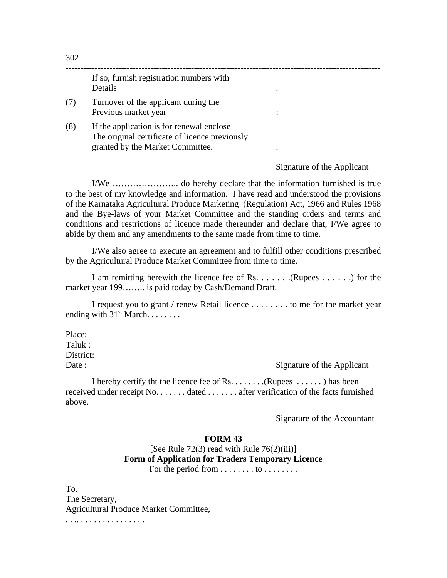|     | If so, furnish registration numbers with<br>Details                                                                             |  |
|-----|---------------------------------------------------------------------------------------------------------------------------------|--|
|     | Turnover of the applicant during the<br>Previous market year                                                                    |  |
| (8) | If the application is for renewal enclose<br>The original certificate of licence previously<br>granted by the Market Committee. |  |

Signature of the Applicant

I/We ………………….. do hereby declare that the information furnished is true to the best of my knowledge and information. I have read and understood the provisions of the Karnataka Agricultural Produce Marketing (Regulation) Act, 1966 and Rules 1968 and the Bye-laws of your Market Committee and the standing orders and terms and conditions and restrictions of licence made thereunder and declare that, I/We agree to abide by them and any amendments to the same made from time to time.

 I/We also agree to execute an agreement and to fulfill other conditions prescribed by the Agricultural Produce Market Committee from time to time.

 I am remitting herewith the licence fee of Rs. . . . . . .(Rupees . . . . . .) for the market year 199…….. is paid today by Cash/Demand Draft.

 I request you to grant / renew Retail licence . . . . . . . . to me for the market year ending with  $31<sup>st</sup>$  March. . . . . . . .

Place: Taluk : District:

Date : Signature of the Applicant

 I hereby certify tht the licence fee of Rs. . . . . . . .(Rupees . . . . . . ) has been received under receipt No. . . . . . . dated . . . . . . . after verification of the facts furnished above.

Signature of the Accountant

## $\overline{\phantom{a}}$ **FORM 43**

[See Rule 72(3) read with Rule  $76(2)(iii)$ ] **Form of Application for Traders Temporary Licence**  For the period from . . . . . . . . to . . . . . . . .

To. The Secretary, Agricultural Produce Market Committee, . . .. . . . . . . . . . . . . . . .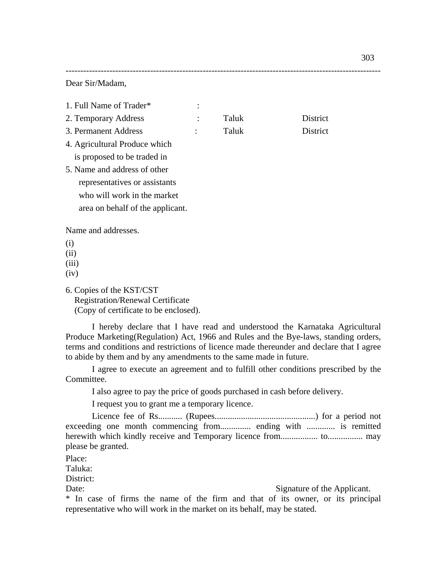Dear Sir/Madam,

| 1. Full Name of Trader*                 |       |          |
|-----------------------------------------|-------|----------|
| 2. Temporary Address                    | Taluk | District |
| 3. Permanent Address                    | Taluk | District |
| 4. Agricultural Produce which           |       |          |
| is proposed to be traded in             |       |          |
| 5. Name and address of other            |       |          |
| representatives or assistants           |       |          |
| who will work in the market             |       |          |
| area on behalf of the applicant.        |       |          |
| Name and addresses.                     |       |          |
| (i)                                     |       |          |
| (ii)                                    |       |          |
| (iii)<br>(iv)                           |       |          |
|                                         |       |          |
| 6. Copies of the KST/CST                |       |          |
| <b>Registration/Renewal Certificate</b> |       |          |

------------------------------------------------------------------------------------------------------------

(Copy of certificate to be enclosed).

I hereby declare that I have read and understood the Karnataka Agricultural Produce Marketing(Regulation) Act, 1966 and Rules and the Bye-laws, standing orders, terms and conditions and restrictions of licence made thereunder and declare that I agree to abide by them and by any amendments to the same made in future.

 I agree to execute an agreement and to fulfill other conditions prescribed by the Committee.

I also agree to pay the price of goods purchased in cash before delivery.

I request you to grant me a temporary licence.

 Licence fee of Rs........... (Rupees..............................................) for a period not exceeding one month commencing from.............. ending with ............. is remitted herewith which kindly receive and Temporary licence from................. to................ may please be granted.

Place:

Taluka:

District:

Date: Signature of the Applicant.

\* In case of firms the name of the firm and that of its owner, or its principal representative who will work in the market on its behalf, may be stated.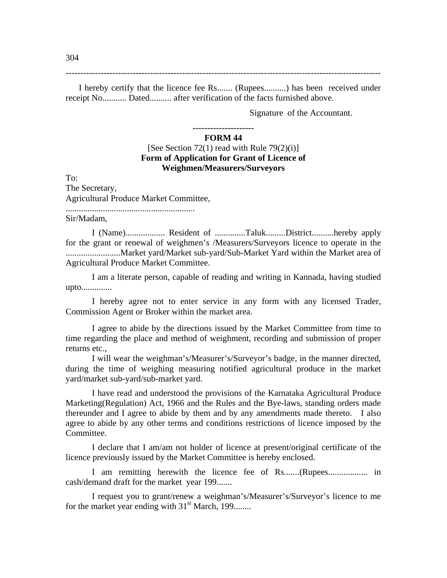------------------------------------------------------------------------------------------------------------

 I hereby certify that the licence fee Rs....... (Rupees..........) has been received under receipt No........... Dated.......... after verification of the facts furnished above.

Signature of the Accountant.

#### **--------------------- FORM 44**

# [See Section 72(1) read with Rule  $79(2)(i)$ ] **Form of Application for Grant of Licence of Weighmen/Measurers/Surveyors**

To:

The Secretary, Agricultural Produce Market Committee, ...........................................................

Sir/Madam,

 I (Name).................. Resident of ..............Taluk.........District..........hereby apply for the grant or renewal of weighmen's /Measurers/Surveyors licence to operate in the .........................Market yard/Market sub-yard/Sub-Market Yard within the Market area of Agricultural Produce Market Committee.

 I am a literate person, capable of reading and writing in Kannada, having studied upto..............

 I hereby agree not to enter service in any form with any licensed Trader, Commission Agent or Broker within the market area.

 I agree to abide by the directions issued by the Market Committee from time to time regarding the place and method of weighment, recording and submission of proper returns etc.,

 I will wear the weighman's/Measurer's/Surveyor's badge, in the manner directed, during the time of weighing measuring notified agricultural produce in the market yard/market sub-yard/sub-market yard.

 I have read and understood the provisions of the Karnataka Agricultural Produce Marketing(Regulation) Act, 1966 and the Rules and the Bye-laws, standing orders made thereunder and I agree to abide by them and by any amendments made thereto. I also agree to abide by any other terms and conditions restrictions of licence imposed by the Committee.

 I declare that I am/am not holder of licence at present/original certificate of the licence previously issued by the Market Committee is hereby enclosed.

 I am remitting herewith the licence fee of Rs.......(Rupees.................. in cash/demand draft for the market year 199.......

 I request you to grant/renew a weighman's/Measurer's/Surveyor's licence to me for the market year ending with  $31<sup>st</sup>$  March, 199.......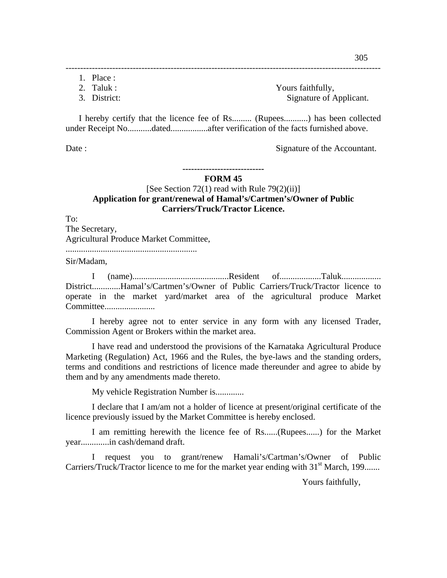- 1. Place :
- 

2. Taluk : Yours faithfully, 3. District: Signature of Applicant.

I hereby certify that the licence fee of Rs......... (Rupees...........) has been collected under Receipt No...........dated.................after verification of the facts furnished above.

------------------------------------------------------------------------------------------------------------

Date : Signature of the Accountant.

#### **---------------------------- FORM 45**

## [See Section 72(1) read with Rule 79(2)(ii)] **Application for grant/renewal of Hamal's/Cartmen's/Owner of Public Carriers/Truck/Tractor Licence.**

To:

The Secretary, Agricultural Produce Market Committee, ............................................................

Sir/Madam,

 I (name)............................................Resident of...................Taluk.................. District.............Hamal's/Cartmen's/Owner of Public Carriers/Truck/Tractor licence to operate in the market yard/market area of the agricultural produce Market Committee.......................

 I hereby agree not to enter service in any form with any licensed Trader, Commission Agent or Brokers within the market area.

 I have read and understood the provisions of the Karnataka Agricultural Produce Marketing (Regulation) Act, 1966 and the Rules, the bye-laws and the standing orders, terms and conditions and restrictions of licence made thereunder and agree to abide by them and by any amendments made thereto.

My vehicle Registration Number is.............

 I declare that I am/am not a holder of licence at present/original certificate of the licence previously issued by the Market Committee is hereby enclosed.

 I am remitting herewith the licence fee of Rs......(Rupees......) for the Market year.............in cash/demand draft.

 I request you to grant/renew Hamali's/Cartman's/Owner of Public Carriers/Truck/Tractor licence to me for the market year ending with  $31<sup>st</sup>$  March, 199.......

Yours faithfully,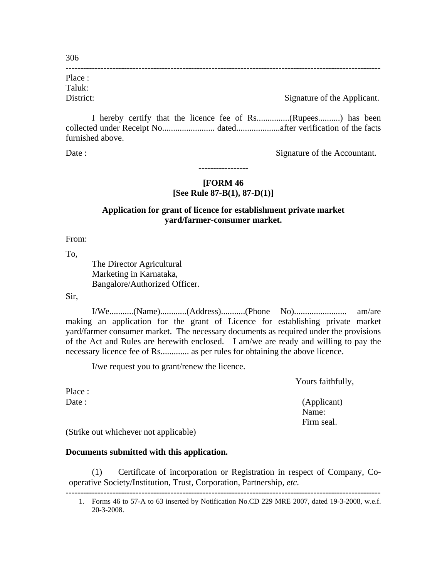------------------------------------------------------------------------------------------------------------ Place : Taluk:

District: Signature of the Applicant.

 I hereby certify that the licence fee of Rs...............(Rupees..........) has been collected under Receipt No........................ dated....................after verification of the facts furnished above.

Date : Signature of the Accountant.

# **[FORM 46 [See Rule 87-B(1), 87-D(1)]**

-----------------

# **Application for grant of licence for establishment private market yard/farmer-consumer market.**

From:

To,

 The Director Agricultural Marketing in Karnataka, Bangalore/Authorized Officer.

Sir,

 I/We...........(Name)............(Address)...........(Phone No)........................ am/are making an application for the grant of Licence for establishing private market yard/farmer consumer market. The necessary documents as required under the provisions of the Act and Rules are herewith enclosed. I am/we are ready and willing to pay the necessary licence fee of Rs............. as per rules for obtaining the above licence.

I/we request you to grant/renew the licence.

Yours faithfully,

Date : (Applicant) (Applicant) Name: Firm seal.

Place :

(Strike out whichever not applicable)

# **Documents submitted with this application.**

(1) Certificate of incorporation or Registration in respect of Company, Cooperative Society/Institution, Trust, Corporation, Partnership, *etc*.

<sup>------------------------------------------------------------------------------------------------------------ 1.</sup> Forms 46 to 57-A to 63 inserted by Notification No.CD 229 MRE 2007, dated 19-3-2008, w.e.f. 20-3-2008.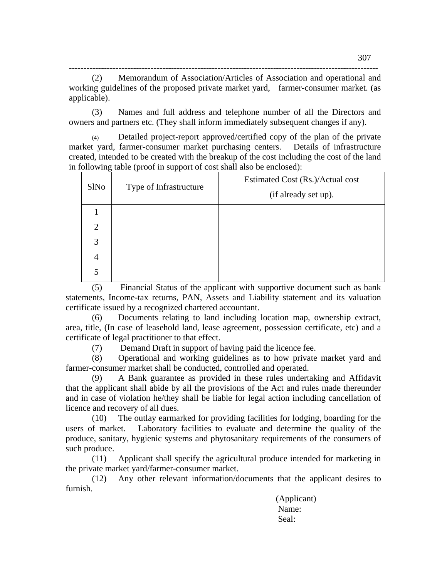---------------------------------------------------------------------------------------------------------- (2) Memorandum of Association/Articles of Association and operational and working guidelines of the proposed private market yard, farmer-consumer market. (as applicable).

(3) Names and full address and telephone number of all the Directors and owners and partners etc. (They shall inform immediately subsequent changes if any).

Detailed project-report approved/certified copy of the plan of the private market yard, farmer-consumer market purchasing centers. Details of infrastructure created, intended to be created with the breakup of the cost including the cost of the land in following table (proof in support of cost shall also be enclosed):

| SlNo | Type of Infrastructure | Estimated Cost (Rs.)/Actual cost<br>(if already set up). |
|------|------------------------|----------------------------------------------------------|
|      |                        |                                                          |
| 2    |                        |                                                          |
| 3    |                        |                                                          |
| 4    |                        |                                                          |
| 5    |                        |                                                          |

(5) Financial Status of the applicant with supportive document such as bank statements, Income-tax returns, PAN, Assets and Liability statement and its valuation certificate issued by a recognized chartered accountant.

(6) Documents relating to land including location map, ownership extract, area, title, (In case of leasehold land, lease agreement, possession certificate, etc) and a certificate of legal practitioner to that effect.

(7) Demand Draft in support of having paid the licence fee.

(8) Operational and working guidelines as to how private market yard and farmer-consumer market shall be conducted, controlled and operated.

(9) A Bank guarantee as provided in these rules undertaking and Affidavit that the applicant shall abide by all the provisions of the Act and rules made thereunder and in case of violation he/they shall be liable for legal action including cancellation of licence and recovery of all dues.

(10) The outlay earmarked for providing facilities for lodging, boarding for the users of market. Laboratory facilities to evaluate and determine the quality of the produce, sanitary, hygienic systems and phytosanitary requirements of the consumers of such produce.

(11) Applicant shall specify the agricultural produce intended for marketing in the private market yard/farmer-consumer market.

(12) Any other relevant information/documents that the applicant desires to furnish.

 (Applicant) Name: Seal: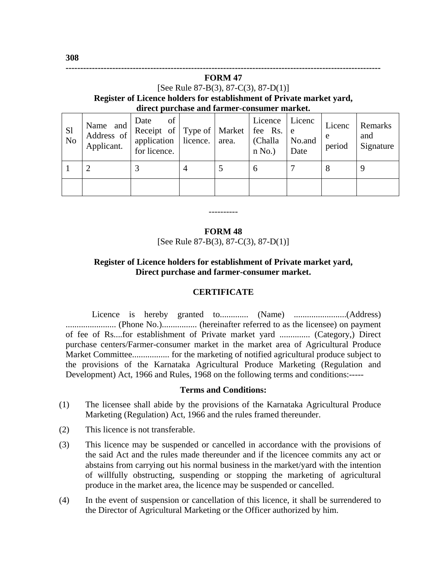## **FORM 47**  [See Rule 87-B(3), 87-C(3), 87-D(1)] **Register of Licence holders for establishment of Private market yard, direct purchase and farmer-consumer market.**

**------------------------------------------------------------------------------------------------------------** 

| <sub>S1</sub><br>No | $\left  \begin{array}{cc} \text{Name} & \text{and} \\ \text{i.e.} \end{array} \right $ Receipt of Type of Market  <br>Address of<br>Applicant. | of<br>Date<br>application   licence.   area.<br>for licence. |  | Licence<br>fee Rs. e<br>(Challa<br>n No. | Licenc<br>No.and<br>Date | Licenc<br>e<br>period | Remarks<br>and<br>Signature |
|---------------------|------------------------------------------------------------------------------------------------------------------------------------------------|--------------------------------------------------------------|--|------------------------------------------|--------------------------|-----------------------|-----------------------------|
|                     |                                                                                                                                                |                                                              |  | h                                        |                          | q<br>Õ                |                             |
|                     |                                                                                                                                                |                                                              |  |                                          |                          |                       |                             |

## **FORM 48**

----------

[See Rule 87-B(3), 87-C(3), 87-D(1)]

## **Register of Licence holders for establishment of Private market yard, Direct purchase and farmer-consumer market.**

## **CERTIFICATE**

 Licence is hereby granted to............. (Name) ........................(Address) ....................... (Phone No.)................ (hereinafter referred to as the licensee) on payment of fee of Rs....for establishment of Private market yard .............. (Category,) Direct purchase centers/Farmer-consumer market in the market area of Agricultural Produce Market Committee................. for the marketing of notified agricultural produce subject to the provisions of the Karnataka Agricultural Produce Marketing (Regulation and Development) Act, 1966 and Rules, 1968 on the following terms and conditions:-----

### **Terms and Conditions:**

- (1) The licensee shall abide by the provisions of the Karnataka Agricultural Produce Marketing (Regulation) Act, 1966 and the rules framed thereunder.
- (2) This licence is not transferable.
- (3) This licence may be suspended or cancelled in accordance with the provisions of the said Act and the rules made thereunder and if the licencee commits any act or abstains from carrying out his normal business in the market/yard with the intention of willfully obstructing, suspending or stopping the marketing of agricultural produce in the market area, the licence may be suspended or cancelled.
- (4) In the event of suspension or cancellation of this licence, it shall be surrendered to the Director of Agricultural Marketing or the Officer authorized by him.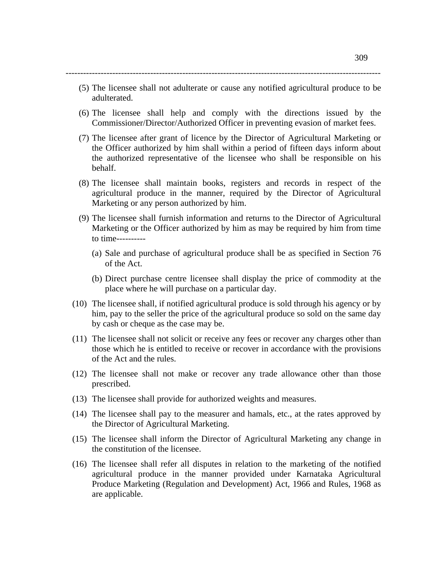------------------------------------------------------------------------------------------------------------

- (5) The licensee shall not adulterate or cause any notified agricultural produce to be adulterated.
- (6) The licensee shall help and comply with the directions issued by the Commissioner/Director/Authorized Officer in preventing evasion of market fees.
- (7) The licensee after grant of licence by the Director of Agricultural Marketing or the Officer authorized by him shall within a period of fifteen days inform about the authorized representative of the licensee who shall be responsible on his behalf.
- (8) The licensee shall maintain books, registers and records in respect of the agricultural produce in the manner, required by the Director of Agricultural Marketing or any person authorized by him.
- (9) The licensee shall furnish information and returns to the Director of Agricultural Marketing or the Officer authorized by him as may be required by him from time to time----------
	- (a) Sale and purchase of agricultural produce shall be as specified in Section 76 of the Act.
	- (b) Direct purchase centre licensee shall display the price of commodity at the place where he will purchase on a particular day.
- (10) The licensee shall, if notified agricultural produce is sold through his agency or by him, pay to the seller the price of the agricultural produce so sold on the same day by cash or cheque as the case may be.
- (11) The licensee shall not solicit or receive any fees or recover any charges other than those which he is entitled to receive or recover in accordance with the provisions of the Act and the rules.
- (12) The licensee shall not make or recover any trade allowance other than those prescribed.
- (13) The licensee shall provide for authorized weights and measures.
- (14) The licensee shall pay to the measurer and hamals, etc., at the rates approved by the Director of Agricultural Marketing.
- (15) The licensee shall inform the Director of Agricultural Marketing any change in the constitution of the licensee.
- (16) The licensee shall refer all disputes in relation to the marketing of the notified agricultural produce in the manner provided under Karnataka Agricultural Produce Marketing (Regulation and Development) Act, 1966 and Rules, 1968 as are applicable.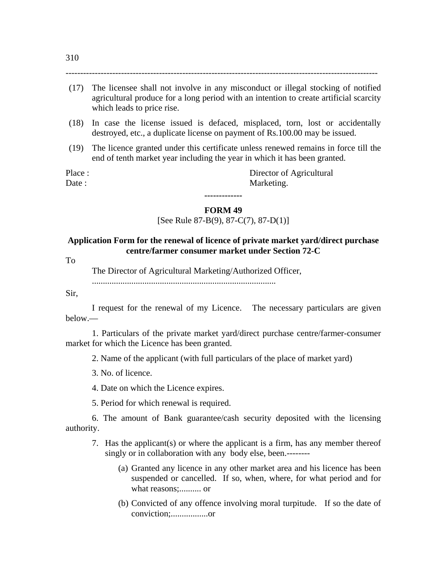-----------------------------------------------------------------------------------------------------------

- (18) In case the license issued is defaced, misplaced, torn, lost or accidentally destroyed, etc., a duplicate license on payment of Rs.100.00 may be issued.
- (19) The licence granted under this certificate unless renewed remains in force till the end of tenth market year including the year in which it has been granted.

Place : Director of Agricultural Date : Marketing.

## **FORM 49**

**-------------** 

[See Rule 87-B(9), 87-C(7), 87-D(1)]

## **Application Form for the renewal of licence of private market yard/direct purchase centre/farmer consumer market under Section 72-C**

To

The Director of Agricultural Marketing/Authorized Officer,

....................................................................................

Sir,

 I request for the renewal of my Licence. The necessary particulars are given below.—

1. Particulars of the private market yard/direct purchase centre/farmer-consumer market for which the Licence has been granted.

2. Name of the applicant (with full particulars of the place of market yard)

3. No. of licence.

4. Date on which the Licence expires.

5. Period for which renewal is required.

 6. The amount of Bank guarantee/cash security deposited with the licensing authority.

- 7. Has the applicant(s) or where the applicant is a firm, has any member thereof singly or in collaboration with any body else, been.--------
	- (a) Granted any licence in any other market area and his licence has been suspended or cancelled. If so, when, where, for what period and for what reasons;.......... or
	- (b) Convicted of any offence involving moral turpitude. If so the date of conviction;.................or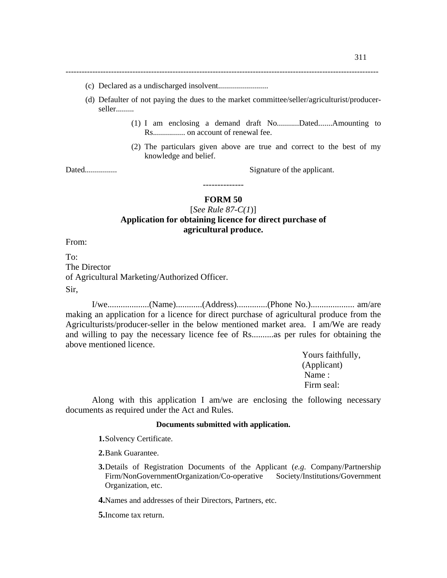---------------------------------------------------------------------------------------------------------------------

- (c) Declared as a undischarged insolvent.........................
- (d) Defaulter of not paying the dues to the market committee/seller/agriculturist/producerseller.........
	- (1) I am enclosing a demand draft No...........Dated.......Amounting to Rs................ on account of renewal fee.
	- (2) The particulars given above are true and correct to the best of my knowledge and belief.

Dated................ Signature of the applicant.

### **FORM 50**

--------------

## [*See Rule 87-C(1*)] **Application for obtaining licence for direct purchase of agricultural produce.**

From:

 $To^{\dagger}$ The Director of Agricultural Marketing/Authorized Officer. Sir,

 I/we...................(Name)............(Address)..............(Phone No.).................... am/are making an application for a licence for direct purchase of agricultural produce from the Agriculturists/producer-seller in the below mentioned market area. I am/We are ready and willing to pay the necessary licence fee of Rs..........as per rules for obtaining the above mentioned licence.

 Yours faithfully, (Applicant) Name : Firm seal:

 Along with this application I am/we are enclosing the following necessary documents as required under the Act and Rules.

### **Documents submitted with application.**

**1.**Solvency Certificate.

**2.**Bank Guarantee.

**3.**Details of Registration Documents of the Applicant (*e.g*. Company/Partnership Firm/NonGovernmentOrganization/Co-operative Society/Institutions/Government Organization, etc.

**4.**Names and addresses of their Directors, Partners, etc.

**5.**Income tax return.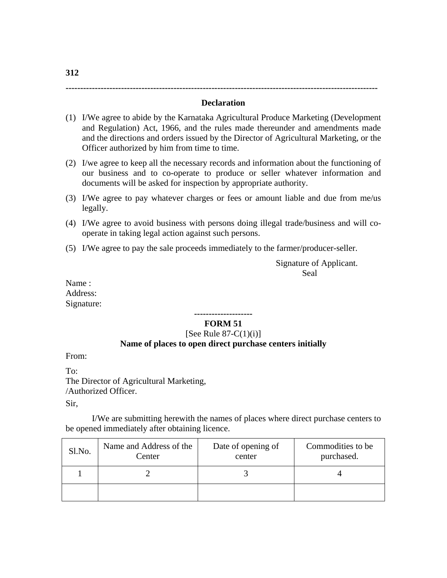### **Declaration**

- (1) I/We agree to abide by the Karnataka Agricultural Produce Marketing (Development and Regulation) Act, 1966, and the rules made thereunder and amendments made and the directions and orders issued by the Director of Agricultural Marketing, or the Officer authorized by him from time to time.
- (2) I/we agree to keep all the necessary records and information about the functioning of our business and to co-operate to produce or seller whatever information and documents will be asked for inspection by appropriate authority.
- (3) I/We agree to pay whatever charges or fees or amount liable and due from me/us legally.
- (4) I/We agree to avoid business with persons doing illegal trade/business and will cooperate in taking legal action against such persons.
- (5) I/We agree to pay the sale proceeds immediately to the farmer/producer-seller.

 Signature of Applicant. Seal Seal and the Seal Seal of the Seal of the Seal of the Seal of the Seal of the Seal of the Seal of the Seal of the Seal of the Seal of the Seal of the Seal of the Seal of the Seal of the Seal of the Seal of the Seal of

**-----------------------------------------------------------------------------------------------------------** 

Name : Address: Signature:

#### **-------------------- FORM 51**

# [See Rule  $87-C(1)(i)$ ] **Name of places to open direct purchase centers initially**

From:

To: The Director of Agricultural Marketing, /Authorized Officer.

Sir,

 I/We are submitting herewith the names of places where direct purchase centers to be opened immediately after obtaining licence.

| Sl.No. | Name and Address of the<br>Center | Date of opening of<br>center | Commodities to be<br>purchased. |  |  |  |  |
|--------|-----------------------------------|------------------------------|---------------------------------|--|--|--|--|
|        |                                   |                              |                                 |  |  |  |  |
|        |                                   |                              |                                 |  |  |  |  |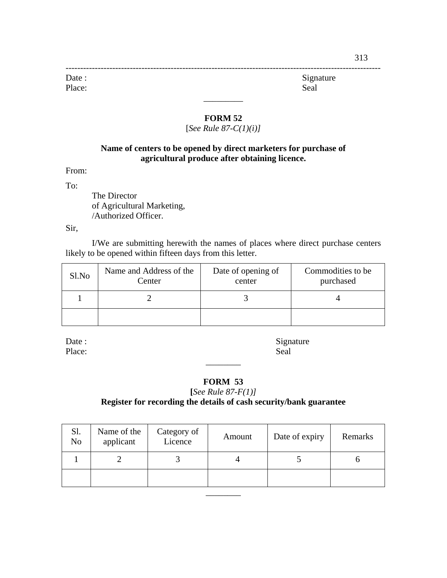------------------------------------------------------------------------------------------------------------ Date : Signature Place: Seal

## **FORM 52**

 $\overline{\phantom{a}}$ 

# [*See Rule 87-C(1)(i)]*

# **Name of centers to be opened by direct marketers for purchase of agricultural produce after obtaining licence.**

From:

To:

 The Director of Agricultural Marketing, /Authorized Officer.

Sir,

 I/We are submitting herewith the names of places where direct purchase centers likely to be opened within fifteen days from this letter.

| Sl.No | Name and Address of the<br>Center | Date of opening of<br>center | Commodities to be<br>purchased |  |  |  |  |
|-------|-----------------------------------|------------------------------|--------------------------------|--|--|--|--|
|       |                                   |                              |                                |  |  |  |  |
|       |                                   |                              |                                |  |  |  |  |

Place: Seal

Date : Signature

# **FORM 53**

 $\overline{\phantom{a}}$   $\overline{\phantom{a}}$ 

## **[***See Rule 87-F(1)]* **Register for recording the details of cash security/bank guarantee**

| Sl.<br>N <sub>o</sub> | Name of the<br>applicant | Category of<br>Licence | Amount | Date of expiry | Remarks |
|-----------------------|--------------------------|------------------------|--------|----------------|---------|
|                       |                          |                        |        |                |         |
|                       |                          |                        |        |                |         |
|                       |                          |                        |        |                |         |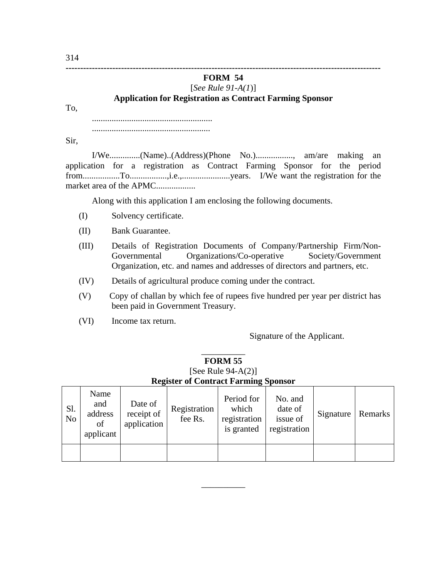**------------------------------------------------------------------------------------------------------------** 

# **FORM 54**

# [*See Rule 91-A(1*)]

## **Application for Registration as Contract Farming Sponsor**

To,

....................................................... ......................................................

Sir,

 I/We..............(Name)..(Address)(Phone No.)................., am/are making an application for a registration as Contract Farming Sponsor for the period from.................To.................,i.e.,......................years. I/We want the registration for the market area of the APMC...................

Along with this application I am enclosing the following documents.

- (I) Solvency certificate.
- (II) Bank Guarantee.
- (III) Details of Registration Documents of Company/Partnership Firm/Non-Governmental Organizations/Co-operative Society/Government Organization, etc. and names and addresses of directors and partners, etc.
- (IV) Details of agricultural produce coming under the contract.
- (V) Copy of challan by which fee of rupees five hundred per year per district has been paid in Government Treasury.
- (VI) Income tax return.

Signature of the Applicant.

## $\overline{\phantom{a}}$ **FORM 55**  [See Rule 94-A(2)]

## **Register of Contract Farming Sponsor**

| S1.<br>N <sub>o</sub> | Name<br>and<br>address<br>of<br>applicant | Date of<br>receipt of<br>application | Registration<br>fee Rs. | Period for<br>which<br>registration<br>is granted | No. and<br>date of<br>issue of<br>registration | Signature | Remarks |
|-----------------------|-------------------------------------------|--------------------------------------|-------------------------|---------------------------------------------------|------------------------------------------------|-----------|---------|
|                       |                                           |                                      |                         |                                                   |                                                |           |         |

\_\_\_\_\_\_\_\_\_\_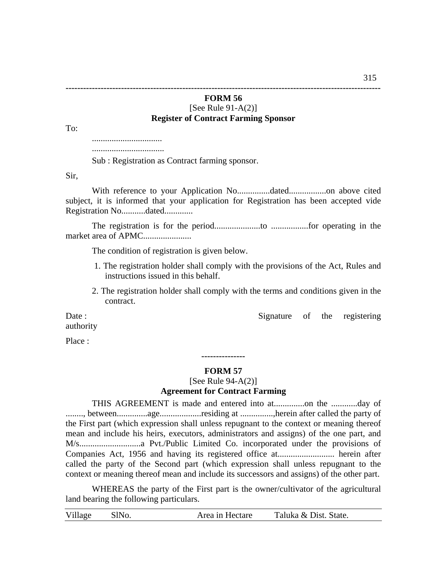**------------------------------------------------------------------------------------------------------------** 

# **FORM 56**  [See Rule 91-A(2)]

# **Register of Contract Farming Sponsor**

To:

................................

.................................

Sub : Registration as Contract farming sponsor.

Sir,

 With reference to your Application No...............dated.................on above cited subject, it is informed that your application for Registration has been accepted vide Registration No...........dated.............

 The registration is for the period.....................to .................for operating in the market area of APMC......................

The condition of registration is given below.

- 1. The registration holder shall comply with the provisions of the Act, Rules and instructions issued in this behalf.
- 2. The registration holder shall comply with the terms and conditions given in the contract.

Date : Signature of the registering

authority

Place :

# **--------------- FORM 57**

[See Rule  $94 - A(2)$ ]

## **Agreement for Contract Farming**

 THIS AGREEMENT is made and entered into at..............on the ............day of ........, between..............age...................residing at ...............,herein after called the party of the First part (which expression shall unless repugnant to the context or meaning thereof mean and include his heirs, executors, administrators and assigns) of the one part, and M/s............................a Pvt./Public Limited Co. incorporated under the provisions of Companies Act, 1956 and having its registered office at.......................... herein after called the party of the Second part (which expression shall unless repugnant to the context or meaning thereof mean and include its successors and assigns) of the other part.

 WHEREAS the party of the First part is the owner/cultivator of the agricultural land bearing the following particulars.

| Village | SlNo. | Area in Hectare | Taluka & Dist. State. |  |
|---------|-------|-----------------|-----------------------|--|
|---------|-------|-----------------|-----------------------|--|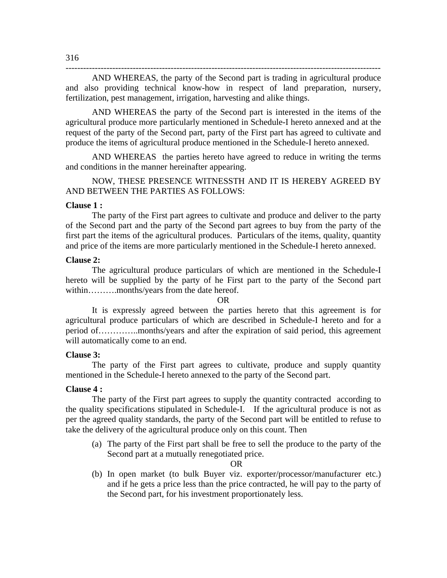AND WHEREAS, the party of the Second part is trading in agricultural produce and also providing technical know-how in respect of land preparation, nursery, fertilization, pest management, irrigation, harvesting and alike things.

------------------------------------------------------------------------------------------------------------

AND WHEREAS the party of the Second part is interested in the items of the agricultural produce more particularly mentioned in Schedule-I hereto annexed and at the request of the party of the Second part, party of the First part has agreed to cultivate and produce the items of agricultural produce mentioned in the Schedule-I hereto annexed.

AND WHEREAS the parties hereto have agreed to reduce in writing the terms and conditions in the manner hereinafter appearing.

NOW, THESE PRESENCE WITNESSTH AND IT IS HEREBY AGREED BY AND BETWEEN THE PARTIES AS FOLLOWS:

## **Clause 1 :**

 The party of the First part agrees to cultivate and produce and deliver to the party of the Second part and the party of the Second part agrees to buy from the party of the first part the items of the agricultural produces. Particulars of the items, quality, quantity and price of the items are more particularly mentioned in the Schedule-I hereto annexed.

### **Clause 2:**

 The agricultural produce particulars of which are mentioned in the Schedule-I hereto will be supplied by the party of he First part to the party of the Second part within……….months/years from the date hereof.

#### OR

 It is expressly agreed between the parties hereto that this agreement is for agricultural produce particulars of which are described in Schedule-I hereto and for a period of…………..months/years and after the expiration of said period, this agreement will automatically come to an end.

### **Clause 3:**

 The party of the First part agrees to cultivate, produce and supply quantity mentioned in the Schedule-I hereto annexed to the party of the Second part.

### **Clause 4 :**

 The party of the First part agrees to supply the quantity contracted according to the quality specifications stipulated in Schedule-I. If the agricultural produce is not as per the agreed quality standards, the party of the Second part will be entitled to refuse to take the delivery of the agricultural produce only on this count. Then

(a) The party of the First part shall be free to sell the produce to the party of the Second part at a mutually renegotiated price.

#### OR

(b) In open market (to bulk Buyer viz. exporter/processor/manufacturer etc.) and if he gets a price less than the price contracted, he will pay to the party of the Second part, for his investment proportionately less.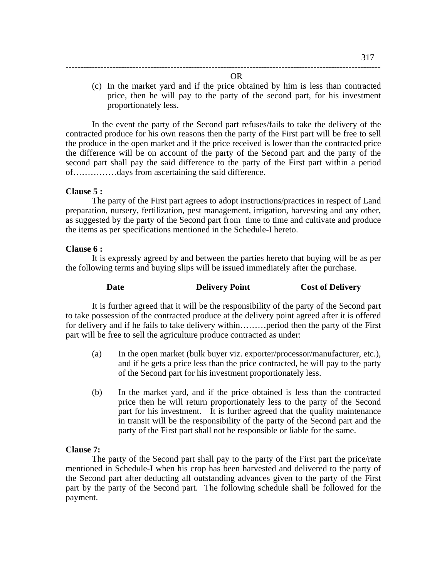OR

------------------------------------------------------------------------------------------------------------

(c) In the market yard and if the price obtained by him is less than contracted price, then he will pay to the party of the second part, for his investment proportionately less.

In the event the party of the Second part refuses/fails to take the delivery of the contracted produce for his own reasons then the party of the First part will be free to sell the produce in the open market and if the price received is lower than the contracted price the difference will be on account of the party of the Second part and the party of the second part shall pay the said difference to the party of the First part within a period of……………days from ascertaining the said difference.

### **Clause 5 :**

 The party of the First part agrees to adopt instructions/practices in respect of Land preparation, nursery, fertilization, pest management, irrigation, harvesting and any other, as suggested by the party of the Second part from time to time and cultivate and produce the items as per specifications mentioned in the Schedule-I hereto.

### **Clause 6 :**

 It is expressly agreed by and between the parties hereto that buying will be as per the following terms and buying slips will be issued immediately after the purchase.

### **Date Delivery Point Cost of Delivery**

It is further agreed that it will be the responsibility of the party of the Second part to take possession of the contracted produce at the delivery point agreed after it is offered for delivery and if he fails to take delivery within………period then the party of the First part will be free to sell the agriculture produce contracted as under:

- (a) In the open market (bulk buyer viz. exporter/processor/manufacturer, etc.), and if he gets a price less than the price contracted, he will pay to the party of the Second part for his investment proportionately less.
- (b) In the market yard, and if the price obtained is less than the contracted price then he will return proportionately less to the party of the Second part for his investment. It is further agreed that the quality maintenance in transit will be the responsibility of the party of the Second part and the party of the First part shall not be responsible or liable for the same.

### **Clause 7:**

 The party of the Second part shall pay to the party of the First part the price/rate mentioned in Schedule-I when his crop has been harvested and delivered to the party of the Second part after deducting all outstanding advances given to the party of the First part by the party of the Second part. The following schedule shall be followed for the payment.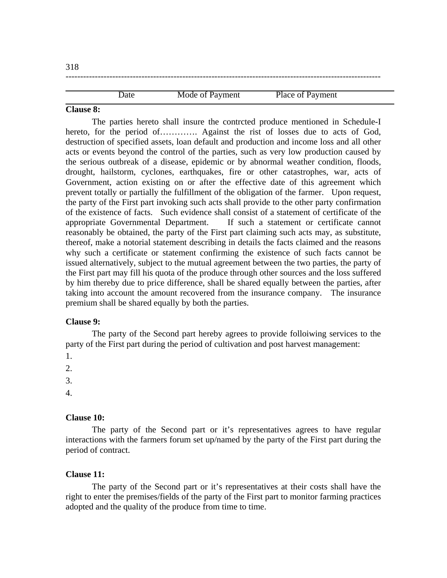| -210        |                 |                  |  |
|-------------|-----------------|------------------|--|
|             |                 |                  |  |
|             |                 |                  |  |
| <b>Date</b> | Mode of Payment | Place of Payment |  |

### **Clause 8:**

 The parties hereto shall insure the contrcted produce mentioned in Schedule-I hereto, for the period of………….. Against the rist of losses due to acts of God, destruction of specified assets, loan default and production and income loss and all other acts or events beyond the control of the parties, such as very low production caused by the serious outbreak of a disease, epidemic or by abnormal weather condition, floods, drought, hailstorm, cyclones, earthquakes, fire or other catastrophes, war, acts of Government, action existing on or after the effective date of this agreement which prevent totally or partially the fulfillment of the obligation of the farmer. Upon request, the party of the First part invoking such acts shall provide to the other party confirmation of the existence of facts. Such evidence shall consist of a statement of certificate of the appropriate Governmental Department. If such a statement or certificate cannot reasonably be obtained, the party of the First part claiming such acts may, as substitute, thereof, make a notorial statement describing in details the facts claimed and the reasons why such a certificate or statement confirming the existence of such facts cannot be issued alternatively, subject to the mutual agreement between the two parties, the party of the First part may fill his quota of the produce through other sources and the loss suffered by him thereby due to price difference, shall be shared equally between the parties, after taking into account the amount recovered from the insurance company. The insurance premium shall be shared equally by both the parties.

### **Clause 9:**

 The party of the Second part hereby agrees to provide folloiwing services to the party of the First part during the period of cultivation and post harvest management:

1.

 $2<sub>1</sub>$ 

3.

4.

## **Clause 10:**

 The party of the Second part or it's representatives agrees to have regular interactions with the farmers forum set up/named by the party of the First part during the period of contract.

### **Clause 11:**

 The party of the Second part or it's representatives at their costs shall have the right to enter the premises/fields of the party of the First part to monitor farming practices adopted and the quality of the produce from time to time.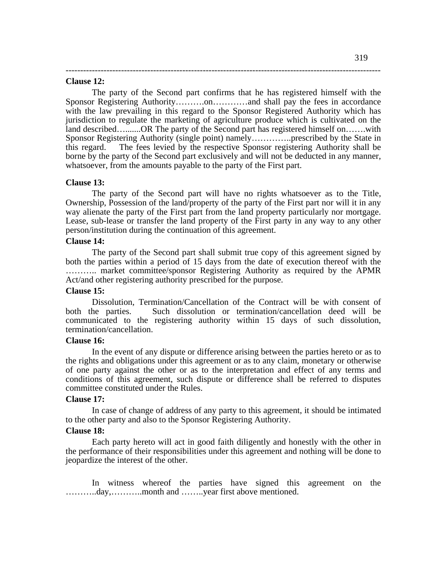### **Clause 12:**

 The party of the Second part confirms that he has registered himself with the Sponsor Registering Authority……….on…………and shall pay the fees in accordance with the law prevailing in this regard to the Sponsor Registered Authority which has jurisdiction to regulate the marketing of agriculture produce which is cultivated on the land described….......OR The party of the Second part has registered himself on…….with Sponsor Registering Authority (single point) namely…………..prescribed by the State in this regard. The fees levied by the respective Sponsor registering Authority shall be borne by the party of the Second part exclusively and will not be deducted in any manner, whatsoever, from the amounts payable to the party of the First part.

------------------------------------------------------------------------------------------------------------

### **Clause 13:**

 The party of the Second part will have no rights whatsoever as to the Title, Ownership, Possession of the land/property of the party of the First part nor will it in any way alienate the party of the First part from the land property particularly nor mortgage. Lease, sub-lease or transfer the land property of the First party in any way to any other person/institution during the continuation of this agreement.

### **Clause 14:**

 The party of the Second part shall submit true copy of this agreement signed by both the parties within a period of 15 days from the date of execution thereof with the ……….. market committee/sponsor Registering Authority as required by the APMR Act/and other registering authority prescribed for the purpose.

### **Clause 15:**

 Dissolution, Termination/Cancellation of the Contract will be with consent of both the parties. Such dissolution or termination/cancellation deed will be communicated to the registering authority within 15 days of such dissolution, termination/cancellation.

### **Clause 16:**

 In the event of any dispute or difference arising between the parties hereto or as to the rights and obligations under this agreement or as to any claim, monetary or otherwise of one party against the other or as to the interpretation and effect of any terms and conditions of this agreement, such dispute or difference shall be referred to disputes committee constituted under the Rules.

### **Clause 17:**

 In case of change of address of any party to this agreement, it should be intimated to the other party and also to the Sponsor Registering Authority.

### **Clause 18:**

 Each party hereto will act in good faith diligently and honestly with the other in the performance of their responsibilities under this agreement and nothing will be done to jeopardize the interest of the other.

 In witness whereof the parties have signed this agreement on the ………..day,………..month and ……..year first above mentioned.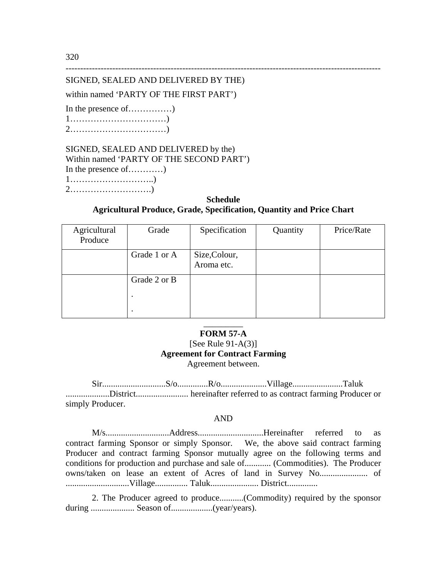320

# ------------------------------------------------------------------------------------------------------------ SIGNED, SEALED AND DELIVERED BY THE)

# within named 'PARTY OF THE FIRST PART')

In the presence of……………)

| ⌒ |  |  |  |  |  |  |  |  |  |  |  |  |  |  |  |  |
|---|--|--|--|--|--|--|--|--|--|--|--|--|--|--|--|--|

SIGNED, SEALED AND DELIVERED by the) Within named 'PARTY OF THE SECOND PART') In the presence of…………) 1………………………..)

2……………………….)

## **Schedule Agricultural Produce, Grade, Specification, Quantity and Price Chart**

| Agricultural<br>Produce | Grade        | Specification               | Quantity | Price/Rate |  |  |  |  |
|-------------------------|--------------|-----------------------------|----------|------------|--|--|--|--|
|                         | Grade 1 or A | Size, Colour,<br>Aroma etc. |          |            |  |  |  |  |
|                         | Grade 2 or B |                             |          |            |  |  |  |  |
|                         |              |                             |          |            |  |  |  |  |

## \_\_\_\_\_\_\_\_\_ **FORM 57-A**

## [See Rule  $91-A(3)$ ] **Agreement for Contract Farming**  Agreement between.

 Sir.............................S/o..............R/o.....................Village.......................Taluk ....................District........................ hereinafter referred to as contract farming Producer or simply Producer.

### AND

M/s.............................Address..............................Hereinafter referred to as contract farming Sponsor or simply Sponsor. We, the above said contract farming Producer and contract farming Sponsor mutually agree on the following terms and conditions for production and purchase and sale of............ (Commodities). The Producer owns/taken on lease an extent of Acres of land in Survey No...................... of .............................Village............... Taluk...................... District..............

2. The Producer agreed to produce...........(Commodity) required by the sponsor during .................... Season of...................(year/years).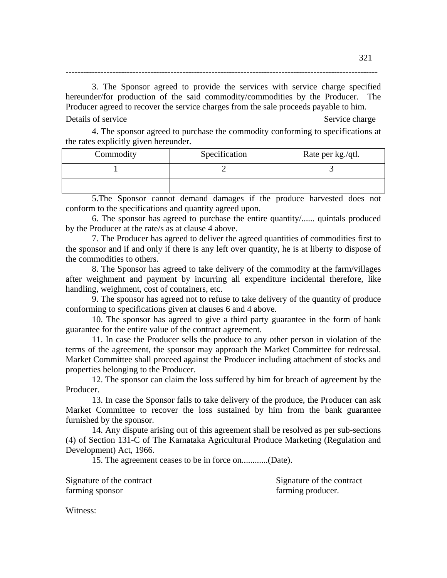3. The Sponsor agreed to provide the services with service charge specified hereunder/for production of the said commodity/commodities by the Producer. The Producer agreed to recover the service charges from the sale proceeds payable to him. Details of service  $\blacksquare$ 

-----------------------------------------------------------------------------------------------------------

4. The sponsor agreed to purchase the commodity conforming to specifications at the rates explicitly given hereunder.

| Commodity | Specification | Rate per kg./qtl. |  |  |  |  |
|-----------|---------------|-------------------|--|--|--|--|
|           |               |                   |  |  |  |  |
|           |               |                   |  |  |  |  |

5.The Sponsor cannot demand damages if the produce harvested does not conform to the specifications and quantity agreed upon.

6. The sponsor has agreed to purchase the entire quantity/...... quintals produced by the Producer at the rate/s as at clause 4 above.

7. The Producer has agreed to deliver the agreed quantities of commodities first to the sponsor and if and only if there is any left over quantity, he is at liberty to dispose of the commodities to others.

8. The Sponsor has agreed to take delivery of the commodity at the farm/villages after weighment and payment by incurring all expenditure incidental therefore, like handling, weighment, cost of containers, etc.

9. The sponsor has agreed not to refuse to take delivery of the quantity of produce conforming to specifications given at clauses 6 and 4 above.

10. The sponsor has agreed to give a third party guarantee in the form of bank guarantee for the entire value of the contract agreement.

11. In case the Producer sells the produce to any other person in violation of the terms of the agreement, the sponsor may approach the Market Committee for redressal. Market Committee shall proceed against the Producer including attachment of stocks and properties belonging to the Producer.

12. The sponsor can claim the loss suffered by him for breach of agreement by the Producer.

13. In case the Sponsor fails to take delivery of the produce, the Producer can ask Market Committee to recover the loss sustained by him from the bank guarantee furnished by the sponsor.

14. Any dispute arising out of this agreement shall be resolved as per sub-sections (4) of Section 131-C of The Karnataka Agricultural Produce Marketing (Regulation and Development) Act, 1966.

15. The agreement ceases to be in force on............(Date).

farming sponsor farming producer.

Signature of the contract Signature of the contract Signature of the contract

Witness: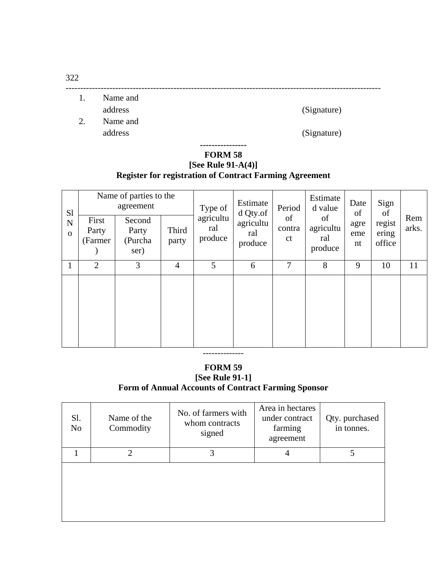------------------------------------------------------------------------------------------------------------ 1. Name and

address (Signature)

2. Name and address (Signature)

## **---------------- FORM 58**

# **[See Rule 91-A(4)] Register for registration of Contract Farming Agreement**

| S <sub>1</sub><br>$\mathbf N$<br>$\Omega$ | First<br>Party<br>(Farmer) | Name of parties to the<br>agreement<br>Second<br>Party<br>(Purcha<br>ser) | Third<br>party | Type of<br>agricultu<br>ral<br>produce | Estimate<br>d Qty.of<br>agricultu<br>ral<br>produce | Period<br>of<br>contra<br>ct | Estimate<br>d value<br>of<br>agricultu<br>ral<br>produce | Date<br>of<br>agre<br>eme<br>nt | Sign<br>of<br>regist<br>ering<br>office | Rem<br>arks. |
|-------------------------------------------|----------------------------|---------------------------------------------------------------------------|----------------|----------------------------------------|-----------------------------------------------------|------------------------------|----------------------------------------------------------|---------------------------------|-----------------------------------------|--------------|
|                                           | 2                          | 3                                                                         | $\overline{4}$ | 5                                      | 6                                                   | 7                            | 8                                                        | 9                               | 10                                      | 11           |
|                                           |                            |                                                                           |                |                                        |                                                     |                              |                                                          |                                 |                                         |              |

### --------------

# **FORM 59 [See Rule 91-1] Form of Annual Accounts of Contract Farming Sponsor**

| Sl.<br>N <sub>o</sub> | Name of the<br>Commodity | No. of farmers with<br>whom contracts<br>signed | Area in hectares<br>under contract<br>farming<br>agreement | Qty. purchased<br>in tonnes. |
|-----------------------|--------------------------|-------------------------------------------------|------------------------------------------------------------|------------------------------|
|                       | ↑                        | 3                                               | 4                                                          |                              |
|                       |                          |                                                 |                                                            |                              |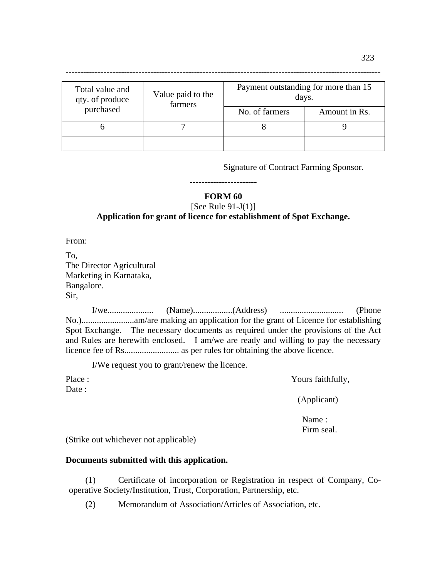| Total value and<br>qty. of produce | Value paid to the<br>farmers | Payment outstanding for more than 15<br>days. |               |  |  |
|------------------------------------|------------------------------|-----------------------------------------------|---------------|--|--|
| purchased                          |                              | No. of farmers                                | Amount in Rs. |  |  |
|                                    |                              |                                               |               |  |  |
|                                    |                              |                                               |               |  |  |

Signature of Contract Farming Sponsor.

# ----------------------- **FORM 60**

[See Rule  $91-J(1)$ ]

# **Application for grant of licence for establishment of Spot Exchange.**

From:

Date :

To, The Director Agricultural Marketing in Karnataka, Bangalore. Sir,

 I/we..................... (Name)..................(Address) ............................. (Phone No.)........................am/are making an application for the grant of Licence for establishing Spot Exchange. The necessary documents as required under the provisions of the Act and Rules are herewith enclosed. I am/we are ready and willing to pay the necessary licence fee of Rs......................... as per rules for obtaining the above licence.

I/We request you to grant/renew the licence.

Place : Yours faithfully,

(Applicant)

 Name : Firm seal.

(Strike out whichever not applicable)

## **Documents submitted with this application.**

(1) Certificate of incorporation or Registration in respect of Company, Cooperative Society/Institution, Trust, Corporation, Partnership, etc.

(2) Memorandum of Association/Articles of Association, etc.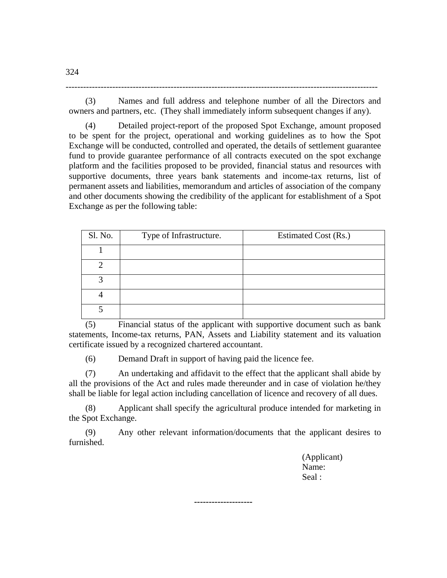(3) Names and full address and telephone number of all the Directors and owners and partners, etc. (They shall immediately inform subsequent changes if any).

-----------------------------------------------------------------------------------------------------------

(4) Detailed project-report of the proposed Spot Exchange, amount proposed to be spent for the project, operational and working guidelines as to how the Spot Exchange will be conducted, controlled and operated, the details of settlement guarantee fund to provide guarantee performance of all contracts executed on the spot exchange platform and the facilities proposed to be provided, financial status and resources with supportive documents, three years bank statements and income-tax returns, list of permanent assets and liabilities, memorandum and articles of association of the company and other documents showing the credibility of the applicant for establishment of a Spot Exchange as per the following table:

| Sl. No. | Type of Infrastructure. | Estimated Cost (Rs.) |
|---------|-------------------------|----------------------|
|         |                         |                      |
|         |                         |                      |
| 2       |                         |                      |
|         |                         |                      |
|         |                         |                      |

(5) Financial status of the applicant with supportive document such as bank statements, Income-tax returns, PAN, Assets and Liability statement and its valuation certificate issued by a recognized chartered accountant.

(6) Demand Draft in support of having paid the licence fee.

(7) An undertaking and affidavit to the effect that the applicant shall abide by all the provisions of the Act and rules made thereunder and in case of violation he/they shall be liable for legal action including cancellation of licence and recovery of all dues.

(8) Applicant shall specify the agricultural produce intended for marketing in the Spot Exchange.

(9) Any other relevant information/documents that the applicant desires to furnished.

**--------------------** 

(Applicant) Name: Seal :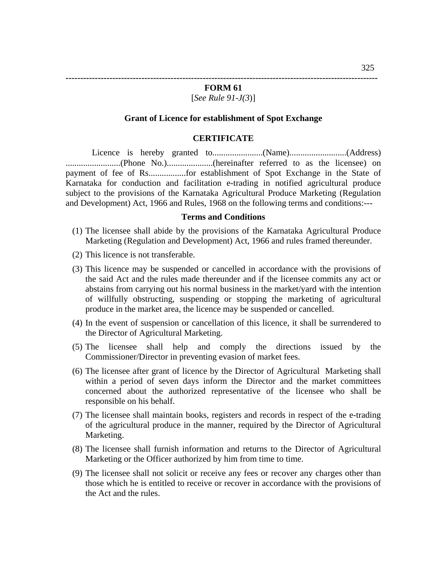#### **FORM 61**

## [*See Rule 91-J(3*)]

### **Grant of Licence for establishment of Spot Exchange**

### **CERTIFICATE**

 Licence is hereby granted to.......................(Name)..........................(Address) .........................(Phone No.).....................(hereinafter referred to as the licensee) on payment of fee of Rs.................for establishment of Spot Exchange in the State of Karnataka for conduction and facilitation e-trading in notified agricultural produce subject to the provisions of the Karnataka Agricultural Produce Marketing (Regulation and Development) Act, 1966 and Rules, 1968 on the following terms and conditions:---

#### **Terms and Conditions**

- (1) The licensee shall abide by the provisions of the Karnataka Agricultural Produce Marketing (Regulation and Development) Act, 1966 and rules framed thereunder.
- (2) This licence is not transferable.
- (3) This licence may be suspended or cancelled in accordance with the provisions of the said Act and the rules made thereunder and if the licensee commits any act or abstains from carrying out his normal business in the market/yard with the intention of willfully obstructing, suspending or stopping the marketing of agricultural produce in the market area, the licence may be suspended or cancelled.
- (4) In the event of suspension or cancellation of this licence, it shall be surrendered to the Director of Agricultural Marketing.
- (5) The licensee shall help and comply the directions issued by the Commissioner/Director in preventing evasion of market fees.
- (6) The licensee after grant of licence by the Director of Agricultural Marketing shall within a period of seven days inform the Director and the market committees concerned about the authorized representative of the licensee who shall be responsible on his behalf.
- (7) The licensee shall maintain books, registers and records in respect of the e-trading of the agricultural produce in the manner, required by the Director of Agricultural Marketing.
- (8) The licensee shall furnish information and returns to the Director of Agricultural Marketing or the Officer authorized by him from time to time.
- (9) The licensee shall not solicit or receive any fees or recover any charges other than those which he is entitled to receive or recover in accordance with the provisions of the Act and the rules.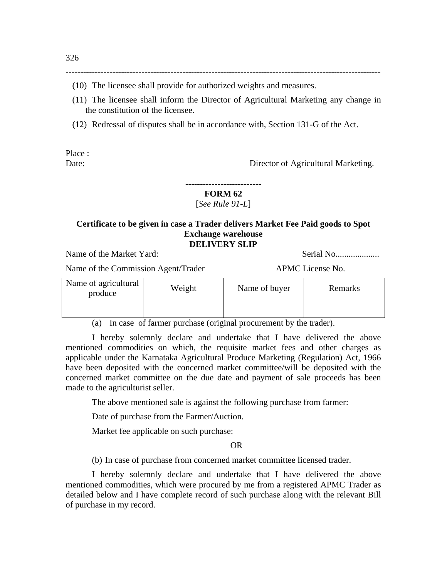(10) The licensee shall provide for authorized weights and measures.

(11) The licensee shall inform the Director of Agricultural Marketing any change in the constitution of the licensee.

------------------------------------------------------------------------------------------------------------

(12) Redressal of disputes shall be in accordance with, Section 131-G of the Act.

Place :

Date: Director of Agricultural Marketing.

**--------------------------** 

# **FORM 62**

[*See Rule 91-L*]

## **Certificate to be given in case a Trader delivers Market Fee Paid goods to Spot Exchange warehouse DELIVERY SLIP**

Name of the Market Yard: Serial No....................

Name of the Commission Agent/Trader APMC License No.

| Name of agricultural<br>produce | Weight | Name of buyer | Remarks |
|---------------------------------|--------|---------------|---------|
|                                 |        |               |         |

(a) In case of farmer purchase (original procurement by the trader).

I hereby solemnly declare and undertake that I have delivered the above mentioned commodities on which, the requisite market fees and other charges as applicable under the Karnataka Agricultural Produce Marketing (Regulation) Act, 1966 have been deposited with the concerned market committee/will be deposited with the concerned market committee on the due date and payment of sale proceeds has been made to the agriculturist seller.

The above mentioned sale is against the following purchase from farmer:

Date of purchase from the Farmer/Auction.

Market fee applicable on such purchase:

OR

(b) In case of purchase from concerned market committee licensed trader.

I hereby solemnly declare and undertake that I have delivered the above mentioned commodities, which were procured by me from a registered APMC Trader as detailed below and I have complete record of such purchase along with the relevant Bill of purchase in my record.